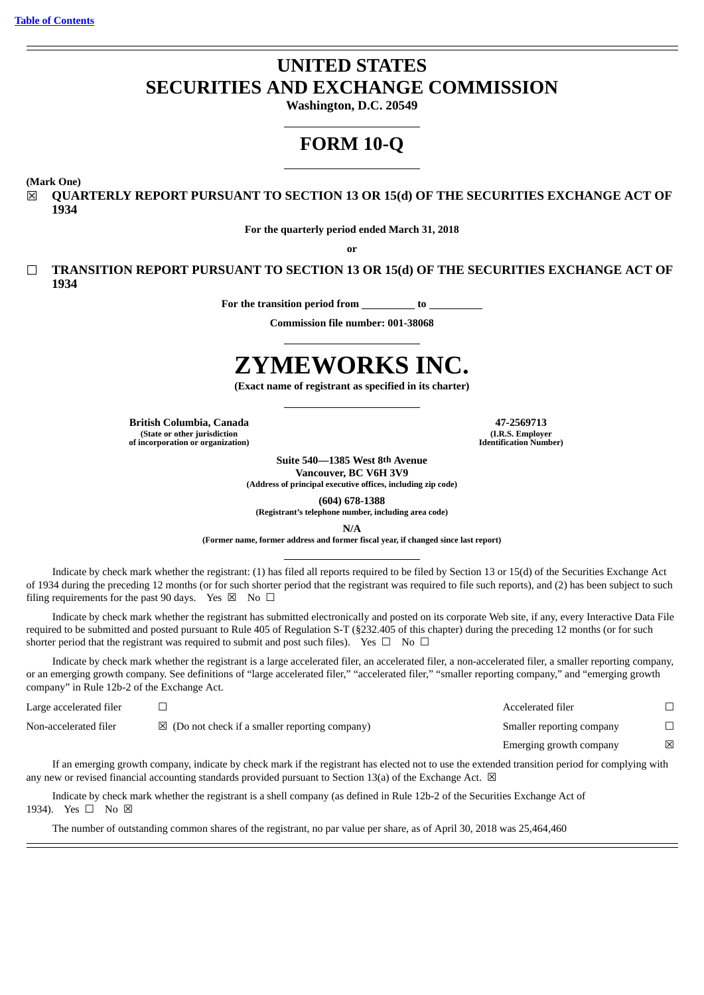# **UNITED STATES SECURITIES AND EXCHANGE COMMISSION**

**Washington, D.C. 20549**

## **FORM 10-Q**

**(Mark One)**

☒ **QUARTERLY REPORT PURSUANT TO SECTION 13 OR 15(d) OF THE SECURITIES EXCHANGE ACT OF 1934**

**For the quarterly period ended March 31, 2018**

**or**

☐ **TRANSITION REPORT PURSUANT TO SECTION 13 OR 15(d) OF THE SECURITIES EXCHANGE ACT OF 1934**

**For the transition period from to**

**Commission file number: 001-38068**

# **ZYMEWORKS INC.**

**(Exact name of registrant as specified in its charter)**

**British Columbia, Canada 47-2569713 (State or other jurisdiction of incorporation or organization)**

**(I.R.S. Employer Identification Number)**

**Suite 540—1385 West 8th Avenue Vancouver, BC V6H 3V9**

**(Address of principal executive offices, including zip code)**

**(604) 678-1388 (Registrant's telephone number, including area code)**

**N/A**

**(Former name, former address and former fiscal year, if changed since last report)**

Indicate by check mark whether the registrant: (1) has filed all reports required to be filed by Section 13 or 15(d) of the Securities Exchange Act of 1934 during the preceding 12 months (or for such shorter period that the registrant was required to file such reports), and (2) has been subject to such filing requirements for the past 90 days. Yes  $\boxtimes$  No  $\Box$ 

Indicate by check mark whether the registrant has submitted electronically and posted on its corporate Web site, if any, every Interactive Data File required to be submitted and posted pursuant to Rule 405 of Regulation S-T (§232.405 of this chapter) during the preceding 12 months (or for such shorter period that the registrant was required to submit and post such files). Yes  $\Box$  No  $\Box$ 

Indicate by check mark whether the registrant is a large accelerated filer, an accelerated filer, a non-accelerated filer, a smaller reporting company, or an emerging growth company. See definitions of "large accelerated filer," "accelerated filer," "smaller reporting company," and "emerging growth company" in Rule 12b-2 of the Exchange Act.

| Large accelerated filer |                                                           | Accelerated filer         |   |
|-------------------------|-----------------------------------------------------------|---------------------------|---|
| Non-accelerated filer   | $\boxtimes$ (Do not check if a smaller reporting company) | Smaller reporting company |   |
|                         |                                                           | Emerging growth company   | ⊠ |

If an emerging growth company, indicate by check mark if the registrant has elected not to use the extended transition period for complying with any new or revised financial accounting standards provided pursuant to Section 13(a) of the Exchange Act.  $\boxtimes$ 

Indicate by check mark whether the registrant is a shell company (as defined in Rule 12b-2 of the Securities Exchange Act of 1934). Yes □ No ⊠

The number of outstanding common shares of the registrant, no par value per share, as of April 30, 2018 was 25,464,460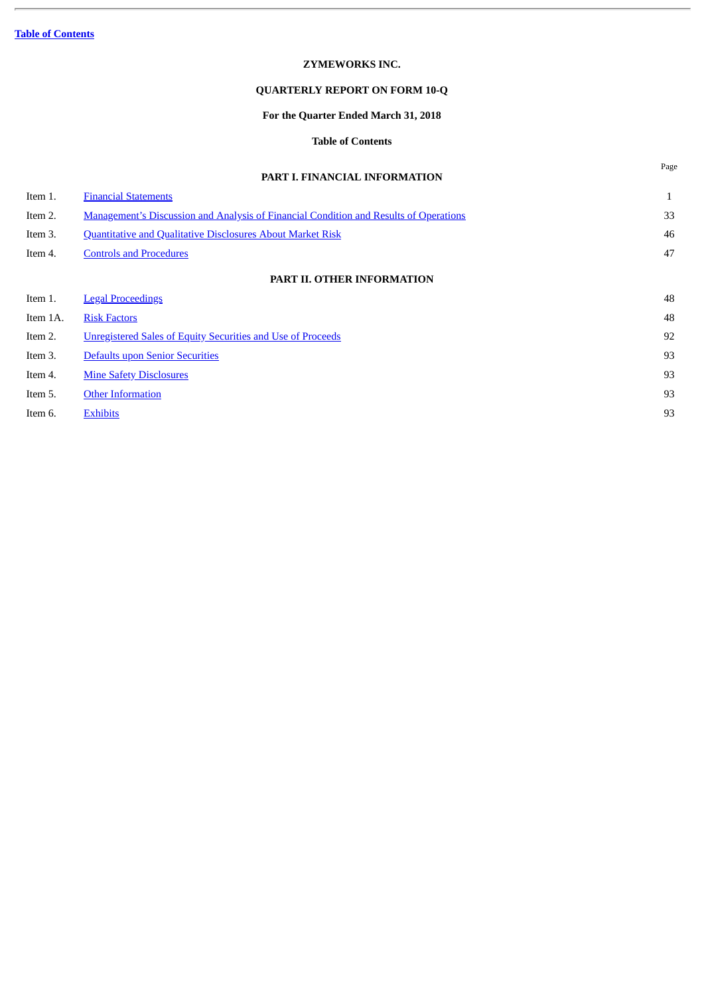## **ZYMEWORKS INC.**

## **QUARTERLY REPORT ON FORM 10-Q**

## **For the Quarter Ended March 31, 2018**

## **Table of Contents**

## **PART I. FINANCIAL INFORMATION**

Page

<span id="page-1-0"></span>

| Item 1.  | <b>Financial Statements</b>                                                                  |    |
|----------|----------------------------------------------------------------------------------------------|----|
| Item 2.  | <b>Management's Discussion and Analysis of Financial Condition and Results of Operations</b> | 33 |
| Item 3.  | <b>Quantitative and Qualitative Disclosures About Market Risk</b>                            | 46 |
| Item 4.  | <b>Controls and Procedures</b>                                                               | 47 |
|          | <b>PART II. OTHER INFORMATION</b>                                                            |    |
| Item 1.  | <b>Legal Proceedings</b>                                                                     | 48 |
| Item 1A. | <b>Risk Factors</b>                                                                          | 48 |
| Item 2.  | Unregistered Sales of Equity Securities and Use of Proceeds                                  | 92 |
| Item 3.  | <b>Defaults upon Senior Securities</b>                                                       | 93 |
| Item 4.  | <b>Mine Safety Disclosures</b>                                                               | 93 |
|          |                                                                                              |    |

- Item 5. Other [Information](#page-98-2) 93
- Item 6. [Exhibits](#page-98-3) **93**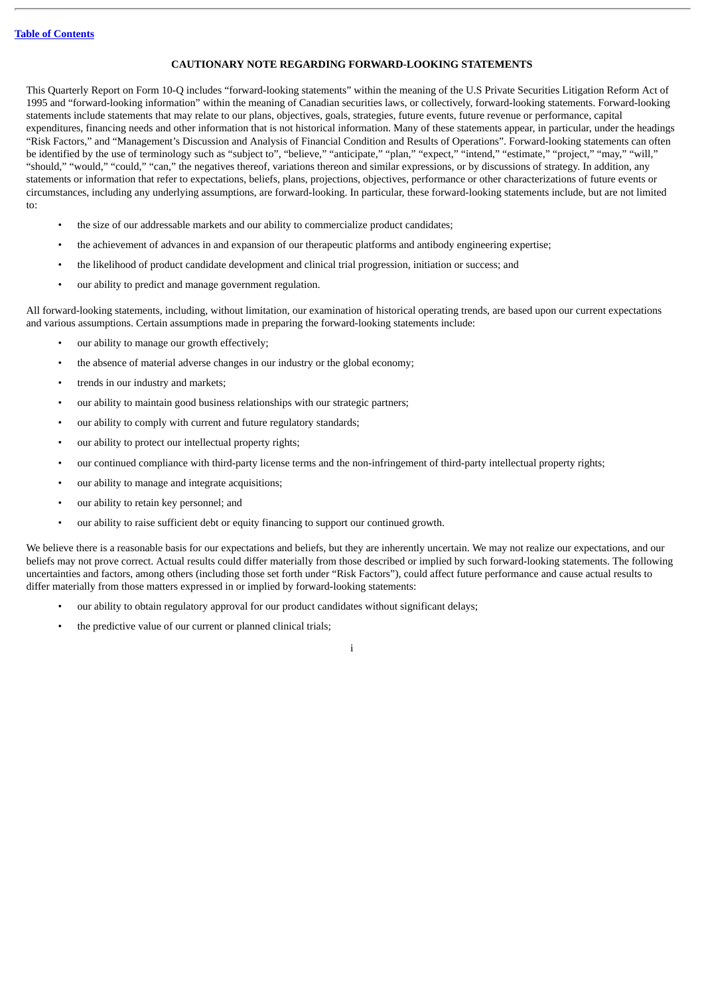## **CAUTIONARY NOTE REGARDING FORWARD-LOOKING STATEMENTS**

This Quarterly Report on Form 10-Q includes "forward-looking statements" within the meaning of the U.S Private Securities Litigation Reform Act of 1995 and "forward-looking information" within the meaning of Canadian securities laws, or collectively, forward-looking statements. Forward-looking statements include statements that may relate to our plans, objectives, goals, strategies, future events, future revenue or performance, capital expenditures, financing needs and other information that is not historical information. Many of these statements appear, in particular, under the headings "Risk Factors," and "Management's Discussion and Analysis of Financial Condition and Results of Operations". Forward-looking statements can often be identified by the use of terminology such as "subject to", "believe," "anticipate," "plan," "expect," "intend," "estimate," "project," "may," "will," "should," "would," "could," "can," the negatives thereof, variations thereon and similar expressions, or by discussions of strategy. In addition, any statements or information that refer to expectations, beliefs, plans, projections, objectives, performance or other characterizations of future events or circumstances, including any underlying assumptions, are forward-looking. In particular, these forward-looking statements include, but are not limited to:

- the size of our addressable markets and our ability to commercialize product candidates;
- the achievement of advances in and expansion of our therapeutic platforms and antibody engineering expertise;
- the likelihood of product candidate development and clinical trial progression, initiation or success; and
- our ability to predict and manage government regulation.

All forward-looking statements, including, without limitation, our examination of historical operating trends, are based upon our current expectations and various assumptions. Certain assumptions made in preparing the forward-looking statements include:

- our ability to manage our growth effectively;
- the absence of material adverse changes in our industry or the global economy;
- trends in our industry and markets;
- our ability to maintain good business relationships with our strategic partners;
- our ability to comply with current and future regulatory standards;
- our ability to protect our intellectual property rights;
- our continued compliance with third-party license terms and the non-infringement of third-party intellectual property rights;
- our ability to manage and integrate acquisitions;
- our ability to retain key personnel; and
- our ability to raise sufficient debt or equity financing to support our continued growth.

We believe there is a reasonable basis for our expectations and beliefs, but they are inherently uncertain. We may not realize our expectations, and our beliefs may not prove correct. Actual results could differ materially from those described or implied by such forward-looking statements. The following uncertainties and factors, among others (including those set forth under "Risk Factors"), could affect future performance and cause actual results to differ materially from those matters expressed in or implied by forward-looking statements:

i

- our ability to obtain regulatory approval for our product candidates without significant delays;
- the predictive value of our current or planned clinical trials;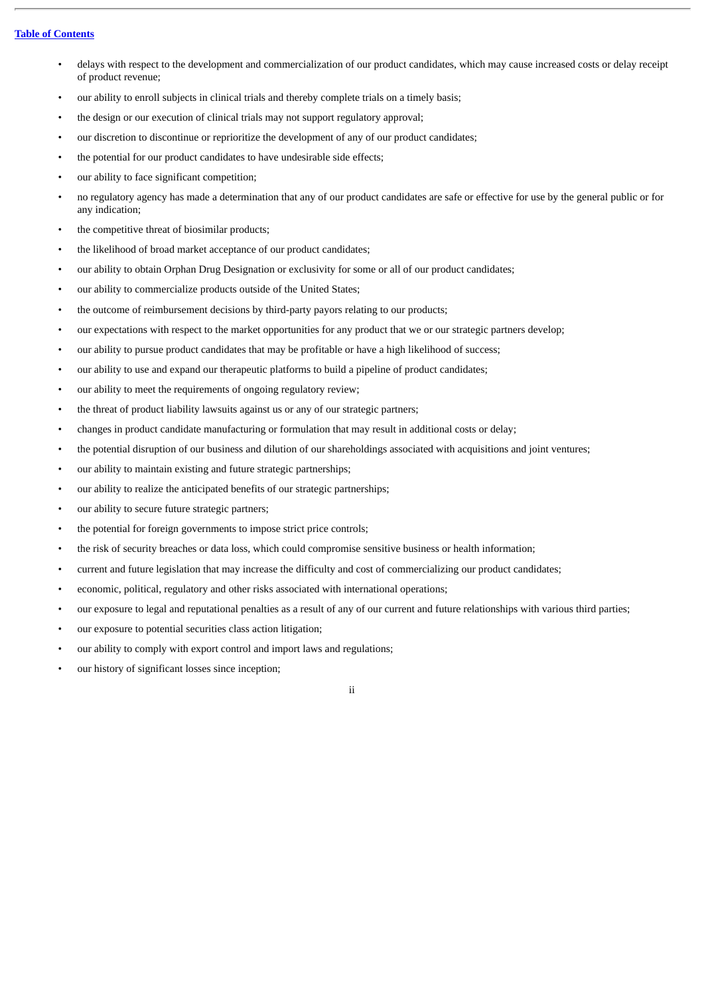- delays with respect to the development and commercialization of our product candidates, which may cause increased costs or delay receipt of product revenue;
- our ability to enroll subjects in clinical trials and thereby complete trials on a timely basis;
- the design or our execution of clinical trials may not support regulatory approval;
- our discretion to discontinue or reprioritize the development of any of our product candidates;
- the potential for our product candidates to have undesirable side effects;
- our ability to face significant competition;
- no regulatory agency has made a determination that any of our product candidates are safe or effective for use by the general public or for any indication;
- the competitive threat of biosimilar products;
- the likelihood of broad market acceptance of our product candidates;
- our ability to obtain Orphan Drug Designation or exclusivity for some or all of our product candidates;
- our ability to commercialize products outside of the United States;
- the outcome of reimbursement decisions by third-party payors relating to our products;
- our expectations with respect to the market opportunities for any product that we or our strategic partners develop;
- our ability to pursue product candidates that may be profitable or have a high likelihood of success;
- our ability to use and expand our therapeutic platforms to build a pipeline of product candidates;
- our ability to meet the requirements of ongoing regulatory review;
- the threat of product liability lawsuits against us or any of our strategic partners;
- changes in product candidate manufacturing or formulation that may result in additional costs or delay;
- the potential disruption of our business and dilution of our shareholdings associated with acquisitions and joint ventures;
- our ability to maintain existing and future strategic partnerships;
- our ability to realize the anticipated benefits of our strategic partnerships;
- our ability to secure future strategic partners;
- the potential for foreign governments to impose strict price controls;
- the risk of security breaches or data loss, which could compromise sensitive business or health information;
- current and future legislation that may increase the difficulty and cost of commercializing our product candidates;
- economic, political, regulatory and other risks associated with international operations;
- our exposure to legal and reputational penalties as a result of any of our current and future relationships with various third parties;
- our exposure to potential securities class action litigation;
- our ability to comply with export control and import laws and regulations;
- our history of significant losses since inception;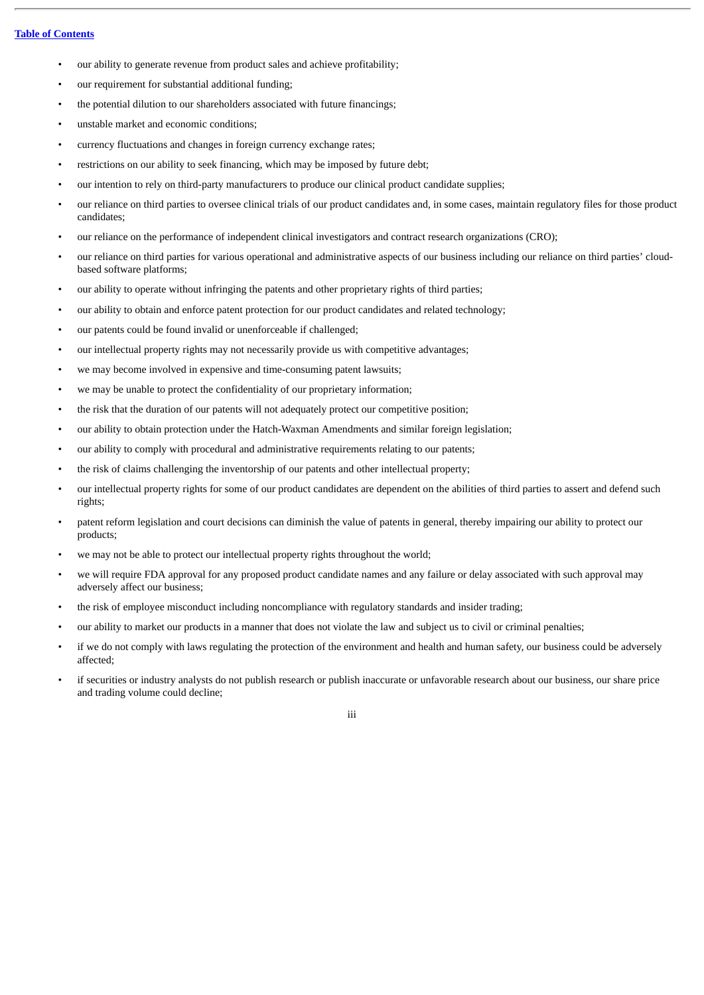- our ability to generate revenue from product sales and achieve profitability;
- our requirement for substantial additional funding;
- the potential dilution to our shareholders associated with future financings;
- unstable market and economic conditions;
- currency fluctuations and changes in foreign currency exchange rates;
- restrictions on our ability to seek financing, which may be imposed by future debt;
- our intention to rely on third-party manufacturers to produce our clinical product candidate supplies;
- our reliance on third parties to oversee clinical trials of our product candidates and, in some cases, maintain regulatory files for those product candidates;
- our reliance on the performance of independent clinical investigators and contract research organizations (CRO);
- our reliance on third parties for various operational and administrative aspects of our business including our reliance on third parties' cloudbased software platforms;
- our ability to operate without infringing the patents and other proprietary rights of third parties;
- our ability to obtain and enforce patent protection for our product candidates and related technology;
- our patents could be found invalid or unenforceable if challenged;
- our intellectual property rights may not necessarily provide us with competitive advantages;
- we may become involved in expensive and time-consuming patent lawsuits;
- we may be unable to protect the confidentiality of our proprietary information:
- the risk that the duration of our patents will not adequately protect our competitive position;
- our ability to obtain protection under the Hatch-Waxman Amendments and similar foreign legislation;
- our ability to comply with procedural and administrative requirements relating to our patents;
- the risk of claims challenging the inventorship of our patents and other intellectual property;
- our intellectual property rights for some of our product candidates are dependent on the abilities of third parties to assert and defend such rights;
- patent reform legislation and court decisions can diminish the value of patents in general, thereby impairing our ability to protect our products;
- we may not be able to protect our intellectual property rights throughout the world;
- we will require FDA approval for any proposed product candidate names and any failure or delay associated with such approval may adversely affect our business;
- the risk of employee misconduct including noncompliance with regulatory standards and insider trading;
- our ability to market our products in a manner that does not violate the law and subject us to civil or criminal penalties;
- if we do not comply with laws regulating the protection of the environment and health and human safety, our business could be adversely affected;
- if securities or industry analysts do not publish research or publish inaccurate or unfavorable research about our business, our share price and trading volume could decline;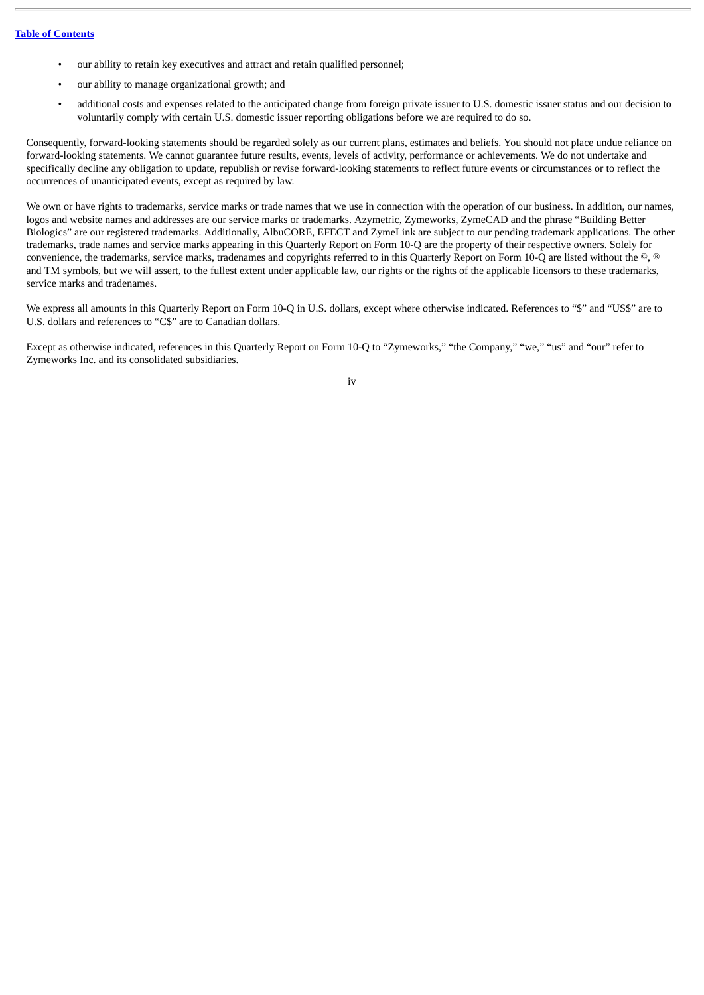- our ability to retain key executives and attract and retain qualified personnel;
- our ability to manage organizational growth; and
- additional costs and expenses related to the anticipated change from foreign private issuer to U.S. domestic issuer status and our decision to voluntarily comply with certain U.S. domestic issuer reporting obligations before we are required to do so.

Consequently, forward-looking statements should be regarded solely as our current plans, estimates and beliefs. You should not place undue reliance on forward-looking statements. We cannot guarantee future results, events, levels of activity, performance or achievements. We do not undertake and specifically decline any obligation to update, republish or revise forward-looking statements to reflect future events or circumstances or to reflect the occurrences of unanticipated events, except as required by law.

We own or have rights to trademarks, service marks or trade names that we use in connection with the operation of our business. In addition, our names, logos and website names and addresses are our service marks or trademarks. Azymetric, Zymeworks, ZymeCAD and the phrase "Building Better Biologics" are our registered trademarks. Additionally, AlbuCORE, EFECT and ZymeLink are subject to our pending trademark applications. The other trademarks, trade names and service marks appearing in this Quarterly Report on Form 10-Q are the property of their respective owners. Solely for convenience, the trademarks, service marks, tradenames and copyrights referred to in this Quarterly Report on Form 10-Q are listed without the ©, ® and TM symbols, but we will assert, to the fullest extent under applicable law, our rights or the rights of the applicable licensors to these trademarks, service marks and tradenames.

We express all amounts in this Quarterly Report on Form 10-Q in U.S. dollars, except where otherwise indicated. References to "\$" and "US\$" are to U.S. dollars and references to "C\$" are to Canadian dollars.

Except as otherwise indicated, references in this Quarterly Report on Form 10-Q to "Zymeworks," "the Company," "we," "us" and "our" refer to Zymeworks Inc. and its consolidated subsidiaries.

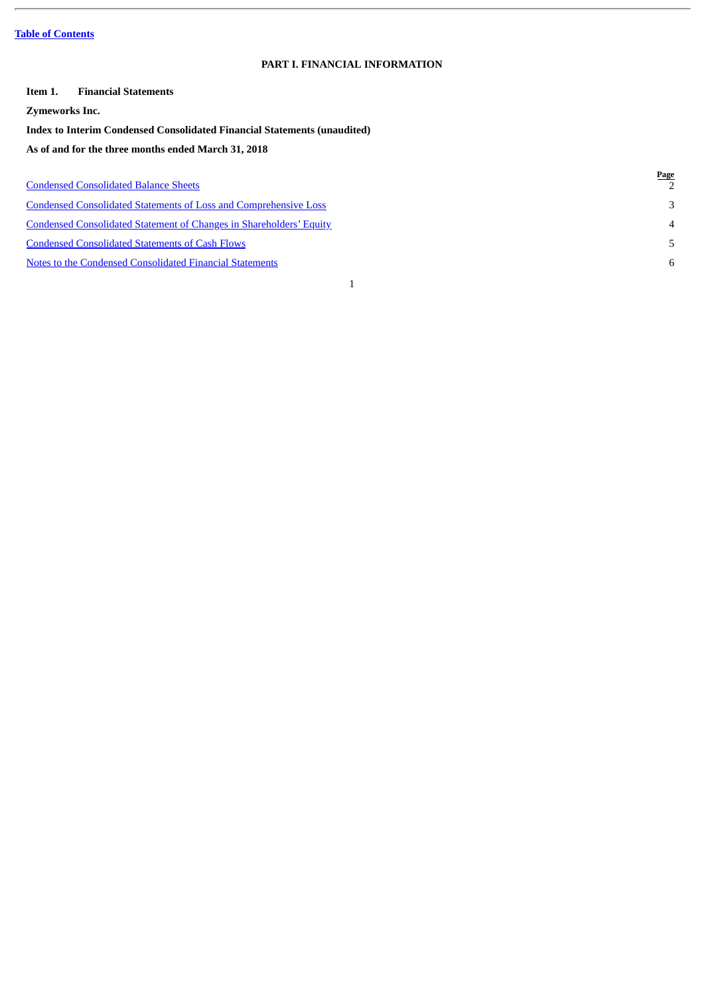## **PART I. FINANCIAL INFORMATION**

<span id="page-6-0"></span>

| Item 1. | <b>Financial Statements</b> |
|---------|-----------------------------|
|         |                             |

**Zymeworks Inc.**

**Index to Interim Condensed Consolidated Financial Statements (unaudited) As of and for the three months ended March 31, 2018**

|                                                                            | Page |
|----------------------------------------------------------------------------|------|
| <b>Condensed Consolidated Balance Sheets</b>                               |      |
| Condensed Consolidated Statements of Loss and Comprehensive Loss           | 3    |
| <b>Condensed Consolidated Statement of Changes in Shareholders' Equity</b> | 4    |
| <b>Condensed Consolidated Statements of Cash Flows</b>                     | .5   |
| Notes to the Condensed Consolidated Financial Statements                   | 6    |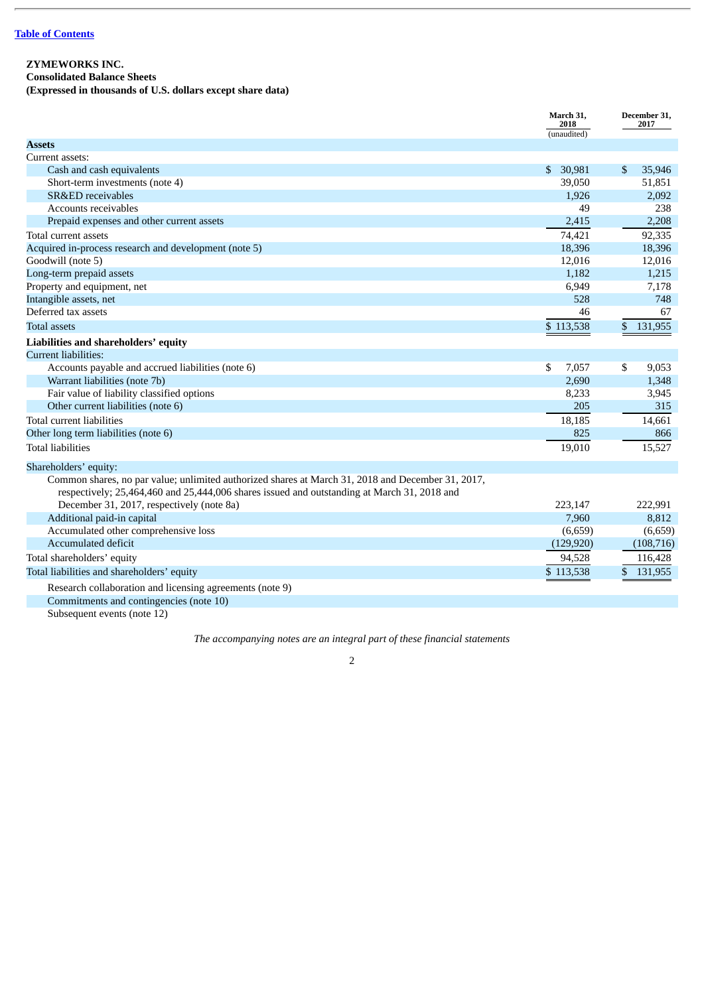## <span id="page-7-0"></span>**ZYMEWORKS INC.**

## **Consolidated Balance Sheets**

**(Expressed in thousands of U.S. dollars except share data)**

|                                                                                                                                                                                                  | March 31,<br>2018<br>(unaudited) | December 31,<br>2017    |
|--------------------------------------------------------------------------------------------------------------------------------------------------------------------------------------------------|----------------------------------|-------------------------|
| <b>Assets</b>                                                                                                                                                                                    |                                  |                         |
| Current assets:                                                                                                                                                                                  |                                  |                         |
| Cash and cash equivalents                                                                                                                                                                        | $\mathbb{S}$<br>30,981           | \$<br>35,946            |
| Short-term investments (note 4)                                                                                                                                                                  | 39,050                           | 51,851                  |
| SR&ED receivables                                                                                                                                                                                | 1,926                            | 2,092                   |
| Accounts receivables                                                                                                                                                                             | 49                               | 238                     |
| Prepaid expenses and other current assets                                                                                                                                                        | 2,415                            | 2.208                   |
| Total current assets                                                                                                                                                                             | 74,421                           | 92,335                  |
| Acquired in-process research and development (note 5)                                                                                                                                            | 18,396                           | 18,396                  |
| Goodwill (note 5)                                                                                                                                                                                | 12,016                           | 12,016                  |
| Long-term prepaid assets                                                                                                                                                                         | 1,182                            | 1,215                   |
| Property and equipment, net                                                                                                                                                                      | 6,949                            | 7,178                   |
| Intangible assets, net                                                                                                                                                                           | 528                              | 748                     |
| Deferred tax assets                                                                                                                                                                              | 46                               | 67                      |
| <b>Total assets</b>                                                                                                                                                                              | \$113,538                        | $\mathbb{S}$<br>131,955 |
| Liabilities and shareholders' equity                                                                                                                                                             |                                  |                         |
| Current liabilities:                                                                                                                                                                             |                                  |                         |
| Accounts payable and accrued liabilities (note 6)                                                                                                                                                | \$<br>7,057                      | \$<br>9.053             |
| Warrant liabilities (note 7b)                                                                                                                                                                    | 2,690                            | 1,348                   |
| Fair value of liability classified options                                                                                                                                                       | 8,233                            | 3,945                   |
| Other current liabilities (note 6)                                                                                                                                                               | 205                              | 315                     |
| Total current liabilities                                                                                                                                                                        | 18,185                           | 14,661                  |
| Other long term liabilities (note 6)                                                                                                                                                             | 825                              | 866                     |
| <b>Total liabilities</b>                                                                                                                                                                         | 19,010                           | 15,527                  |
| Shareholders' equity:                                                                                                                                                                            |                                  |                         |
| Common shares, no par value; unlimited authorized shares at March 31, 2018 and December 31, 2017,<br>respectively; 25,464,460 and 25,444,006 shares issued and outstanding at March 31, 2018 and |                                  |                         |
| December 31, 2017, respectively (note 8a)                                                                                                                                                        | 223,147                          | 222,991                 |
| Additional paid-in capital                                                                                                                                                                       | 7,960                            | 8,812                   |
| Accumulated other comprehensive loss                                                                                                                                                             | (6,659)                          | (6,659)                 |
| Accumulated deficit                                                                                                                                                                              | (129, 920)                       | (108, 716)              |
| Total shareholders' equity                                                                                                                                                                       | 94,528                           | 116,428                 |
| Total liabilities and shareholders' equity                                                                                                                                                       | \$113,538                        | \$<br>131,955           |
| Research collaboration and licensing agreements (note 9)                                                                                                                                         |                                  |                         |
| Commitments and contingencies (note 10)                                                                                                                                                          |                                  |                         |
| Subsequent events (note 12)                                                                                                                                                                      |                                  |                         |

*The accompanying notes are an integral part of these financial statements*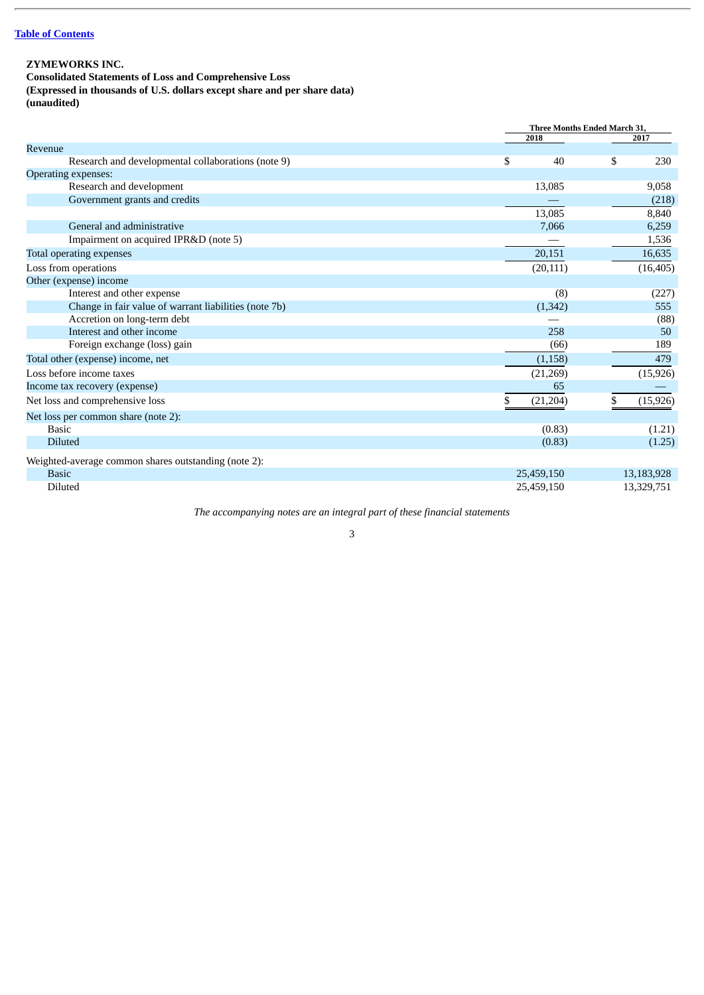## <span id="page-8-0"></span>**ZYMEWORKS INC.**

**Consolidated Statements of Loss and Comprehensive Loss**

**(Expressed in thousands of U.S. dollars except share and per share data)**

**(unaudited)**

|                                                       |                 | Three Months Ended March 31, |
|-------------------------------------------------------|-----------------|------------------------------|
|                                                       | 2018            | 2017                         |
| Revenue                                               |                 |                              |
| Research and developmental collaborations (note 9)    | \$<br>40        | \$<br>230                    |
| <b>Operating expenses:</b>                            |                 |                              |
| Research and development                              | 13,085          | 9,058                        |
| Government grants and credits                         |                 | (218)                        |
|                                                       | 13,085          | 8,840                        |
| General and administrative                            | 7,066           | 6,259                        |
| Impairment on acquired IPR&D (note 5)                 |                 | 1,536                        |
| <b>Total operating expenses</b>                       | 20,151          | 16,635                       |
| Loss from operations                                  | (20, 111)       | (16, 405)                    |
| Other (expense) income                                |                 |                              |
| Interest and other expense                            | (8)             | (227)                        |
| Change in fair value of warrant liabilities (note 7b) | (1, 342)        | 555                          |
| Accretion on long-term debt                           |                 | (88)                         |
| Interest and other income                             | 258             | 50                           |
| Foreign exchange (loss) gain                          | (66)            | 189                          |
| Total other (expense) income, net                     | (1,158)         | 479                          |
| Loss before income taxes                              | (21,269)        | (15, 926)                    |
| Income tax recovery (expense)                         | 65              |                              |
| Net loss and comprehensive loss                       | (21, 204)<br>\$ | (15, 926)<br>\$              |
| Net loss per common share (note 2):                   |                 |                              |
| <b>Basic</b>                                          | (0.83)          | (1.21)                       |
| <b>Diluted</b>                                        | (0.83)          | (1.25)                       |
| Weighted-average common shares outstanding (note 2):  |                 |                              |
| <b>Basic</b>                                          | 25,459,150      | 13,183,928                   |
| <b>Diluted</b>                                        | 25,459,150      | 13,329,751                   |

*The accompanying notes are an integral part of these financial statements*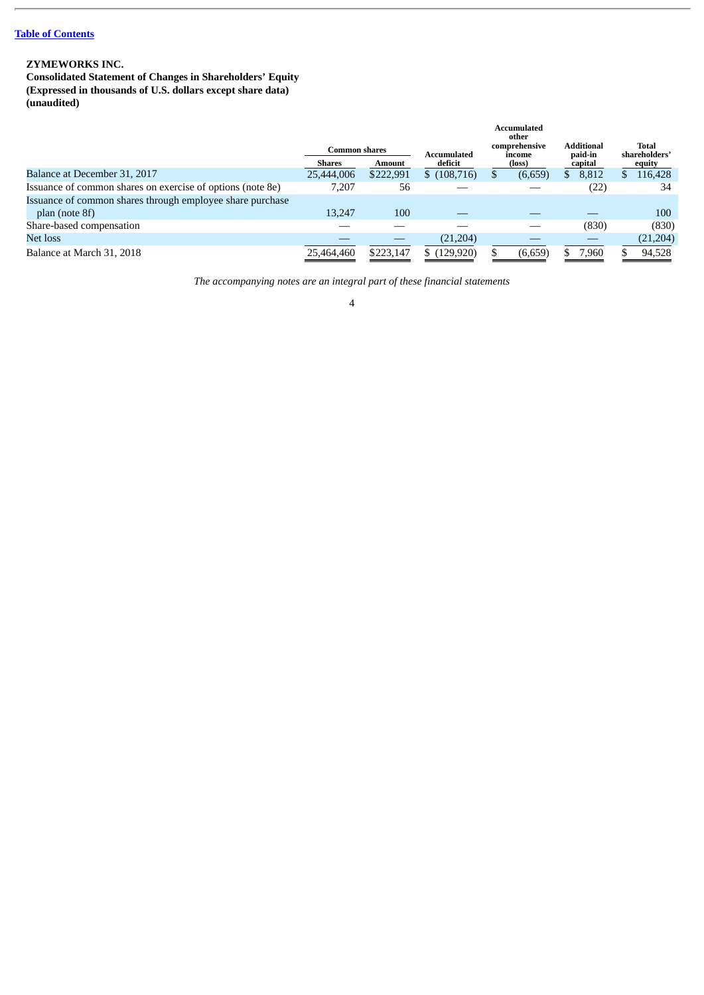## <span id="page-9-0"></span>**ZYMEWORKS INC.**

**Consolidated Statement of Changes in Shareholders' Equity (Expressed in thousands of U.S. dollars except share data)**

**(unaudited)**

|                                                            | <b>Common shares</b> |               |                        |                  | Accumulated<br>other<br>comprehensive | <b>Additional</b>  |  | <b>Total</b>            |
|------------------------------------------------------------|----------------------|---------------|------------------------|------------------|---------------------------------------|--------------------|--|-------------------------|
|                                                            | <b>Shares</b>        | <b>Amount</b> | Accumulated<br>deficit | income<br>(loss) |                                       | paid-in<br>capital |  | shareholders'<br>equity |
| Balance at December 31, 2017                               | 25,444,006           | \$222,991     | \$(108,716)            |                  | (6,659)                               | 8,812<br>S.        |  | 116,428                 |
| Issuance of common shares on exercise of options (note 8e) | 7,207                | 56            |                        |                  |                                       | (22)               |  | 34                      |
| Issuance of common shares through employee share purchase  |                      |               |                        |                  |                                       |                    |  |                         |
| plan (note 8f)                                             | 13.247               | 100           |                        |                  |                                       |                    |  | 100                     |
| Share-based compensation                                   |                      |               |                        |                  |                                       | (830)              |  | (830)                   |
| Net loss                                                   |                      |               | (21, 204)              |                  |                                       |                    |  | (21, 204)               |
| Balance at March 31, 2018                                  | 25,464,460           | \$223,147     | \$(129, 920)           |                  | (6,659)                               | 7,960              |  | 94,528                  |

*The accompanying notes are an integral part of these financial statements*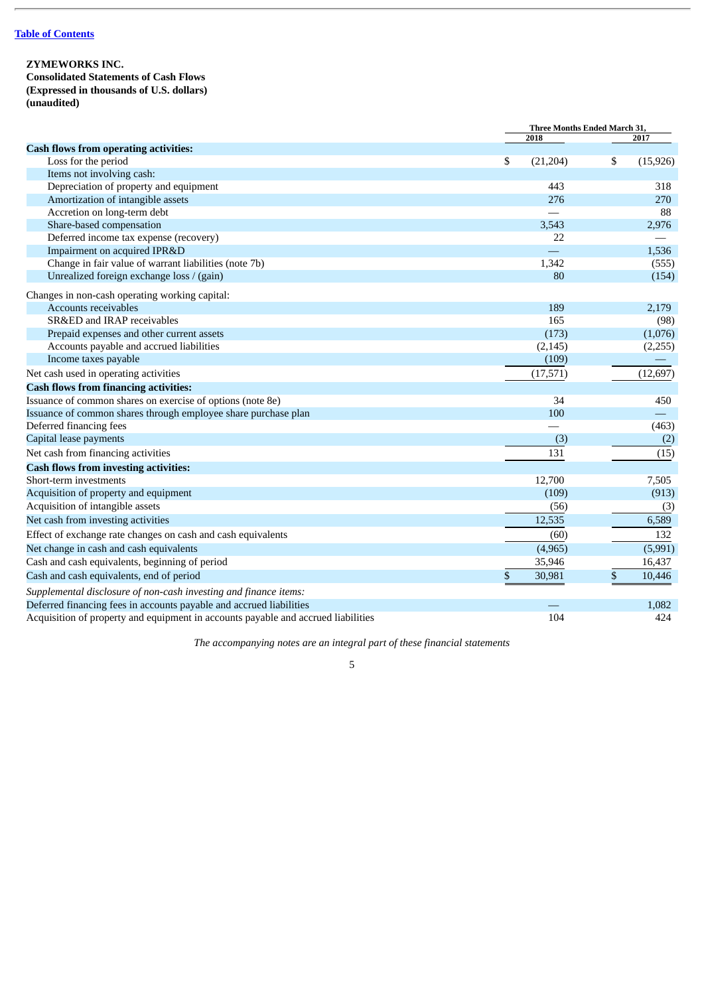## <span id="page-10-0"></span>**ZYMEWORKS INC.**

**Consolidated Statements of Cash Flows (Expressed in thousands of U.S. dollars) (unaudited)**

|                                                                                   | <b>Three Months Ended March 31,</b> |    |           |
|-----------------------------------------------------------------------------------|-------------------------------------|----|-----------|
|                                                                                   | 2018                                |    | 2017      |
| <b>Cash flows from operating activities:</b>                                      | \$                                  |    |           |
| Loss for the period<br>Items not involving cash:                                  | (21, 204)                           | \$ | (15, 926) |
| Depreciation of property and equipment                                            | 443                                 |    | 318       |
| Amortization of intangible assets                                                 | 276                                 |    | 270       |
| Accretion on long-term debt                                                       |                                     |    | 88        |
| Share-based compensation                                                          | 3,543                               |    | 2,976     |
| Deferred income tax expense (recovery)                                            | 22                                  |    |           |
| Impairment on acquired IPR&D                                                      |                                     |    | 1,536     |
| Change in fair value of warrant liabilities (note 7b)                             | 1,342                               |    | (555)     |
| Unrealized foreign exchange loss / (gain)                                         | 80                                  |    | (154)     |
|                                                                                   |                                     |    |           |
| Changes in non-cash operating working capital:                                    |                                     |    |           |
| Accounts receivables                                                              | 189                                 |    | 2,179     |
| SR&ED and IRAP receivables                                                        | 165                                 |    | (98)      |
| Prepaid expenses and other current assets                                         | (173)                               |    | (1,076)   |
| Accounts payable and accrued liabilities                                          | (2, 145)                            |    | (2,255)   |
| Income taxes payable                                                              | (109)                               |    |           |
| Net cash used in operating activities                                             | (17,571)                            |    | (12, 697) |
| <b>Cash flows from financing activities:</b>                                      |                                     |    |           |
| Issuance of common shares on exercise of options (note 8e)                        | 34                                  |    | 450       |
| Issuance of common shares through employee share purchase plan                    | 100                                 |    |           |
| Deferred financing fees                                                           |                                     |    | (463)     |
| Capital lease payments                                                            | (3)                                 |    | (2)       |
| Net cash from financing activities                                                | 131                                 |    | (15)      |
| <b>Cash flows from investing activities:</b>                                      |                                     |    |           |
| Short-term investments                                                            | 12,700                              |    | 7,505     |
| Acquisition of property and equipment                                             | (109)                               |    | (913)     |
| Acquisition of intangible assets                                                  | (56)                                |    | (3)       |
| Net cash from investing activities                                                | 12,535                              |    | 6,589     |
| Effect of exchange rate changes on cash and cash equivalents                      | (60)                                |    | 132       |
| Net change in cash and cash equivalents                                           | (4,965)                             |    | (5,991)   |
| Cash and cash equivalents, beginning of period                                    | 35,946                              |    | 16,437    |
| Cash and cash equivalents, end of period                                          | \$<br>30,981                        | \$ | 10,446    |
| Supplemental disclosure of non-cash investing and finance items:                  |                                     |    |           |
| Deferred financing fees in accounts payable and accrued liabilities               |                                     |    | 1,082     |
| Acquisition of property and equipment in accounts payable and accrued liabilities | 104                                 |    | 424       |

*The accompanying notes are an integral part of these financial statements*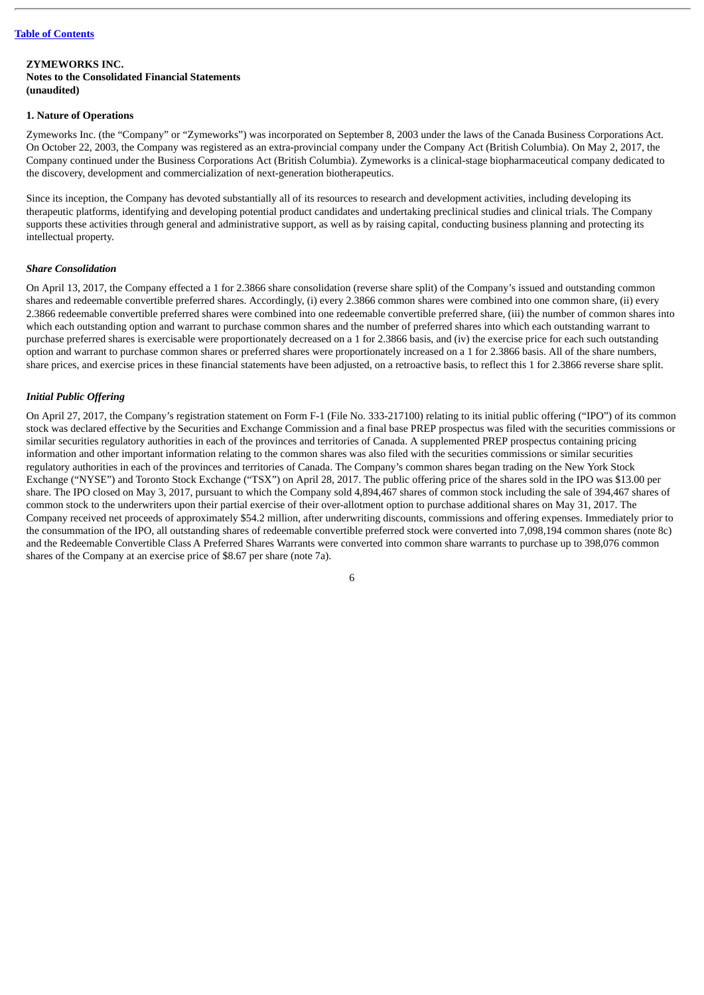## <span id="page-11-0"></span>**ZYMEWORKS INC. Notes to the Consolidated Financial Statements (unaudited)**

## **1. Nature of Operations**

Zymeworks Inc. (the "Company" or "Zymeworks") was incorporated on September 8, 2003 under the laws of the Canada Business Corporations Act. On October 22, 2003, the Company was registered as an extra-provincial company under the Company Act (British Columbia). On May 2, 2017, the Company continued under the Business Corporations Act (British Columbia). Zymeworks is a clinical-stage biopharmaceutical company dedicated to the discovery, development and commercialization of next-generation biotherapeutics.

Since its inception, the Company has devoted substantially all of its resources to research and development activities, including developing its therapeutic platforms, identifying and developing potential product candidates and undertaking preclinical studies and clinical trials. The Company supports these activities through general and administrative support, as well as by raising capital, conducting business planning and protecting its intellectual property.

## *Share Consolidation*

On April 13, 2017, the Company effected a 1 for 2.3866 share consolidation (reverse share split) of the Company's issued and outstanding common shares and redeemable convertible preferred shares. Accordingly, (i) every 2.3866 common shares were combined into one common share, (ii) every 2.3866 redeemable convertible preferred shares were combined into one redeemable convertible preferred share, (iii) the number of common shares into which each outstanding option and warrant to purchase common shares and the number of preferred shares into which each outstanding warrant to purchase preferred shares is exercisable were proportionately decreased on a 1 for 2.3866 basis, and (iv) the exercise price for each such outstanding option and warrant to purchase common shares or preferred shares were proportionately increased on a 1 for 2.3866 basis. All of the share numbers, share prices, and exercise prices in these financial statements have been adjusted, on a retroactive basis, to reflect this 1 for 2.3866 reverse share split.

## *Initial Public Offering*

On April 27, 2017, the Company's registration statement on Form F-1 (File No. 333-217100) relating to its initial public offering ("IPO") of its common stock was declared effective by the Securities and Exchange Commission and a final base PREP prospectus was filed with the securities commissions or similar securities regulatory authorities in each of the provinces and territories of Canada. A supplemented PREP prospectus containing pricing information and other important information relating to the common shares was also filed with the securities commissions or similar securities regulatory authorities in each of the provinces and territories of Canada. The Company's common shares began trading on the New York Stock Exchange ("NYSE") and Toronto Stock Exchange ("TSX") on April 28, 2017. The public offering price of the shares sold in the IPO was \$13.00 per share. The IPO closed on May 3, 2017, pursuant to which the Company sold 4,894,467 shares of common stock including the sale of 394,467 shares of common stock to the underwriters upon their partial exercise of their over-allotment option to purchase additional shares on May 31, 2017. The Company received net proceeds of approximately \$54.2 million, after underwriting discounts, commissions and offering expenses. Immediately prior to the consummation of the IPO, all outstanding shares of redeemable convertible preferred stock were converted into 7,098,194 common shares (note 8c) and the Redeemable Convertible Class A Preferred Shares Warrants were converted into common share warrants to purchase up to 398,076 common shares of the Company at an exercise price of \$8.67 per share (note 7a).

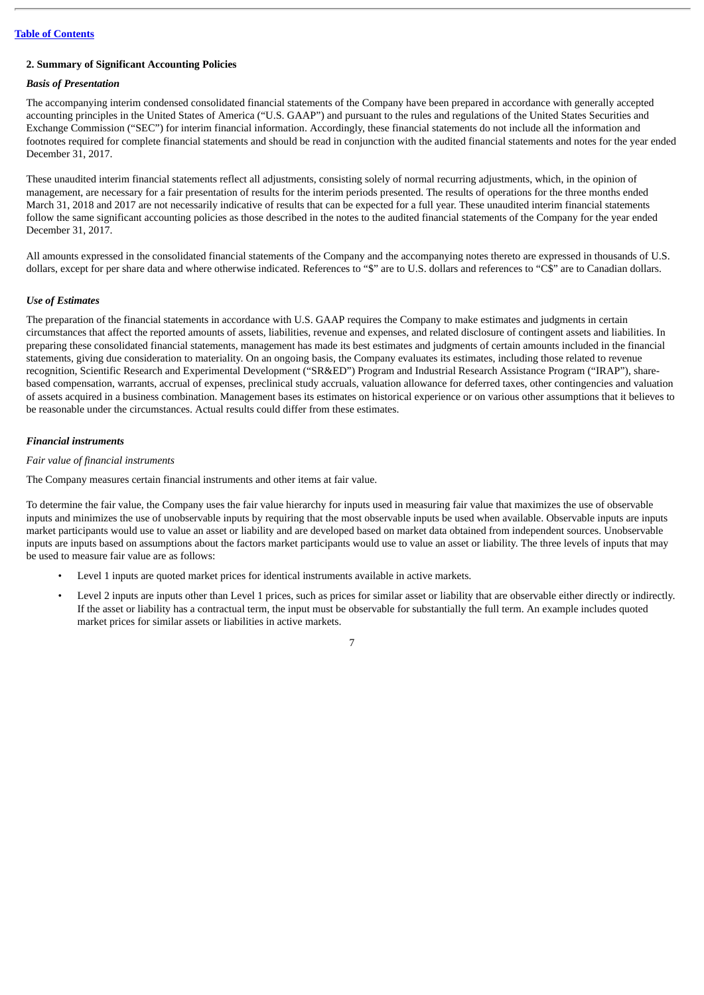## **2. Summary of Significant Accounting Policies**

## *Basis of Presentation*

The accompanying interim condensed consolidated financial statements of the Company have been prepared in accordance with generally accepted accounting principles in the United States of America ("U.S. GAAP") and pursuant to the rules and regulations of the United States Securities and Exchange Commission ("SEC") for interim financial information. Accordingly, these financial statements do not include all the information and footnotes required for complete financial statements and should be read in conjunction with the audited financial statements and notes for the year ended December 31, 2017.

These unaudited interim financial statements reflect all adjustments, consisting solely of normal recurring adjustments, which, in the opinion of management, are necessary for a fair presentation of results for the interim periods presented. The results of operations for the three months ended March 31, 2018 and 2017 are not necessarily indicative of results that can be expected for a full year. These unaudited interim financial statements follow the same significant accounting policies as those described in the notes to the audited financial statements of the Company for the year ended December 31, 2017.

All amounts expressed in the consolidated financial statements of the Company and the accompanying notes thereto are expressed in thousands of U.S. dollars, except for per share data and where otherwise indicated. References to "\$" are to U.S. dollars and references to "C\$" are to Canadian dollars.

## *Use of Estimates*

The preparation of the financial statements in accordance with U.S. GAAP requires the Company to make estimates and judgments in certain circumstances that affect the reported amounts of assets, liabilities, revenue and expenses, and related disclosure of contingent assets and liabilities. In preparing these consolidated financial statements, management has made its best estimates and judgments of certain amounts included in the financial statements, giving due consideration to materiality. On an ongoing basis, the Company evaluates its estimates, including those related to revenue recognition, Scientific Research and Experimental Development ("SR&ED") Program and Industrial Research Assistance Program ("IRAP"), sharebased compensation, warrants, accrual of expenses, preclinical study accruals, valuation allowance for deferred taxes, other contingencies and valuation of assets acquired in a business combination. Management bases its estimates on historical experience or on various other assumptions that it believes to be reasonable under the circumstances. Actual results could differ from these estimates.

## *Financial instruments*

#### *Fair value of financial instruments*

The Company measures certain financial instruments and other items at fair value.

To determine the fair value, the Company uses the fair value hierarchy for inputs used in measuring fair value that maximizes the use of observable inputs and minimizes the use of unobservable inputs by requiring that the most observable inputs be used when available. Observable inputs are inputs market participants would use to value an asset or liability and are developed based on market data obtained from independent sources. Unobservable inputs are inputs based on assumptions about the factors market participants would use to value an asset or liability. The three levels of inputs that may be used to measure fair value are as follows:

- Level 1 inputs are quoted market prices for identical instruments available in active markets.
- Level 2 inputs are inputs other than Level 1 prices, such as prices for similar asset or liability that are observable either directly or indirectly. If the asset or liability has a contractual term, the input must be observable for substantially the full term. An example includes quoted market prices for similar assets or liabilities in active markets.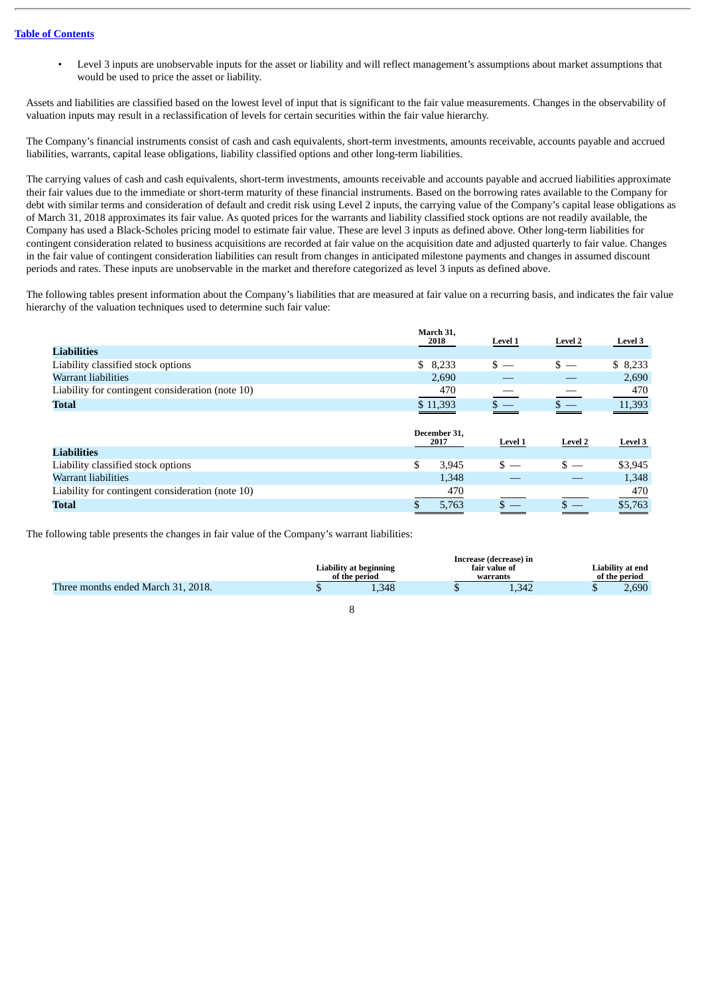• Level 3 inputs are unobservable inputs for the asset or liability and will reflect management's assumptions about market assumptions that would be used to price the asset or liability.

Assets and liabilities are classified based on the lowest level of input that is significant to the fair value measurements. Changes in the observability of valuation inputs may result in a reclassification of levels for certain securities within the fair value hierarchy.

The Company's financial instruments consist of cash and cash equivalents, short-term investments, amounts receivable, accounts payable and accrued liabilities, warrants, capital lease obligations, liability classified options and other long-term liabilities.

The carrying values of cash and cash equivalents, short-term investments, amounts receivable and accounts payable and accrued liabilities approximate their fair values due to the immediate or short-term maturity of these financial instruments. Based on the borrowing rates available to the Company for debt with similar terms and consideration of default and credit risk using Level 2 inputs, the carrying value of the Company's capital lease obligations as of March 31, 2018 approximates its fair value. As quoted prices for the warrants and liability classified stock options are not readily available, the Company has used a Black-Scholes pricing model to estimate fair value. These are level 3 inputs as defined above. Other long-term liabilities for contingent consideration related to business acquisitions are recorded at fair value on the acquisition date and adjusted quarterly to fair value. Changes in the fair value of contingent consideration liabilities can result from changes in anticipated milestone payments and changes in assumed discount periods and rates. These inputs are unobservable in the market and therefore categorized as level 3 inputs as defined above.

The following tables present information about the Company's liabilities that are measured at fair value on a recurring basis, and indicates the fair value hierarchy of the valuation techniques used to determine such fair value:

|                                                  | March 31, | 2018                 | Level 1        | <b>Level 2</b> | <b>Level 3</b> |
|--------------------------------------------------|-----------|----------------------|----------------|----------------|----------------|
| Liabilities                                      |           |                      |                |                |                |
| Liability classified stock options               | \$8,233   |                      | \$.            |                | \$8,233        |
| Warrant liabilities                              |           | 2,690                |                |                | 2,690          |
| Liability for contingent consideration (note 10) |           | 470                  |                |                | 470            |
| Total                                            |           | \$11,393             |                |                | 11,393         |
|                                                  |           |                      |                |                |                |
|                                                  |           | December 31,<br>2017 | <b>Level 1</b> | <b>Level 2</b> | <b>Level 3</b> |
| Liabilities                                      |           |                      |                |                |                |
| Liability classified stock options               | \$        | 3,945                | $\sim$         | $\mathbf{s}$ — | \$3,945        |
| Warrant liabilities                              |           | 1,348                |                |                | 1,348          |
| Liability for contingent consideration (note 10) |           | 470                  |                |                | 470            |

The following table presents the changes in fair value of the Company's warrant liabilities:

|                                    | Increase (decrease) in |                                      |                           |       |                                   |       |
|------------------------------------|------------------------|--------------------------------------|---------------------------|-------|-----------------------------------|-------|
|                                    |                        | Liability at beginning<br>the period | fair value of<br>warrants |       | Liability at end<br>of the period |       |
| Three months ended March 31, 2018. |                        | 1.348                                |                           | 1.342 |                                   | 2,690 |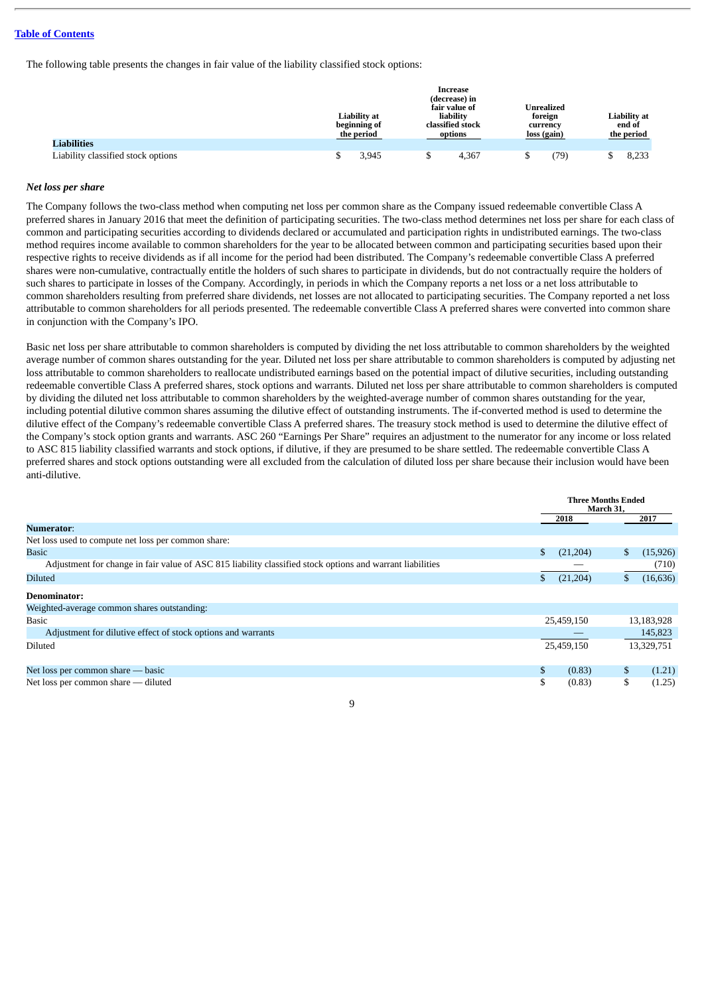The following table presents the changes in fair value of the liability classified stock options:

|                                    |  | <b>Liability at</b><br>beginning of<br>the period |  | Increase<br>(decrease) in<br>fair value of<br>liability<br>classified stock<br>options |  | <b>Unrealized</b><br>foreign<br>currency<br>loss (gain) |  | Liability at<br>end of<br>the period |
|------------------------------------|--|---------------------------------------------------|--|----------------------------------------------------------------------------------------|--|---------------------------------------------------------|--|--------------------------------------|
| Liabilities                        |  |                                                   |  |                                                                                        |  |                                                         |  |                                      |
| Liability classified stock options |  | 3,945                                             |  | 4,367                                                                                  |  | (79)                                                    |  | 8.233                                |

## *Net loss per share*

The Company follows the two-class method when computing net loss per common share as the Company issued redeemable convertible Class A preferred shares in January 2016 that meet the definition of participating securities. The two-class method determines net loss per share for each class of common and participating securities according to dividends declared or accumulated and participation rights in undistributed earnings. The two-class method requires income available to common shareholders for the year to be allocated between common and participating securities based upon their respective rights to receive dividends as if all income for the period had been distributed. The Company's redeemable convertible Class A preferred shares were non-cumulative, contractually entitle the holders of such shares to participate in dividends, but do not contractually require the holders of such shares to participate in losses of the Company. Accordingly, in periods in which the Company reports a net loss or a net loss attributable to common shareholders resulting from preferred share dividends, net losses are not allocated to participating securities. The Company reported a net loss attributable to common shareholders for all periods presented. The redeemable convertible Class A preferred shares were converted into common share in conjunction with the Company's IPO.

Basic net loss per share attributable to common shareholders is computed by dividing the net loss attributable to common shareholders by the weighted average number of common shares outstanding for the year. Diluted net loss per share attributable to common shareholders is computed by adjusting net loss attributable to common shareholders to reallocate undistributed earnings based on the potential impact of dilutive securities, including outstanding redeemable convertible Class A preferred shares, stock options and warrants. Diluted net loss per share attributable to common shareholders is computed by dividing the diluted net loss attributable to common shareholders by the weighted-average number of common shares outstanding for the year, including potential dilutive common shares assuming the dilutive effect of outstanding instruments. The if-converted method is used to determine the dilutive effect of the Company's redeemable convertible Class A preferred shares. The treasury stock method is used to determine the dilutive effect of the Company's stock option grants and warrants. ASC 260 "Earnings Per Share" requires an adjustment to the numerator for any income or loss related to ASC 815 liability classified warrants and stock options, if dilutive, if they are presumed to be share settled. The redeemable convertible Class A preferred shares and stock options outstanding were all excluded from the calculation of diluted loss per share because their inclusion would have been anti-dilutive.

|                                                                                                           | <b>Three Months Ended</b><br>March 31, |            |    |            |
|-----------------------------------------------------------------------------------------------------------|----------------------------------------|------------|----|------------|
|                                                                                                           |                                        | 2018       |    | 2017       |
| Numerator:                                                                                                |                                        |            |    |            |
| Net loss used to compute net loss per common share:                                                       |                                        |            |    |            |
| Basic                                                                                                     | \$                                     | (21,204)   | S. | (15,926)   |
| Adjustment for change in fair value of ASC 815 liability classified stock options and warrant liabilities |                                        |            |    | (710)      |
| <b>Diluted</b>                                                                                            | \$                                     | (21,204)   |    | (16, 636)  |
| <b>Denominator:</b>                                                                                       |                                        |            |    |            |
| Weighted-average common shares outstanding:                                                               |                                        |            |    |            |
| <b>Basic</b>                                                                                              |                                        | 25,459,150 |    | 13,183,928 |
| Adjustment for dilutive effect of stock options and warrants                                              |                                        |            |    | 145,823    |
| Diluted                                                                                                   |                                        | 25,459,150 |    | 13,329,751 |
|                                                                                                           |                                        |            |    |            |
| Net loss per common share — basic                                                                         | \$                                     | (0.83)     | \$ | (1.21)     |
| Net loss per common share - diluted                                                                       | \$                                     | (0.83)     | \$ | (1.25)     |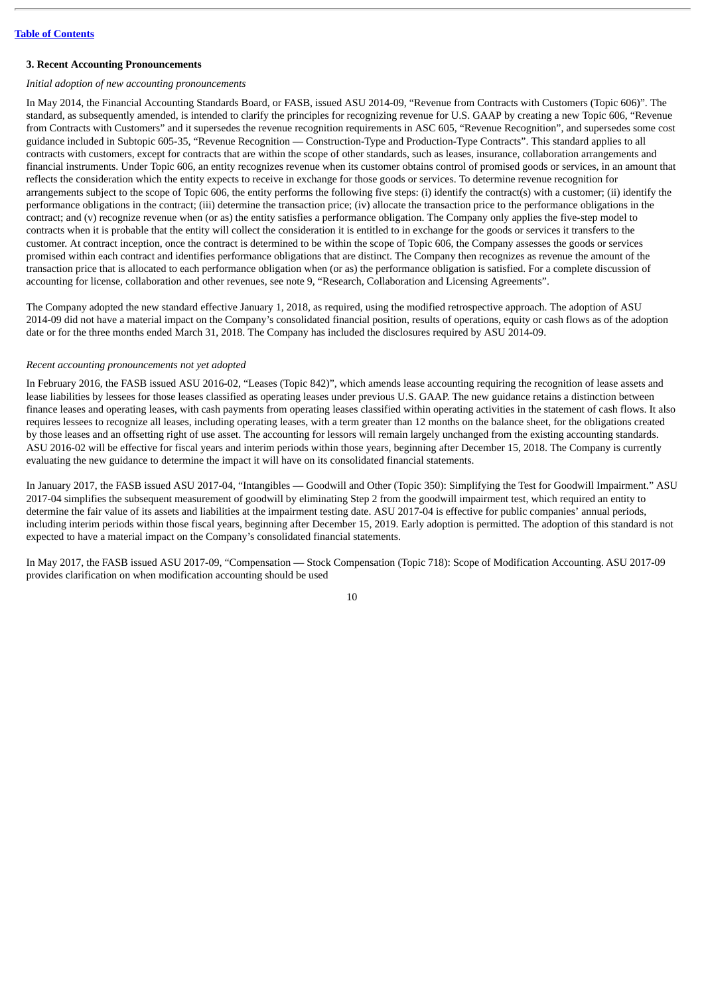## **3. Recent Accounting Pronouncements**

## *Initial adoption of new accounting pronouncements*

In May 2014, the Financial Accounting Standards Board, or FASB, issued ASU 2014-09, "Revenue from Contracts with Customers (Topic 606)". The standard, as subsequently amended, is intended to clarify the principles for recognizing revenue for U.S. GAAP by creating a new Topic 606, "Revenue from Contracts with Customers" and it supersedes the revenue recognition requirements in ASC 605, "Revenue Recognition", and supersedes some cost guidance included in Subtopic 605-35, "Revenue Recognition — Construction-Type and Production-Type Contracts". This standard applies to all contracts with customers, except for contracts that are within the scope of other standards, such as leases, insurance, collaboration arrangements and financial instruments. Under Topic 606, an entity recognizes revenue when its customer obtains control of promised goods or services, in an amount that reflects the consideration which the entity expects to receive in exchange for those goods or services. To determine revenue recognition for arrangements subject to the scope of Topic 606, the entity performs the following five steps: (i) identify the contract(s) with a customer; (ii) identify the performance obligations in the contract; (iii) determine the transaction price; (iv) allocate the transaction price to the performance obligations in the contract; and (v) recognize revenue when (or as) the entity satisfies a performance obligation. The Company only applies the five-step model to contracts when it is probable that the entity will collect the consideration it is entitled to in exchange for the goods or services it transfers to the customer. At contract inception, once the contract is determined to be within the scope of Topic 606, the Company assesses the goods or services promised within each contract and identifies performance obligations that are distinct. The Company then recognizes as revenue the amount of the transaction price that is allocated to each performance obligation when (or as) the performance obligation is satisfied. For a complete discussion of accounting for license, collaboration and other revenues, see note 9, "Research, Collaboration and Licensing Agreements".

The Company adopted the new standard effective January 1, 2018, as required, using the modified retrospective approach. The adoption of ASU 2014-09 did not have a material impact on the Company's consolidated financial position, results of operations, equity or cash flows as of the adoption date or for the three months ended March 31, 2018. The Company has included the disclosures required by ASU 2014-09.

## *Recent accounting pronouncements not yet adopted*

In February 2016, the FASB issued ASU 2016-02, "Leases (Topic 842)", which amends lease accounting requiring the recognition of lease assets and lease liabilities by lessees for those leases classified as operating leases under previous U.S. GAAP. The new guidance retains a distinction between finance leases and operating leases, with cash payments from operating leases classified within operating activities in the statement of cash flows. It also requires lessees to recognize all leases, including operating leases, with a term greater than 12 months on the balance sheet, for the obligations created by those leases and an offsetting right of use asset. The accounting for lessors will remain largely unchanged from the existing accounting standards. ASU 2016-02 will be effective for fiscal years and interim periods within those years, beginning after December 15, 2018. The Company is currently evaluating the new guidance to determine the impact it will have on its consolidated financial statements.

In January 2017, the FASB issued ASU 2017-04, "Intangibles — Goodwill and Other (Topic 350): Simplifying the Test for Goodwill Impairment." ASU 2017-04 simplifies the subsequent measurement of goodwill by eliminating Step 2 from the goodwill impairment test, which required an entity to determine the fair value of its assets and liabilities at the impairment testing date. ASU 2017-04 is effective for public companies' annual periods, including interim periods within those fiscal years, beginning after December 15, 2019. Early adoption is permitted. The adoption of this standard is not expected to have a material impact on the Company's consolidated financial statements.

In May 2017, the FASB issued ASU 2017-09, "Compensation — Stock Compensation (Topic 718): Scope of Modification Accounting. ASU 2017-09 provides clarification on when modification accounting should be used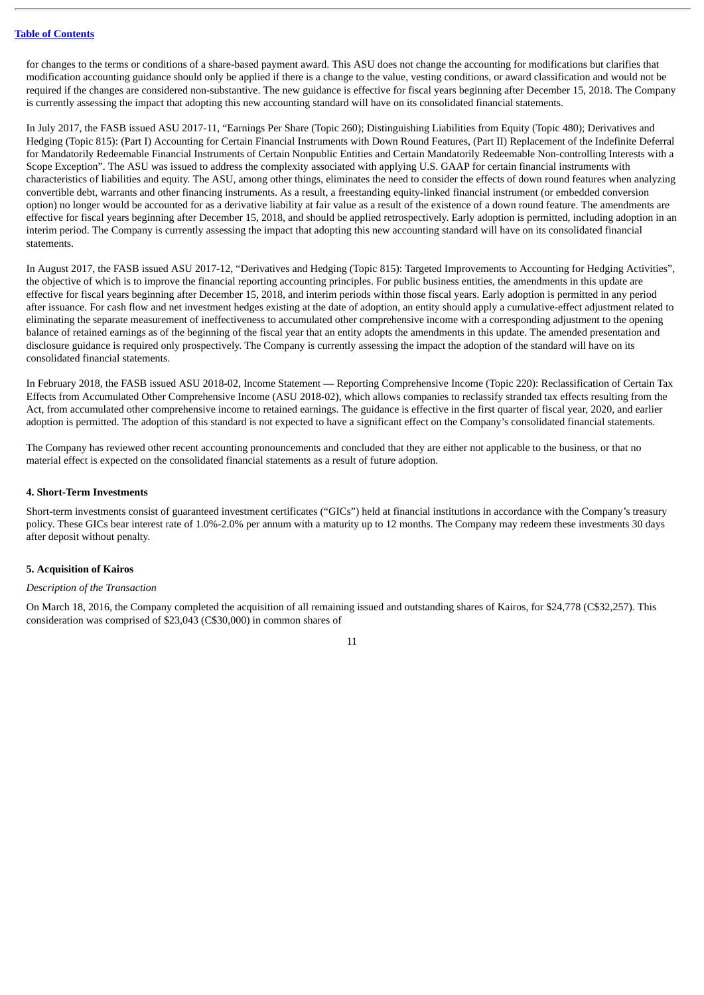for changes to the terms or conditions of a share-based payment award. This ASU does not change the accounting for modifications but clarifies that modification accounting guidance should only be applied if there is a change to the value, vesting conditions, or award classification and would not be required if the changes are considered non-substantive. The new guidance is effective for fiscal years beginning after December 15, 2018. The Company is currently assessing the impact that adopting this new accounting standard will have on its consolidated financial statements.

In July 2017, the FASB issued ASU 2017-11, "Earnings Per Share (Topic 260); Distinguishing Liabilities from Equity (Topic 480); Derivatives and Hedging (Topic 815): (Part I) Accounting for Certain Financial Instruments with Down Round Features, (Part II) Replacement of the Indefinite Deferral for Mandatorily Redeemable Financial Instruments of Certain Nonpublic Entities and Certain Mandatorily Redeemable Non-controlling Interests with a Scope Exception". The ASU was issued to address the complexity associated with applying U.S. GAAP for certain financial instruments with characteristics of liabilities and equity. The ASU, among other things, eliminates the need to consider the effects of down round features when analyzing convertible debt, warrants and other financing instruments. As a result, a freestanding equity-linked financial instrument (or embedded conversion option) no longer would be accounted for as a derivative liability at fair value as a result of the existence of a down round feature. The amendments are effective for fiscal years beginning after December 15, 2018, and should be applied retrospectively. Early adoption is permitted, including adoption in an interim period. The Company is currently assessing the impact that adopting this new accounting standard will have on its consolidated financial statements.

In August 2017, the FASB issued ASU 2017-12, "Derivatives and Hedging (Topic 815): Targeted Improvements to Accounting for Hedging Activities", the objective of which is to improve the financial reporting accounting principles. For public business entities, the amendments in this update are effective for fiscal years beginning after December 15, 2018, and interim periods within those fiscal years. Early adoption is permitted in any period after issuance. For cash flow and net investment hedges existing at the date of adoption, an entity should apply a cumulative-effect adjustment related to eliminating the separate measurement of ineffectiveness to accumulated other comprehensive income with a corresponding adjustment to the opening balance of retained earnings as of the beginning of the fiscal year that an entity adopts the amendments in this update. The amended presentation and disclosure guidance is required only prospectively. The Company is currently assessing the impact the adoption of the standard will have on its consolidated financial statements.

In February 2018, the FASB issued ASU 2018-02, Income Statement — Reporting Comprehensive Income (Topic 220): Reclassification of Certain Tax Effects from Accumulated Other Comprehensive Income (ASU 2018-02), which allows companies to reclassify stranded tax effects resulting from the Act, from accumulated other comprehensive income to retained earnings. The guidance is effective in the first quarter of fiscal year, 2020, and earlier adoption is permitted. The adoption of this standard is not expected to have a significant effect on the Company's consolidated financial statements.

The Company has reviewed other recent accounting pronouncements and concluded that they are either not applicable to the business, or that no material effect is expected on the consolidated financial statements as a result of future adoption.

#### **4. Short-Term Investments**

Short-term investments consist of guaranteed investment certificates ("GICs") held at financial institutions in accordance with the Company's treasury policy. These GICs bear interest rate of 1.0%-2.0% per annum with a maturity up to 12 months. The Company may redeem these investments 30 days after deposit without penalty.

#### **5. Acquisition of Kairos**

#### *Description of the Transaction*

On March 18, 2016, the Company completed the acquisition of all remaining issued and outstanding shares of Kairos, for \$24,778 (C\$32,257). This consideration was comprised of \$23,043 (C\$30,000) in common shares of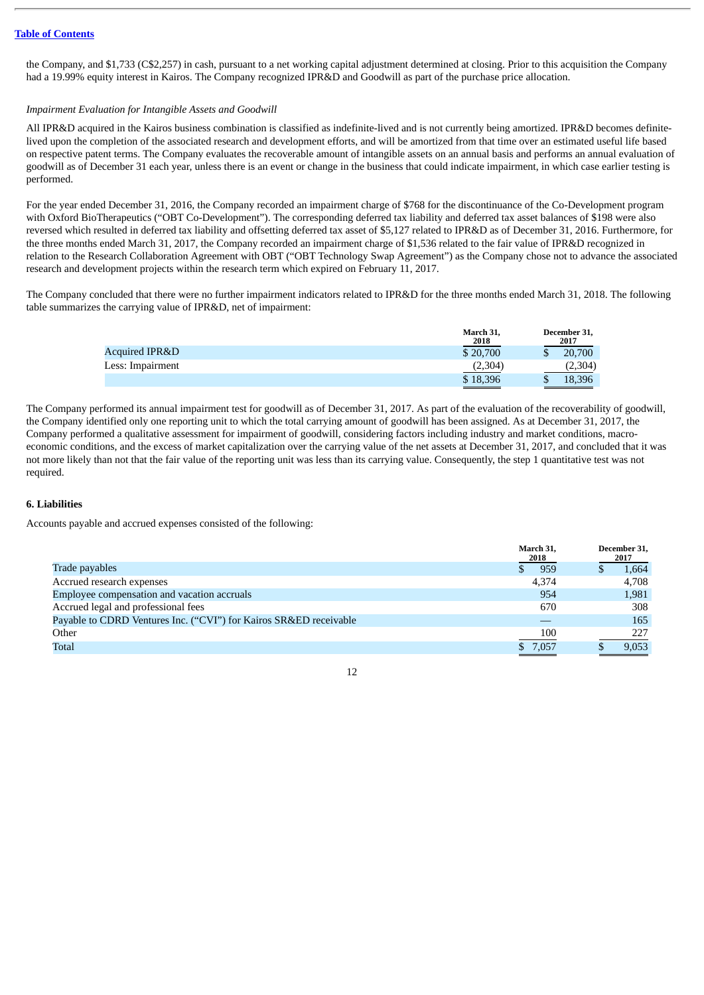the Company, and \$1,733 (C\$2,257) in cash, pursuant to a net working capital adjustment determined at closing. Prior to this acquisition the Company had a 19.99% equity interest in Kairos. The Company recognized IPR&D and Goodwill as part of the purchase price allocation.

## *Impairment Evaluation for Intangible Assets and Goodwill*

All IPR&D acquired in the Kairos business combination is classified as indefinite-lived and is not currently being amortized. IPR&D becomes definitelived upon the completion of the associated research and development efforts, and will be amortized from that time over an estimated useful life based on respective patent terms. The Company evaluates the recoverable amount of intangible assets on an annual basis and performs an annual evaluation of goodwill as of December 31 each year, unless there is an event or change in the business that could indicate impairment, in which case earlier testing is performed.

For the year ended December 31, 2016, the Company recorded an impairment charge of \$768 for the discontinuance of the Co-Development program with Oxford BioTherapeutics ("OBT Co-Development"). The corresponding deferred tax liability and deferred tax asset balances of \$198 were also reversed which resulted in deferred tax liability and offsetting deferred tax asset of \$5,127 related to IPR&D as of December 31, 2016. Furthermore, for the three months ended March 31, 2017, the Company recorded an impairment charge of \$1,536 related to the fair value of IPR&D recognized in relation to the Research Collaboration Agreement with OBT ("OBT Technology Swap Agreement") as the Company chose not to advance the associated research and development projects within the research term which expired on February 11, 2017.

The Company concluded that there were no further impairment indicators related to IPR&D for the three months ended March 31, 2018. The following table summarizes the carrying value of IPR&D, net of impairment:

|                           | March 31,<br>2018 | December 31,<br>2017 |
|---------------------------|-------------------|----------------------|
| <b>Acquired IPR&amp;D</b> | \$20,700          | 20,700               |
| Less: Impairment          | (2,304)           | (2,304)              |
|                           | \$18,396          | 18,396               |

The Company performed its annual impairment test for goodwill as of December 31, 2017. As part of the evaluation of the recoverability of goodwill, the Company identified only one reporting unit to which the total carrying amount of goodwill has been assigned. As at December 31, 2017, the Company performed a qualitative assessment for impairment of goodwill, considering factors including industry and market conditions, macroeconomic conditions, and the excess of market capitalization over the carrying value of the net assets at December 31, 2017, and concluded that it was not more likely than not that the fair value of the reporting unit was less than its carrying value. Consequently, the step 1 quantitative test was not required.

## **6. Liabilities**

Accounts payable and accrued expenses consisted of the following:

|                                                                   | March 31,<br>2018 | December 31,<br>2017 |
|-------------------------------------------------------------------|-------------------|----------------------|
| Trade payables                                                    | 959               | 1,664                |
| Accrued research expenses                                         | 4.374             | 4,708                |
| Employee compensation and vacation accruals                       | 954               | 1,981                |
| Accrued legal and professional fees                               | 670               | 308                  |
| Payable to CDRD Ventures Inc. ("CVI") for Kairos SR&ED receivable |                   | 165                  |
| Other                                                             | 100               | 227                  |
| <b>Total</b>                                                      | \$7,057           | 9,053                |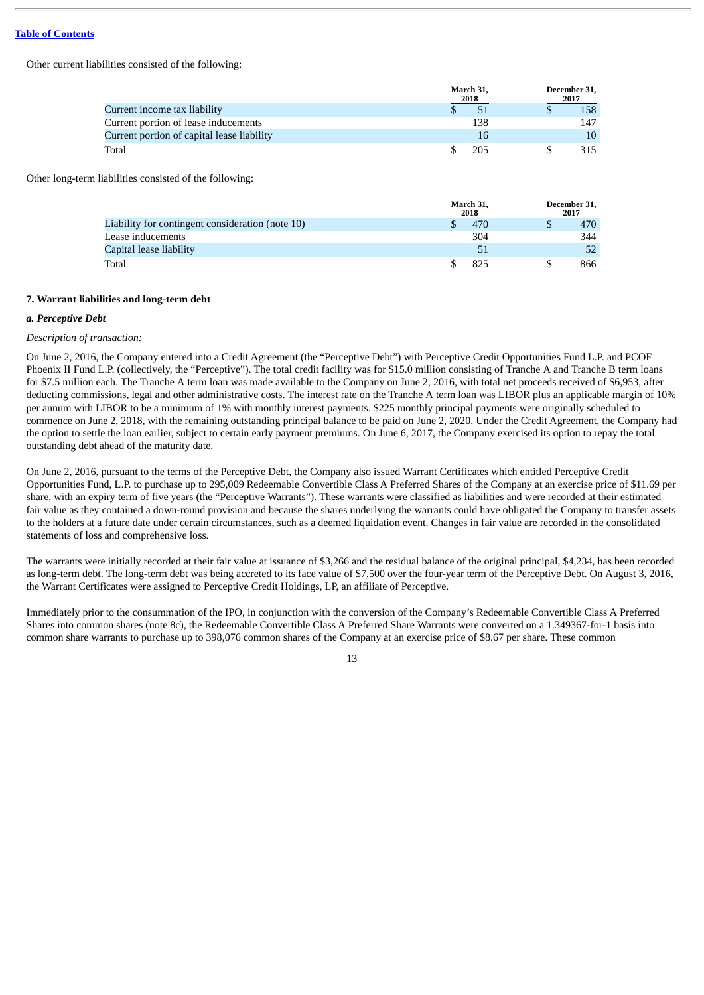Other current liabilities consisted of the following:

|                                            | March 31,<br>2018 | December 31,<br>2017 |
|--------------------------------------------|-------------------|----------------------|
| Current income tax liability               |                   | 158                  |
| Current portion of lease inducements       | 138               | 147                  |
| Current portion of capital lease liability | 16                | 10                   |
| Total                                      | 205               | 315.                 |

Other long-term liabilities consisted of the following:

|                                                  | March 31,<br>2018 | December 31,<br>2017 |
|--------------------------------------------------|-------------------|----------------------|
| Liability for contingent consideration (note 10) | 470               | 470                  |
| Lease inducements                                | 304               | 344                  |
| Capital lease liability                          | 51                | 52                   |
| Total                                            | 825               | 866                  |

## **7. Warrant liabilities and long-term debt**

## *a. Perceptive Debt*

#### *Description of transaction:*

On June 2, 2016, the Company entered into a Credit Agreement (the "Perceptive Debt") with Perceptive Credit Opportunities Fund L.P. and PCOF Phoenix II Fund L.P. (collectively, the "Perceptive"). The total credit facility was for \$15.0 million consisting of Tranche A and Tranche B term loans for \$7.5 million each. The Tranche A term loan was made available to the Company on June 2, 2016, with total net proceeds received of \$6,953, after deducting commissions, legal and other administrative costs. The interest rate on the Tranche A term loan was LIBOR plus an applicable margin of 10% per annum with LIBOR to be a minimum of 1% with monthly interest payments. \$225 monthly principal payments were originally scheduled to commence on June 2, 2018, with the remaining outstanding principal balance to be paid on June 2, 2020. Under the Credit Agreement, the Company had the option to settle the loan earlier, subject to certain early payment premiums. On June 6, 2017, the Company exercised its option to repay the total outstanding debt ahead of the maturity date.

On June 2, 2016, pursuant to the terms of the Perceptive Debt, the Company also issued Warrant Certificates which entitled Perceptive Credit Opportunities Fund, L.P. to purchase up to 295,009 Redeemable Convertible Class A Preferred Shares of the Company at an exercise price of \$11.69 per share, with an expiry term of five years (the "Perceptive Warrants"). These warrants were classified as liabilities and were recorded at their estimated fair value as they contained a down-round provision and because the shares underlying the warrants could have obligated the Company to transfer assets to the holders at a future date under certain circumstances, such as a deemed liquidation event. Changes in fair value are recorded in the consolidated statements of loss and comprehensive loss.

The warrants were initially recorded at their fair value at issuance of \$3,266 and the residual balance of the original principal, \$4,234, has been recorded as long-term debt. The long-term debt was being accreted to its face value of \$7,500 over the four-year term of the Perceptive Debt. On August 3, 2016, the Warrant Certificates were assigned to Perceptive Credit Holdings, LP, an affiliate of Perceptive.

Immediately prior to the consummation of the IPO, in conjunction with the conversion of the Company's Redeemable Convertible Class A Preferred Shares into common shares (note 8c), the Redeemable Convertible Class A Preferred Share Warrants were converted on a 1.349367-for-1 basis into common share warrants to purchase up to 398,076 common shares of the Company at an exercise price of \$8.67 per share. These common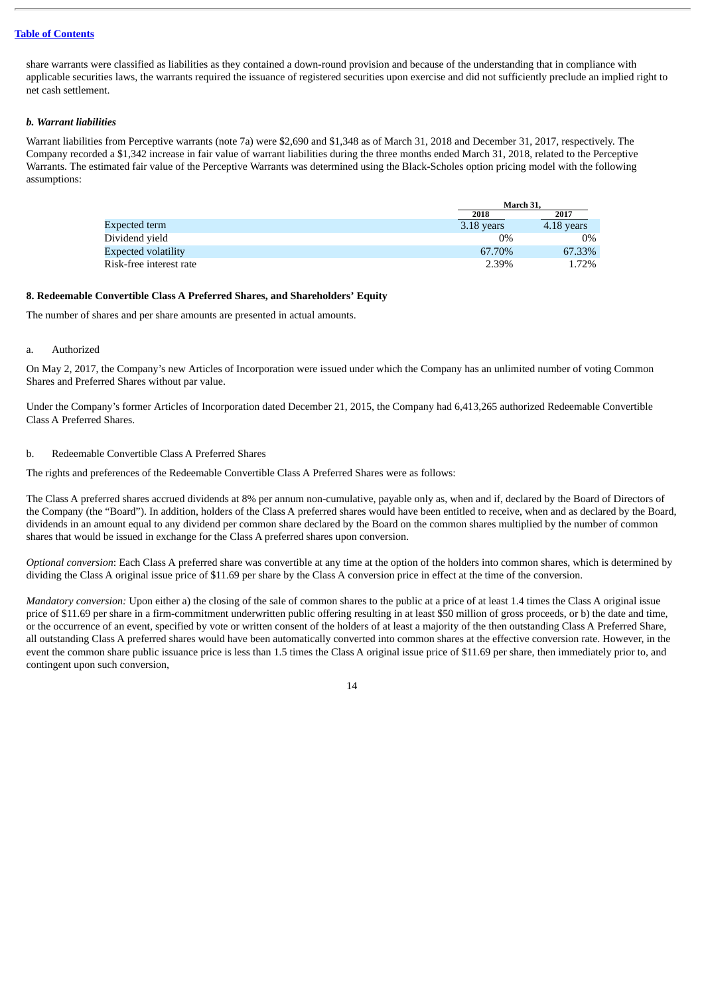share warrants were classified as liabilities as they contained a down-round provision and because of the understanding that in compliance with applicable securities laws, the warrants required the issuance of registered securities upon exercise and did not sufficiently preclude an implied right to net cash settlement.

## *b. Warrant liabilities*

Warrant liabilities from Perceptive warrants (note 7a) were \$2,690 and \$1,348 as of March 31, 2018 and December 31, 2017, respectively. The Company recorded a \$1,342 increase in fair value of warrant liabilities during the three months ended March 31, 2018, related to the Perceptive Warrants. The estimated fair value of the Perceptive Warrants was determined using the Black-Scholes option pricing model with the following assumptions:

|                            |            | March 31,  |  |
|----------------------------|------------|------------|--|
|                            | 2018       | 2017       |  |
| <b>Expected term</b>       | 3.18 years | 4.18 years |  |
| Dividend yield             | $0\%$      | $0\%$      |  |
| <b>Expected volatility</b> | 67.70%     | 67.33%     |  |
| Risk-free interest rate    | 2.39%      | 1.72%      |  |

## **8. Redeemable Convertible Class A Preferred Shares, and Shareholders' Equity**

The number of shares and per share amounts are presented in actual amounts.

## a. Authorized

On May 2, 2017, the Company's new Articles of Incorporation were issued under which the Company has an unlimited number of voting Common Shares and Preferred Shares without par value.

Under the Company's former Articles of Incorporation dated December 21, 2015, the Company had 6,413,265 authorized Redeemable Convertible Class A Preferred Shares.

## b. Redeemable Convertible Class A Preferred Shares

The rights and preferences of the Redeemable Convertible Class A Preferred Shares were as follows:

The Class A preferred shares accrued dividends at 8% per annum non-cumulative, payable only as, when and if, declared by the Board of Directors of the Company (the "Board"). In addition, holders of the Class A preferred shares would have been entitled to receive, when and as declared by the Board, dividends in an amount equal to any dividend per common share declared by the Board on the common shares multiplied by the number of common shares that would be issued in exchange for the Class A preferred shares upon conversion.

*Optional conversion*: Each Class A preferred share was convertible at any time at the option of the holders into common shares, which is determined by dividing the Class A original issue price of \$11.69 per share by the Class A conversion price in effect at the time of the conversion.

*Mandatory conversion:* Upon either a) the closing of the sale of common shares to the public at a price of at least 1.4 times the Class A original issue price of \$11.69 per share in a firm-commitment underwritten public offering resulting in at least \$50 million of gross proceeds, or b) the date and time, or the occurrence of an event, specified by vote or written consent of the holders of at least a majority of the then outstanding Class A Preferred Share, all outstanding Class A preferred shares would have been automatically converted into common shares at the effective conversion rate. However, in the event the common share public issuance price is less than 1.5 times the Class A original issue price of \$11.69 per share, then immediately prior to, and contingent upon such conversion,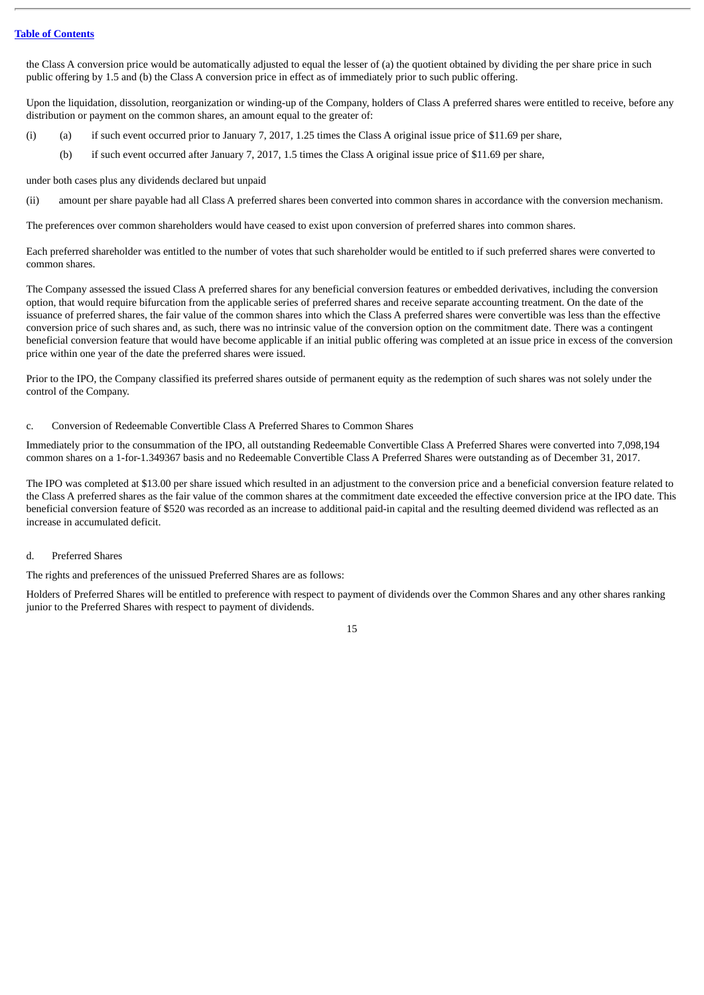the Class A conversion price would be automatically adjusted to equal the lesser of (a) the quotient obtained by dividing the per share price in such public offering by 1.5 and (b) the Class A conversion price in effect as of immediately prior to such public offering.

Upon the liquidation, dissolution, reorganization or winding-up of the Company, holders of Class A preferred shares were entitled to receive, before any distribution or payment on the common shares, an amount equal to the greater of:

- (i) (a) if such event occurred prior to January 7, 2017, 1.25 times the Class A original issue price of \$11.69 per share,
	- (b) if such event occurred after January 7, 2017, 1.5 times the Class A original issue price of \$11.69 per share,

under both cases plus any dividends declared but unpaid

(ii) amount per share payable had all Class A preferred shares been converted into common shares in accordance with the conversion mechanism.

The preferences over common shareholders would have ceased to exist upon conversion of preferred shares into common shares.

Each preferred shareholder was entitled to the number of votes that such shareholder would be entitled to if such preferred shares were converted to common shares.

The Company assessed the issued Class A preferred shares for any beneficial conversion features or embedded derivatives, including the conversion option, that would require bifurcation from the applicable series of preferred shares and receive separate accounting treatment. On the date of the issuance of preferred shares, the fair value of the common shares into which the Class A preferred shares were convertible was less than the effective conversion price of such shares and, as such, there was no intrinsic value of the conversion option on the commitment date. There was a contingent beneficial conversion feature that would have become applicable if an initial public offering was completed at an issue price in excess of the conversion price within one year of the date the preferred shares were issued.

Prior to the IPO, the Company classified its preferred shares outside of permanent equity as the redemption of such shares was not solely under the control of the Company.

## c. Conversion of Redeemable Convertible Class A Preferred Shares to Common Shares

Immediately prior to the consummation of the IPO, all outstanding Redeemable Convertible Class A Preferred Shares were converted into 7,098,194 common shares on a 1-for-1.349367 basis and no Redeemable Convertible Class A Preferred Shares were outstanding as of December 31, 2017.

The IPO was completed at \$13.00 per share issued which resulted in an adjustment to the conversion price and a beneficial conversion feature related to the Class A preferred shares as the fair value of the common shares at the commitment date exceeded the effective conversion price at the IPO date. This beneficial conversion feature of \$520 was recorded as an increase to additional paid-in capital and the resulting deemed dividend was reflected as an increase in accumulated deficit.

## d. Preferred Shares

The rights and preferences of the unissued Preferred Shares are as follows:

Holders of Preferred Shares will be entitled to preference with respect to payment of dividends over the Common Shares and any other shares ranking junior to the Preferred Shares with respect to payment of dividends.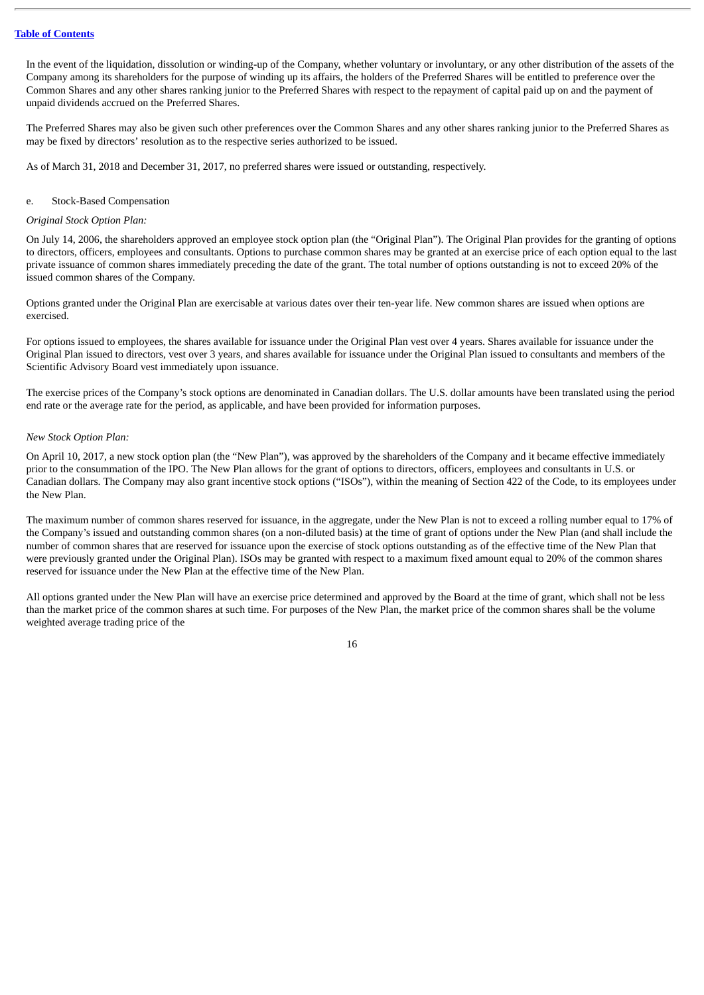In the event of the liquidation, dissolution or winding-up of the Company, whether voluntary or involuntary, or any other distribution of the assets of the Company among its shareholders for the purpose of winding up its affairs, the holders of the Preferred Shares will be entitled to preference over the Common Shares and any other shares ranking junior to the Preferred Shares with respect to the repayment of capital paid up on and the payment of unpaid dividends accrued on the Preferred Shares.

The Preferred Shares may also be given such other preferences over the Common Shares and any other shares ranking junior to the Preferred Shares as may be fixed by directors' resolution as to the respective series authorized to be issued.

As of March 31, 2018 and December 31, 2017, no preferred shares were issued or outstanding, respectively.

#### e. Stock-Based Compensation

#### *Original Stock Option Plan:*

On July 14, 2006, the shareholders approved an employee stock option plan (the "Original Plan"). The Original Plan provides for the granting of options to directors, officers, employees and consultants. Options to purchase common shares may be granted at an exercise price of each option equal to the last private issuance of common shares immediately preceding the date of the grant. The total number of options outstanding is not to exceed 20% of the issued common shares of the Company.

Options granted under the Original Plan are exercisable at various dates over their ten-year life. New common shares are issued when options are exercised.

For options issued to employees, the shares available for issuance under the Original Plan vest over 4 years. Shares available for issuance under the Original Plan issued to directors, vest over 3 years, and shares available for issuance under the Original Plan issued to consultants and members of the Scientific Advisory Board vest immediately upon issuance.

The exercise prices of the Company's stock options are denominated in Canadian dollars. The U.S. dollar amounts have been translated using the period end rate or the average rate for the period, as applicable, and have been provided for information purposes.

## *New Stock Option Plan:*

On April 10, 2017, a new stock option plan (the "New Plan"), was approved by the shareholders of the Company and it became effective immediately prior to the consummation of the IPO. The New Plan allows for the grant of options to directors, officers, employees and consultants in U.S. or Canadian dollars. The Company may also grant incentive stock options ("ISOs"), within the meaning of Section 422 of the Code, to its employees under the New Plan.

The maximum number of common shares reserved for issuance, in the aggregate, under the New Plan is not to exceed a rolling number equal to 17% of the Company's issued and outstanding common shares (on a non-diluted basis) at the time of grant of options under the New Plan (and shall include the number of common shares that are reserved for issuance upon the exercise of stock options outstanding as of the effective time of the New Plan that were previously granted under the Original Plan). ISOs may be granted with respect to a maximum fixed amount equal to 20% of the common shares reserved for issuance under the New Plan at the effective time of the New Plan.

All options granted under the New Plan will have an exercise price determined and approved by the Board at the time of grant, which shall not be less than the market price of the common shares at such time. For purposes of the New Plan, the market price of the common shares shall be the volume weighted average trading price of the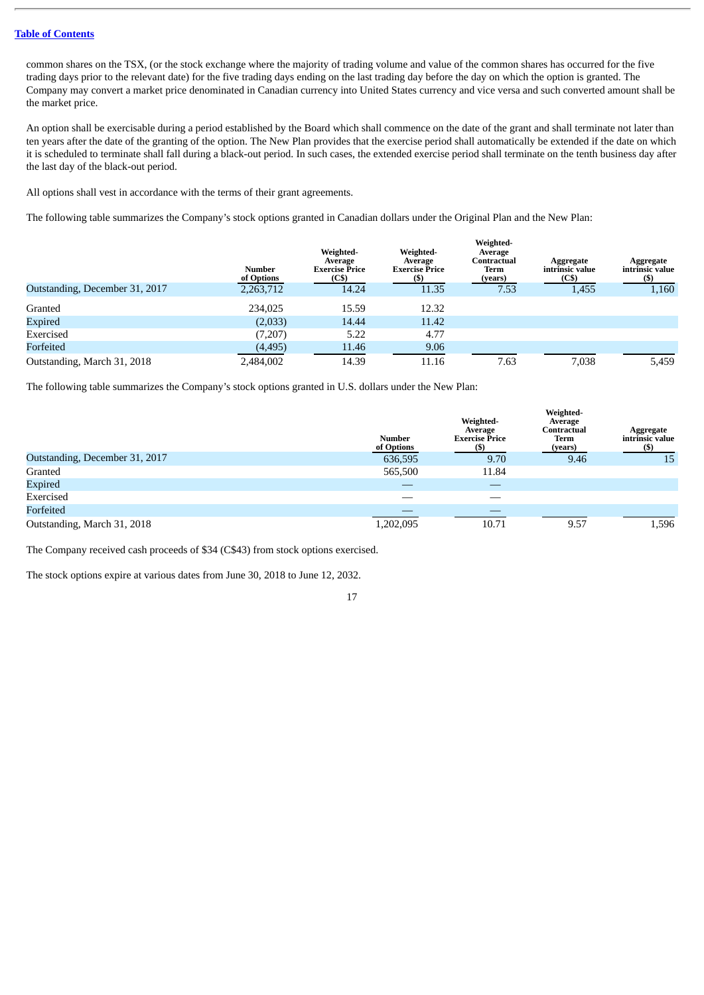common shares on the TSX, (or the stock exchange where the majority of trading volume and value of the common shares has occurred for the five trading days prior to the relevant date) for the five trading days ending on the last trading day before the day on which the option is granted. The Company may convert a market price denominated in Canadian currency into United States currency and vice versa and such converted amount shall be the market price.

An option shall be exercisable during a period established by the Board which shall commence on the date of the grant and shall terminate not later than ten years after the date of the granting of the option. The New Plan provides that the exercise period shall automatically be extended if the date on which it is scheduled to terminate shall fall during a black-out period. In such cases, the extended exercise period shall terminate on the tenth business day after the last day of the black-out period.

All options shall vest in accordance with the terms of their grant agreements.

The following table summarizes the Company's stock options granted in Canadian dollars under the Original Plan and the New Plan:

|                                | <b>Number</b><br>of Options | Weighted-<br>Average<br><b>Exercise Price</b><br>(C\$) | Weighted-<br>Average<br><b>Exercise Price</b> | Weighted-<br>Average<br>Contractual<br>Term<br>(years) | Aggregate<br>intrinsic value<br>(C <sub>5</sub> ) | Aggregate<br>intrinsic value<br>$($ \$ |
|--------------------------------|-----------------------------|--------------------------------------------------------|-----------------------------------------------|--------------------------------------------------------|---------------------------------------------------|----------------------------------------|
| Outstanding, December 31, 2017 | 2,263,712                   | 14.24                                                  | 11.35                                         | 7.53                                                   | 1,455                                             | 1,160                                  |
| Granted                        | 234,025                     | 15.59                                                  | 12.32                                         |                                                        |                                                   |                                        |
| <b>Expired</b>                 | (2,033)                     | 14.44                                                  | 11.42                                         |                                                        |                                                   |                                        |
| Exercised                      | (7,207)                     | 5.22                                                   | 4.77                                          |                                                        |                                                   |                                        |
| Forfeited                      | (4, 495)                    | 11.46                                                  | 9.06                                          |                                                        |                                                   |                                        |
| Outstanding, March 31, 2018    | 2,484,002                   | 14.39                                                  | 11.16                                         | 7.63                                                   | 7.038                                             | 5,459                                  |

The following table summarizes the Company's stock options granted in U.S. dollars under the New Plan:

|                                | <b>Number</b><br>of Options | Weighted-<br>Average<br><b>Exercise Price</b> | Weighted-<br>Average<br>Contractual<br>Term<br>(years) | Aggregate<br>intrinsic value<br>$(\$)$ |
|--------------------------------|-----------------------------|-----------------------------------------------|--------------------------------------------------------|----------------------------------------|
| Outstanding, December 31, 2017 | 636,595                     | 9.70                                          | 9.46                                                   | 15                                     |
| Granted                        | 565,500                     | 11.84                                         |                                                        |                                        |
| <b>Expired</b>                 |                             | _                                             |                                                        |                                        |
| Exercised                      |                             |                                               |                                                        |                                        |
| Forfeited                      |                             |                                               |                                                        |                                        |
| Outstanding, March 31, 2018    | 1,202,095                   | 10.71                                         | 9.57                                                   | 1,596                                  |

The Company received cash proceeds of \$34 (C\$43) from stock options exercised.

The stock options expire at various dates from June 30, 2018 to June 12, 2032.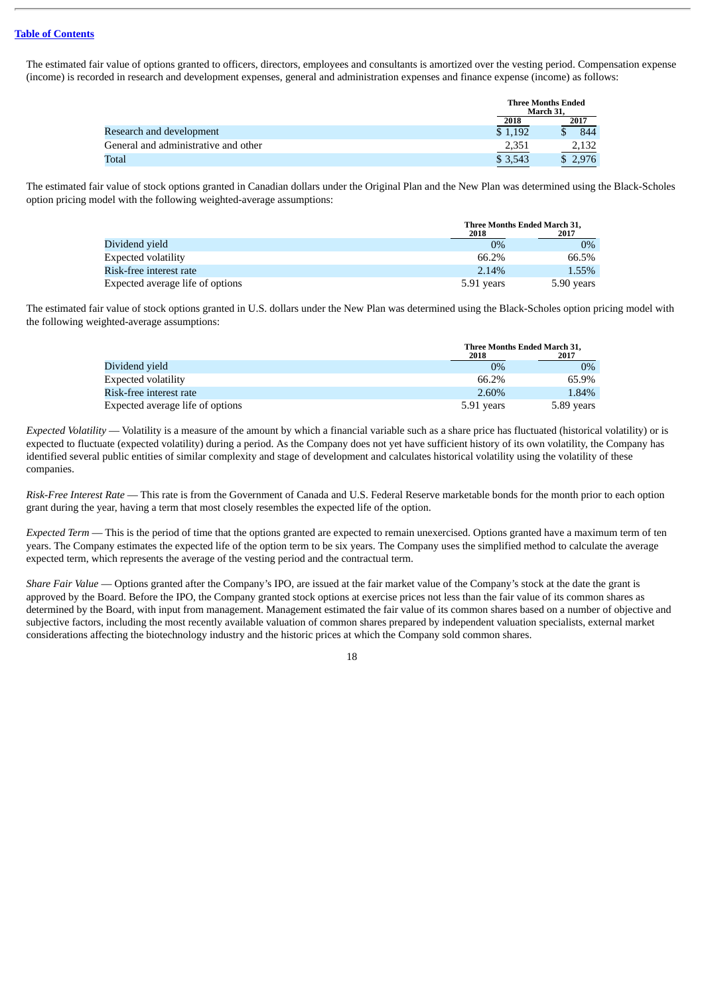The estimated fair value of options granted to officers, directors, employees and consultants is amortized over the vesting period. Compensation expense (income) is recorded in research and development expenses, general and administration expenses and finance expense (income) as follows:

|                                      |          | <b>Three Months Ended</b><br>March 31. |  |
|--------------------------------------|----------|----------------------------------------|--|
|                                      | 2018     | 2017                                   |  |
| Research and development             | \$1.192  | 844                                    |  |
| General and administrative and other | 2,351    | 2.132                                  |  |
| Total                                | \$ 3,543 | 2.976                                  |  |

The estimated fair value of stock options granted in Canadian dollars under the Original Plan and the New Plan was determined using the Black-Scholes option pricing model with the following weighted-average assumptions:

|                                  |            | <b>Three Months Ended March 31.</b> |  |
|----------------------------------|------------|-------------------------------------|--|
|                                  | 2018       | 2017                                |  |
| Dividend vield                   | $0\%$      | $0\%$                               |  |
| Expected volatility              | 66.2%      | 66.5%                               |  |
| Risk-free interest rate          | 2.14%      | 1.55%                               |  |
| Expected average life of options | 5.91 years | 5.90 years                          |  |

The estimated fair value of stock options granted in U.S. dollars under the New Plan was determined using the Black-Scholes option pricing model with the following weighted-average assumptions:

|                                  | <b>Three Months Ended March 31.</b> |            |
|----------------------------------|-------------------------------------|------------|
|                                  | 2018                                | 2017       |
| Dividend vield                   | $0\%$                               | $0\%$      |
| Expected volatility              | 66.2%                               | 65.9%      |
| Risk-free interest rate          | 2.60%                               | 1.84%      |
| Expected average life of options | 5.91 years                          | 5.89 vears |

*Expected Volatility* — Volatility is a measure of the amount by which a financial variable such as a share price has fluctuated (historical volatility) or is expected to fluctuate (expected volatility) during a period. As the Company does not yet have sufficient history of its own volatility, the Company has identified several public entities of similar complexity and stage of development and calculates historical volatility using the volatility of these companies.

*Risk-Free Interest Rate* — This rate is from the Government of Canada and U.S. Federal Reserve marketable bonds for the month prior to each option grant during the year, having a term that most closely resembles the expected life of the option.

*Expected Term* — This is the period of time that the options granted are expected to remain unexercised. Options granted have a maximum term of ten years. The Company estimates the expected life of the option term to be six years. The Company uses the simplified method to calculate the average expected term, which represents the average of the vesting period and the contractual term.

*Share Fair Value* — Options granted after the Company's IPO, are issued at the fair market value of the Company's stock at the date the grant is approved by the Board. Before the IPO, the Company granted stock options at exercise prices not less than the fair value of its common shares as determined by the Board, with input from management. Management estimated the fair value of its common shares based on a number of objective and subjective factors, including the most recently available valuation of common shares prepared by independent valuation specialists, external market considerations affecting the biotechnology industry and the historic prices at which the Company sold common shares.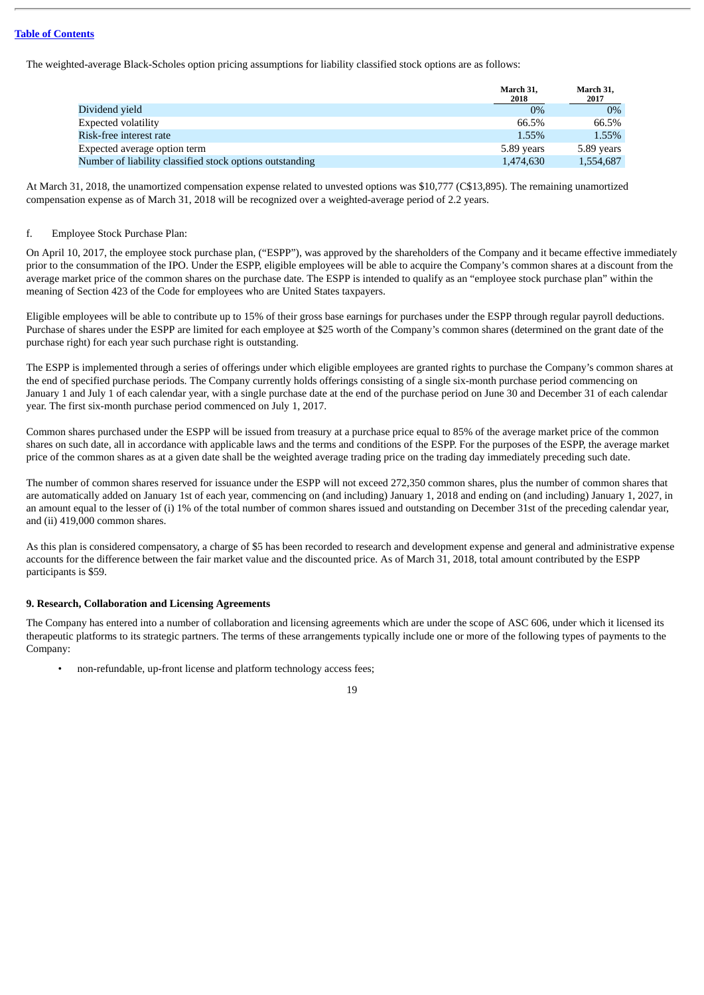The weighted-average Black-Scholes option pricing assumptions for liability classified stock options are as follows:

|                                                          | March 31,<br>2018 | March 31.<br>2017 |
|----------------------------------------------------------|-------------------|-------------------|
| Dividend yield                                           | $0\%$             | $0\%$             |
| Expected volatility                                      | 66.5%             | 66.5%             |
| Risk-free interest rate                                  | 1.55%             | 1.55%             |
| Expected average option term                             | 5.89 years        | 5.89 years        |
| Number of liability classified stock options outstanding | 1,474,630         | 1,554,687         |

At March 31, 2018, the unamortized compensation expense related to unvested options was \$10,777 (C\$13,895). The remaining unamortized compensation expense as of March 31, 2018 will be recognized over a weighted-average period of 2.2 years.

#### f. Employee Stock Purchase Plan:

On April 10, 2017, the employee stock purchase plan, ("ESPP"), was approved by the shareholders of the Company and it became effective immediately prior to the consummation of the IPO. Under the ESPP, eligible employees will be able to acquire the Company's common shares at a discount from the average market price of the common shares on the purchase date. The ESPP is intended to qualify as an "employee stock purchase plan" within the meaning of Section 423 of the Code for employees who are United States taxpayers.

Eligible employees will be able to contribute up to 15% of their gross base earnings for purchases under the ESPP through regular payroll deductions. Purchase of shares under the ESPP are limited for each employee at \$25 worth of the Company's common shares (determined on the grant date of the purchase right) for each year such purchase right is outstanding.

The ESPP is implemented through a series of offerings under which eligible employees are granted rights to purchase the Company's common shares at the end of specified purchase periods. The Company currently holds offerings consisting of a single six-month purchase period commencing on January 1 and July 1 of each calendar year, with a single purchase date at the end of the purchase period on June 30 and December 31 of each calendar year. The first six-month purchase period commenced on July 1, 2017.

Common shares purchased under the ESPP will be issued from treasury at a purchase price equal to 85% of the average market price of the common shares on such date, all in accordance with applicable laws and the terms and conditions of the ESPP. For the purposes of the ESPP, the average market price of the common shares as at a given date shall be the weighted average trading price on the trading day immediately preceding such date.

The number of common shares reserved for issuance under the ESPP will not exceed 272,350 common shares, plus the number of common shares that are automatically added on January 1st of each year, commencing on (and including) January 1, 2018 and ending on (and including) January 1, 2027, in an amount equal to the lesser of (i) 1% of the total number of common shares issued and outstanding on December 31st of the preceding calendar year, and (ii) 419,000 common shares.

As this plan is considered compensatory, a charge of \$5 has been recorded to research and development expense and general and administrative expense accounts for the difference between the fair market value and the discounted price. As of March 31, 2018, total amount contributed by the ESPP participants is \$59.

## **9. Research, Collaboration and Licensing Agreements**

The Company has entered into a number of collaboration and licensing agreements which are under the scope of ASC 606, under which it licensed its therapeutic platforms to its strategic partners. The terms of these arrangements typically include one or more of the following types of payments to the Company:

• non-refundable, up-front license and platform technology access fees;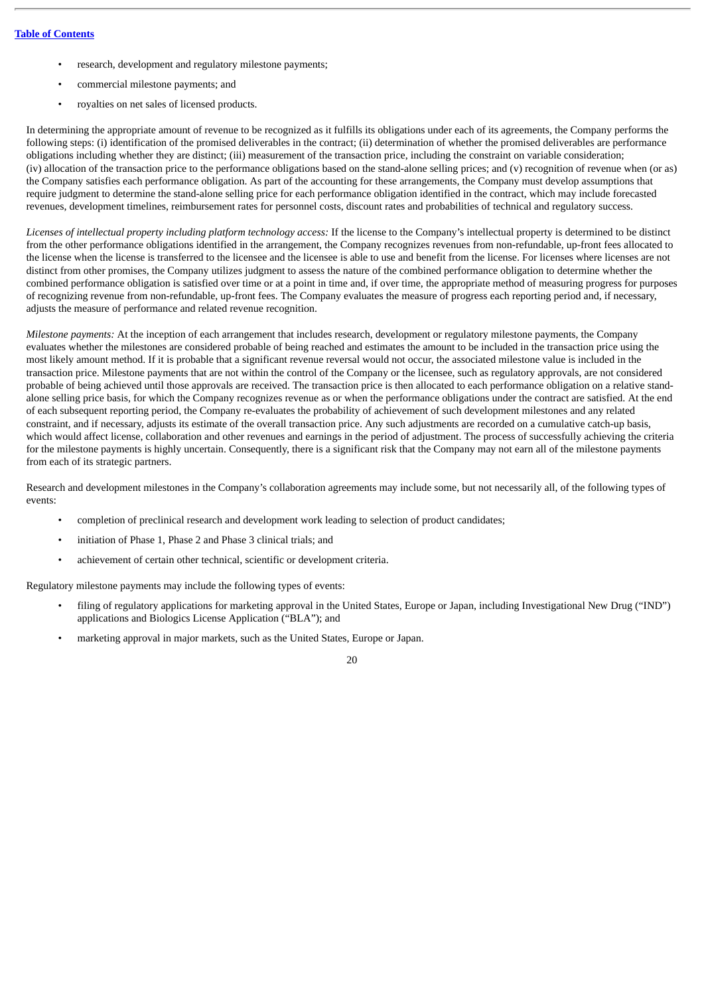- research, development and regulatory milestone payments;
- commercial milestone payments; and
- royalties on net sales of licensed products.

In determining the appropriate amount of revenue to be recognized as it fulfills its obligations under each of its agreements, the Company performs the following steps: (i) identification of the promised deliverables in the contract; (ii) determination of whether the promised deliverables are performance obligations including whether they are distinct; (iii) measurement of the transaction price, including the constraint on variable consideration; (iv) allocation of the transaction price to the performance obligations based on the stand-alone selling prices; and (v) recognition of revenue when (or as) the Company satisfies each performance obligation. As part of the accounting for these arrangements, the Company must develop assumptions that require judgment to determine the stand-alone selling price for each performance obligation identified in the contract, which may include forecasted revenues, development timelines, reimbursement rates for personnel costs, discount rates and probabilities of technical and regulatory success.

*Licenses of intellectual property including platform technology access:* If the license to the Company's intellectual property is determined to be distinct from the other performance obligations identified in the arrangement, the Company recognizes revenues from non-refundable, up-front fees allocated to the license when the license is transferred to the licensee and the licensee is able to use and benefit from the license. For licenses where licenses are not distinct from other promises, the Company utilizes judgment to assess the nature of the combined performance obligation to determine whether the combined performance obligation is satisfied over time or at a point in time and, if over time, the appropriate method of measuring progress for purposes of recognizing revenue from non-refundable, up-front fees. The Company evaluates the measure of progress each reporting period and, if necessary, adjusts the measure of performance and related revenue recognition.

*Milestone payments:* At the inception of each arrangement that includes research, development or regulatory milestone payments, the Company evaluates whether the milestones are considered probable of being reached and estimates the amount to be included in the transaction price using the most likely amount method. If it is probable that a significant revenue reversal would not occur, the associated milestone value is included in the transaction price. Milestone payments that are not within the control of the Company or the licensee, such as regulatory approvals, are not considered probable of being achieved until those approvals are received. The transaction price is then allocated to each performance obligation on a relative standalone selling price basis, for which the Company recognizes revenue as or when the performance obligations under the contract are satisfied. At the end of each subsequent reporting period, the Company re-evaluates the probability of achievement of such development milestones and any related constraint, and if necessary, adjusts its estimate of the overall transaction price. Any such adjustments are recorded on a cumulative catch-up basis, which would affect license, collaboration and other revenues and earnings in the period of adjustment. The process of successfully achieving the criteria for the milestone payments is highly uncertain. Consequently, there is a significant risk that the Company may not earn all of the milestone payments from each of its strategic partners.

Research and development milestones in the Company's collaboration agreements may include some, but not necessarily all, of the following types of events:

- completion of preclinical research and development work leading to selection of product candidates;
- initiation of Phase 1, Phase 2 and Phase 3 clinical trials; and
- achievement of certain other technical, scientific or development criteria.

Regulatory milestone payments may include the following types of events:

- filing of regulatory applications for marketing approval in the United States, Europe or Japan, including Investigational New Drug ("IND") applications and Biologics License Application ("BLA"); and
- marketing approval in major markets, such as the United States, Europe or Japan.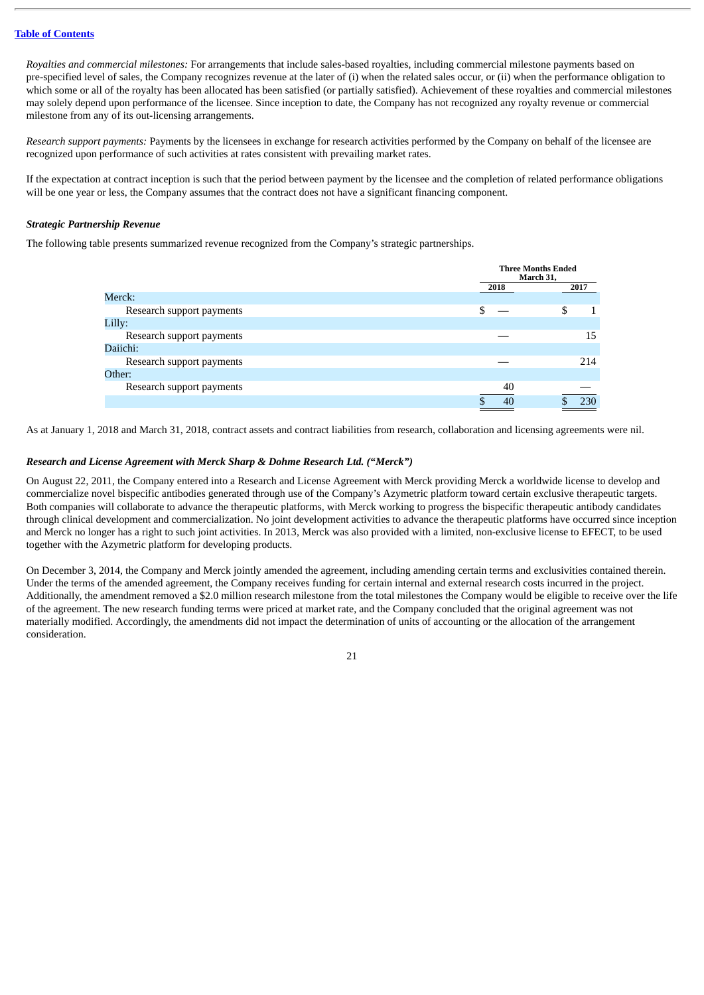*Royalties and commercial milestones:* For arrangements that include sales-based royalties, including commercial milestone payments based on pre-specified level of sales, the Company recognizes revenue at the later of (i) when the related sales occur, or (ii) when the performance obligation to which some or all of the royalty has been allocated has been satisfied (or partially satisfied). Achievement of these royalties and commercial milestones may solely depend upon performance of the licensee. Since inception to date, the Company has not recognized any royalty revenue or commercial milestone from any of its out-licensing arrangements.

*Research support payments:* Payments by the licensees in exchange for research activities performed by the Company on behalf of the licensee are recognized upon performance of such activities at rates consistent with prevailing market rates.

If the expectation at contract inception is such that the period between payment by the licensee and the completion of related performance obligations will be one year or less, the Company assumes that the contract does not have a significant financing component.

## *Strategic Partnership Revenue*

The following table presents summarized revenue recognized from the Company's strategic partnerships.

|                           |      | <b>Three Months Ended</b><br>March 31. |  |
|---------------------------|------|----------------------------------------|--|
|                           | 2018 | 2017                                   |  |
| Merck:                    |      |                                        |  |
| Research support payments | ፍ    | \$                                     |  |
| Lilly:                    |      |                                        |  |
| Research support payments |      | 15                                     |  |
| Daiichi:                  |      |                                        |  |
| Research support payments |      | 214                                    |  |
| Other:                    |      |                                        |  |
| Research support payments | 40   |                                        |  |
|                           |      |                                        |  |

As at January 1, 2018 and March 31, 2018, contract assets and contract liabilities from research, collaboration and licensing agreements were nil.

## *Research and License Agreement with Merck Sharp & Dohme Research Ltd. ("Merck")*

On August 22, 2011, the Company entered into a Research and License Agreement with Merck providing Merck a worldwide license to develop and commercialize novel bispecific antibodies generated through use of the Company's Azymetric platform toward certain exclusive therapeutic targets. Both companies will collaborate to advance the therapeutic platforms, with Merck working to progress the bispecific therapeutic antibody candidates through clinical development and commercialization. No joint development activities to advance the therapeutic platforms have occurred since inception and Merck no longer has a right to such joint activities. In 2013, Merck was also provided with a limited, non-exclusive license to EFECT, to be used together with the Azymetric platform for developing products.

On December 3, 2014, the Company and Merck jointly amended the agreement, including amending certain terms and exclusivities contained therein. Under the terms of the amended agreement, the Company receives funding for certain internal and external research costs incurred in the project. Additionally, the amendment removed a \$2.0 million research milestone from the total milestones the Company would be eligible to receive over the life of the agreement. The new research funding terms were priced at market rate, and the Company concluded that the original agreement was not materially modified. Accordingly, the amendments did not impact the determination of units of accounting or the allocation of the arrangement consideration.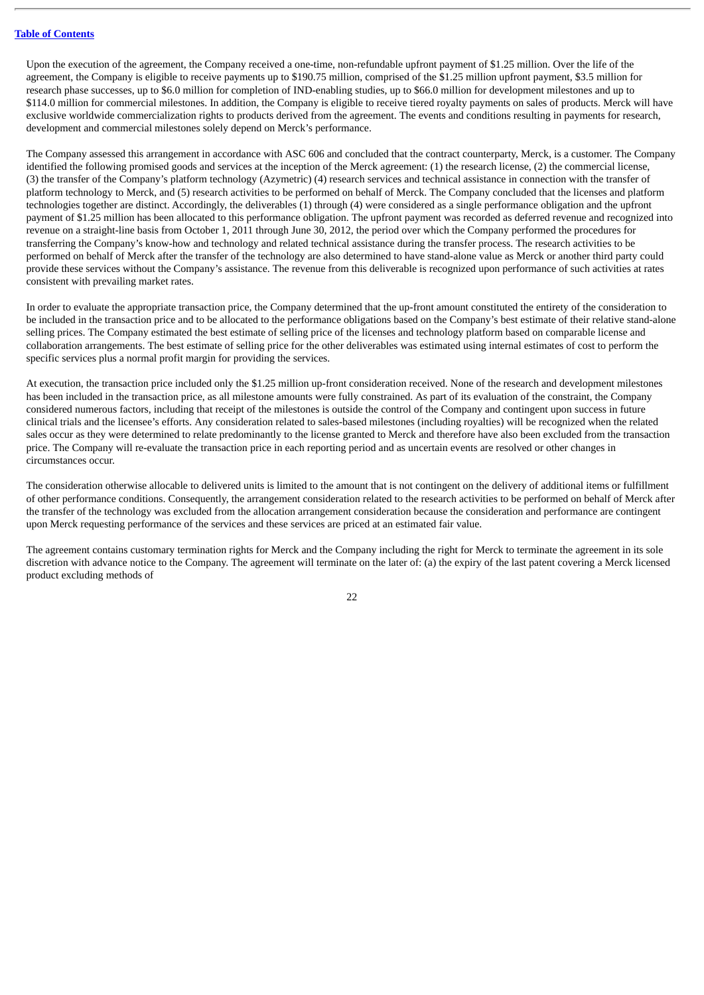Upon the execution of the agreement, the Company received a one-time, non-refundable upfront payment of \$1.25 million. Over the life of the agreement, the Company is eligible to receive payments up to \$190.75 million, comprised of the \$1.25 million upfront payment, \$3.5 million for research phase successes, up to \$6.0 million for completion of IND-enabling studies, up to \$66.0 million for development milestones and up to \$114.0 million for commercial milestones. In addition, the Company is eligible to receive tiered royalty payments on sales of products. Merck will have exclusive worldwide commercialization rights to products derived from the agreement. The events and conditions resulting in payments for research, development and commercial milestones solely depend on Merck's performance.

The Company assessed this arrangement in accordance with ASC 606 and concluded that the contract counterparty, Merck, is a customer. The Company identified the following promised goods and services at the inception of the Merck agreement: (1) the research license, (2) the commercial license, (3) the transfer of the Company's platform technology (Azymetric) (4) research services and technical assistance in connection with the transfer of platform technology to Merck, and (5) research activities to be performed on behalf of Merck. The Company concluded that the licenses and platform technologies together are distinct. Accordingly, the deliverables (1) through (4) were considered as a single performance obligation and the upfront payment of \$1.25 million has been allocated to this performance obligation. The upfront payment was recorded as deferred revenue and recognized into revenue on a straight-line basis from October 1, 2011 through June 30, 2012, the period over which the Company performed the procedures for transferring the Company's know-how and technology and related technical assistance during the transfer process. The research activities to be performed on behalf of Merck after the transfer of the technology are also determined to have stand-alone value as Merck or another third party could provide these services without the Company's assistance. The revenue from this deliverable is recognized upon performance of such activities at rates consistent with prevailing market rates.

In order to evaluate the appropriate transaction price, the Company determined that the up-front amount constituted the entirety of the consideration to be included in the transaction price and to be allocated to the performance obligations based on the Company's best estimate of their relative stand-alone selling prices. The Company estimated the best estimate of selling price of the licenses and technology platform based on comparable license and collaboration arrangements. The best estimate of selling price for the other deliverables was estimated using internal estimates of cost to perform the specific services plus a normal profit margin for providing the services.

At execution, the transaction price included only the \$1.25 million up-front consideration received. None of the research and development milestones has been included in the transaction price, as all milestone amounts were fully constrained. As part of its evaluation of the constraint, the Company considered numerous factors, including that receipt of the milestones is outside the control of the Company and contingent upon success in future clinical trials and the licensee's efforts. Any consideration related to sales-based milestones (including royalties) will be recognized when the related sales occur as they were determined to relate predominantly to the license granted to Merck and therefore have also been excluded from the transaction price. The Company will re-evaluate the transaction price in each reporting period and as uncertain events are resolved or other changes in circumstances occur.

The consideration otherwise allocable to delivered units is limited to the amount that is not contingent on the delivery of additional items or fulfillment of other performance conditions. Consequently, the arrangement consideration related to the research activities to be performed on behalf of Merck after the transfer of the technology was excluded from the allocation arrangement consideration because the consideration and performance are contingent upon Merck requesting performance of the services and these services are priced at an estimated fair value.

The agreement contains customary termination rights for Merck and the Company including the right for Merck to terminate the agreement in its sole discretion with advance notice to the Company. The agreement will terminate on the later of: (a) the expiry of the last patent covering a Merck licensed product excluding methods of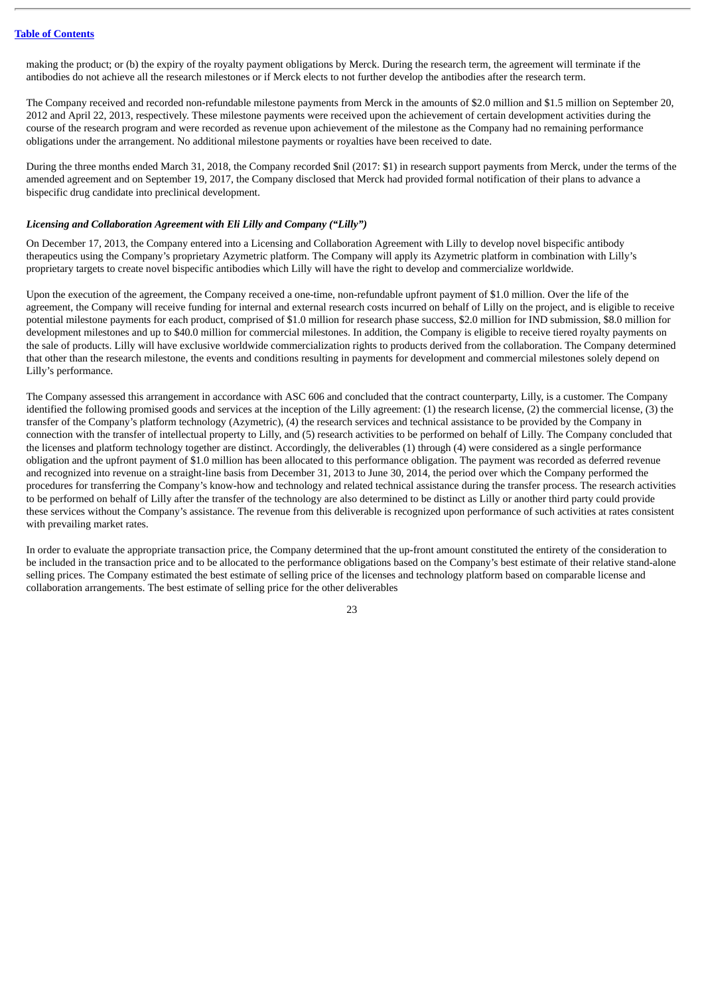making the product; or (b) the expiry of the royalty payment obligations by Merck. During the research term, the agreement will terminate if the antibodies do not achieve all the research milestones or if Merck elects to not further develop the antibodies after the research term.

The Company received and recorded non-refundable milestone payments from Merck in the amounts of \$2.0 million and \$1.5 million on September 20, 2012 and April 22, 2013, respectively. These milestone payments were received upon the achievement of certain development activities during the course of the research program and were recorded as revenue upon achievement of the milestone as the Company had no remaining performance obligations under the arrangement. No additional milestone payments or royalties have been received to date.

During the three months ended March 31, 2018, the Company recorded \$nil (2017: \$1) in research support payments from Merck, under the terms of the amended agreement and on September 19, 2017, the Company disclosed that Merck had provided formal notification of their plans to advance a bispecific drug candidate into preclinical development.

## *Licensing and Collaboration Agreement with Eli Lilly and Company ("Lilly")*

On December 17, 2013, the Company entered into a Licensing and Collaboration Agreement with Lilly to develop novel bispecific antibody therapeutics using the Company's proprietary Azymetric platform. The Company will apply its Azymetric platform in combination with Lilly's proprietary targets to create novel bispecific antibodies which Lilly will have the right to develop and commercialize worldwide.

Upon the execution of the agreement, the Company received a one-time, non-refundable upfront payment of \$1.0 million. Over the life of the agreement, the Company will receive funding for internal and external research costs incurred on behalf of Lilly on the project, and is eligible to receive potential milestone payments for each product, comprised of \$1.0 million for research phase success, \$2.0 million for IND submission, \$8.0 million for development milestones and up to \$40.0 million for commercial milestones. In addition, the Company is eligible to receive tiered royalty payments on the sale of products. Lilly will have exclusive worldwide commercialization rights to products derived from the collaboration. The Company determined that other than the research milestone, the events and conditions resulting in payments for development and commercial milestones solely depend on Lilly's performance.

The Company assessed this arrangement in accordance with ASC 606 and concluded that the contract counterparty, Lilly, is a customer. The Company identified the following promised goods and services at the inception of the Lilly agreement: (1) the research license, (2) the commercial license, (3) the transfer of the Company's platform technology (Azymetric), (4) the research services and technical assistance to be provided by the Company in connection with the transfer of intellectual property to Lilly, and (5) research activities to be performed on behalf of Lilly. The Company concluded that the licenses and platform technology together are distinct. Accordingly, the deliverables (1) through (4) were considered as a single performance obligation and the upfront payment of \$1.0 million has been allocated to this performance obligation. The payment was recorded as deferred revenue and recognized into revenue on a straight-line basis from December 31, 2013 to June 30, 2014, the period over which the Company performed the procedures for transferring the Company's know-how and technology and related technical assistance during the transfer process. The research activities to be performed on behalf of Lilly after the transfer of the technology are also determined to be distinct as Lilly or another third party could provide these services without the Company's assistance. The revenue from this deliverable is recognized upon performance of such activities at rates consistent with prevailing market rates.

In order to evaluate the appropriate transaction price, the Company determined that the up-front amount constituted the entirety of the consideration to be included in the transaction price and to be allocated to the performance obligations based on the Company's best estimate of their relative stand-alone selling prices. The Company estimated the best estimate of selling price of the licenses and technology platform based on comparable license and collaboration arrangements. The best estimate of selling price for the other deliverables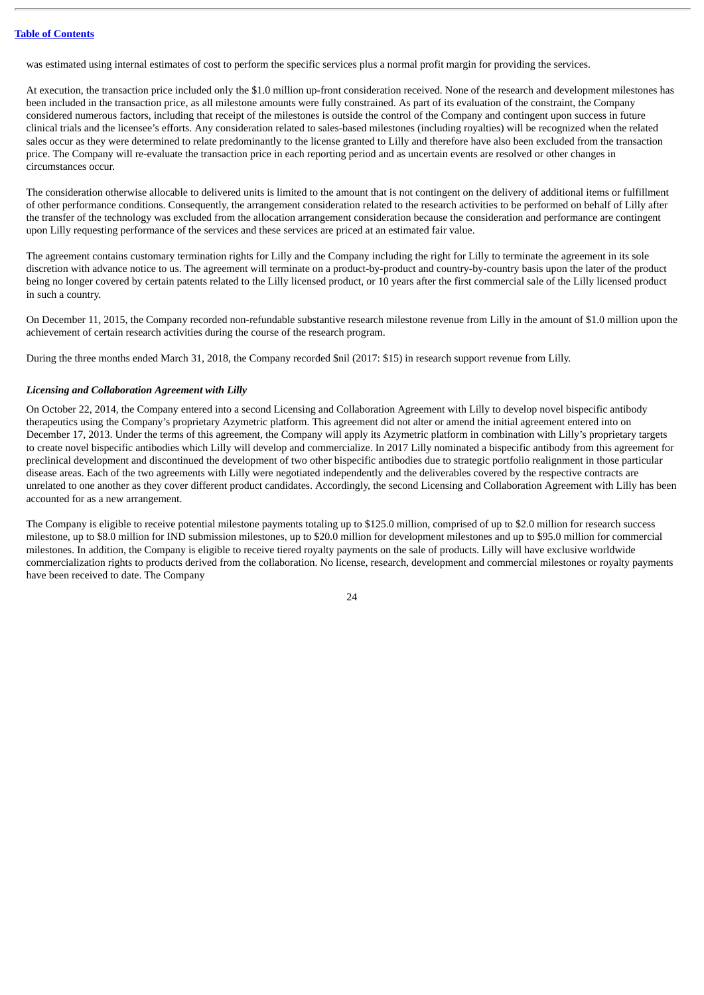was estimated using internal estimates of cost to perform the specific services plus a normal profit margin for providing the services.

At execution, the transaction price included only the \$1.0 million up-front consideration received. None of the research and development milestones has been included in the transaction price, as all milestone amounts were fully constrained. As part of its evaluation of the constraint, the Company considered numerous factors, including that receipt of the milestones is outside the control of the Company and contingent upon success in future clinical trials and the licensee's efforts. Any consideration related to sales-based milestones (including royalties) will be recognized when the related sales occur as they were determined to relate predominantly to the license granted to Lilly and therefore have also been excluded from the transaction price. The Company will re-evaluate the transaction price in each reporting period and as uncertain events are resolved or other changes in circumstances occur.

The consideration otherwise allocable to delivered units is limited to the amount that is not contingent on the delivery of additional items or fulfillment of other performance conditions. Consequently, the arrangement consideration related to the research activities to be performed on behalf of Lilly after the transfer of the technology was excluded from the allocation arrangement consideration because the consideration and performance are contingent upon Lilly requesting performance of the services and these services are priced at an estimated fair value.

The agreement contains customary termination rights for Lilly and the Company including the right for Lilly to terminate the agreement in its sole discretion with advance notice to us. The agreement will terminate on a product-by-product and country-by-country basis upon the later of the product being no longer covered by certain patents related to the Lilly licensed product, or 10 years after the first commercial sale of the Lilly licensed product in such a country.

On December 11, 2015, the Company recorded non-refundable substantive research milestone revenue from Lilly in the amount of \$1.0 million upon the achievement of certain research activities during the course of the research program.

During the three months ended March 31, 2018, the Company recorded \$nil (2017: \$15) in research support revenue from Lilly.

## *Licensing and Collaboration Agreement with Lilly*

On October 22, 2014, the Company entered into a second Licensing and Collaboration Agreement with Lilly to develop novel bispecific antibody therapeutics using the Company's proprietary Azymetric platform. This agreement did not alter or amend the initial agreement entered into on December 17, 2013. Under the terms of this agreement, the Company will apply its Azymetric platform in combination with Lilly's proprietary targets to create novel bispecific antibodies which Lilly will develop and commercialize. In 2017 Lilly nominated a bispecific antibody from this agreement for preclinical development and discontinued the development of two other bispecific antibodies due to strategic portfolio realignment in those particular disease areas. Each of the two agreements with Lilly were negotiated independently and the deliverables covered by the respective contracts are unrelated to one another as they cover different product candidates. Accordingly, the second Licensing and Collaboration Agreement with Lilly has been accounted for as a new arrangement.

The Company is eligible to receive potential milestone payments totaling up to \$125.0 million, comprised of up to \$2.0 million for research success milestone, up to \$8.0 million for IND submission milestones, up to \$20.0 million for development milestones and up to \$95.0 million for commercial milestones. In addition, the Company is eligible to receive tiered royalty payments on the sale of products. Lilly will have exclusive worldwide commercialization rights to products derived from the collaboration. No license, research, development and commercial milestones or royalty payments have been received to date. The Company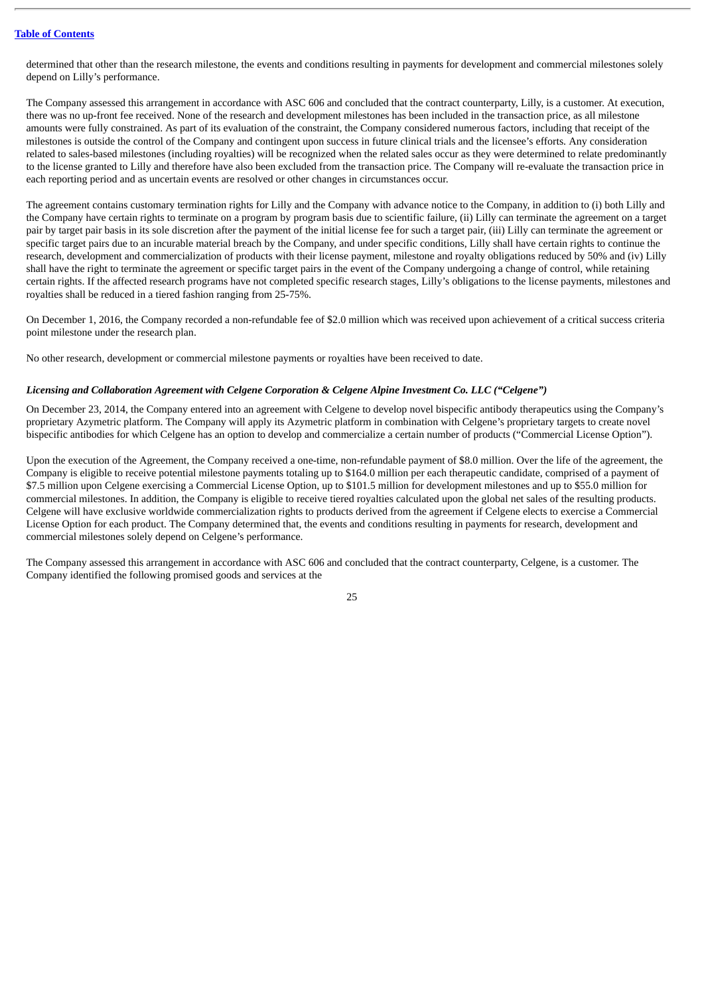determined that other than the research milestone, the events and conditions resulting in payments for development and commercial milestones solely depend on Lilly's performance.

The Company assessed this arrangement in accordance with ASC 606 and concluded that the contract counterparty, Lilly, is a customer. At execution, there was no up-front fee received. None of the research and development milestones has been included in the transaction price, as all milestone amounts were fully constrained. As part of its evaluation of the constraint, the Company considered numerous factors, including that receipt of the milestones is outside the control of the Company and contingent upon success in future clinical trials and the licensee's efforts. Any consideration related to sales-based milestones (including royalties) will be recognized when the related sales occur as they were determined to relate predominantly to the license granted to Lilly and therefore have also been excluded from the transaction price. The Company will re-evaluate the transaction price in each reporting period and as uncertain events are resolved or other changes in circumstances occur.

The agreement contains customary termination rights for Lilly and the Company with advance notice to the Company, in addition to (i) both Lilly and the Company have certain rights to terminate on a program by program basis due to scientific failure, (ii) Lilly can terminate the agreement on a target pair by target pair basis in its sole discretion after the payment of the initial license fee for such a target pair, (iii) Lilly can terminate the agreement or specific target pairs due to an incurable material breach by the Company, and under specific conditions, Lilly shall have certain rights to continue the research, development and commercialization of products with their license payment, milestone and royalty obligations reduced by 50% and (iv) Lilly shall have the right to terminate the agreement or specific target pairs in the event of the Company undergoing a change of control, while retaining certain rights. If the affected research programs have not completed specific research stages, Lilly's obligations to the license payments, milestones and royalties shall be reduced in a tiered fashion ranging from 25-75%.

On December 1, 2016, the Company recorded a non-refundable fee of \$2.0 million which was received upon achievement of a critical success criteria point milestone under the research plan.

No other research, development or commercial milestone payments or royalties have been received to date.

## *Licensing and Collaboration Agreement with Celgene Corporation & Celgene Alpine Investment Co. LLC ("Celgene")*

On December 23, 2014, the Company entered into an agreement with Celgene to develop novel bispecific antibody therapeutics using the Company's proprietary Azymetric platform. The Company will apply its Azymetric platform in combination with Celgene's proprietary targets to create novel bispecific antibodies for which Celgene has an option to develop and commercialize a certain number of products ("Commercial License Option").

Upon the execution of the Agreement, the Company received a one-time, non-refundable payment of \$8.0 million. Over the life of the agreement, the Company is eligible to receive potential milestone payments totaling up to \$164.0 million per each therapeutic candidate, comprised of a payment of \$7.5 million upon Celgene exercising a Commercial License Option, up to \$101.5 million for development milestones and up to \$55.0 million for commercial milestones. In addition, the Company is eligible to receive tiered royalties calculated upon the global net sales of the resulting products. Celgene will have exclusive worldwide commercialization rights to products derived from the agreement if Celgene elects to exercise a Commercial License Option for each product. The Company determined that, the events and conditions resulting in payments for research, development and commercial milestones solely depend on Celgene's performance.

The Company assessed this arrangement in accordance with ASC 606 and concluded that the contract counterparty, Celgene, is a customer. The Company identified the following promised goods and services at the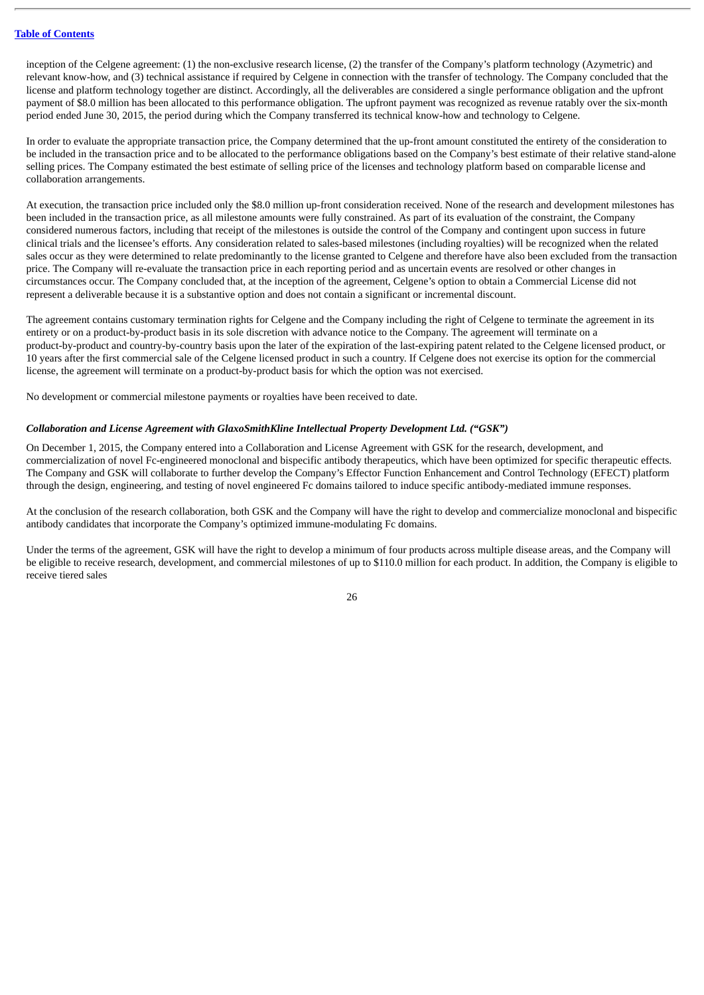inception of the Celgene agreement: (1) the non-exclusive research license, (2) the transfer of the Company's platform technology (Azymetric) and relevant know-how, and (3) technical assistance if required by Celgene in connection with the transfer of technology. The Company concluded that the license and platform technology together are distinct. Accordingly, all the deliverables are considered a single performance obligation and the upfront payment of \$8.0 million has been allocated to this performance obligation. The upfront payment was recognized as revenue ratably over the six-month period ended June 30, 2015, the period during which the Company transferred its technical know-how and technology to Celgene.

In order to evaluate the appropriate transaction price, the Company determined that the up-front amount constituted the entirety of the consideration to be included in the transaction price and to be allocated to the performance obligations based on the Company's best estimate of their relative stand-alone selling prices. The Company estimated the best estimate of selling price of the licenses and technology platform based on comparable license and collaboration arrangements.

At execution, the transaction price included only the \$8.0 million up-front consideration received. None of the research and development milestones has been included in the transaction price, as all milestone amounts were fully constrained. As part of its evaluation of the constraint, the Company considered numerous factors, including that receipt of the milestones is outside the control of the Company and contingent upon success in future clinical trials and the licensee's efforts. Any consideration related to sales-based milestones (including royalties) will be recognized when the related sales occur as they were determined to relate predominantly to the license granted to Celgene and therefore have also been excluded from the transaction price. The Company will re-evaluate the transaction price in each reporting period and as uncertain events are resolved or other changes in circumstances occur. The Company concluded that, at the inception of the agreement, Celgene's option to obtain a Commercial License did not represent a deliverable because it is a substantive option and does not contain a significant or incremental discount.

The agreement contains customary termination rights for Celgene and the Company including the right of Celgene to terminate the agreement in its entirety or on a product-by-product basis in its sole discretion with advance notice to the Company. The agreement will terminate on a product-by-product and country-by-country basis upon the later of the expiration of the last-expiring patent related to the Celgene licensed product, or 10 years after the first commercial sale of the Celgene licensed product in such a country. If Celgene does not exercise its option for the commercial license, the agreement will terminate on a product-by-product basis for which the option was not exercised.

No development or commercial milestone payments or royalties have been received to date.

## *Collaboration and License Agreement with GlaxoSmithKline Intellectual Property Development Ltd. ("GSK")*

On December 1, 2015, the Company entered into a Collaboration and License Agreement with GSK for the research, development, and commercialization of novel Fc-engineered monoclonal and bispecific antibody therapeutics, which have been optimized for specific therapeutic effects. The Company and GSK will collaborate to further develop the Company's Effector Function Enhancement and Control Technology (EFECT) platform through the design, engineering, and testing of novel engineered Fc domains tailored to induce specific antibody-mediated immune responses.

At the conclusion of the research collaboration, both GSK and the Company will have the right to develop and commercialize monoclonal and bispecific antibody candidates that incorporate the Company's optimized immune-modulating Fc domains.

Under the terms of the agreement, GSK will have the right to develop a minimum of four products across multiple disease areas, and the Company will be eligible to receive research, development, and commercial milestones of up to \$110.0 million for each product. In addition, the Company is eligible to receive tiered sales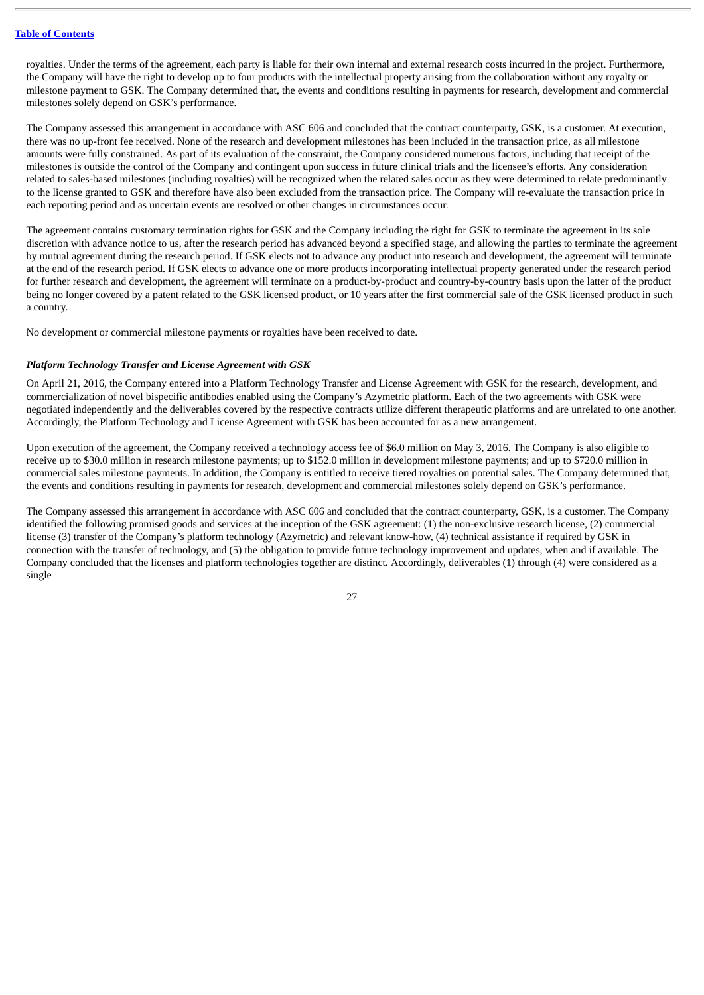royalties. Under the terms of the agreement, each party is liable for their own internal and external research costs incurred in the project. Furthermore, the Company will have the right to develop up to four products with the intellectual property arising from the collaboration without any royalty or milestone payment to GSK. The Company determined that, the events and conditions resulting in payments for research, development and commercial milestones solely depend on GSK's performance.

The Company assessed this arrangement in accordance with ASC 606 and concluded that the contract counterparty, GSK, is a customer. At execution, there was no up-front fee received. None of the research and development milestones has been included in the transaction price, as all milestone amounts were fully constrained. As part of its evaluation of the constraint, the Company considered numerous factors, including that receipt of the milestones is outside the control of the Company and contingent upon success in future clinical trials and the licensee's efforts. Any consideration related to sales-based milestones (including royalties) will be recognized when the related sales occur as they were determined to relate predominantly to the license granted to GSK and therefore have also been excluded from the transaction price. The Company will re-evaluate the transaction price in each reporting period and as uncertain events are resolved or other changes in circumstances occur.

The agreement contains customary termination rights for GSK and the Company including the right for GSK to terminate the agreement in its sole discretion with advance notice to us, after the research period has advanced beyond a specified stage, and allowing the parties to terminate the agreement by mutual agreement during the research period. If GSK elects not to advance any product into research and development, the agreement will terminate at the end of the research period. If GSK elects to advance one or more products incorporating intellectual property generated under the research period for further research and development, the agreement will terminate on a product-by-product and country-by-country basis upon the latter of the product being no longer covered by a patent related to the GSK licensed product, or 10 years after the first commercial sale of the GSK licensed product in such a country.

No development or commercial milestone payments or royalties have been received to date.

## *Platform Technology Transfer and License Agreement with GSK*

On April 21, 2016, the Company entered into a Platform Technology Transfer and License Agreement with GSK for the research, development, and commercialization of novel bispecific antibodies enabled using the Company's Azymetric platform. Each of the two agreements with GSK were negotiated independently and the deliverables covered by the respective contracts utilize different therapeutic platforms and are unrelated to one another. Accordingly, the Platform Technology and License Agreement with GSK has been accounted for as a new arrangement.

Upon execution of the agreement, the Company received a technology access fee of \$6.0 million on May 3, 2016. The Company is also eligible to receive up to \$30.0 million in research milestone payments; up to \$152.0 million in development milestone payments; and up to \$720.0 million in commercial sales milestone payments. In addition, the Company is entitled to receive tiered royalties on potential sales. The Company determined that, the events and conditions resulting in payments for research, development and commercial milestones solely depend on GSK's performance.

The Company assessed this arrangement in accordance with ASC 606 and concluded that the contract counterparty, GSK, is a customer. The Company identified the following promised goods and services at the inception of the GSK agreement: (1) the non-exclusive research license, (2) commercial license (3) transfer of the Company's platform technology (Azymetric) and relevant know-how, (4) technical assistance if required by GSK in connection with the transfer of technology, and (5) the obligation to provide future technology improvement and updates, when and if available. The Company concluded that the licenses and platform technologies together are distinct. Accordingly, deliverables (1) through (4) were considered as a single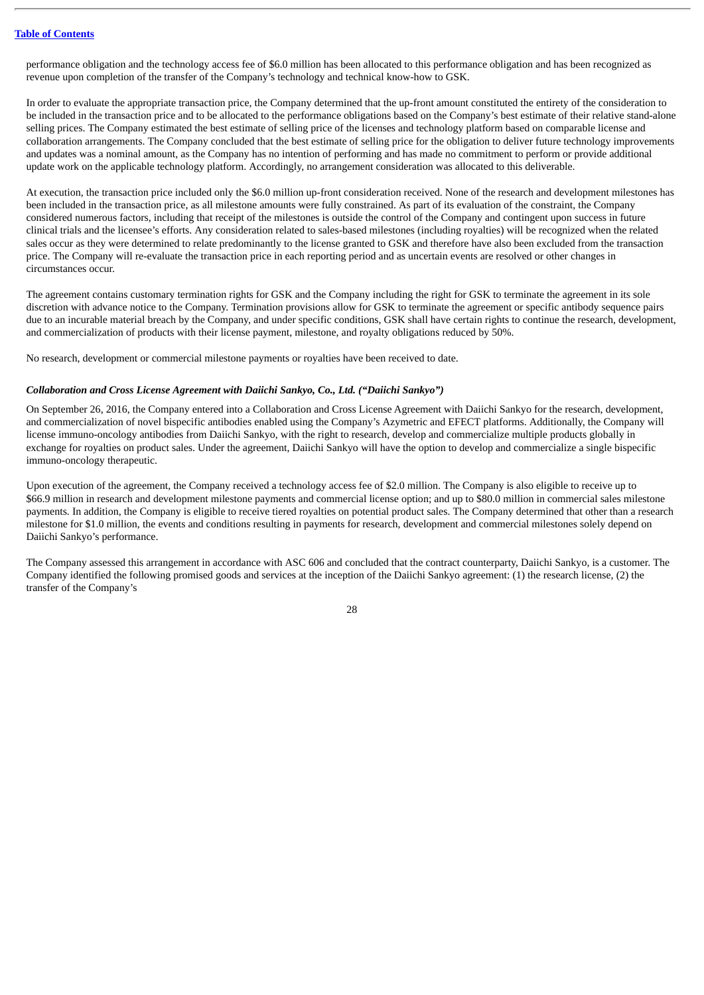performance obligation and the technology access fee of \$6.0 million has been allocated to this performance obligation and has been recognized as revenue upon completion of the transfer of the Company's technology and technical know-how to GSK.

In order to evaluate the appropriate transaction price, the Company determined that the up-front amount constituted the entirety of the consideration to be included in the transaction price and to be allocated to the performance obligations based on the Company's best estimate of their relative stand-alone selling prices. The Company estimated the best estimate of selling price of the licenses and technology platform based on comparable license and collaboration arrangements. The Company concluded that the best estimate of selling price for the obligation to deliver future technology improvements and updates was a nominal amount, as the Company has no intention of performing and has made no commitment to perform or provide additional update work on the applicable technology platform. Accordingly, no arrangement consideration was allocated to this deliverable.

At execution, the transaction price included only the \$6.0 million up-front consideration received. None of the research and development milestones has been included in the transaction price, as all milestone amounts were fully constrained. As part of its evaluation of the constraint, the Company considered numerous factors, including that receipt of the milestones is outside the control of the Company and contingent upon success in future clinical trials and the licensee's efforts. Any consideration related to sales-based milestones (including royalties) will be recognized when the related sales occur as they were determined to relate predominantly to the license granted to GSK and therefore have also been excluded from the transaction price. The Company will re-evaluate the transaction price in each reporting period and as uncertain events are resolved or other changes in circumstances occur.

The agreement contains customary termination rights for GSK and the Company including the right for GSK to terminate the agreement in its sole discretion with advance notice to the Company. Termination provisions allow for GSK to terminate the agreement or specific antibody sequence pairs due to an incurable material breach by the Company, and under specific conditions, GSK shall have certain rights to continue the research, development, and commercialization of products with their license payment, milestone, and royalty obligations reduced by 50%.

No research, development or commercial milestone payments or royalties have been received to date.

## *Collaboration and Cross License Agreement with Daiichi Sankyo, Co., Ltd. ("Daiichi Sankyo")*

On September 26, 2016, the Company entered into a Collaboration and Cross License Agreement with Daiichi Sankyo for the research, development, and commercialization of novel bispecific antibodies enabled using the Company's Azymetric and EFECT platforms. Additionally, the Company will license immuno-oncology antibodies from Daiichi Sankyo, with the right to research, develop and commercialize multiple products globally in exchange for royalties on product sales. Under the agreement, Daiichi Sankyo will have the option to develop and commercialize a single bispecific immuno-oncology therapeutic.

Upon execution of the agreement, the Company received a technology access fee of \$2.0 million. The Company is also eligible to receive up to \$66.9 million in research and development milestone payments and commercial license option; and up to \$80.0 million in commercial sales milestone payments. In addition, the Company is eligible to receive tiered royalties on potential product sales. The Company determined that other than a research milestone for \$1.0 million, the events and conditions resulting in payments for research, development and commercial milestones solely depend on Daiichi Sankyo's performance.

The Company assessed this arrangement in accordance with ASC 606 and concluded that the contract counterparty, Daiichi Sankyo, is a customer. The Company identified the following promised goods and services at the inception of the Daiichi Sankyo agreement: (1) the research license, (2) the transfer of the Company's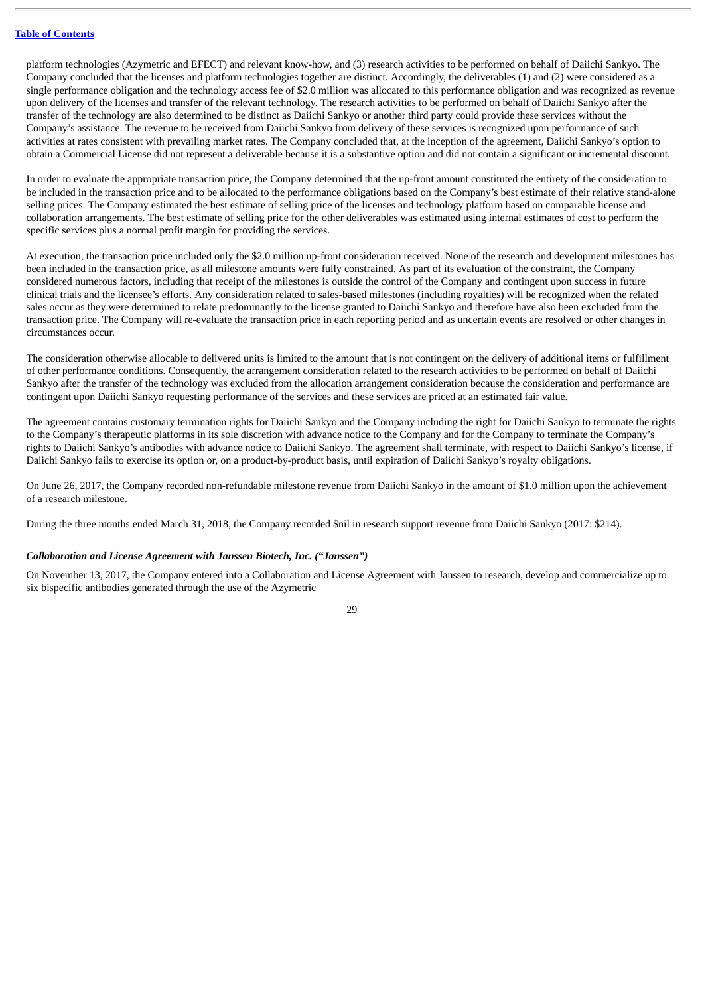platform technologies (Azymetric and EFECT) and relevant know-how, and (3) research activities to be performed on behalf of Daiichi Sankyo. The Company concluded that the licenses and platform technologies together are distinct. Accordingly, the deliverables (1) and (2) were considered as a single performance obligation and the technology access fee of \$2.0 million was allocated to this performance obligation and was recognized as revenue upon delivery of the licenses and transfer of the relevant technology. The research activities to be performed on behalf of Daiichi Sankyo after the transfer of the technology are also determined to be distinct as Daiichi Sankyo or another third party could provide these services without the Company's assistance. The revenue to be received from Daiichi Sankyo from delivery of these services is recognized upon performance of such activities at rates consistent with prevailing market rates. The Company concluded that, at the inception of the agreement, Daiichi Sankyo's option to obtain a Commercial License did not represent a deliverable because it is a substantive option and did not contain a significant or incremental discount.

In order to evaluate the appropriate transaction price, the Company determined that the up-front amount constituted the entirety of the consideration to be included in the transaction price and to be allocated to the performance obligations based on the Company's best estimate of their relative stand-alone selling prices. The Company estimated the best estimate of selling price of the licenses and technology platform based on comparable license and collaboration arrangements. The best estimate of selling price for the other deliverables was estimated using internal estimates of cost to perform the specific services plus a normal profit margin for providing the services.

At execution, the transaction price included only the \$2.0 million up-front consideration received. None of the research and development milestones has been included in the transaction price, as all milestone amounts were fully constrained. As part of its evaluation of the constraint, the Company considered numerous factors, including that receipt of the milestones is outside the control of the Company and contingent upon success in future clinical trials and the licensee's efforts. Any consideration related to sales-based milestones (including royalties) will be recognized when the related sales occur as they were determined to relate predominantly to the license granted to Daiichi Sankyo and therefore have also been excluded from the transaction price. The Company will re-evaluate the transaction price in each reporting period and as uncertain events are resolved or other changes in circumstances occur.

The consideration otherwise allocable to delivered units is limited to the amount that is not contingent on the delivery of additional items or fulfillment of other performance conditions. Consequently, the arrangement consideration related to the research activities to be performed on behalf of Daiichi Sankyo after the transfer of the technology was excluded from the allocation arrangement consideration because the consideration and performance are contingent upon Daiichi Sankyo requesting performance of the services and these services are priced at an estimated fair value.

The agreement contains customary termination rights for Daiichi Sankyo and the Company including the right for Daiichi Sankyo to terminate the rights to the Company's therapeutic platforms in its sole discretion with advance notice to the Company and for the Company to terminate the Company's rights to Daiichi Sankyo's antibodies with advance notice to Daiichi Sankyo. The agreement shall terminate, with respect to Daiichi Sankyo's license, if Daiichi Sankyo fails to exercise its option or, on a product-by-product basis, until expiration of Daiichi Sankyo's royalty obligations.

On June 26, 2017, the Company recorded non-refundable milestone revenue from Daiichi Sankyo in the amount of \$1.0 million upon the achievement of a research milestone.

During the three months ended March 31, 2018, the Company recorded \$nil in research support revenue from Daiichi Sankyo (2017: \$214).

#### *Collaboration and License Agreement with Janssen Biotech, Inc. ("Janssen")*

On November 13, 2017, the Company entered into a Collaboration and License Agreement with Janssen to research, develop and commercialize up to six bispecific antibodies generated through the use of the Azymetric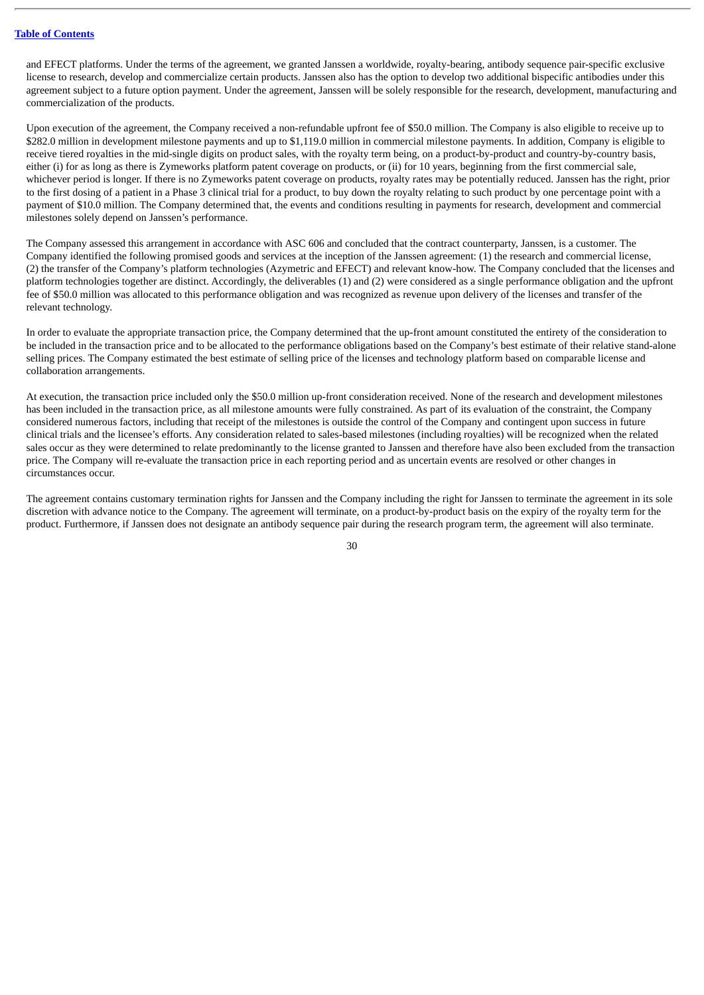and EFECT platforms. Under the terms of the agreement, we granted Janssen a worldwide, royalty-bearing, antibody sequence pair-specific exclusive license to research, develop and commercialize certain products. Janssen also has the option to develop two additional bispecific antibodies under this agreement subject to a future option payment. Under the agreement, Janssen will be solely responsible for the research, development, manufacturing and commercialization of the products.

Upon execution of the agreement, the Company received a non-refundable upfront fee of \$50.0 million. The Company is also eligible to receive up to \$282.0 million in development milestone payments and up to \$1,119.0 million in commercial milestone payments. In addition, Company is eligible to receive tiered royalties in the mid-single digits on product sales, with the royalty term being, on a product-by-product and country-by-country basis, either (i) for as long as there is Zymeworks platform patent coverage on products, or (ii) for 10 years, beginning from the first commercial sale, whichever period is longer. If there is no Zymeworks patent coverage on products, royalty rates may be potentially reduced. Janssen has the right, prior to the first dosing of a patient in a Phase 3 clinical trial for a product, to buy down the royalty relating to such product by one percentage point with a payment of \$10.0 million. The Company determined that, the events and conditions resulting in payments for research, development and commercial milestones solely depend on Janssen's performance.

The Company assessed this arrangement in accordance with ASC 606 and concluded that the contract counterparty, Janssen, is a customer. The Company identified the following promised goods and services at the inception of the Janssen agreement: (1) the research and commercial license, (2) the transfer of the Company's platform technologies (Azymetric and EFECT) and relevant know-how. The Company concluded that the licenses and platform technologies together are distinct. Accordingly, the deliverables (1) and (2) were considered as a single performance obligation and the upfront fee of \$50.0 million was allocated to this performance obligation and was recognized as revenue upon delivery of the licenses and transfer of the relevant technology.

In order to evaluate the appropriate transaction price, the Company determined that the up-front amount constituted the entirety of the consideration to be included in the transaction price and to be allocated to the performance obligations based on the Company's best estimate of their relative stand-alone selling prices. The Company estimated the best estimate of selling price of the licenses and technology platform based on comparable license and collaboration arrangements.

At execution, the transaction price included only the \$50.0 million up-front consideration received. None of the research and development milestones has been included in the transaction price, as all milestone amounts were fully constrained. As part of its evaluation of the constraint, the Company considered numerous factors, including that receipt of the milestones is outside the control of the Company and contingent upon success in future clinical trials and the licensee's efforts. Any consideration related to sales-based milestones (including royalties) will be recognized when the related sales occur as they were determined to relate predominantly to the license granted to Janssen and therefore have also been excluded from the transaction price. The Company will re-evaluate the transaction price in each reporting period and as uncertain events are resolved or other changes in circumstances occur.

The agreement contains customary termination rights for Janssen and the Company including the right for Janssen to terminate the agreement in its sole discretion with advance notice to the Company. The agreement will terminate, on a product-by-product basis on the expiry of the royalty term for the product. Furthermore, if Janssen does not designate an antibody sequence pair during the research program term, the agreement will also terminate.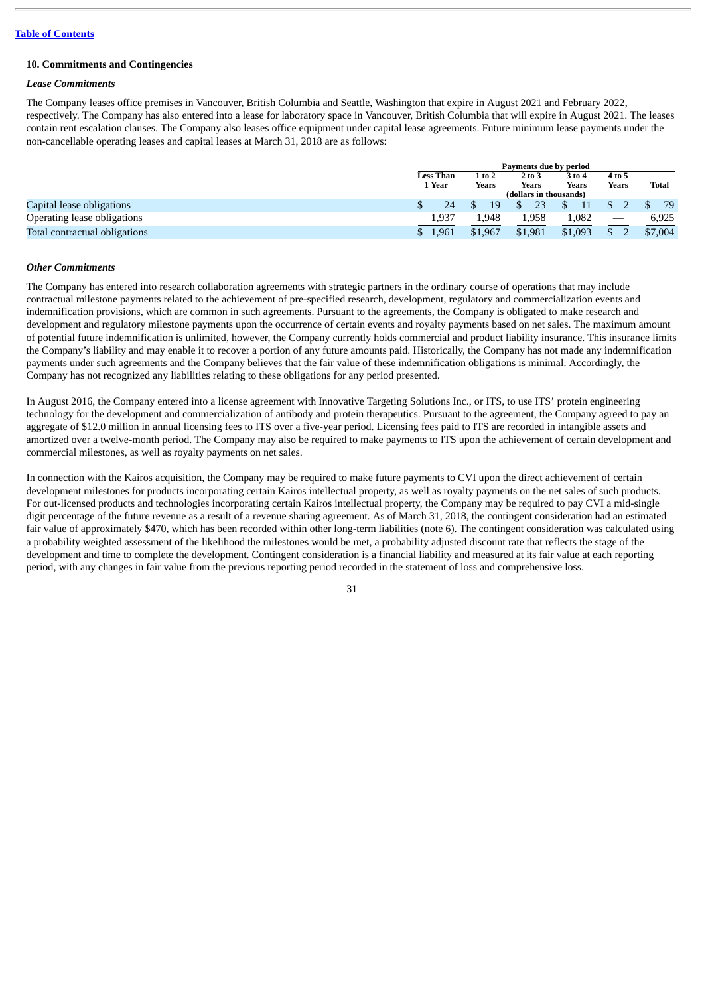## **10. Commitments and Contingencies**

# *Lease Commitments*

The Company leases office premises in Vancouver, British Columbia and Seattle, Washington that expire in August 2021 and February 2022, respectively. The Company has also entered into a lease for laboratory space in Vancouver, British Columbia that will expire in August 2021. The leases contain rent escalation clauses. The Company also leases office equipment under capital lease agreements. Future minimum lease payments under the non-cancellable operating leases and capital leases at March 31, 2018 are as follows:

|                               | Payments due by period |                            |  |                 |  |                            |  |                 |                        |  |         |
|-------------------------------|------------------------|----------------------------|--|-----------------|--|----------------------------|--|-----------------|------------------------|--|---------|
|                               |                        | <b>Less Than</b><br>1 Year |  | 1 to 2<br>Years |  | $2$ to $3$<br><b>Years</b> |  | 3 to 4<br>Years | 4 to 5<br><b>Years</b> |  | Total   |
|                               | (dollars in thousands) |                            |  |                 |  |                            |  |                 |                        |  |         |
| Capital lease obligations     |                        |                            |  | 19              |  | 23                         |  |                 |                        |  | 79      |
| Operating lease obligations   |                        | 1,937                      |  | L.948           |  | 1,958                      |  | 1.082           |                        |  | 6.925   |
| Total contractual obligations |                        | 1,961                      |  | \$1,967         |  | \$1,981                    |  | \$1,093         |                        |  | \$7,004 |

### *Other Commitments*

The Company has entered into research collaboration agreements with strategic partners in the ordinary course of operations that may include contractual milestone payments related to the achievement of pre-specified research, development, regulatory and commercialization events and indemnification provisions, which are common in such agreements. Pursuant to the agreements, the Company is obligated to make research and development and regulatory milestone payments upon the occurrence of certain events and royalty payments based on net sales. The maximum amount of potential future indemnification is unlimited, however, the Company currently holds commercial and product liability insurance. This insurance limits the Company's liability and may enable it to recover a portion of any future amounts paid. Historically, the Company has not made any indemnification payments under such agreements and the Company believes that the fair value of these indemnification obligations is minimal. Accordingly, the Company has not recognized any liabilities relating to these obligations for any period presented.

In August 2016, the Company entered into a license agreement with Innovative Targeting Solutions Inc., or ITS, to use ITS' protein engineering technology for the development and commercialization of antibody and protein therapeutics. Pursuant to the agreement, the Company agreed to pay an aggregate of \$12.0 million in annual licensing fees to ITS over a five-year period. Licensing fees paid to ITS are recorded in intangible assets and amortized over a twelve-month period. The Company may also be required to make payments to ITS upon the achievement of certain development and commercial milestones, as well as royalty payments on net sales.

In connection with the Kairos acquisition, the Company may be required to make future payments to CVI upon the direct achievement of certain development milestones for products incorporating certain Kairos intellectual property, as well as royalty payments on the net sales of such products. For out-licensed products and technologies incorporating certain Kairos intellectual property, the Company may be required to pay CVI a mid-single digit percentage of the future revenue as a result of a revenue sharing agreement. As of March 31, 2018, the contingent consideration had an estimated fair value of approximately \$470, which has been recorded within other long-term liabilities (note 6). The contingent consideration was calculated using a probability weighted assessment of the likelihood the milestones would be met, a probability adjusted discount rate that reflects the stage of the development and time to complete the development. Contingent consideration is a financial liability and measured at its fair value at each reporting period, with any changes in fair value from the previous reporting period recorded in the statement of loss and comprehensive loss.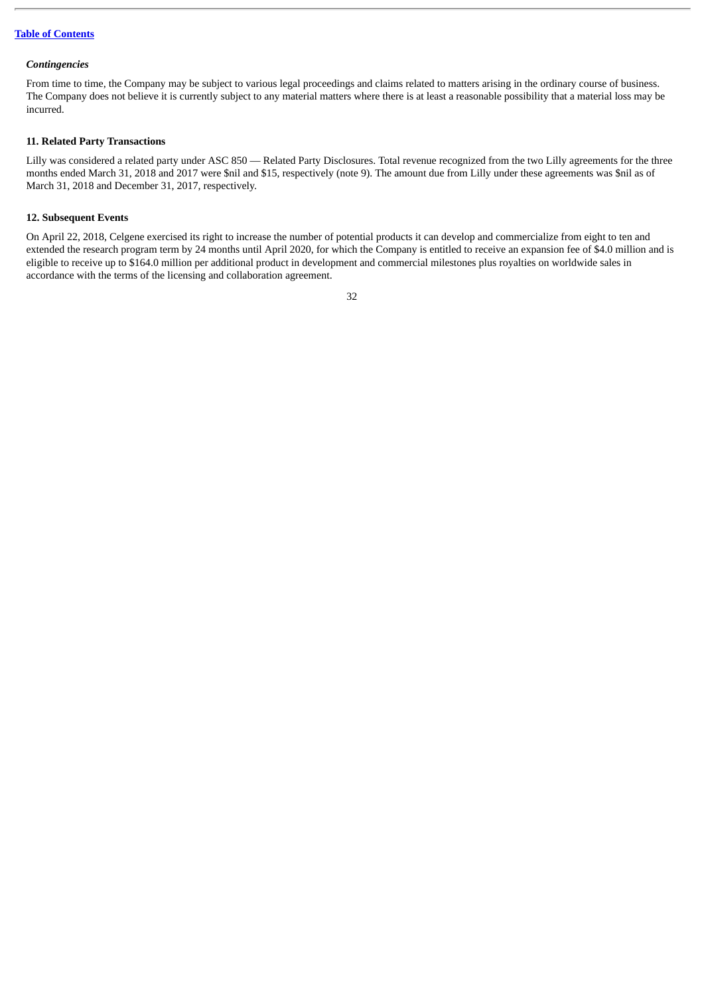### *Contingencies*

From time to time, the Company may be subject to various legal proceedings and claims related to matters arising in the ordinary course of business. The Company does not believe it is currently subject to any material matters where there is at least a reasonable possibility that a material loss may be incurred.

## **11. Related Party Transactions**

Lilly was considered a related party under ASC 850 — Related Party Disclosures. Total revenue recognized from the two Lilly agreements for the three months ended March 31, 2018 and 2017 were \$nil and \$15, respectively (note 9). The amount due from Lilly under these agreements was \$nil as of March 31, 2018 and December 31, 2017, respectively.

### **12. Subsequent Events**

On April 22, 2018, Celgene exercised its right to increase the number of potential products it can develop and commercialize from eight to ten and extended the research program term by 24 months until April 2020, for which the Company is entitled to receive an expansion fee of \$4.0 million and is eligible to receive up to \$164.0 million per additional product in development and commercial milestones plus royalties on worldwide sales in accordance with the terms of the licensing and collaboration agreement.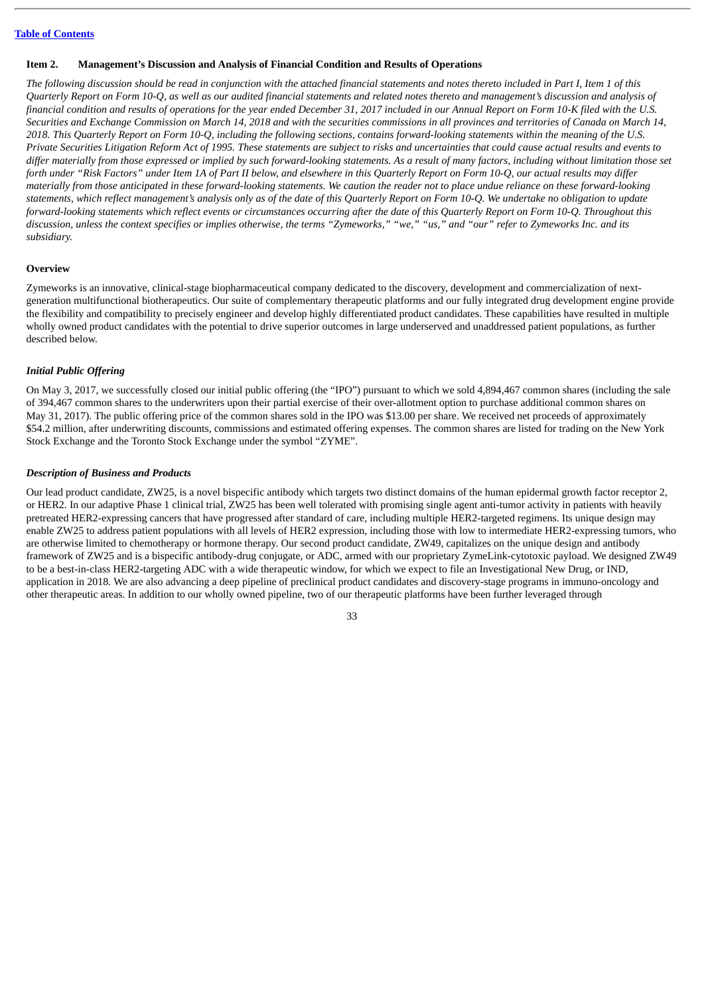### **Item 2. Management's Discussion and Analysis of Financial Condition and Results of Operations**

The following discussion should be read in conjunction with the attached financial statements and notes thereto included in Part I, Item 1 of this Quarterly Report on Form 10-Q, as well as our audited financial statements and related notes thereto and management's discussion and analysis of financial condition and results of operations for the year ended December 31, 2017 included in our Annual Report on Form 10-K filed with the U.S. Securities and Exchange Commission on March 14, 2018 and with the securities commissions in all provinces and territories of Canada on March 14, 2018. This Quarterly Report on Form 10-Q, including the following sections, contains forward-looking statements within the meaning of the U.S. Private Securities Litigation Reform Act of 1995. These statements are subject to risks and uncertainties that could cause actual results and events to differ materially from those expressed or implied by such forward-looking statements. As a result of many factors, including without limitation those set forth under "Risk Factors" under Item 1A of Part II below, and elsewhere in this Quarterly Report on Form 10-Q, our actual results may differ materially from those anticipated in these forward-looking statements. We caution the reader not to place undue reliance on these forward-looking statements, which reflect management's analysis only as of the date of this Quarterly Report on Form 10-Q. We undertake no obligation to update forward-looking statements which reflect events or circumstances occurring after the date of this Quarterly Report on Form 10-Q. Throughout this discussion, unless the context specifies or implies otherwise, the terms "Zymeworks," "we," "us," and "our" refer to Zymeworks Inc. and its *subsidiary.*

## **Overview**

Zymeworks is an innovative, clinical-stage biopharmaceutical company dedicated to the discovery, development and commercialization of nextgeneration multifunctional biotherapeutics. Our suite of complementary therapeutic platforms and our fully integrated drug development engine provide the flexibility and compatibility to precisely engineer and develop highly differentiated product candidates. These capabilities have resulted in multiple wholly owned product candidates with the potential to drive superior outcomes in large underserved and unaddressed patient populations, as further described below.

## *Initial Public Offering*

On May 3, 2017, we successfully closed our initial public offering (the "IPO") pursuant to which we sold 4,894,467 common shares (including the sale of 394,467 common shares to the underwriters upon their partial exercise of their over-allotment option to purchase additional common shares on May 31, 2017). The public offering price of the common shares sold in the IPO was \$13.00 per share. We received net proceeds of approximately \$54.2 million, after underwriting discounts, commissions and estimated offering expenses. The common shares are listed for trading on the New York Stock Exchange and the Toronto Stock Exchange under the symbol "ZYME".

## *Description of Business and Products*

Our lead product candidate, ZW25, is a novel bispecific antibody which targets two distinct domains of the human epidermal growth factor receptor 2, or HER2. In our adaptive Phase 1 clinical trial, ZW25 has been well tolerated with promising single agent anti-tumor activity in patients with heavily pretreated HER2-expressing cancers that have progressed after standard of care, including multiple HER2-targeted regimens. Its unique design may enable ZW25 to address patient populations with all levels of HER2 expression, including those with low to intermediate HER2-expressing tumors, who are otherwise limited to chemotherapy or hormone therapy. Our second product candidate, ZW49, capitalizes on the unique design and antibody framework of ZW25 and is a bispecific antibody-drug conjugate, or ADC, armed with our proprietary ZymeLink-cytotoxic payload. We designed ZW49 to be a best-in-class HER2-targeting ADC with a wide therapeutic window, for which we expect to file an Investigational New Drug, or IND, application in 2018. We are also advancing a deep pipeline of preclinical product candidates and discovery-stage programs in immuno-oncology and other therapeutic areas. In addition to our wholly owned pipeline, two of our therapeutic platforms have been further leveraged through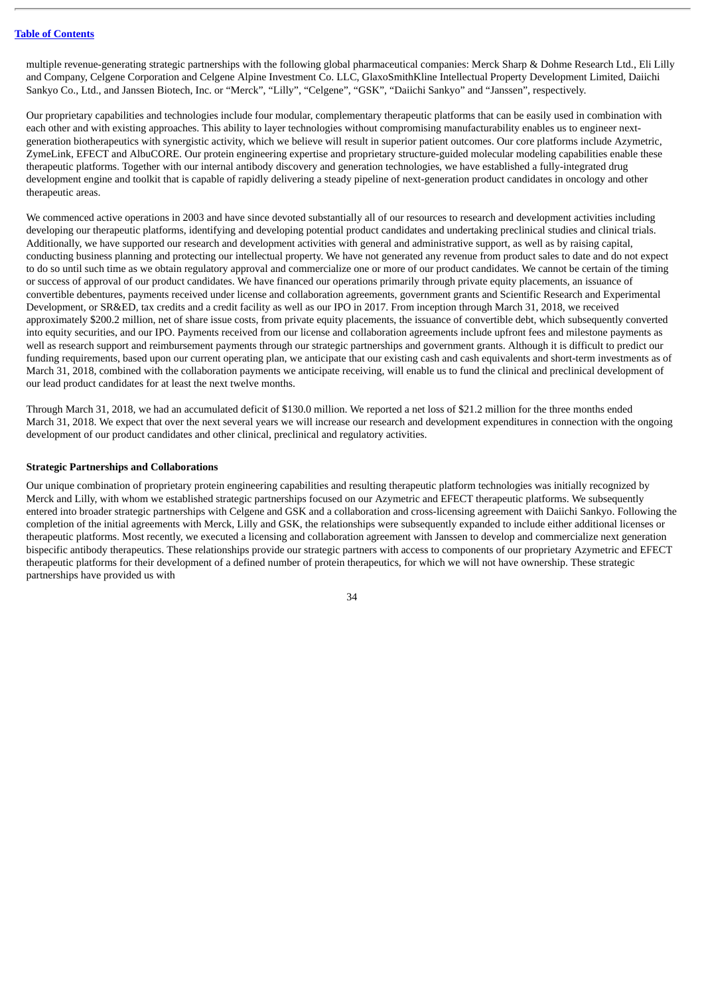multiple revenue-generating strategic partnerships with the following global pharmaceutical companies: Merck Sharp & Dohme Research Ltd., Eli Lilly and Company, Celgene Corporation and Celgene Alpine Investment Co. LLC, GlaxoSmithKline Intellectual Property Development Limited, Daiichi Sankyo Co., Ltd., and Janssen Biotech, Inc. or "Merck", "Lilly", "Celgene", "GSK", "Daiichi Sankyo" and "Janssen", respectively.

Our proprietary capabilities and technologies include four modular, complementary therapeutic platforms that can be easily used in combination with each other and with existing approaches. This ability to layer technologies without compromising manufacturability enables us to engineer nextgeneration biotherapeutics with synergistic activity, which we believe will result in superior patient outcomes. Our core platforms include Azymetric, ZymeLink, EFECT and AlbuCORE. Our protein engineering expertise and proprietary structure-guided molecular modeling capabilities enable these therapeutic platforms. Together with our internal antibody discovery and generation technologies, we have established a fully-integrated drug development engine and toolkit that is capable of rapidly delivering a steady pipeline of next-generation product candidates in oncology and other therapeutic areas.

We commenced active operations in 2003 and have since devoted substantially all of our resources to research and development activities including developing our therapeutic platforms, identifying and developing potential product candidates and undertaking preclinical studies and clinical trials. Additionally, we have supported our research and development activities with general and administrative support, as well as by raising capital, conducting business planning and protecting our intellectual property. We have not generated any revenue from product sales to date and do not expect to do so until such time as we obtain regulatory approval and commercialize one or more of our product candidates. We cannot be certain of the timing or success of approval of our product candidates. We have financed our operations primarily through private equity placements, an issuance of convertible debentures, payments received under license and collaboration agreements, government grants and Scientific Research and Experimental Development, or SR&ED, tax credits and a credit facility as well as our IPO in 2017. From inception through March 31, 2018, we received approximately \$200.2 million, net of share issue costs, from private equity placements, the issuance of convertible debt, which subsequently converted into equity securities, and our IPO. Payments received from our license and collaboration agreements include upfront fees and milestone payments as well as research support and reimbursement payments through our strategic partnerships and government grants. Although it is difficult to predict our funding requirements, based upon our current operating plan, we anticipate that our existing cash and cash equivalents and short-term investments as of March 31, 2018, combined with the collaboration payments we anticipate receiving, will enable us to fund the clinical and preclinical development of our lead product candidates for at least the next twelve months.

Through March 31, 2018, we had an accumulated deficit of \$130.0 million. We reported a net loss of \$21.2 million for the three months ended March 31, 2018. We expect that over the next several years we will increase our research and development expenditures in connection with the ongoing development of our product candidates and other clinical, preclinical and regulatory activities.

### **Strategic Partnerships and Collaborations**

Our unique combination of proprietary protein engineering capabilities and resulting therapeutic platform technologies was initially recognized by Merck and Lilly, with whom we established strategic partnerships focused on our Azymetric and EFECT therapeutic platforms. We subsequently entered into broader strategic partnerships with Celgene and GSK and a collaboration and cross-licensing agreement with Daiichi Sankyo. Following the completion of the initial agreements with Merck, Lilly and GSK, the relationships were subsequently expanded to include either additional licenses or therapeutic platforms. Most recently, we executed a licensing and collaboration agreement with Janssen to develop and commercialize next generation bispecific antibody therapeutics. These relationships provide our strategic partners with access to components of our proprietary Azymetric and EFECT therapeutic platforms for their development of a defined number of protein therapeutics, for which we will not have ownership. These strategic partnerships have provided us with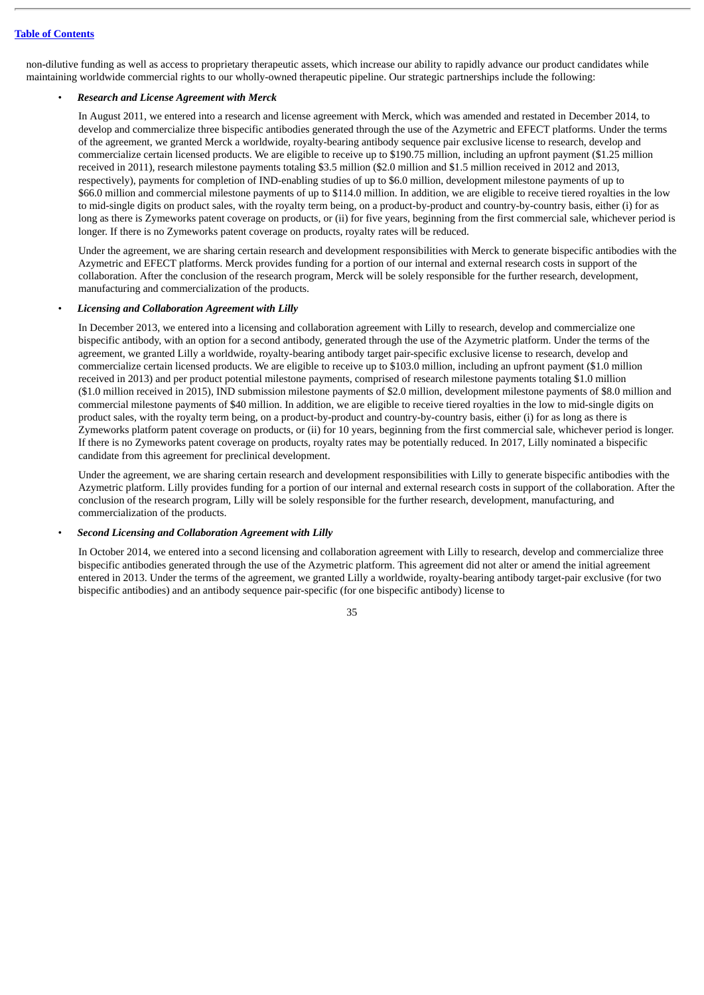non-dilutive funding as well as access to proprietary therapeutic assets, which increase our ability to rapidly advance our product candidates while maintaining worldwide commercial rights to our wholly-owned therapeutic pipeline. Our strategic partnerships include the following:

# • *Research and License Agreement with Merck*

In August 2011, we entered into a research and license agreement with Merck, which was amended and restated in December 2014, to develop and commercialize three bispecific antibodies generated through the use of the Azymetric and EFECT platforms. Under the terms of the agreement, we granted Merck a worldwide, royalty-bearing antibody sequence pair exclusive license to research, develop and commercialize certain licensed products. We are eligible to receive up to \$190.75 million, including an upfront payment (\$1.25 million received in 2011), research milestone payments totaling \$3.5 million (\$2.0 million and \$1.5 million received in 2012 and 2013, respectively), payments for completion of IND-enabling studies of up to \$6.0 million, development milestone payments of up to \$66.0 million and commercial milestone payments of up to \$114.0 million. In addition, we are eligible to receive tiered royalties in the low to mid-single digits on product sales, with the royalty term being, on a product-by-product and country-by-country basis, either (i) for as long as there is Zymeworks patent coverage on products, or (ii) for five years, beginning from the first commercial sale, whichever period is longer. If there is no Zymeworks patent coverage on products, royalty rates will be reduced.

Under the agreement, we are sharing certain research and development responsibilities with Merck to generate bispecific antibodies with the Azymetric and EFECT platforms. Merck provides funding for a portion of our internal and external research costs in support of the collaboration. After the conclusion of the research program, Merck will be solely responsible for the further research, development, manufacturing and commercialization of the products.

## • *Licensing and Collaboration Agreement with Lilly*

In December 2013, we entered into a licensing and collaboration agreement with Lilly to research, develop and commercialize one bispecific antibody, with an option for a second antibody, generated through the use of the Azymetric platform. Under the terms of the agreement, we granted Lilly a worldwide, royalty-bearing antibody target pair-specific exclusive license to research, develop and commercialize certain licensed products. We are eligible to receive up to \$103.0 million, including an upfront payment (\$1.0 million received in 2013) and per product potential milestone payments, comprised of research milestone payments totaling \$1.0 million (\$1.0 million received in 2015), IND submission milestone payments of \$2.0 million, development milestone payments of \$8.0 million and commercial milestone payments of \$40 million. In addition, we are eligible to receive tiered royalties in the low to mid-single digits on product sales, with the royalty term being, on a product-by-product and country-by-country basis, either (i) for as long as there is Zymeworks platform patent coverage on products, or (ii) for 10 years, beginning from the first commercial sale, whichever period is longer. If there is no Zymeworks patent coverage on products, royalty rates may be potentially reduced. In 2017, Lilly nominated a bispecific candidate from this agreement for preclinical development.

Under the agreement, we are sharing certain research and development responsibilities with Lilly to generate bispecific antibodies with the Azymetric platform. Lilly provides funding for a portion of our internal and external research costs in support of the collaboration. After the conclusion of the research program, Lilly will be solely responsible for the further research, development, manufacturing, and commercialization of the products.

### • *Second Licensing and Collaboration Agreement with Lilly*

In October 2014, we entered into a second licensing and collaboration agreement with Lilly to research, develop and commercialize three bispecific antibodies generated through the use of the Azymetric platform. This agreement did not alter or amend the initial agreement entered in 2013. Under the terms of the agreement, we granted Lilly a worldwide, royalty-bearing antibody target-pair exclusive (for two bispecific antibodies) and an antibody sequence pair-specific (for one bispecific antibody) license to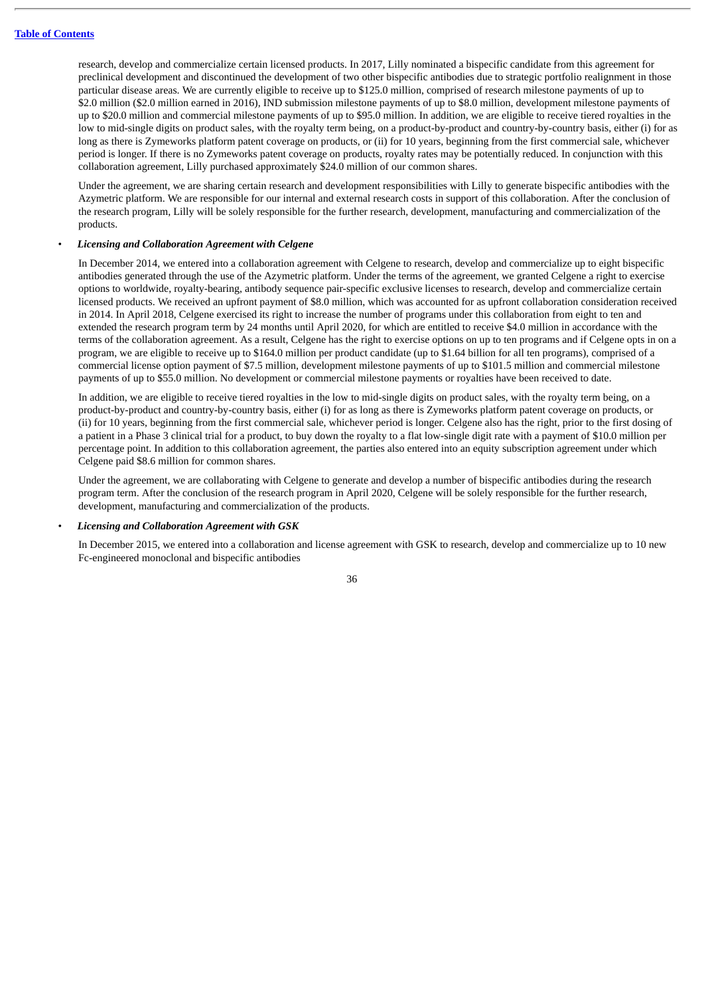research, develop and commercialize certain licensed products. In 2017, Lilly nominated a bispecific candidate from this agreement for preclinical development and discontinued the development of two other bispecific antibodies due to strategic portfolio realignment in those particular disease areas. We are currently eligible to receive up to \$125.0 million, comprised of research milestone payments of up to \$2.0 million (\$2.0 million earned in 2016), IND submission milestone payments of up to \$8.0 million, development milestone payments of up to \$20.0 million and commercial milestone payments of up to \$95.0 million. In addition, we are eligible to receive tiered royalties in the low to mid-single digits on product sales, with the royalty term being, on a product-by-product and country-by-country basis, either (i) for as long as there is Zymeworks platform patent coverage on products, or (ii) for 10 years, beginning from the first commercial sale, whichever period is longer. If there is no Zymeworks patent coverage on products, royalty rates may be potentially reduced. In conjunction with this collaboration agreement, Lilly purchased approximately \$24.0 million of our common shares.

Under the agreement, we are sharing certain research and development responsibilities with Lilly to generate bispecific antibodies with the Azymetric platform. We are responsible for our internal and external research costs in support of this collaboration. After the conclusion of the research program, Lilly will be solely responsible for the further research, development, manufacturing and commercialization of the products.

### • *Licensing and Collaboration Agreement with Celgene*

In December 2014, we entered into a collaboration agreement with Celgene to research, develop and commercialize up to eight bispecific antibodies generated through the use of the Azymetric platform. Under the terms of the agreement, we granted Celgene a right to exercise options to worldwide, royalty-bearing, antibody sequence pair-specific exclusive licenses to research, develop and commercialize certain licensed products. We received an upfront payment of \$8.0 million, which was accounted for as upfront collaboration consideration received in 2014. In April 2018, Celgene exercised its right to increase the number of programs under this collaboration from eight to ten and extended the research program term by 24 months until April 2020, for which are entitled to receive \$4.0 million in accordance with the terms of the collaboration agreement. As a result, Celgene has the right to exercise options on up to ten programs and if Celgene opts in on a program, we are eligible to receive up to \$164.0 million per product candidate (up to \$1.64 billion for all ten programs), comprised of a commercial license option payment of \$7.5 million, development milestone payments of up to \$101.5 million and commercial milestone payments of up to \$55.0 million. No development or commercial milestone payments or royalties have been received to date.

In addition, we are eligible to receive tiered royalties in the low to mid-single digits on product sales, with the royalty term being, on a product-by-product and country-by-country basis, either (i) for as long as there is Zymeworks platform patent coverage on products, or (ii) for 10 years, beginning from the first commercial sale, whichever period is longer. Celgene also has the right, prior to the first dosing of a patient in a Phase 3 clinical trial for a product, to buy down the royalty to a flat low-single digit rate with a payment of \$10.0 million per percentage point. In addition to this collaboration agreement, the parties also entered into an equity subscription agreement under which Celgene paid \$8.6 million for common shares.

Under the agreement, we are collaborating with Celgene to generate and develop a number of bispecific antibodies during the research program term. After the conclusion of the research program in April 2020, Celgene will be solely responsible for the further research, development, manufacturing and commercialization of the products.

## • *Licensing and Collaboration Agreement with GSK*

In December 2015, we entered into a collaboration and license agreement with GSK to research, develop and commercialize up to 10 new Fc-engineered monoclonal and bispecific antibodies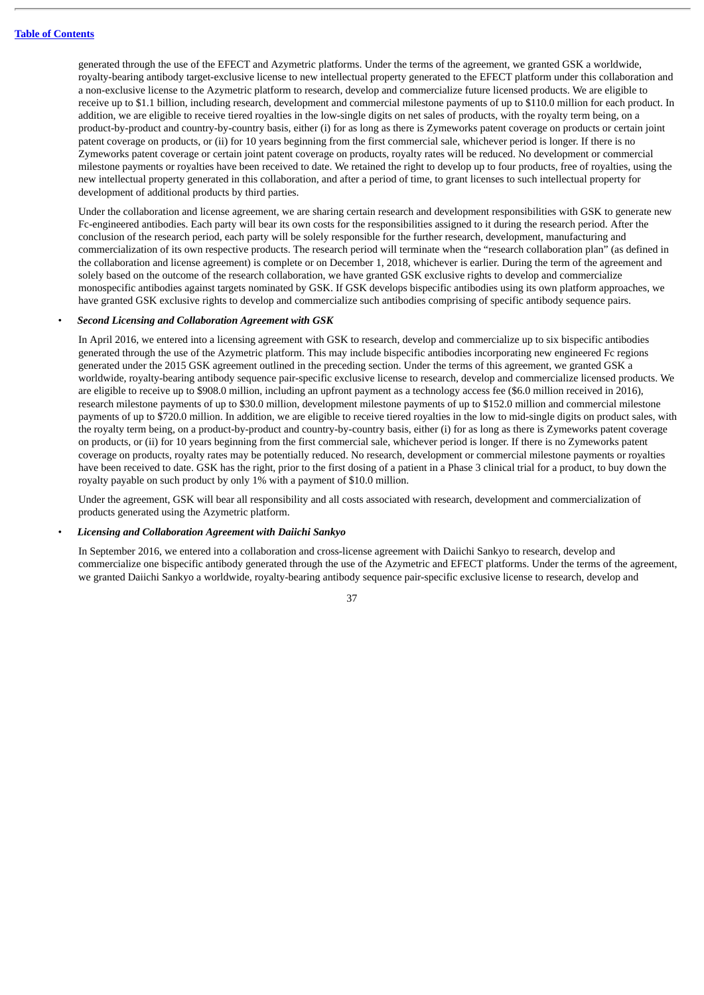generated through the use of the EFECT and Azymetric platforms. Under the terms of the agreement, we granted GSK a worldwide, royalty-bearing antibody target-exclusive license to new intellectual property generated to the EFECT platform under this collaboration and a non-exclusive license to the Azymetric platform to research, develop and commercialize future licensed products. We are eligible to receive up to \$1.1 billion, including research, development and commercial milestone payments of up to \$110.0 million for each product. In addition, we are eligible to receive tiered royalties in the low-single digits on net sales of products, with the royalty term being, on a product-by-product and country-by-country basis, either (i) for as long as there is Zymeworks patent coverage on products or certain joint patent coverage on products, or (ii) for 10 years beginning from the first commercial sale, whichever period is longer. If there is no Zymeworks patent coverage or certain joint patent coverage on products, royalty rates will be reduced. No development or commercial milestone payments or royalties have been received to date. We retained the right to develop up to four products, free of royalties, using the new intellectual property generated in this collaboration, and after a period of time, to grant licenses to such intellectual property for development of additional products by third parties.

Under the collaboration and license agreement, we are sharing certain research and development responsibilities with GSK to generate new Fc-engineered antibodies. Each party will bear its own costs for the responsibilities assigned to it during the research period. After the conclusion of the research period, each party will be solely responsible for the further research, development, manufacturing and commercialization of its own respective products. The research period will terminate when the "research collaboration plan" (as defined in the collaboration and license agreement) is complete or on December 1, 2018, whichever is earlier. During the term of the agreement and solely based on the outcome of the research collaboration, we have granted GSK exclusive rights to develop and commercialize monospecific antibodies against targets nominated by GSK. If GSK develops bispecific antibodies using its own platform approaches, we have granted GSK exclusive rights to develop and commercialize such antibodies comprising of specific antibody sequence pairs.

## • *Second Licensing and Collaboration Agreement with GSK*

In April 2016, we entered into a licensing agreement with GSK to research, develop and commercialize up to six bispecific antibodies generated through the use of the Azymetric platform. This may include bispecific antibodies incorporating new engineered Fc regions generated under the 2015 GSK agreement outlined in the preceding section. Under the terms of this agreement, we granted GSK a worldwide, royalty-bearing antibody sequence pair-specific exclusive license to research, develop and commercialize licensed products. We are eligible to receive up to \$908.0 million, including an upfront payment as a technology access fee (\$6.0 million received in 2016), research milestone payments of up to \$30.0 million, development milestone payments of up to \$152.0 million and commercial milestone payments of up to \$720.0 million. In addition, we are eligible to receive tiered royalties in the low to mid-single digits on product sales, with the royalty term being, on a product-by-product and country-by-country basis, either (i) for as long as there is Zymeworks patent coverage on products, or (ii) for 10 years beginning from the first commercial sale, whichever period is longer. If there is no Zymeworks patent coverage on products, royalty rates may be potentially reduced. No research, development or commercial milestone payments or royalties have been received to date. GSK has the right, prior to the first dosing of a patient in a Phase 3 clinical trial for a product, to buy down the royalty payable on such product by only 1% with a payment of \$10.0 million.

Under the agreement, GSK will bear all responsibility and all costs associated with research, development and commercialization of products generated using the Azymetric platform.

### • *Licensing and Collaboration Agreement with Daiichi Sankyo*

In September 2016, we entered into a collaboration and cross-license agreement with Daiichi Sankyo to research, develop and commercialize one bispecific antibody generated through the use of the Azymetric and EFECT platforms. Under the terms of the agreement, we granted Daiichi Sankyo a worldwide, royalty-bearing antibody sequence pair-specific exclusive license to research, develop and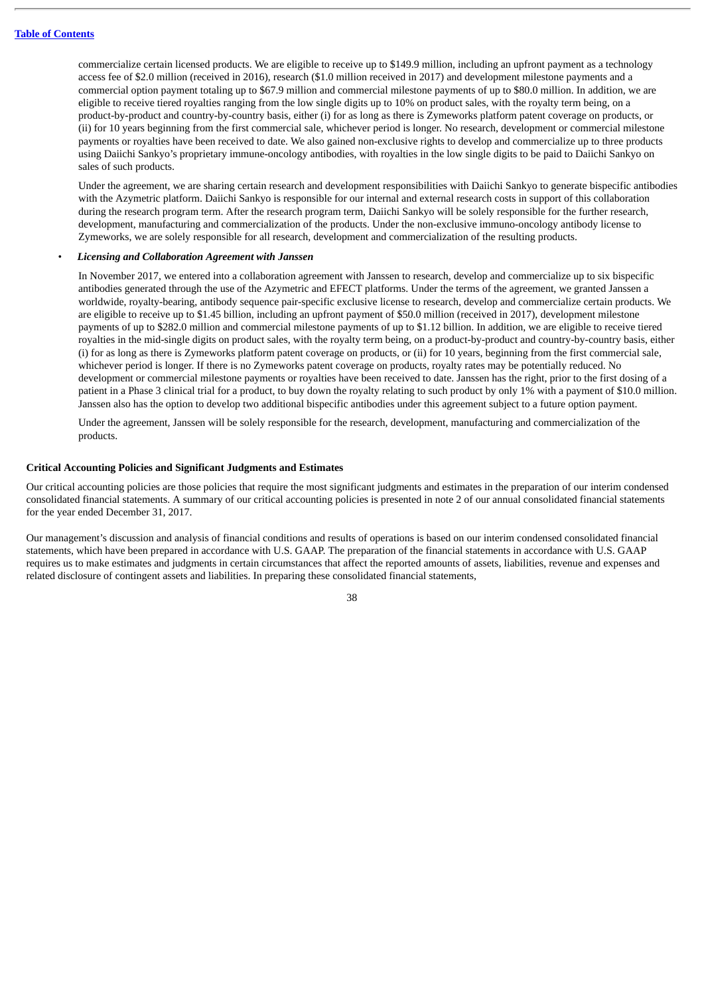commercialize certain licensed products. We are eligible to receive up to \$149.9 million, including an upfront payment as a technology access fee of \$2.0 million (received in 2016), research (\$1.0 million received in 2017) and development milestone payments and a commercial option payment totaling up to \$67.9 million and commercial milestone payments of up to \$80.0 million. In addition, we are eligible to receive tiered royalties ranging from the low single digits up to 10% on product sales, with the royalty term being, on a product-by-product and country-by-country basis, either (i) for as long as there is Zymeworks platform patent coverage on products, or (ii) for 10 years beginning from the first commercial sale, whichever period is longer. No research, development or commercial milestone payments or royalties have been received to date. We also gained non-exclusive rights to develop and commercialize up to three products using Daiichi Sankyo's proprietary immune-oncology antibodies, with royalties in the low single digits to be paid to Daiichi Sankyo on sales of such products.

Under the agreement, we are sharing certain research and development responsibilities with Daiichi Sankyo to generate bispecific antibodies with the Azymetric platform. Daiichi Sankyo is responsible for our internal and external research costs in support of this collaboration during the research program term. After the research program term, Daiichi Sankyo will be solely responsible for the further research, development, manufacturing and commercialization of the products. Under the non-exclusive immuno-oncology antibody license to Zymeworks, we are solely responsible for all research, development and commercialization of the resulting products.

## • *Licensing and Collaboration Agreement with Janssen*

In November 2017, we entered into a collaboration agreement with Janssen to research, develop and commercialize up to six bispecific antibodies generated through the use of the Azymetric and EFECT platforms. Under the terms of the agreement, we granted Janssen a worldwide, royalty-bearing, antibody sequence pair-specific exclusive license to research, develop and commercialize certain products. We are eligible to receive up to \$1.45 billion, including an upfront payment of \$50.0 million (received in 2017), development milestone payments of up to \$282.0 million and commercial milestone payments of up to \$1.12 billion. In addition, we are eligible to receive tiered royalties in the mid-single digits on product sales, with the royalty term being, on a product-by-product and country-by-country basis, either (i) for as long as there is Zymeworks platform patent coverage on products, or (ii) for 10 years, beginning from the first commercial sale, whichever period is longer. If there is no Zymeworks patent coverage on products, royalty rates may be potentially reduced. No development or commercial milestone payments or royalties have been received to date. Janssen has the right, prior to the first dosing of a patient in a Phase 3 clinical trial for a product, to buy down the royalty relating to such product by only 1% with a payment of \$10.0 million. Janssen also has the option to develop two additional bispecific antibodies under this agreement subject to a future option payment.

Under the agreement, Janssen will be solely responsible for the research, development, manufacturing and commercialization of the products.

# **Critical Accounting Policies and Significant Judgments and Estimates**

Our critical accounting policies are those policies that require the most significant judgments and estimates in the preparation of our interim condensed consolidated financial statements. A summary of our critical accounting policies is presented in note 2 of our annual consolidated financial statements for the year ended December 31, 2017.

Our management's discussion and analysis of financial conditions and results of operations is based on our interim condensed consolidated financial statements, which have been prepared in accordance with U.S. GAAP. The preparation of the financial statements in accordance with U.S. GAAP requires us to make estimates and judgments in certain circumstances that affect the reported amounts of assets, liabilities, revenue and expenses and related disclosure of contingent assets and liabilities. In preparing these consolidated financial statements,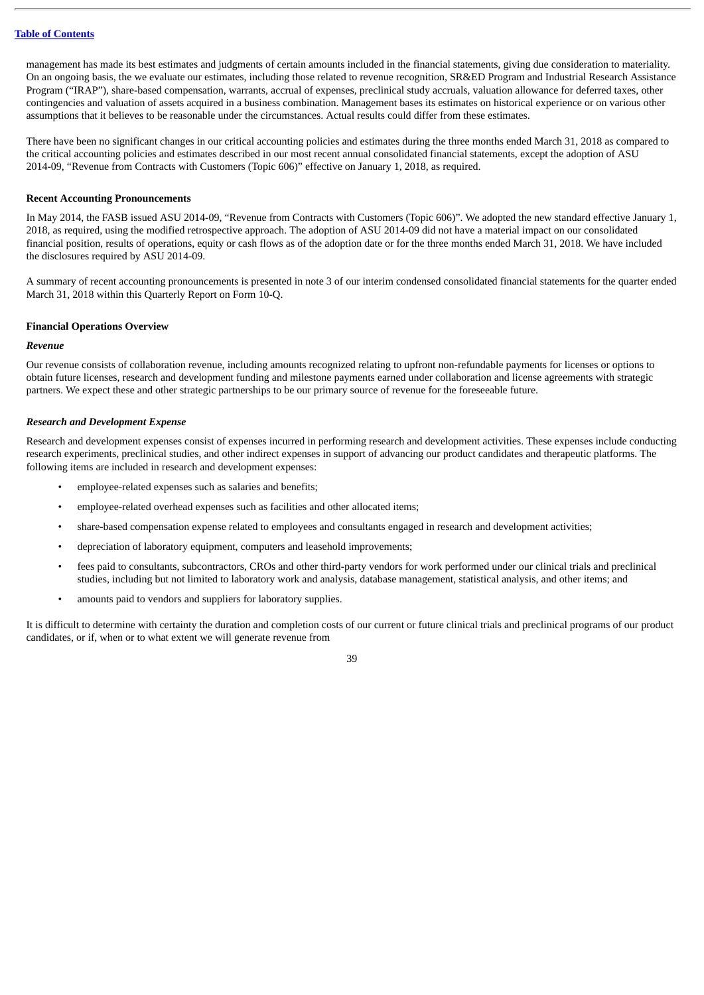management has made its best estimates and judgments of certain amounts included in the financial statements, giving due consideration to materiality. On an ongoing basis, the we evaluate our estimates, including those related to revenue recognition, SR&ED Program and Industrial Research Assistance Program ("IRAP"), share-based compensation, warrants, accrual of expenses, preclinical study accruals, valuation allowance for deferred taxes, other contingencies and valuation of assets acquired in a business combination. Management bases its estimates on historical experience or on various other assumptions that it believes to be reasonable under the circumstances. Actual results could differ from these estimates.

There have been no significant changes in our critical accounting policies and estimates during the three months ended March 31, 2018 as compared to the critical accounting policies and estimates described in our most recent annual consolidated financial statements, except the adoption of ASU 2014-09, "Revenue from Contracts with Customers (Topic 606)" effective on January 1, 2018, as required.

## **Recent Accounting Pronouncements**

In May 2014, the FASB issued ASU 2014-09, "Revenue from Contracts with Customers (Topic 606)". We adopted the new standard effective January 1, 2018, as required, using the modified retrospective approach. The adoption of ASU 2014-09 did not have a material impact on our consolidated financial position, results of operations, equity or cash flows as of the adoption date or for the three months ended March 31, 2018. We have included the disclosures required by ASU 2014-09.

A summary of recent accounting pronouncements is presented in note 3 of our interim condensed consolidated financial statements for the quarter ended March 31, 2018 within this Quarterly Report on Form 10-Q.

### **Financial Operations Overview**

### *Revenue*

Our revenue consists of collaboration revenue, including amounts recognized relating to upfront non-refundable payments for licenses or options to obtain future licenses, research and development funding and milestone payments earned under collaboration and license agreements with strategic partners. We expect these and other strategic partnerships to be our primary source of revenue for the foreseeable future.

## *Research and Development Expense*

Research and development expenses consist of expenses incurred in performing research and development activities. These expenses include conducting research experiments, preclinical studies, and other indirect expenses in support of advancing our product candidates and therapeutic platforms. The following items are included in research and development expenses:

- employee-related expenses such as salaries and benefits;
- employee-related overhead expenses such as facilities and other allocated items;
- share-based compensation expense related to employees and consultants engaged in research and development activities;
- depreciation of laboratory equipment, computers and leasehold improvements;
- fees paid to consultants, subcontractors, CROs and other third-party vendors for work performed under our clinical trials and preclinical studies, including but not limited to laboratory work and analysis, database management, statistical analysis, and other items; and
- amounts paid to vendors and suppliers for laboratory supplies.

It is difficult to determine with certainty the duration and completion costs of our current or future clinical trials and preclinical programs of our product candidates, or if, when or to what extent we will generate revenue from

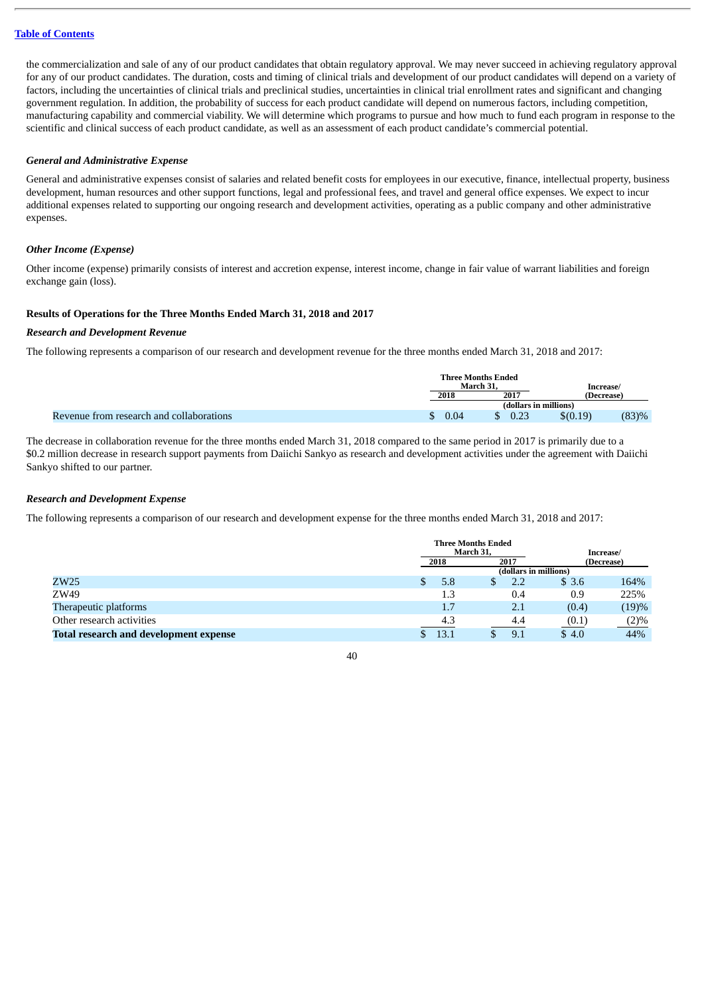the commercialization and sale of any of our product candidates that obtain regulatory approval. We may never succeed in achieving regulatory approval for any of our product candidates. The duration, costs and timing of clinical trials and development of our product candidates will depend on a variety of factors, including the uncertainties of clinical trials and preclinical studies, uncertainties in clinical trial enrollment rates and significant and changing government regulation. In addition, the probability of success for each product candidate will depend on numerous factors, including competition, manufacturing capability and commercial viability. We will determine which programs to pursue and how much to fund each program in response to the scientific and clinical success of each product candidate, as well as an assessment of each product candidate's commercial potential.

## *General and Administrative Expense*

General and administrative expenses consist of salaries and related benefit costs for employees in our executive, finance, intellectual property, business development, human resources and other support functions, legal and professional fees, and travel and general office expenses. We expect to incur additional expenses related to supporting our ongoing research and development activities, operating as a public company and other administrative expenses.

## *Other Income (Expense)*

Other income (expense) primarily consists of interest and accretion expense, interest income, change in fair value of warrant liabilities and foreign exchange gain (loss).

## **Results of Operations for the Three Months Ended March 31, 2018 and 2017**

## *Research and Development Revenue*

The following represents a comparison of our research and development revenue for the three months ended March 31, 2018 and 2017:

|                                          |      | <b>Three Months Ended</b><br>March 31. |          | Increase/  |  |  |  |
|------------------------------------------|------|----------------------------------------|----------|------------|--|--|--|
|                                          | 2018 | 2017                                   |          | (Decrease) |  |  |  |
|                                          |      | (dollars in millions)                  |          |            |  |  |  |
| Revenue from research and collaborations | 0.04 |                                        | \$(0.19) | (83)%      |  |  |  |

The decrease in collaboration revenue for the three months ended March 31, 2018 compared to the same period in 2017 is primarily due to a \$0.2 million decrease in research support payments from Daiichi Sankyo as research and development activities under the agreement with Daiichi Sankyo shifted to our partner.

# *Research and Development Expense*

The following represents a comparison of our research and development expense for the three months ended March 31, 2018 and 2017:

|                                               |     |              | <b>Three Months Ended</b><br>March 31. | Increase/ |                       |            |
|-----------------------------------------------|-----|--------------|----------------------------------------|-----------|-----------------------|------------|
|                                               |     | 2017<br>2018 |                                        |           |                       | (Decrease) |
|                                               |     |              |                                        |           | (dollars in millions) |            |
| ZW25                                          | \$. | 5.8          |                                        | 2.2       | \$ 3.6                | 164%       |
| ZW49                                          |     | 1.3          |                                        | 0.4       | 0.9                   | 225%       |
| Therapeutic platforms                         |     | 1.7          |                                        | 2.1       | (0.4)                 | (19)%      |
| Other research activities                     |     | 4.3          |                                        | 4.4       | (0.1)                 | (2)%       |
| <b>Total research and development expense</b> |     |              |                                        | 9.1       | \$4.0                 | 44%        |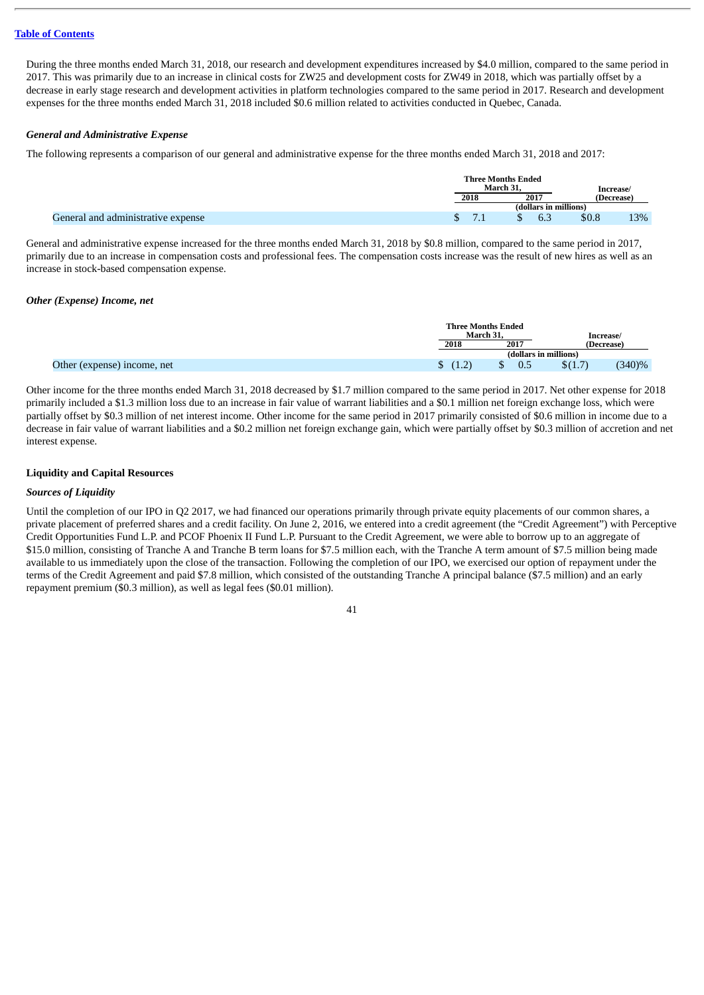During the three months ended March 31, 2018, our research and development expenditures increased by \$4.0 million, compared to the same period in 2017. This was primarily due to an increase in clinical costs for ZW25 and development costs for ZW49 in 2018, which was partially offset by a decrease in early stage research and development activities in platform technologies compared to the same period in 2017. Research and development expenses for the three months ended March 31, 2018 included \$0.6 million related to activities conducted in Quebec, Canada.

### *General and Administrative Expense*

The following represents a comparison of our general and administrative expense for the three months ended March 31, 2018 and 2017:

|                                    |                       | <b>Three Months Ended</b><br>March 31. |             | Increase/  |     |  |  |
|------------------------------------|-----------------------|----------------------------------------|-------------|------------|-----|--|--|
|                                    | 2018<br>2017          |                                        |             | (Decrease) |     |  |  |
|                                    | (dollars in millions) |                                        |             |            |     |  |  |
| General and administrative expense |                       |                                        | $b_{\cdot}$ | \$0.8      | 13% |  |  |

General and administrative expense increased for the three months ended March 31, 2018 by \$0.8 million, compared to the same period in 2017, primarily due to an increase in compensation costs and professional fees. The compensation costs increase was the result of new hires as well as an increase in stock-based compensation expense.

#### *Other (Expense) Income, net*

|                             |       | <b>Three Months Ended</b> |     |         |            |  |  |
|-----------------------------|-------|---------------------------|-----|---------|------------|--|--|
|                             |       | March 31.                 |     |         | Increase/  |  |  |
|                             | 2018  | 2017                      |     |         | (Decrease) |  |  |
|                             |       | (dollars in millions)     |     |         |            |  |  |
| Other (expense) income, net | (1.2) |                           | 0.5 | \$(1.7) | $(340)\%$  |  |  |

Other income for the three months ended March 31, 2018 decreased by \$1.7 million compared to the same period in 2017. Net other expense for 2018 primarily included a \$1.3 million loss due to an increase in fair value of warrant liabilities and a \$0.1 million net foreign exchange loss, which were partially offset by \$0.3 million of net interest income. Other income for the same period in 2017 primarily consisted of \$0.6 million in income due to a decrease in fair value of warrant liabilities and a \$0.2 million net foreign exchange gain, which were partially offset by \$0.3 million of accretion and net interest expense.

## **Liquidity and Capital Resources**

### *Sources of Liquidity*

Until the completion of our IPO in O2 2017, we had financed our operations primarily through private equity placements of our common shares, a private placement of preferred shares and a credit facility. On June 2, 2016, we entered into a credit agreement (the "Credit Agreement") with Perceptive Credit Opportunities Fund L.P. and PCOF Phoenix II Fund L.P. Pursuant to the Credit Agreement, we were able to borrow up to an aggregate of \$15.0 million, consisting of Tranche A and Tranche B term loans for \$7.5 million each, with the Tranche A term amount of \$7.5 million being made available to us immediately upon the close of the transaction. Following the completion of our IPO, we exercised our option of repayment under the terms of the Credit Agreement and paid \$7.8 million, which consisted of the outstanding Tranche A principal balance (\$7.5 million) and an early repayment premium (\$0.3 million), as well as legal fees (\$0.01 million).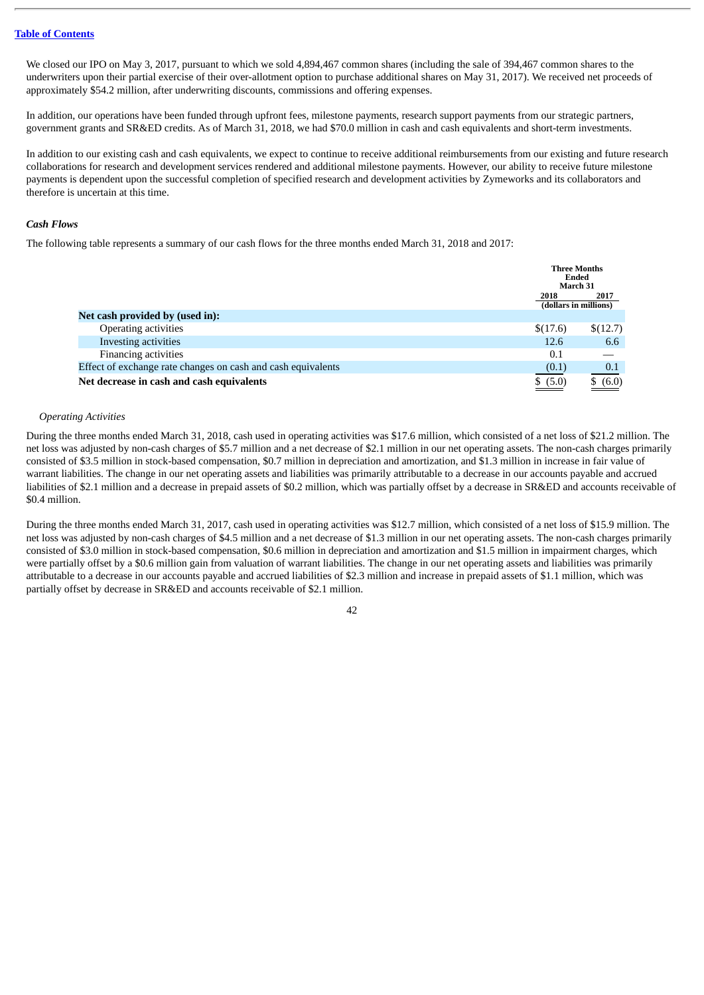We closed our IPO on May 3, 2017, pursuant to which we sold 4,894,467 common shares (including the sale of 394,467 common shares to the underwriters upon their partial exercise of their over-allotment option to purchase additional shares on May 31, 2017). We received net proceeds of approximately \$54.2 million, after underwriting discounts, commissions and offering expenses.

In addition, our operations have been funded through upfront fees, milestone payments, research support payments from our strategic partners, government grants and SR&ED credits. As of March 31, 2018, we had \$70.0 million in cash and cash equivalents and short-term investments.

In addition to our existing cash and cash equivalents, we expect to continue to receive additional reimbursements from our existing and future research collaborations for research and development services rendered and additional milestone payments. However, our ability to receive future milestone payments is dependent upon the successful completion of specified research and development activities by Zymeworks and its collaborators and therefore is uncertain at this time.

# *Cash Flows*

The following table represents a summary of our cash flows for the three months ended March 31, 2018 and 2017:

|                                                              | <b>Three Months</b><br>Ended<br>March 31 |          |
|--------------------------------------------------------------|------------------------------------------|----------|
|                                                              | 2018<br>(dollars in millions)            | 2017     |
| Net cash provided by (used in):                              |                                          |          |
| Operating activities                                         | \$(17.6)                                 | \$(12.7) |
| Investing activities                                         | 12.6                                     | 6.6      |
| Financing activities                                         | 0.1                                      |          |
| Effect of exchange rate changes on cash and cash equivalents | (0.1)                                    | 0.1      |
| Net decrease in cash and cash equivalents                    | \$ (5.0)                                 | (6.0)    |

### *Operating Activities*

During the three months ended March 31, 2018, cash used in operating activities was \$17.6 million, which consisted of a net loss of \$21.2 million. The net loss was adjusted by non-cash charges of \$5.7 million and a net decrease of \$2.1 million in our net operating assets. The non-cash charges primarily consisted of \$3.5 million in stock-based compensation, \$0.7 million in depreciation and amortization, and \$1.3 million in increase in fair value of warrant liabilities. The change in our net operating assets and liabilities was primarily attributable to a decrease in our accounts payable and accrued liabilities of \$2.1 million and a decrease in prepaid assets of \$0.2 million, which was partially offset by a decrease in SR&ED and accounts receivable of \$0.4 million.

During the three months ended March 31, 2017, cash used in operating activities was \$12.7 million, which consisted of a net loss of \$15.9 million. The net loss was adjusted by non-cash charges of \$4.5 million and a net decrease of \$1.3 million in our net operating assets. The non-cash charges primarily consisted of \$3.0 million in stock-based compensation, \$0.6 million in depreciation and amortization and \$1.5 million in impairment charges, which were partially offset by a \$0.6 million gain from valuation of warrant liabilities. The change in our net operating assets and liabilities was primarily attributable to a decrease in our accounts payable and accrued liabilities of \$2.3 million and increase in prepaid assets of \$1.1 million, which was partially offset by decrease in SR&ED and accounts receivable of \$2.1 million.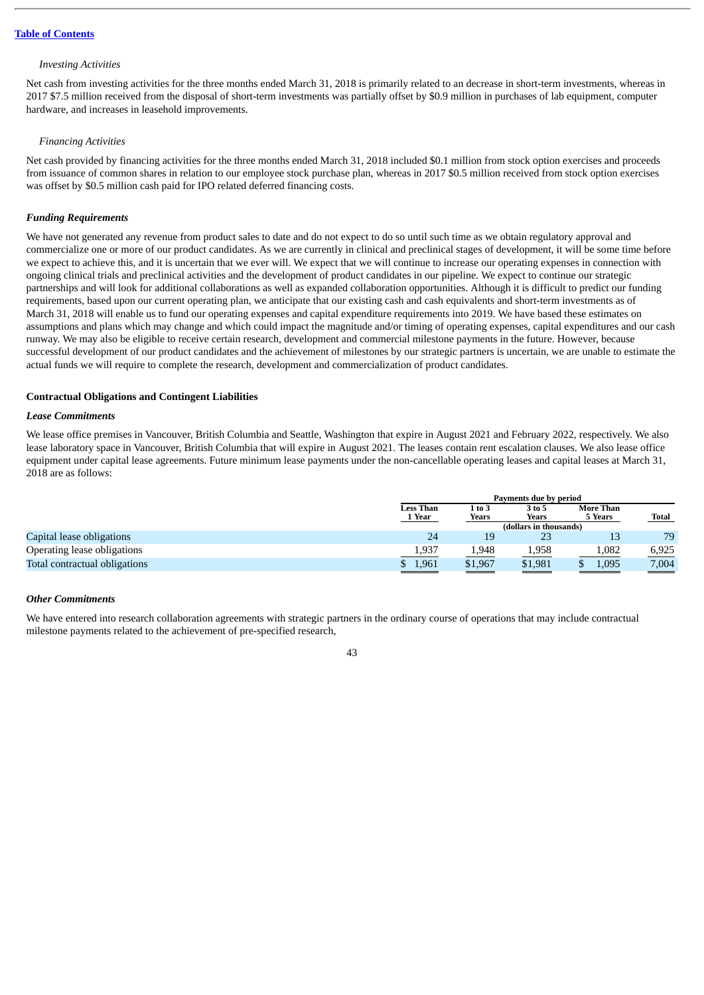### *Investing Activities*

Net cash from investing activities for the three months ended March 31, 2018 is primarily related to an decrease in short-term investments, whereas in 2017 \$7.5 million received from the disposal of short-term investments was partially offset by \$0.9 million in purchases of lab equipment, computer hardware, and increases in leasehold improvements.

### *Financing Activities*

Net cash provided by financing activities for the three months ended March 31, 2018 included \$0.1 million from stock option exercises and proceeds from issuance of common shares in relation to our employee stock purchase plan, whereas in 2017 \$0.5 million received from stock option exercises was offset by \$0.5 million cash paid for IPO related deferred financing costs.

### *Funding Requirements*

We have not generated any revenue from product sales to date and do not expect to do so until such time as we obtain regulatory approval and commercialize one or more of our product candidates. As we are currently in clinical and preclinical stages of development, it will be some time before we expect to achieve this, and it is uncertain that we ever will. We expect that we will continue to increase our operating expenses in connection with ongoing clinical trials and preclinical activities and the development of product candidates in our pipeline. We expect to continue our strategic partnerships and will look for additional collaborations as well as expanded collaboration opportunities. Although it is difficult to predict our funding requirements, based upon our current operating plan, we anticipate that our existing cash and cash equivalents and short-term investments as of March 31, 2018 will enable us to fund our operating expenses and capital expenditure requirements into 2019. We have based these estimates on assumptions and plans which may change and which could impact the magnitude and/or timing of operating expenses, capital expenditures and our cash runway. We may also be eligible to receive certain research, development and commercial milestone payments in the future. However, because successful development of our product candidates and the achievement of milestones by our strategic partners is uncertain, we are unable to estimate the actual funds we will require to complete the research, development and commercialization of product candidates.

## **Contractual Obligations and Contingent Liabilities**

### *Lease Commitments*

We lease office premises in Vancouver, British Columbia and Seattle, Washington that expire in August 2021 and February 2022, respectively. We also lease laboratory space in Vancouver, British Columbia that will expire in August 2021. The leases contain rent escalation clauses. We also lease office equipment under capital lease agreements. Future minimum lease payments under the non-cancellable operating leases and capital leases at March 31, 2018 are as follows:

|                               | Payments due by period                       |                 |                  |                             |                |  |  |  |  |
|-------------------------------|----------------------------------------------|-----------------|------------------|-----------------------------|----------------|--|--|--|--|
|                               | <b>Less Than</b><br>1 Year                   | 1 to 3<br>Years | 3 to 5<br>Years  | <b>More Than</b><br>5 Years | Total          |  |  |  |  |
|                               | (dollars in thousands)                       |                 |                  |                             |                |  |  |  |  |
| Capital lease obligations     | 24                                           | 19              | 23               | 13                          | 79             |  |  |  |  |
| Operating lease obligations   | 1,937                                        | 1,948           | 1,958            | 1,082                       | 6,925          |  |  |  |  |
| Total contractual obligations | 1,961<br>and the contract of the contract of | \$1,967         | \$1,981<br>_____ | 1,095                       | 7,004<br>_____ |  |  |  |  |

### *Other Commitments*

We have entered into research collaboration agreements with strategic partners in the ordinary course of operations that may include contractual milestone payments related to the achievement of pre-specified research,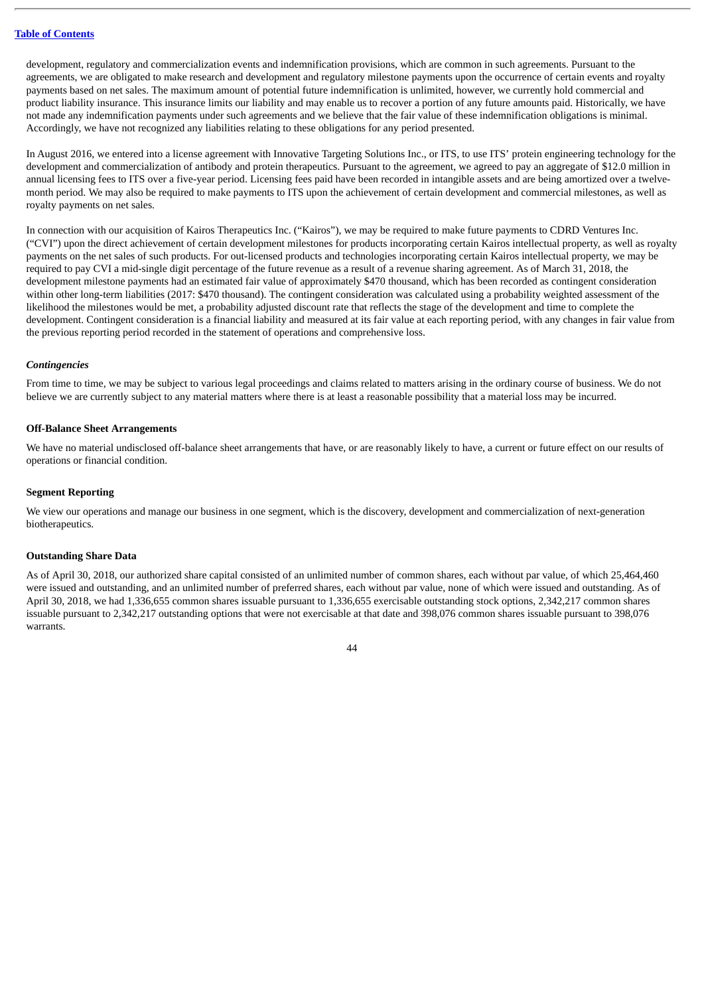development, regulatory and commercialization events and indemnification provisions, which are common in such agreements. Pursuant to the agreements, we are obligated to make research and development and regulatory milestone payments upon the occurrence of certain events and royalty payments based on net sales. The maximum amount of potential future indemnification is unlimited, however, we currently hold commercial and product liability insurance. This insurance limits our liability and may enable us to recover a portion of any future amounts paid. Historically, we have not made any indemnification payments under such agreements and we believe that the fair value of these indemnification obligations is minimal. Accordingly, we have not recognized any liabilities relating to these obligations for any period presented.

In August 2016, we entered into a license agreement with Innovative Targeting Solutions Inc., or ITS, to use ITS' protein engineering technology for the development and commercialization of antibody and protein therapeutics. Pursuant to the agreement, we agreed to pay an aggregate of \$12.0 million in annual licensing fees to ITS over a five-year period. Licensing fees paid have been recorded in intangible assets and are being amortized over a twelvemonth period. We may also be required to make payments to ITS upon the achievement of certain development and commercial milestones, as well as royalty payments on net sales.

In connection with our acquisition of Kairos Therapeutics Inc. ("Kairos"), we may be required to make future payments to CDRD Ventures Inc. ("CVI") upon the direct achievement of certain development milestones for products incorporating certain Kairos intellectual property, as well as royalty payments on the net sales of such products. For out-licensed products and technologies incorporating certain Kairos intellectual property, we may be required to pay CVI a mid-single digit percentage of the future revenue as a result of a revenue sharing agreement. As of March 31, 2018, the development milestone payments had an estimated fair value of approximately \$470 thousand, which has been recorded as contingent consideration within other long-term liabilities (2017: \$470 thousand). The contingent consideration was calculated using a probability weighted assessment of the likelihood the milestones would be met, a probability adjusted discount rate that reflects the stage of the development and time to complete the development. Contingent consideration is a financial liability and measured at its fair value at each reporting period, with any changes in fair value from the previous reporting period recorded in the statement of operations and comprehensive loss.

## *Contingencies*

From time to time, we may be subject to various legal proceedings and claims related to matters arising in the ordinary course of business. We do not believe we are currently subject to any material matters where there is at least a reasonable possibility that a material loss may be incurred.

## **Off-Balance Sheet Arrangements**

We have no material undisclosed off-balance sheet arrangements that have, or are reasonably likely to have, a current or future effect on our results of operations or financial condition.

## **Segment Reporting**

We view our operations and manage our business in one segment, which is the discovery, development and commercialization of next-generation biotherapeutics.

### **Outstanding Share Data**

As of April 30, 2018, our authorized share capital consisted of an unlimited number of common shares, each without par value, of which 25,464,460 were issued and outstanding, and an unlimited number of preferred shares, each without par value, none of which were issued and outstanding. As of April 30, 2018, we had 1,336,655 common shares issuable pursuant to 1,336,655 exercisable outstanding stock options, 2,342,217 common shares issuable pursuant to 2,342,217 outstanding options that were not exercisable at that date and 398,076 common shares issuable pursuant to 398,076 warrants.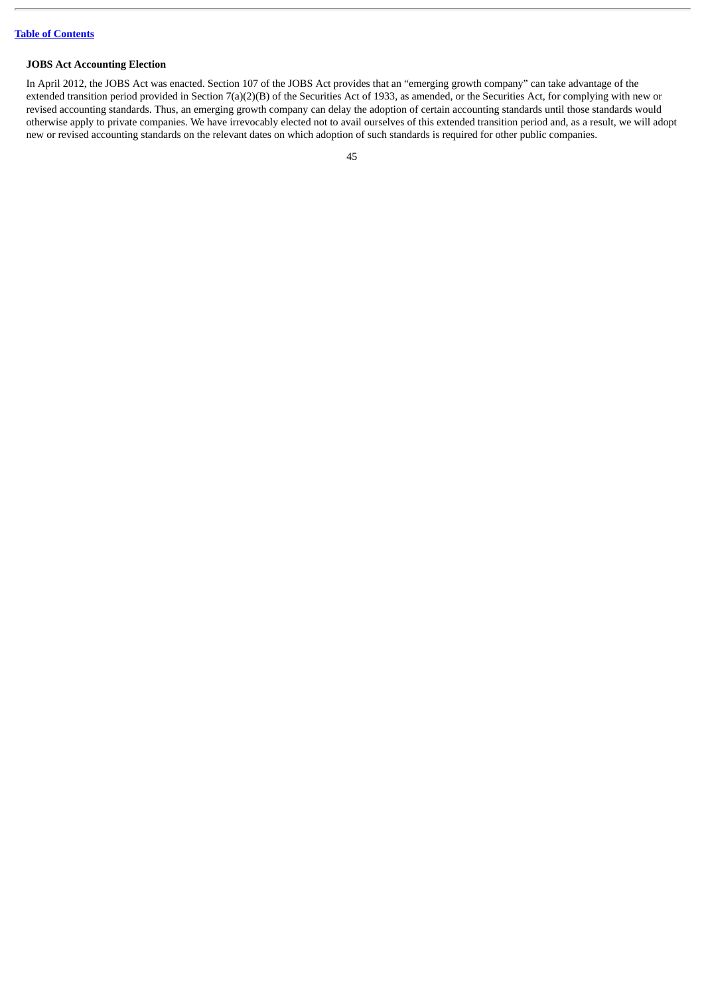# **JOBS Act Accounting Election**

In April 2012, the JOBS Act was enacted. Section 107 of the JOBS Act provides that an "emerging growth company" can take advantage of the extended transition period provided in Section 7(a)(2)(B) of the Securities Act of 1933, as amended, or the Securities Act, for complying with new or revised accounting standards. Thus, an emerging growth company can delay the adoption of certain accounting standards until those standards would otherwise apply to private companies. We have irrevocably elected not to avail ourselves of this extended transition period and, as a result, we will adopt new or revised accounting standards on the relevant dates on which adoption of such standards is required for other public companies.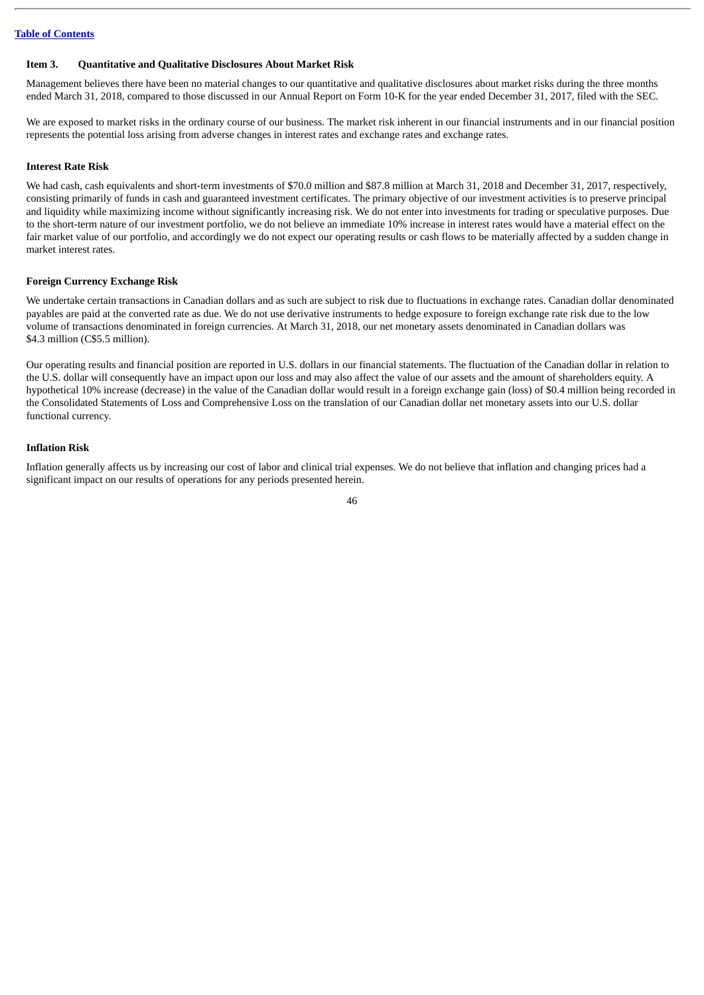# **Item 3. Quantitative and Qualitative Disclosures About Market Risk**

Management believes there have been no material changes to our quantitative and qualitative disclosures about market risks during the three months ended March 31, 2018, compared to those discussed in our Annual Report on Form 10-K for the year ended December 31, 2017, filed with the SEC.

We are exposed to market risks in the ordinary course of our business. The market risk inherent in our financial instruments and in our financial position represents the potential loss arising from adverse changes in interest rates and exchange rates and exchange rates.

# **Interest Rate Risk**

We had cash, cash equivalents and short-term investments of \$70.0 million and \$87.8 million at March 31, 2018 and December 31, 2017, respectively, consisting primarily of funds in cash and guaranteed investment certificates. The primary objective of our investment activities is to preserve principal and liquidity while maximizing income without significantly increasing risk. We do not enter into investments for trading or speculative purposes. Due to the short-term nature of our investment portfolio, we do not believe an immediate 10% increase in interest rates would have a material effect on the fair market value of our portfolio, and accordingly we do not expect our operating results or cash flows to be materially affected by a sudden change in market interest rates.

# **Foreign Currency Exchange Risk**

We undertake certain transactions in Canadian dollars and as such are subject to risk due to fluctuations in exchange rates. Canadian dollar denominated payables are paid at the converted rate as due. We do not use derivative instruments to hedge exposure to foreign exchange rate risk due to the low volume of transactions denominated in foreign currencies. At March 31, 2018, our net monetary assets denominated in Canadian dollars was \$4.3 million (C\$5.5 million).

Our operating results and financial position are reported in U.S. dollars in our financial statements. The fluctuation of the Canadian dollar in relation to the U.S. dollar will consequently have an impact upon our loss and may also affect the value of our assets and the amount of shareholders equity. A hypothetical 10% increase (decrease) in the value of the Canadian dollar would result in a foreign exchange gain (loss) of \$0.4 million being recorded in the Consolidated Statements of Loss and Comprehensive Loss on the translation of our Canadian dollar net monetary assets into our U.S. dollar functional currency.

## **Inflation Risk**

Inflation generally affects us by increasing our cost of labor and clinical trial expenses. We do not believe that inflation and changing prices had a significant impact on our results of operations for any periods presented herein.

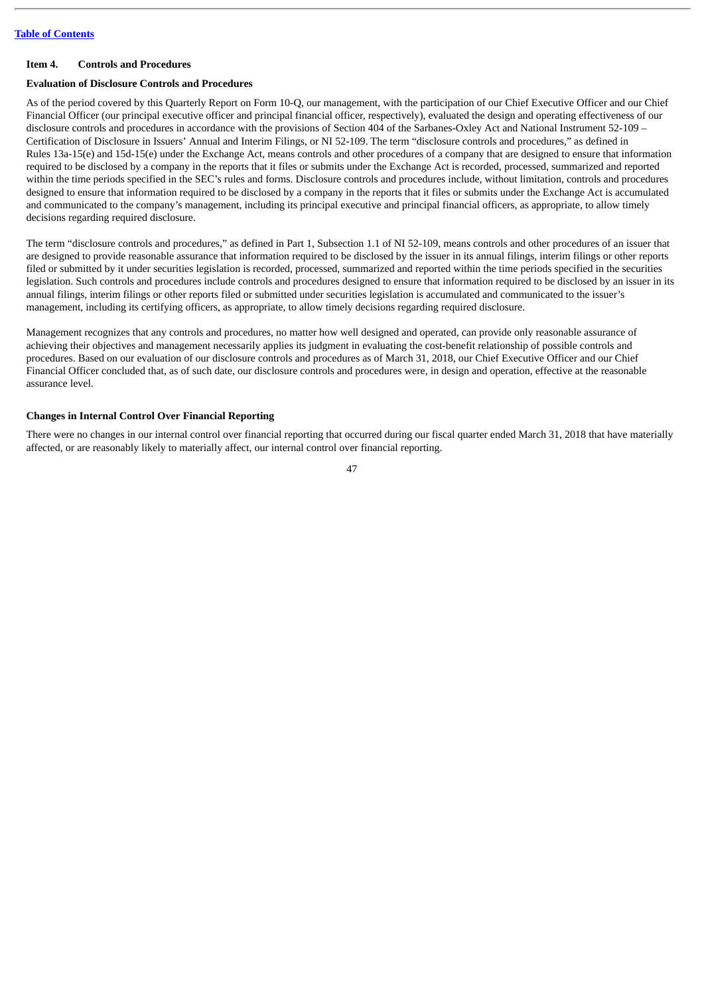# **Item 4. Controls and Procedures**

## **Evaluation of Disclosure Controls and Procedures**

As of the period covered by this Quarterly Report on Form 10-Q, our management, with the participation of our Chief Executive Officer and our Chief Financial Officer (our principal executive officer and principal financial officer, respectively), evaluated the design and operating effectiveness of our disclosure controls and procedures in accordance with the provisions of Section 404 of the Sarbanes-Oxley Act and National Instrument 52-109 – Certification of Disclosure in Issuers' Annual and Interim Filings, or NI 52-109. The term "disclosure controls and procedures," as defined in Rules 13a-15(e) and 15d-15(e) under the Exchange Act, means controls and other procedures of a company that are designed to ensure that information required to be disclosed by a company in the reports that it files or submits under the Exchange Act is recorded, processed, summarized and reported within the time periods specified in the SEC's rules and forms. Disclosure controls and procedures include, without limitation, controls and procedures designed to ensure that information required to be disclosed by a company in the reports that it files or submits under the Exchange Act is accumulated and communicated to the company's management, including its principal executive and principal financial officers, as appropriate, to allow timely decisions regarding required disclosure.

The term "disclosure controls and procedures," as defined in Part 1, Subsection 1.1 of NI 52-109, means controls and other procedures of an issuer that are designed to provide reasonable assurance that information required to be disclosed by the issuer in its annual filings, interim filings or other reports filed or submitted by it under securities legislation is recorded, processed, summarized and reported within the time periods specified in the securities legislation. Such controls and procedures include controls and procedures designed to ensure that information required to be disclosed by an issuer in its annual filings, interim filings or other reports filed or submitted under securities legislation is accumulated and communicated to the issuer's management, including its certifying officers, as appropriate, to allow timely decisions regarding required disclosure.

Management recognizes that any controls and procedures, no matter how well designed and operated, can provide only reasonable assurance of achieving their objectives and management necessarily applies its judgment in evaluating the cost-benefit relationship of possible controls and procedures. Based on our evaluation of our disclosure controls and procedures as of March 31, 2018, our Chief Executive Officer and our Chief Financial Officer concluded that, as of such date, our disclosure controls and procedures were, in design and operation, effective at the reasonable assurance level.

## **Changes in Internal Control Over Financial Reporting**

There were no changes in our internal control over financial reporting that occurred during our fiscal quarter ended March 31, 2018 that have materially affected, or are reasonably likely to materially affect, our internal control over financial reporting.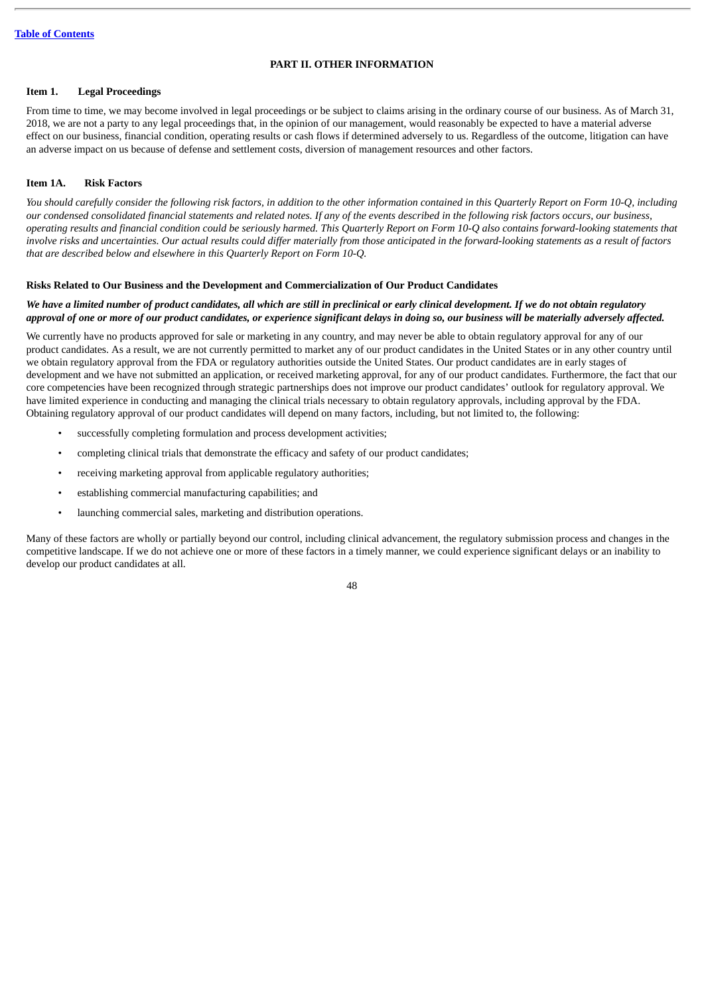# **PART II. OTHER INFORMATION**

## **Item 1. Legal Proceedings**

From time to time, we may become involved in legal proceedings or be subject to claims arising in the ordinary course of our business. As of March 31, 2018, we are not a party to any legal proceedings that, in the opinion of our management, would reasonably be expected to have a material adverse effect on our business, financial condition, operating results or cash flows if determined adversely to us. Regardless of the outcome, litigation can have an adverse impact on us because of defense and settlement costs, diversion of management resources and other factors.

# **Item 1A. Risk Factors**

You should carefully consider the followina risk factors, in addition to the other information contained in this Quarterly Report on Form 10-O, includina our condensed consolidated financial statements and related notes. If any of the events described in the following risk factors occurs, our business, operating results and financial condition could be seriously harmed. This Quarterly Report on Form 10-Q also contains forward-looking statements that involve risks and uncertainties. Our actual results could differ materially from those anticipated in the forward-looking statements as a result of factors *that are described below and elsewhere in this Quarterly Report on Form 10-Q.*

## **Risks Related to Our Business and the Development and Commercialization of Our Product Candidates**

## We have a limited number of product candidates, all which are still in preclinical or early clinical development. If we do not obtain regulatory approval of one or more of our product candidates, or experience significant delays in doing so, our business will be materially adversely affected.

We currently have no products approved for sale or marketing in any country, and may never be able to obtain regulatory approval for any of our product candidates. As a result, we are not currently permitted to market any of our product candidates in the United States or in any other country until we obtain regulatory approval from the FDA or regulatory authorities outside the United States. Our product candidates are in early stages of development and we have not submitted an application, or received marketing approval, for any of our product candidates. Furthermore, the fact that our core competencies have been recognized through strategic partnerships does not improve our product candidates' outlook for regulatory approval. We have limited experience in conducting and managing the clinical trials necessary to obtain regulatory approvals, including approval by the FDA. Obtaining regulatory approval of our product candidates will depend on many factors, including, but not limited to, the following:

- successfully completing formulation and process development activities;
- completing clinical trials that demonstrate the efficacy and safety of our product candidates;
- receiving marketing approval from applicable regulatory authorities;
- establishing commercial manufacturing capabilities; and
- launching commercial sales, marketing and distribution operations.

Many of these factors are wholly or partially beyond our control, including clinical advancement, the regulatory submission process and changes in the competitive landscape. If we do not achieve one or more of these factors in a timely manner, we could experience significant delays or an inability to develop our product candidates at all.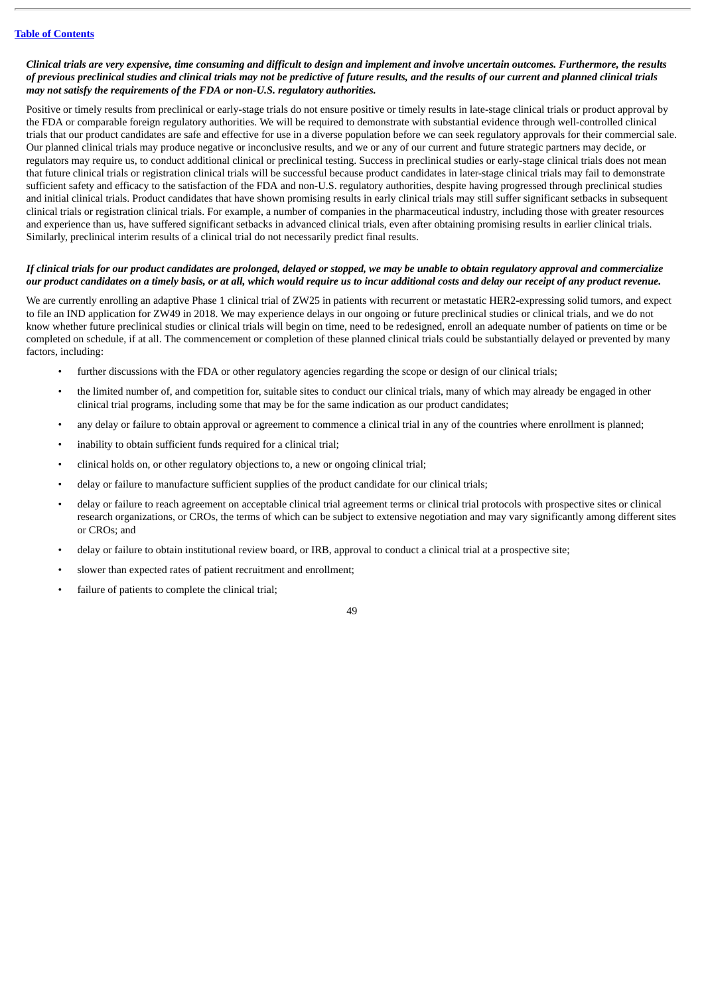# Clinical trials are very expensive, time consuming and difficult to design and implement and involve uncertain outcomes. Furthermore, the results of previous preclinical studies and clinical trials may not be predictive of future results, and the results of our current and planned clinical trials *may not satisfy the requirements of the FDA or non-U.S. regulatory authorities.*

Positive or timely results from preclinical or early-stage trials do not ensure positive or timely results in late-stage clinical trials or product approval by the FDA or comparable foreign regulatory authorities. We will be required to demonstrate with substantial evidence through well-controlled clinical trials that our product candidates are safe and effective for use in a diverse population before we can seek regulatory approvals for their commercial sale. Our planned clinical trials may produce negative or inconclusive results, and we or any of our current and future strategic partners may decide, or regulators may require us, to conduct additional clinical or preclinical testing. Success in preclinical studies or early-stage clinical trials does not mean that future clinical trials or registration clinical trials will be successful because product candidates in later-stage clinical trials may fail to demonstrate sufficient safety and efficacy to the satisfaction of the FDA and non-U.S. regulatory authorities, despite having progressed through preclinical studies and initial clinical trials. Product candidates that have shown promising results in early clinical trials may still suffer significant setbacks in subsequent clinical trials or registration clinical trials. For example, a number of companies in the pharmaceutical industry, including those with greater resources and experience than us, have suffered significant setbacks in advanced clinical trials, even after obtaining promising results in earlier clinical trials. Similarly, preclinical interim results of a clinical trial do not necessarily predict final results.

## If clinical trials for our product candidates are prolonaed, delaved or stopped, we may be unable to obtain reaulatory approval and commercialize our product candidates on a timely basis, or at all, which would require us to incur additional costs and delay our receipt of any product revenue.

We are currently enrolling an adaptive Phase 1 clinical trial of ZW25 in patients with recurrent or metastatic HER2-expressing solid tumors, and expect to file an IND application for ZW49 in 2018. We may experience delays in our ongoing or future preclinical studies or clinical trials, and we do not know whether future preclinical studies or clinical trials will begin on time, need to be redesigned, enroll an adequate number of patients on time or be completed on schedule, if at all. The commencement or completion of these planned clinical trials could be substantially delayed or prevented by many factors, including:

- further discussions with the FDA or other regulatory agencies regarding the scope or design of our clinical trials;
- the limited number of, and competition for, suitable sites to conduct our clinical trials, many of which may already be engaged in other clinical trial programs, including some that may be for the same indication as our product candidates;
- any delay or failure to obtain approval or agreement to commence a clinical trial in any of the countries where enrollment is planned;
- inability to obtain sufficient funds required for a clinical trial;
- clinical holds on, or other regulatory objections to, a new or ongoing clinical trial;
- delay or failure to manufacture sufficient supplies of the product candidate for our clinical trials;
- delay or failure to reach agreement on acceptable clinical trial agreement terms or clinical trial protocols with prospective sites or clinical research organizations, or CROs, the terms of which can be subject to extensive negotiation and may vary significantly among different sites or CROs; and
- delay or failure to obtain institutional review board, or IRB, approval to conduct a clinical trial at a prospective site;
- slower than expected rates of patient recruitment and enrollment;
- failure of patients to complete the clinical trial;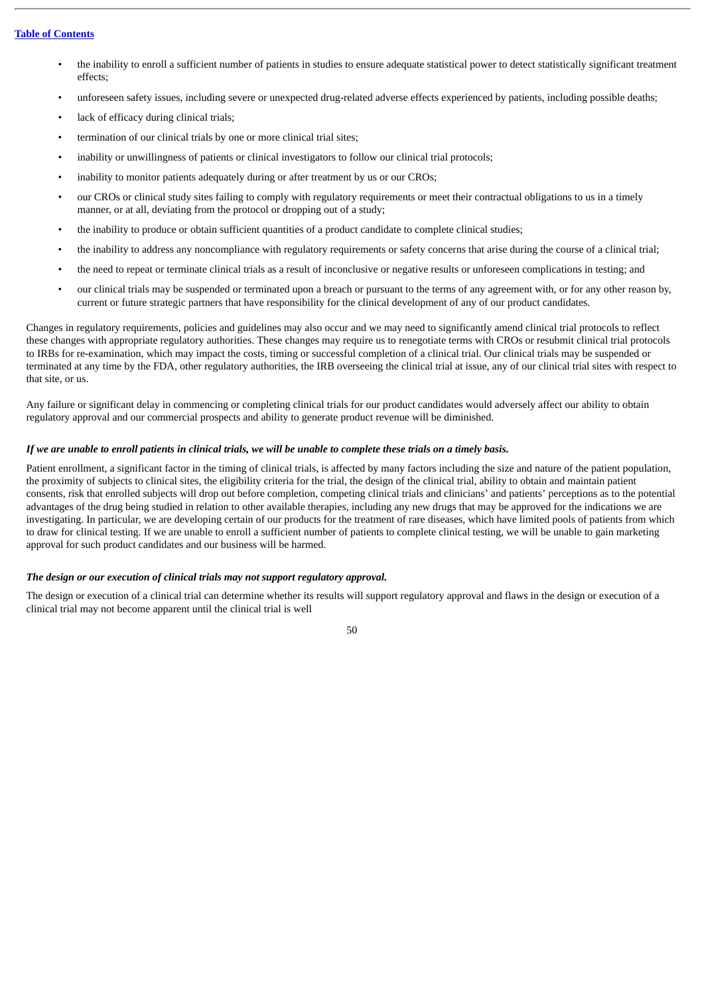- the inability to enroll a sufficient number of patients in studies to ensure adequate statistical power to detect statistically significant treatment effects;
- unforeseen safety issues, including severe or unexpected drug-related adverse effects experienced by patients, including possible deaths;
- lack of efficacy during clinical trials:
- termination of our clinical trials by one or more clinical trial sites;
- inability or unwillingness of patients or clinical investigators to follow our clinical trial protocols;
- inability to monitor patients adequately during or after treatment by us or our CROs;
- our CROs or clinical study sites failing to comply with regulatory requirements or meet their contractual obligations to us in a timely manner, or at all, deviating from the protocol or dropping out of a study;
- the inability to produce or obtain sufficient quantities of a product candidate to complete clinical studies;
- the inability to address any noncompliance with regulatory requirements or safety concerns that arise during the course of a clinical trial;
- the need to repeat or terminate clinical trials as a result of inconclusive or negative results or unforeseen complications in testing; and
- our clinical trials may be suspended or terminated upon a breach or pursuant to the terms of any agreement with, or for any other reason by, current or future strategic partners that have responsibility for the clinical development of any of our product candidates.

Changes in regulatory requirements, policies and guidelines may also occur and we may need to significantly amend clinical trial protocols to reflect these changes with appropriate regulatory authorities. These changes may require us to renegotiate terms with CROs or resubmit clinical trial protocols to IRBs for re-examination, which may impact the costs, timing or successful completion of a clinical trial. Our clinical trials may be suspended or terminated at any time by the FDA, other regulatory authorities, the IRB overseeing the clinical trial at issue, any of our clinical trial sites with respect to that site, or us.

Any failure or significant delay in commencing or completing clinical trials for our product candidates would adversely affect our ability to obtain regulatory approval and our commercial prospects and ability to generate product revenue will be diminished.

## If we are unable to enroll patients in clinical trials, we will be unable to complete these trials on a timely basis.

Patient enrollment, a significant factor in the timing of clinical trials, is affected by many factors including the size and nature of the patient population, the proximity of subjects to clinical sites, the eligibility criteria for the trial, the design of the clinical trial, ability to obtain and maintain patient consents, risk that enrolled subjects will drop out before completion, competing clinical trials and clinicians' and patients' perceptions as to the potential advantages of the drug being studied in relation to other available therapies, including any new drugs that may be approved for the indications we are investigating. In particular, we are developing certain of our products for the treatment of rare diseases, which have limited pools of patients from which to draw for clinical testing. If we are unable to enroll a sufficient number of patients to complete clinical testing, we will be unable to gain marketing approval for such product candidates and our business will be harmed.

# *The design or our execution of clinical trials may not support regulatory approval.*

The design or execution of a clinical trial can determine whether its results will support regulatory approval and flaws in the design or execution of a clinical trial may not become apparent until the clinical trial is well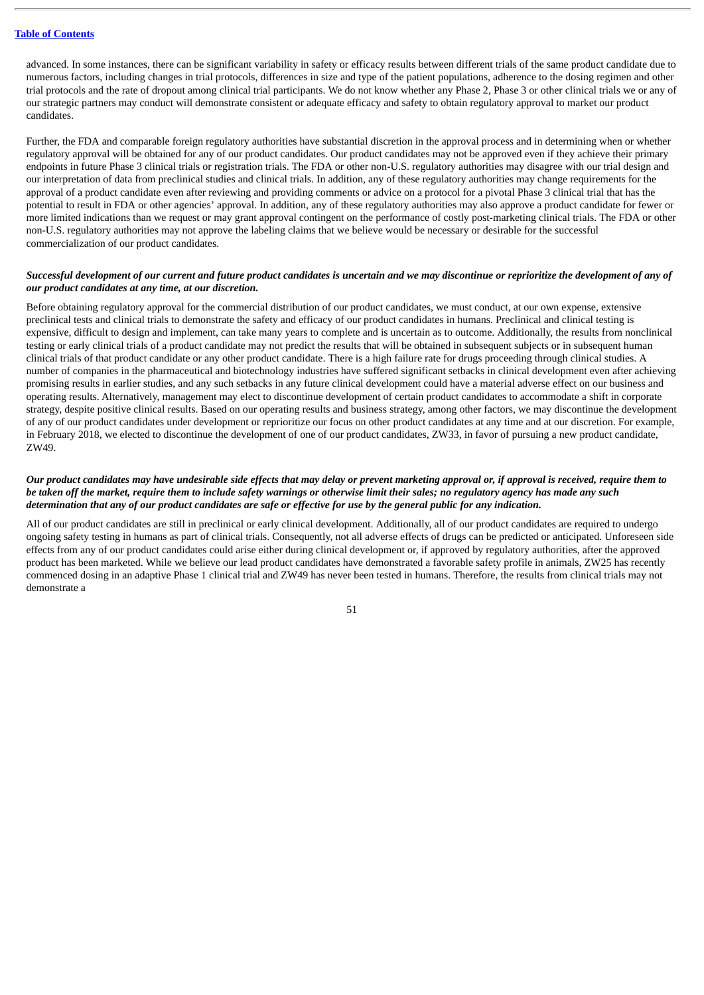advanced. In some instances, there can be significant variability in safety or efficacy results between different trials of the same product candidate due to numerous factors, including changes in trial protocols, differences in size and type of the patient populations, adherence to the dosing regimen and other trial protocols and the rate of dropout among clinical trial participants. We do not know whether any Phase 2, Phase 3 or other clinical trials we or any of our strategic partners may conduct will demonstrate consistent or adequate efficacy and safety to obtain regulatory approval to market our product candidates.

Further, the FDA and comparable foreign regulatory authorities have substantial discretion in the approval process and in determining when or whether regulatory approval will be obtained for any of our product candidates. Our product candidates may not be approved even if they achieve their primary endpoints in future Phase 3 clinical trials or registration trials. The FDA or other non-U.S. regulatory authorities may disagree with our trial design and our interpretation of data from preclinical studies and clinical trials. In addition, any of these regulatory authorities may change requirements for the approval of a product candidate even after reviewing and providing comments or advice on a protocol for a pivotal Phase 3 clinical trial that has the potential to result in FDA or other agencies' approval. In addition, any of these regulatory authorities may also approve a product candidate for fewer or more limited indications than we request or may grant approval contingent on the performance of costly post-marketing clinical trials. The FDA or other non-U.S. regulatory authorities may not approve the labeling claims that we believe would be necessary or desirable for the successful commercialization of our product candidates.

## Successful development of our current and future product candidates is uncertain and we may discontinue or reprioritize the development of any of *our product candidates at any time, at our discretion.*

Before obtaining regulatory approval for the commercial distribution of our product candidates, we must conduct, at our own expense, extensive preclinical tests and clinical trials to demonstrate the safety and efficacy of our product candidates in humans. Preclinical and clinical testing is expensive, difficult to design and implement, can take many years to complete and is uncertain as to outcome. Additionally, the results from nonclinical testing or early clinical trials of a product candidate may not predict the results that will be obtained in subsequent subjects or in subsequent human clinical trials of that product candidate or any other product candidate. There is a high failure rate for drugs proceeding through clinical studies. A number of companies in the pharmaceutical and biotechnology industries have suffered significant setbacks in clinical development even after achieving promising results in earlier studies, and any such setbacks in any future clinical development could have a material adverse effect on our business and operating results. Alternatively, management may elect to discontinue development of certain product candidates to accommodate a shift in corporate strategy, despite positive clinical results. Based on our operating results and business strategy, among other factors, we may discontinue the development of any of our product candidates under development or reprioritize our focus on other product candidates at any time and at our discretion. For example, in February 2018, we elected to discontinue the development of one of our product candidates, ZW33, in favor of pursuing a new product candidate, ZW49.

# Our product candidates may have undesirable side effects that may delay or prevent marketing approval or, if approval is received, require them to be taken off the market, require them to include safety warnings or otherwise limit their sales; no requlatory agency has made any such determination that any of our product candidates are safe or effective for use by the general public for any indication.

All of our product candidates are still in preclinical or early clinical development. Additionally, all of our product candidates are required to undergo ongoing safety testing in humans as part of clinical trials. Consequently, not all adverse effects of drugs can be predicted or anticipated. Unforeseen side effects from any of our product candidates could arise either during clinical development or, if approved by regulatory authorities, after the approved product has been marketed. While we believe our lead product candidates have demonstrated a favorable safety profile in animals, ZW25 has recently commenced dosing in an adaptive Phase 1 clinical trial and ZW49 has never been tested in humans. Therefore, the results from clinical trials may not demonstrate a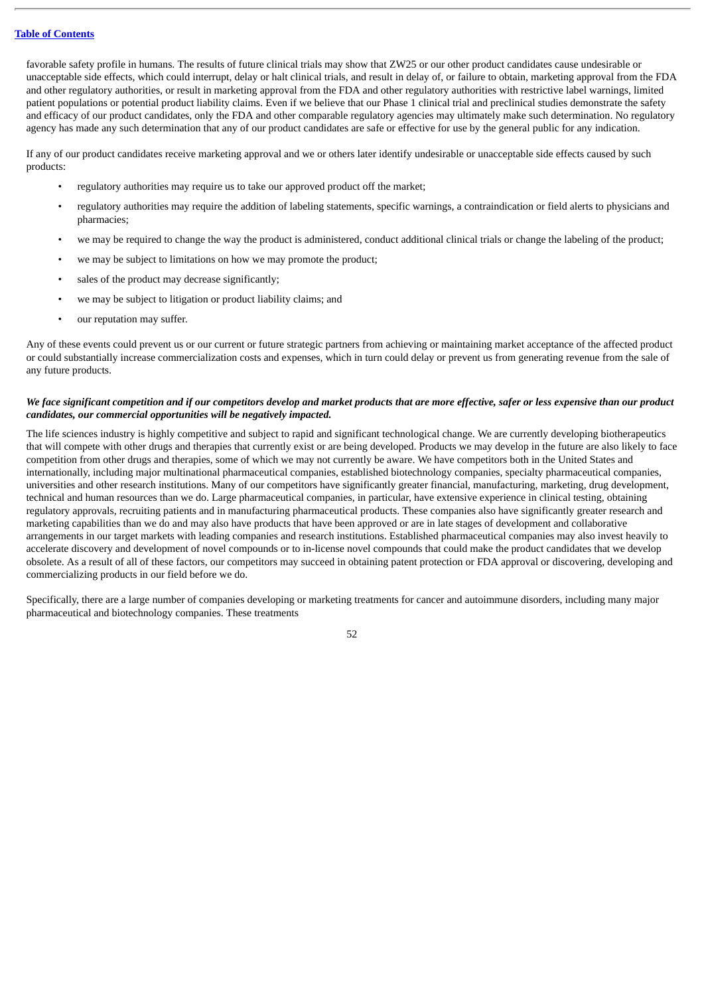favorable safety profile in humans. The results of future clinical trials may show that ZW25 or our other product candidates cause undesirable or unacceptable side effects, which could interrupt, delay or halt clinical trials, and result in delay of, or failure to obtain, marketing approval from the FDA and other regulatory authorities, or result in marketing approval from the FDA and other regulatory authorities with restrictive label warnings, limited patient populations or potential product liability claims. Even if we believe that our Phase 1 clinical trial and preclinical studies demonstrate the safety and efficacy of our product candidates, only the FDA and other comparable regulatory agencies may ultimately make such determination. No regulatory agency has made any such determination that any of our product candidates are safe or effective for use by the general public for any indication.

If any of our product candidates receive marketing approval and we or others later identify undesirable or unacceptable side effects caused by such products:

- regulatory authorities may require us to take our approved product off the market;
- regulatory authorities may require the addition of labeling statements, specific warnings, a contraindication or field alerts to physicians and pharmacies;
- we may be required to change the way the product is administered, conduct additional clinical trials or change the labeling of the product;
- we may be subject to limitations on how we may promote the product;
- sales of the product may decrease significantly;
- we may be subject to litigation or product liability claims; and
- our reputation may suffer.

Any of these events could prevent us or our current or future strategic partners from achieving or maintaining market acceptance of the affected product or could substantially increase commercialization costs and expenses, which in turn could delay or prevent us from generating revenue from the sale of any future products.

# We face significant competition and if our competitors develop and market products that are more effective, safer or less expensive than our product *candidates, our commercial opportunities will be negatively impacted.*

The life sciences industry is highly competitive and subject to rapid and significant technological change. We are currently developing biotherapeutics that will compete with other drugs and therapies that currently exist or are being developed. Products we may develop in the future are also likely to face competition from other drugs and therapies, some of which we may not currently be aware. We have competitors both in the United States and internationally, including major multinational pharmaceutical companies, established biotechnology companies, specialty pharmaceutical companies, universities and other research institutions. Many of our competitors have significantly greater financial, manufacturing, marketing, drug development, technical and human resources than we do. Large pharmaceutical companies, in particular, have extensive experience in clinical testing, obtaining regulatory approvals, recruiting patients and in manufacturing pharmaceutical products. These companies also have significantly greater research and marketing capabilities than we do and may also have products that have been approved or are in late stages of development and collaborative arrangements in our target markets with leading companies and research institutions. Established pharmaceutical companies may also invest heavily to accelerate discovery and development of novel compounds or to in-license novel compounds that could make the product candidates that we develop obsolete. As a result of all of these factors, our competitors may succeed in obtaining patent protection or FDA approval or discovering, developing and commercializing products in our field before we do.

Specifically, there are a large number of companies developing or marketing treatments for cancer and autoimmune disorders, including many major pharmaceutical and biotechnology companies. These treatments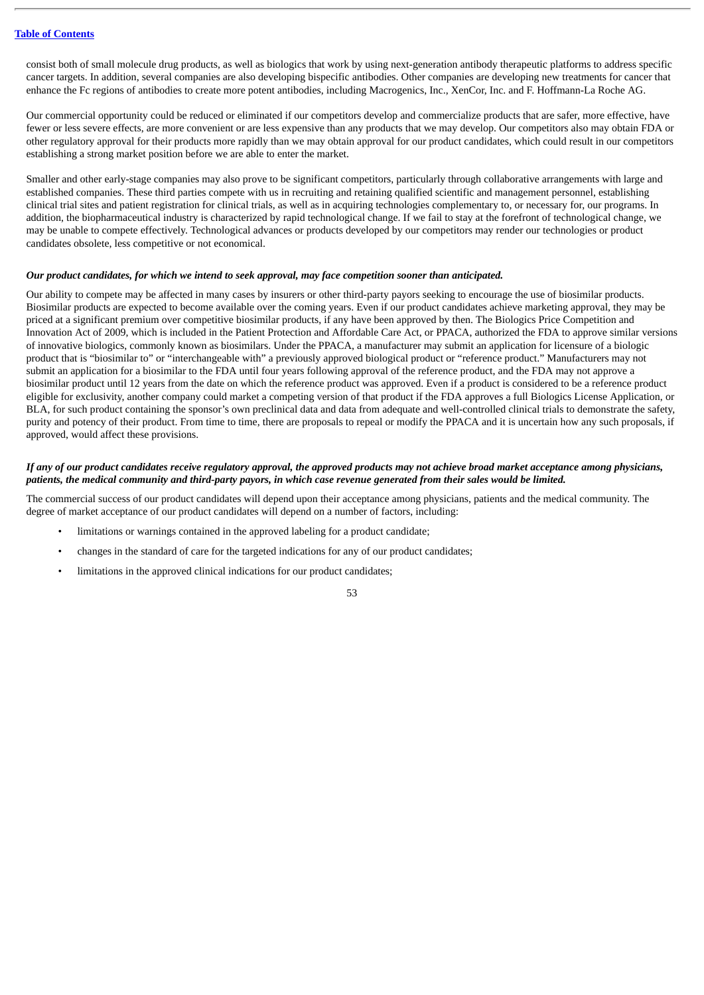consist both of small molecule drug products, as well as biologics that work by using next-generation antibody therapeutic platforms to address specific cancer targets. In addition, several companies are also developing bispecific antibodies. Other companies are developing new treatments for cancer that enhance the Fc regions of antibodies to create more potent antibodies, including Macrogenics, Inc., XenCor, Inc. and F. Hoffmann-La Roche AG.

Our commercial opportunity could be reduced or eliminated if our competitors develop and commercialize products that are safer, more effective, have fewer or less severe effects, are more convenient or are less expensive than any products that we may develop. Our competitors also may obtain FDA or other regulatory approval for their products more rapidly than we may obtain approval for our product candidates, which could result in our competitors establishing a strong market position before we are able to enter the market.

Smaller and other early-stage companies may also prove to be significant competitors, particularly through collaborative arrangements with large and established companies. These third parties compete with us in recruiting and retaining qualified scientific and management personnel, establishing clinical trial sites and patient registration for clinical trials, as well as in acquiring technologies complementary to, or necessary for, our programs. In addition, the biopharmaceutical industry is characterized by rapid technological change. If we fail to stay at the forefront of technological change, we may be unable to compete effectively. Technological advances or products developed by our competitors may render our technologies or product candidates obsolete, less competitive or not economical.

## *Our product candidates, for which we intend to seek approval, may face competition sooner than anticipated.*

Our ability to compete may be affected in many cases by insurers or other third-party payors seeking to encourage the use of biosimilar products. Biosimilar products are expected to become available over the coming years. Even if our product candidates achieve marketing approval, they may be priced at a significant premium over competitive biosimilar products, if any have been approved by then. The Biologics Price Competition and Innovation Act of 2009, which is included in the Patient Protection and Affordable Care Act, or PPACA, authorized the FDA to approve similar versions of innovative biologics, commonly known as biosimilars. Under the PPACA, a manufacturer may submit an application for licensure of a biologic product that is "biosimilar to" or "interchangeable with" a previously approved biological product or "reference product." Manufacturers may not submit an application for a biosimilar to the FDA until four years following approval of the reference product, and the FDA may not approve a biosimilar product until 12 years from the date on which the reference product was approved. Even if a product is considered to be a reference product eligible for exclusivity, another company could market a competing version of that product if the FDA approves a full Biologics License Application, or BLA, for such product containing the sponsor's own preclinical data and data from adequate and well-controlled clinical trials to demonstrate the safety, purity and potency of their product. From time to time, there are proposals to repeal or modify the PPACA and it is uncertain how any such proposals, if approved, would affect these provisions.

## If any of our product candidates receive regulatory approval, the approved products may not achieve broad market acceptance among physicians, patients, the medical community and third-party payors, in which case revenue generated from their sales would be limited.

The commercial success of our product candidates will depend upon their acceptance among physicians, patients and the medical community. The degree of market acceptance of our product candidates will depend on a number of factors, including:

- limitations or warnings contained in the approved labeling for a product candidate;
- changes in the standard of care for the targeted indications for any of our product candidates;
- limitations in the approved clinical indications for our product candidates;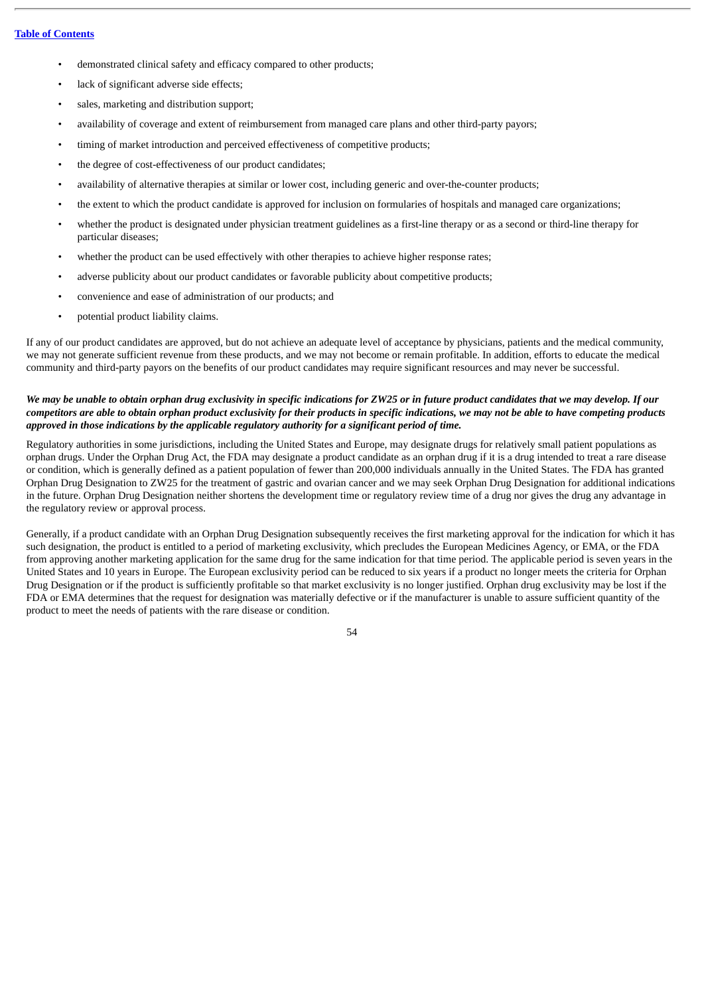- demonstrated clinical safety and efficacy compared to other products;
- lack of significant adverse side effects:
- sales, marketing and distribution support;
- availability of coverage and extent of reimbursement from managed care plans and other third-party payors;
- timing of market introduction and perceived effectiveness of competitive products;
- the degree of cost-effectiveness of our product candidates;
- availability of alternative therapies at similar or lower cost, including generic and over-the-counter products;
- the extent to which the product candidate is approved for inclusion on formularies of hospitals and managed care organizations;
- whether the product is designated under physician treatment guidelines as a first-line therapy or as a second or third-line therapy for particular diseases;
- whether the product can be used effectively with other therapies to achieve higher response rates;
- adverse publicity about our product candidates or favorable publicity about competitive products;
- convenience and ease of administration of our products; and
- potential product liability claims.

If any of our product candidates are approved, but do not achieve an adequate level of acceptance by physicians, patients and the medical community, we may not generate sufficient revenue from these products, and we may not become or remain profitable. In addition, efforts to educate the medical community and third-party payors on the benefits of our product candidates may require significant resources and may never be successful.

# We may be unable to obtain orphan drug exclusivity in specific indications for ZW25 or in future product candidates that we may develop. If our competitors are able to obtain orphan product exclusivity for their products in specific indications, we may not be able to have competing products *approved in those indications by the applicable regulatory authority for a significant period of time.*

Regulatory authorities in some jurisdictions, including the United States and Europe, may designate drugs for relatively small patient populations as orphan drugs. Under the Orphan Drug Act, the FDA may designate a product candidate as an orphan drug if it is a drug intended to treat a rare disease or condition, which is generally defined as a patient population of fewer than 200,000 individuals annually in the United States. The FDA has granted Orphan Drug Designation to ZW25 for the treatment of gastric and ovarian cancer and we may seek Orphan Drug Designation for additional indications in the future. Orphan Drug Designation neither shortens the development time or regulatory review time of a drug nor gives the drug any advantage in the regulatory review or approval process.

Generally, if a product candidate with an Orphan Drug Designation subsequently receives the first marketing approval for the indication for which it has such designation, the product is entitled to a period of marketing exclusivity, which precludes the European Medicines Agency, or EMA, or the FDA from approving another marketing application for the same drug for the same indication for that time period. The applicable period is seven years in the United States and 10 years in Europe. The European exclusivity period can be reduced to six years if a product no longer meets the criteria for Orphan Drug Designation or if the product is sufficiently profitable so that market exclusivity is no longer justified. Orphan drug exclusivity may be lost if the FDA or EMA determines that the request for designation was materially defective or if the manufacturer is unable to assure sufficient quantity of the product to meet the needs of patients with the rare disease or condition.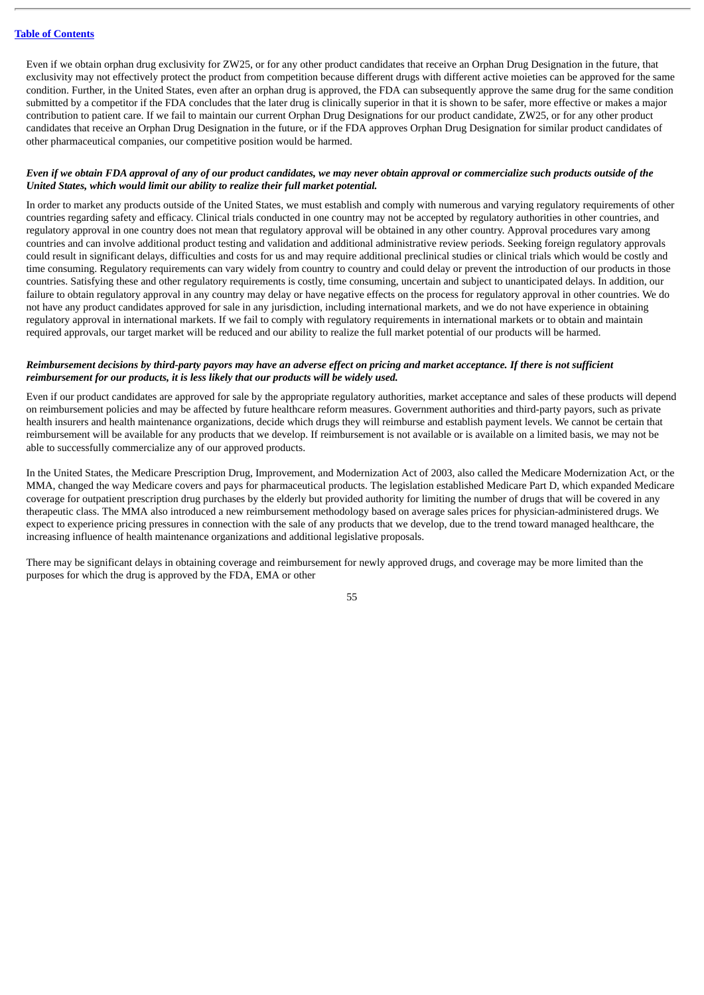Even if we obtain orphan drug exclusivity for ZW25, or for any other product candidates that receive an Orphan Drug Designation in the future, that exclusivity may not effectively protect the product from competition because different drugs with different active moieties can be approved for the same condition. Further, in the United States, even after an orphan drug is approved, the FDA can subsequently approve the same drug for the same condition submitted by a competitor if the FDA concludes that the later drug is clinically superior in that it is shown to be safer, more effective or makes a major contribution to patient care. If we fail to maintain our current Orphan Drug Designations for our product candidate, ZW25, or for any other product candidates that receive an Orphan Drug Designation in the future, or if the FDA approves Orphan Drug Designation for similar product candidates of other pharmaceutical companies, our competitive position would be harmed.

# Even if we obtain FDA approval of any of our product candidates, we may never obtain approval or commercialize such products outside of the *United States, which would limit our ability to realize their full market potential.*

In order to market any products outside of the United States, we must establish and comply with numerous and varying regulatory requirements of other countries regarding safety and efficacy. Clinical trials conducted in one country may not be accepted by regulatory authorities in other countries, and regulatory approval in one country does not mean that regulatory approval will be obtained in any other country. Approval procedures vary among countries and can involve additional product testing and validation and additional administrative review periods. Seeking foreign regulatory approvals could result in significant delays, difficulties and costs for us and may require additional preclinical studies or clinical trials which would be costly and time consuming. Regulatory requirements can vary widely from country to country and could delay or prevent the introduction of our products in those countries. Satisfying these and other regulatory requirements is costly, time consuming, uncertain and subject to unanticipated delays. In addition, our failure to obtain regulatory approval in any country may delay or have negative effects on the process for regulatory approval in other countries. We do not have any product candidates approved for sale in any jurisdiction, including international markets, and we do not have experience in obtaining regulatory approval in international markets. If we fail to comply with regulatory requirements in international markets or to obtain and maintain required approvals, our target market will be reduced and our ability to realize the full market potential of our products will be harmed.

## Reimbursement decisions by third-party payors may have an adverse effect on pricing and market acceptance. If there is not sufficient *reimbursement for our products, it is less likely that our products will be widely used.*

Even if our product candidates are approved for sale by the appropriate regulatory authorities, market acceptance and sales of these products will depend on reimbursement policies and may be affected by future healthcare reform measures. Government authorities and third-party payors, such as private health insurers and health maintenance organizations, decide which drugs they will reimburse and establish payment levels. We cannot be certain that reimbursement will be available for any products that we develop. If reimbursement is not available or is available on a limited basis, we may not be able to successfully commercialize any of our approved products.

In the United States, the Medicare Prescription Drug, Improvement, and Modernization Act of 2003, also called the Medicare Modernization Act, or the MMA, changed the way Medicare covers and pays for pharmaceutical products. The legislation established Medicare Part D, which expanded Medicare coverage for outpatient prescription drug purchases by the elderly but provided authority for limiting the number of drugs that will be covered in any therapeutic class. The MMA also introduced a new reimbursement methodology based on average sales prices for physician-administered drugs. We expect to experience pricing pressures in connection with the sale of any products that we develop, due to the trend toward managed healthcare, the increasing influence of health maintenance organizations and additional legislative proposals.

There may be significant delays in obtaining coverage and reimbursement for newly approved drugs, and coverage may be more limited than the purposes for which the drug is approved by the FDA, EMA or other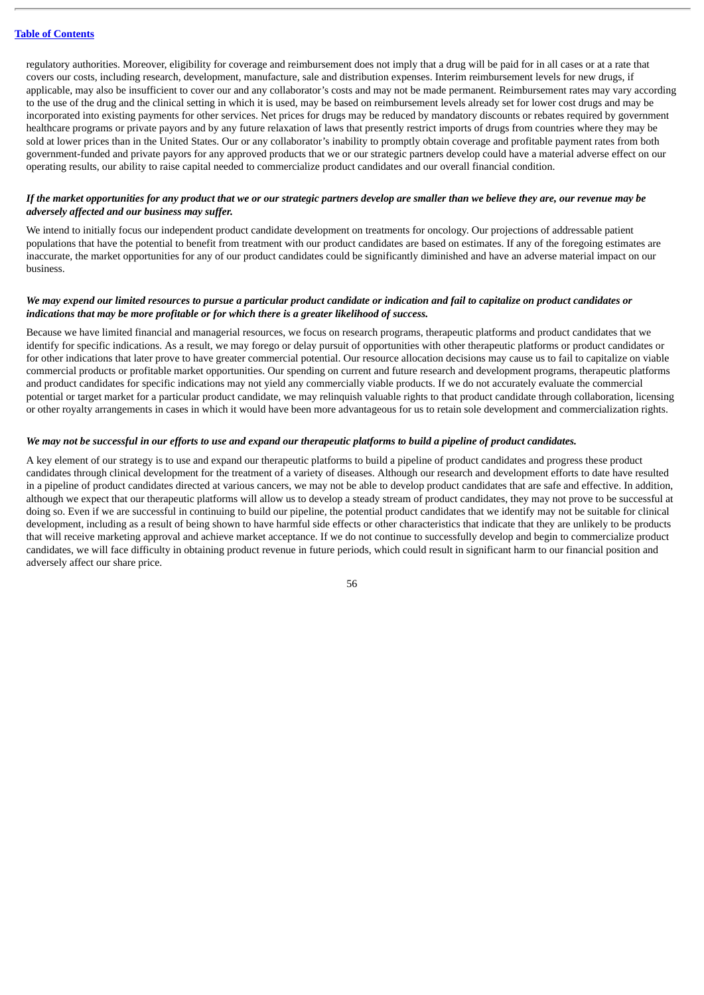regulatory authorities. Moreover, eligibility for coverage and reimbursement does not imply that a drug will be paid for in all cases or at a rate that covers our costs, including research, development, manufacture, sale and distribution expenses. Interim reimbursement levels for new drugs, if applicable, may also be insufficient to cover our and any collaborator's costs and may not be made permanent. Reimbursement rates may vary according to the use of the drug and the clinical setting in which it is used, may be based on reimbursement levels already set for lower cost drugs and may be incorporated into existing payments for other services. Net prices for drugs may be reduced by mandatory discounts or rebates required by government healthcare programs or private payors and by any future relaxation of laws that presently restrict imports of drugs from countries where they may be sold at lower prices than in the United States. Our or any collaborator's inability to promptly obtain coverage and profitable payment rates from both government-funded and private payors for any approved products that we or our strategic partners develop could have a material adverse effect on our operating results, our ability to raise capital needed to commercialize product candidates and our overall financial condition.

## If the market opportunities for any product that we or our strategic partners develop are smaller than we believe they are, our revenue may be *adversely affected and our business may suffer.*

We intend to initially focus our independent product candidate development on treatments for oncology. Our projections of addressable patient populations that have the potential to benefit from treatment with our product candidates are based on estimates. If any of the foregoing estimates are inaccurate, the market opportunities for any of our product candidates could be significantly diminished and have an adverse material impact on our business.

## We may expend our limited resources to pursue a particular product candidate or indication and fail to capitalize on product candidates or *indications that may be more profitable or for which there is a greater likelihood of success.*

Because we have limited financial and managerial resources, we focus on research programs, therapeutic platforms and product candidates that we identify for specific indications. As a result, we may forego or delay pursuit of opportunities with other therapeutic platforms or product candidates or for other indications that later prove to have greater commercial potential. Our resource allocation decisions may cause us to fail to capitalize on viable commercial products or profitable market opportunities. Our spending on current and future research and development programs, therapeutic platforms and product candidates for specific indications may not yield any commercially viable products. If we do not accurately evaluate the commercial potential or target market for a particular product candidate, we may relinquish valuable rights to that product candidate through collaboration, licensing or other royalty arrangements in cases in which it would have been more advantageous for us to retain sole development and commercialization rights.

## We may not be successful in our efforts to use and expand our therapeutic platforms to build a pipeline of product candidates.

A key element of our strategy is to use and expand our therapeutic platforms to build a pipeline of product candidates and progress these product candidates through clinical development for the treatment of a variety of diseases. Although our research and development efforts to date have resulted in a pipeline of product candidates directed at various cancers, we may not be able to develop product candidates that are safe and effective. In addition, although we expect that our therapeutic platforms will allow us to develop a steady stream of product candidates, they may not prove to be successful at doing so. Even if we are successful in continuing to build our pipeline, the potential product candidates that we identify may not be suitable for clinical development, including as a result of being shown to have harmful side effects or other characteristics that indicate that they are unlikely to be products that will receive marketing approval and achieve market acceptance. If we do not continue to successfully develop and begin to commercialize product candidates, we will face difficulty in obtaining product revenue in future periods, which could result in significant harm to our financial position and adversely affect our share price.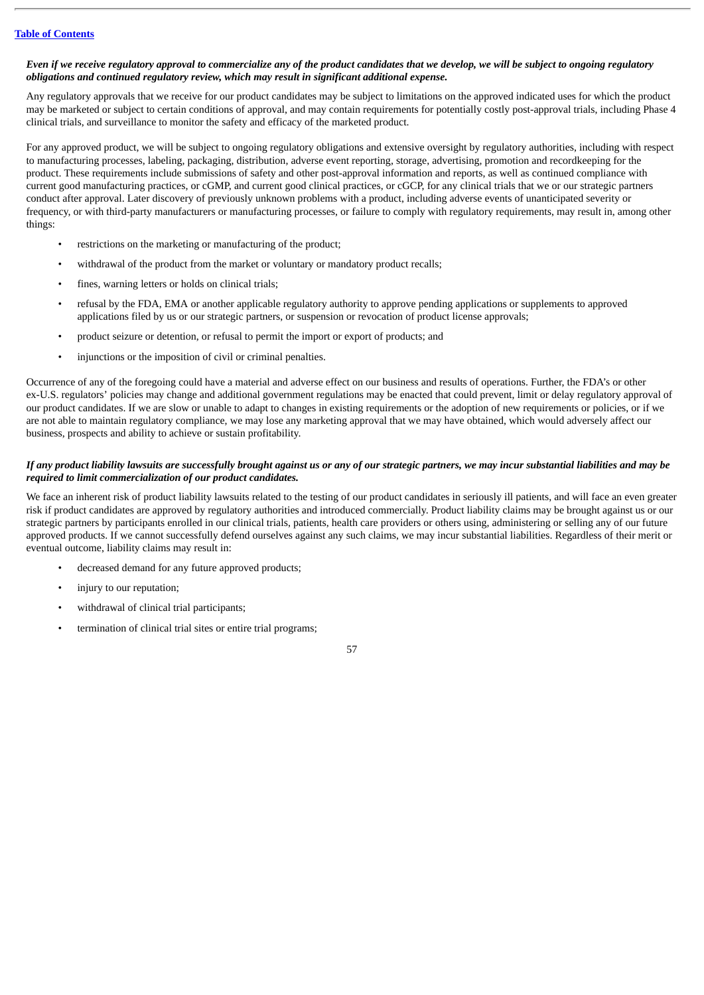# Even if we receive regulatory approval to commercialize any of the product candidates that we develop, we will be subject to ongoing regulatory *obligations and continued regulatory review, which may result in significant additional expense.*

Any regulatory approvals that we receive for our product candidates may be subject to limitations on the approved indicated uses for which the product may be marketed or subject to certain conditions of approval, and may contain requirements for potentially costly post-approval trials, including Phase 4 clinical trials, and surveillance to monitor the safety and efficacy of the marketed product.

For any approved product, we will be subject to ongoing regulatory obligations and extensive oversight by regulatory authorities, including with respect to manufacturing processes, labeling, packaging, distribution, adverse event reporting, storage, advertising, promotion and recordkeeping for the product. These requirements include submissions of safety and other post-approval information and reports, as well as continued compliance with current good manufacturing practices, or cGMP, and current good clinical practices, or cGCP, for any clinical trials that we or our strategic partners conduct after approval. Later discovery of previously unknown problems with a product, including adverse events of unanticipated severity or frequency, or with third-party manufacturers or manufacturing processes, or failure to comply with regulatory requirements, may result in, among other things:

- restrictions on the marketing or manufacturing of the product;
- withdrawal of the product from the market or voluntary or mandatory product recalls;
- fines, warning letters or holds on clinical trials;
- refusal by the FDA, EMA or another applicable regulatory authority to approve pending applications or supplements to approved applications filed by us or our strategic partners, or suspension or revocation of product license approvals;
- product seizure or detention, or refusal to permit the import or export of products; and
- injunctions or the imposition of civil or criminal penalties.

Occurrence of any of the foregoing could have a material and adverse effect on our business and results of operations. Further, the FDA's or other ex-U.S. regulators' policies may change and additional government regulations may be enacted that could prevent, limit or delay regulatory approval of our product candidates. If we are slow or unable to adapt to changes in existing requirements or the adoption of new requirements or policies, or if we are not able to maintain regulatory compliance, we may lose any marketing approval that we may have obtained, which would adversely affect our business, prospects and ability to achieve or sustain profitability.

# If any product liability lawsuits are successfully brought against us or any of our strategic partners, we may incur substantial liabilities and may be *required to limit commercialization of our product candidates.*

We face an inherent risk of product liability lawsuits related to the testing of our product candidates in seriously ill patients, and will face an even greater risk if product candidates are approved by regulatory authorities and introduced commercially. Product liability claims may be brought against us or our strategic partners by participants enrolled in our clinical trials, patients, health care providers or others using, administering or selling any of our future approved products. If we cannot successfully defend ourselves against any such claims, we may incur substantial liabilities. Regardless of their merit or eventual outcome, liability claims may result in:

- decreased demand for any future approved products;
- injury to our reputation;
- withdrawal of clinical trial participants:
- termination of clinical trial sites or entire trial programs;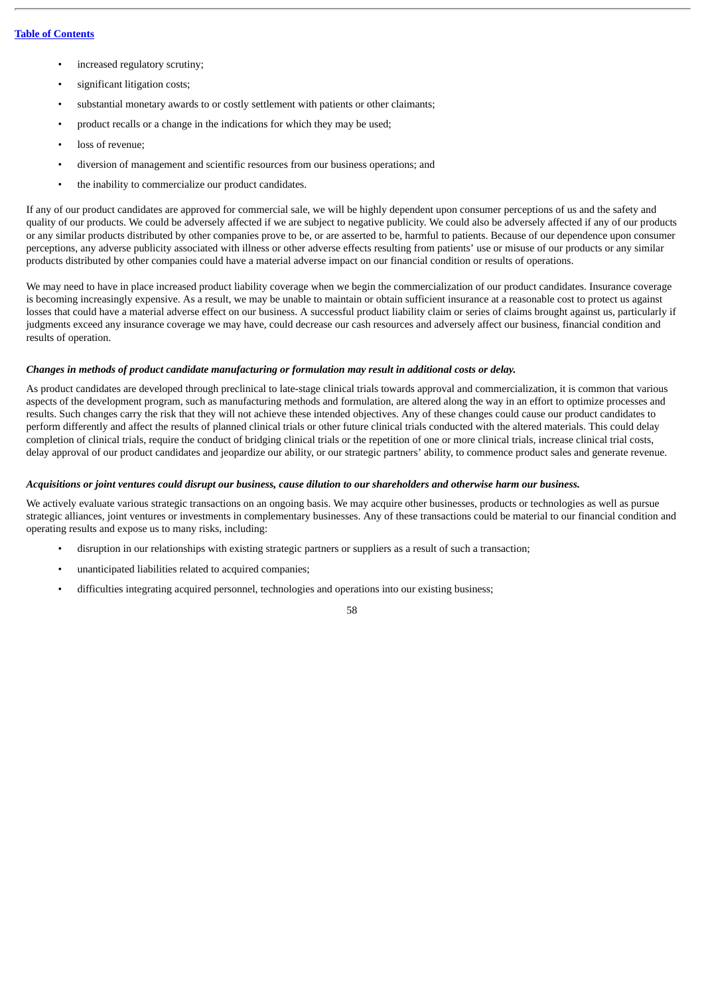- increased regulatory scrutiny;
- significant litigation costs;
- substantial monetary awards to or costly settlement with patients or other claimants;
- product recalls or a change in the indications for which they may be used;
- loss of revenue;
- diversion of management and scientific resources from our business operations; and
- the inability to commercialize our product candidates.

If any of our product candidates are approved for commercial sale, we will be highly dependent upon consumer perceptions of us and the safety and quality of our products. We could be adversely affected if we are subject to negative publicity. We could also be adversely affected if any of our products or any similar products distributed by other companies prove to be, or are asserted to be, harmful to patients. Because of our dependence upon consumer perceptions, any adverse publicity associated with illness or other adverse effects resulting from patients' use or misuse of our products or any similar products distributed by other companies could have a material adverse impact on our financial condition or results of operations.

We may need to have in place increased product liability coverage when we begin the commercialization of our product candidates. Insurance coverage is becoming increasingly expensive. As a result, we may be unable to maintain or obtain sufficient insurance at a reasonable cost to protect us against losses that could have a material adverse effect on our business. A successful product liability claim or series of claims brought against us, particularly if judgments exceed any insurance coverage we may have, could decrease our cash resources and adversely affect our business, financial condition and results of operation.

# *Changes in methods of product candidate manufacturing or formulation may result in additional costs or delay.*

As product candidates are developed through preclinical to late-stage clinical trials towards approval and commercialization, it is common that various aspects of the development program, such as manufacturing methods and formulation, are altered along the way in an effort to optimize processes and results. Such changes carry the risk that they will not achieve these intended objectives. Any of these changes could cause our product candidates to perform differently and affect the results of planned clinical trials or other future clinical trials conducted with the altered materials. This could delay completion of clinical trials, require the conduct of bridging clinical trials or the repetition of one or more clinical trials, increase clinical trial costs, delay approval of our product candidates and jeopardize our ability, or our strategic partners' ability, to commence product sales and generate revenue.

## Acquisitions or joint ventures could disrupt our business, cause dilution to our shareholders and otherwise harm our business.

We actively evaluate various strategic transactions on an ongoing basis. We may acquire other businesses, products or technologies as well as pursue strategic alliances, joint ventures or investments in complementary businesses. Any of these transactions could be material to our financial condition and operating results and expose us to many risks, including:

- disruption in our relationships with existing strategic partners or suppliers as a result of such a transaction;
- unanticipated liabilities related to acquired companies;
- difficulties integrating acquired personnel, technologies and operations into our existing business;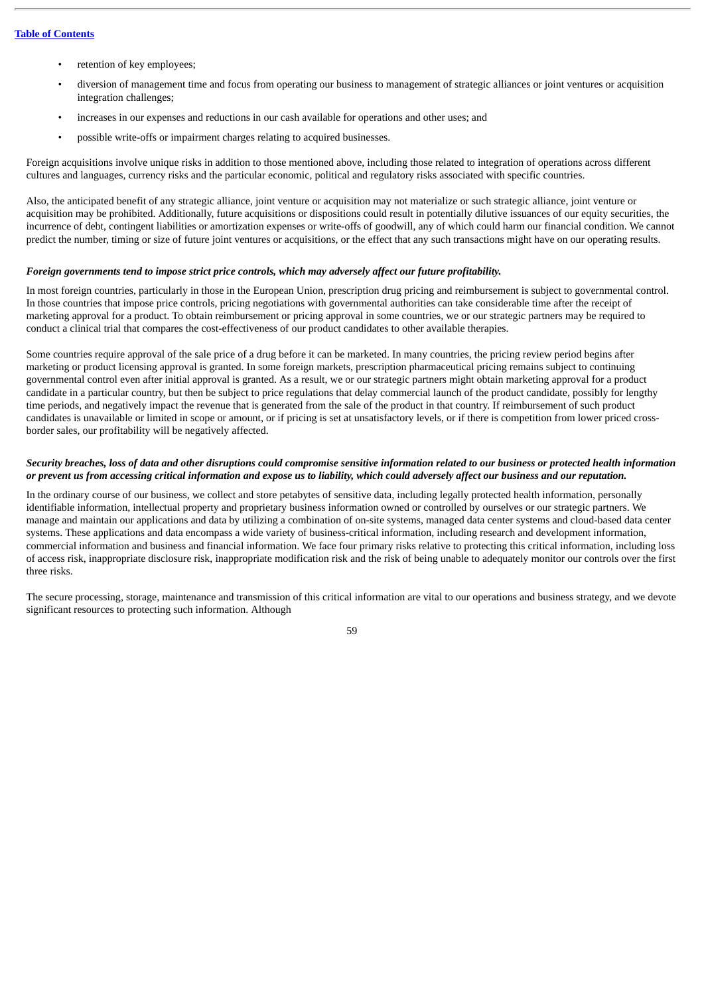- retention of key employees;
- diversion of management time and focus from operating our business to management of strategic alliances or joint ventures or acquisition integration challenges;
- increases in our expenses and reductions in our cash available for operations and other uses; and
- possible write-offs or impairment charges relating to acquired businesses.

Foreign acquisitions involve unique risks in addition to those mentioned above, including those related to integration of operations across different cultures and languages, currency risks and the particular economic, political and regulatory risks associated with specific countries.

Also, the anticipated benefit of any strategic alliance, joint venture or acquisition may not materialize or such strategic alliance, joint venture or acquisition may be prohibited. Additionally, future acquisitions or dispositions could result in potentially dilutive issuances of our equity securities, the incurrence of debt, contingent liabilities or amortization expenses or write-offs of goodwill, any of which could harm our financial condition. We cannot predict the number, timing or size of future joint ventures or acquisitions, or the effect that any such transactions might have on our operating results.

### *Foreign governments tend to impose strict price controls, which may adversely affect our future profitability.*

In most foreign countries, particularly in those in the European Union, prescription drug pricing and reimbursement is subject to governmental control. In those countries that impose price controls, pricing negotiations with governmental authorities can take considerable time after the receipt of marketing approval for a product. To obtain reimbursement or pricing approval in some countries, we or our strategic partners may be required to conduct a clinical trial that compares the cost-effectiveness of our product candidates to other available therapies.

Some countries require approval of the sale price of a drug before it can be marketed. In many countries, the pricing review period begins after marketing or product licensing approval is granted. In some foreign markets, prescription pharmaceutical pricing remains subject to continuing governmental control even after initial approval is granted. As a result, we or our strategic partners might obtain marketing approval for a product candidate in a particular country, but then be subject to price regulations that delay commercial launch of the product candidate, possibly for lengthy time periods, and negatively impact the revenue that is generated from the sale of the product in that country. If reimbursement of such product candidates is unavailable or limited in scope or amount, or if pricing is set at unsatisfactory levels, or if there is competition from lower priced crossborder sales, our profitability will be negatively affected.

# Security breaches, loss of data and other disruptions could compromise sensitive information related to our business or protected health information or prevent us from accessing critical information and expose us to liability, which could adversely affect our business and our reputation.

In the ordinary course of our business, we collect and store petabytes of sensitive data, including legally protected health information, personally identifiable information, intellectual property and proprietary business information owned or controlled by ourselves or our strategic partners. We manage and maintain our applications and data by utilizing a combination of on-site systems, managed data center systems and cloud-based data center systems. These applications and data encompass a wide variety of business-critical information, including research and development information, commercial information and business and financial information. We face four primary risks relative to protecting this critical information, including loss of access risk, inappropriate disclosure risk, inappropriate modification risk and the risk of being unable to adequately monitor our controls over the first three risks.

The secure processing, storage, maintenance and transmission of this critical information are vital to our operations and business strategy, and we devote significant resources to protecting such information. Although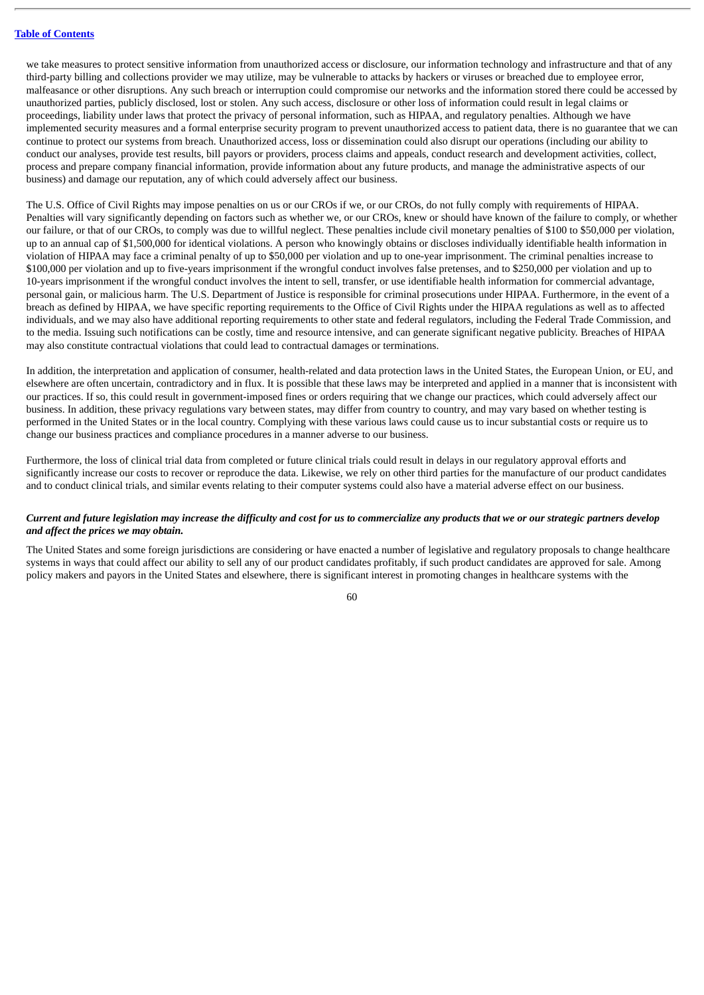we take measures to protect sensitive information from unauthorized access or disclosure, our information technology and infrastructure and that of any third-party billing and collections provider we may utilize, may be vulnerable to attacks by hackers or viruses or breached due to employee error, malfeasance or other disruptions. Any such breach or interruption could compromise our networks and the information stored there could be accessed by unauthorized parties, publicly disclosed, lost or stolen. Any such access, disclosure or other loss of information could result in legal claims or proceedings, liability under laws that protect the privacy of personal information, such as HIPAA, and regulatory penalties. Although we have implemented security measures and a formal enterprise security program to prevent unauthorized access to patient data, there is no guarantee that we can continue to protect our systems from breach. Unauthorized access, loss or dissemination could also disrupt our operations (including our ability to conduct our analyses, provide test results, bill payors or providers, process claims and appeals, conduct research and development activities, collect, process and prepare company financial information, provide information about any future products, and manage the administrative aspects of our business) and damage our reputation, any of which could adversely affect our business.

The U.S. Office of Civil Rights may impose penalties on us or our CROs if we, or our CROs, do not fully comply with requirements of HIPAA. Penalties will vary significantly depending on factors such as whether we, or our CROs, knew or should have known of the failure to comply, or whether our failure, or that of our CROs, to comply was due to willful neglect. These penalties include civil monetary penalties of \$100 to \$50,000 per violation, up to an annual cap of \$1,500,000 for identical violations. A person who knowingly obtains or discloses individually identifiable health information in violation of HIPAA may face a criminal penalty of up to \$50,000 per violation and up to one-year imprisonment. The criminal penalties increase to \$100,000 per violation and up to five-years imprisonment if the wrongful conduct involves false pretenses, and to \$250,000 per violation and up to 10-years imprisonment if the wrongful conduct involves the intent to sell, transfer, or use identifiable health information for commercial advantage, personal gain, or malicious harm. The U.S. Department of Justice is responsible for criminal prosecutions under HIPAA. Furthermore, in the event of a breach as defined by HIPAA, we have specific reporting requirements to the Office of Civil Rights under the HIPAA regulations as well as to affected individuals, and we may also have additional reporting requirements to other state and federal regulators, including the Federal Trade Commission, and to the media. Issuing such notifications can be costly, time and resource intensive, and can generate significant negative publicity. Breaches of HIPAA may also constitute contractual violations that could lead to contractual damages or terminations.

In addition, the interpretation and application of consumer, health-related and data protection laws in the United States, the European Union, or EU, and elsewhere are often uncertain, contradictory and in flux. It is possible that these laws may be interpreted and applied in a manner that is inconsistent with our practices. If so, this could result in government-imposed fines or orders requiring that we change our practices, which could adversely affect our business. In addition, these privacy regulations vary between states, may differ from country to country, and may vary based on whether testing is performed in the United States or in the local country. Complying with these various laws could cause us to incur substantial costs or require us to change our business practices and compliance procedures in a manner adverse to our business.

Furthermore, the loss of clinical trial data from completed or future clinical trials could result in delays in our regulatory approval efforts and significantly increase our costs to recover or reproduce the data. Likewise, we rely on other third parties for the manufacture of our product candidates and to conduct clinical trials, and similar events relating to their computer systems could also have a material adverse effect on our business.

# Current and future leaislation may increase the difficulty and cost for us to commercialize any products that we or our strategic partners develop *and affect the prices we may obtain.*

The United States and some foreign jurisdictions are considering or have enacted a number of legislative and regulatory proposals to change healthcare systems in ways that could affect our ability to sell any of our product candidates profitably, if such product candidates are approved for sale. Among policy makers and payors in the United States and elsewhere, there is significant interest in promoting changes in healthcare systems with the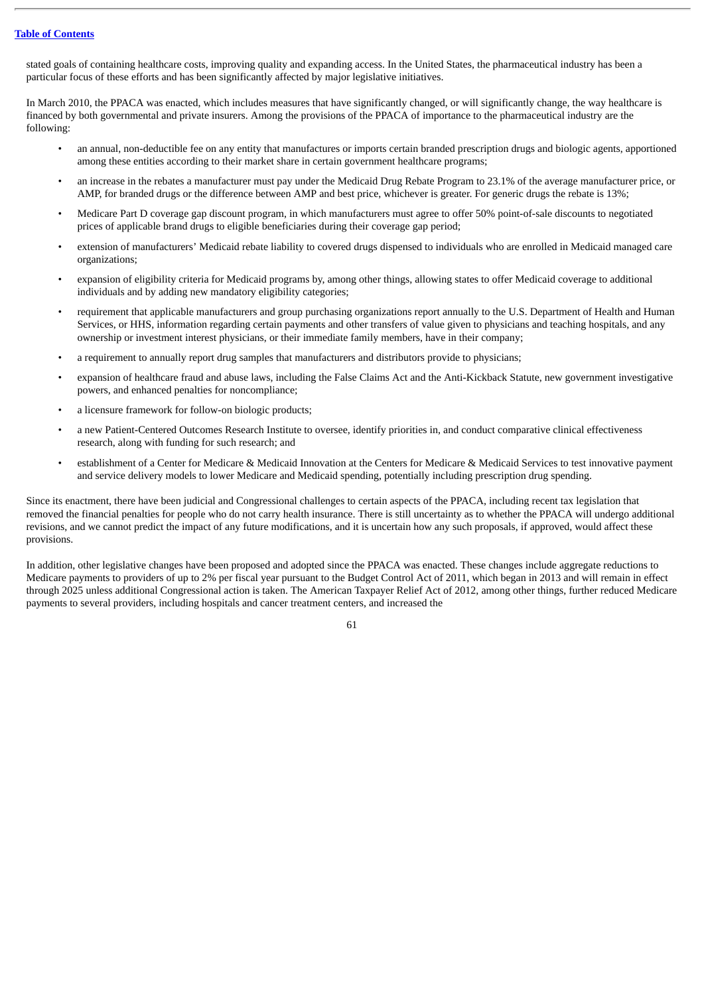stated goals of containing healthcare costs, improving quality and expanding access. In the United States, the pharmaceutical industry has been a particular focus of these efforts and has been significantly affected by major legislative initiatives.

In March 2010, the PPACA was enacted, which includes measures that have significantly changed, or will significantly change, the way healthcare is financed by both governmental and private insurers. Among the provisions of the PPACA of importance to the pharmaceutical industry are the following:

- an annual, non-deductible fee on any entity that manufactures or imports certain branded prescription drugs and biologic agents, apportioned among these entities according to their market share in certain government healthcare programs;
- an increase in the rebates a manufacturer must pay under the Medicaid Drug Rebate Program to 23.1% of the average manufacturer price, or AMP, for branded drugs or the difference between AMP and best price, whichever is greater. For generic drugs the rebate is 13%;
- Medicare Part D coverage gap discount program, in which manufacturers must agree to offer 50% point-of-sale discounts to negotiated prices of applicable brand drugs to eligible beneficiaries during their coverage gap period;
- extension of manufacturers' Medicaid rebate liability to covered drugs dispensed to individuals who are enrolled in Medicaid managed care organizations;
- expansion of eligibility criteria for Medicaid programs by, among other things, allowing states to offer Medicaid coverage to additional individuals and by adding new mandatory eligibility categories;
- requirement that applicable manufacturers and group purchasing organizations report annually to the U.S. Department of Health and Human Services, or HHS, information regarding certain payments and other transfers of value given to physicians and teaching hospitals, and any ownership or investment interest physicians, or their immediate family members, have in their company;
- a requirement to annually report drug samples that manufacturers and distributors provide to physicians;
- expansion of healthcare fraud and abuse laws, including the False Claims Act and the Anti-Kickback Statute, new government investigative powers, and enhanced penalties for noncompliance;
- a licensure framework for follow-on biologic products;
- a new Patient-Centered Outcomes Research Institute to oversee, identify priorities in, and conduct comparative clinical effectiveness research, along with funding for such research; and
- establishment of a Center for Medicare & Medicaid Innovation at the Centers for Medicare & Medicaid Services to test innovative payment and service delivery models to lower Medicare and Medicaid spending, potentially including prescription drug spending.

Since its enactment, there have been judicial and Congressional challenges to certain aspects of the PPACA, including recent tax legislation that removed the financial penalties for people who do not carry health insurance. There is still uncertainty as to whether the PPACA will undergo additional revisions, and we cannot predict the impact of any future modifications, and it is uncertain how any such proposals, if approved, would affect these provisions.

In addition, other legislative changes have been proposed and adopted since the PPACA was enacted. These changes include aggregate reductions to Medicare payments to providers of up to 2% per fiscal year pursuant to the Budget Control Act of 2011, which began in 2013 and will remain in effect through 2025 unless additional Congressional action is taken. The American Taxpayer Relief Act of 2012, among other things, further reduced Medicare payments to several providers, including hospitals and cancer treatment centers, and increased the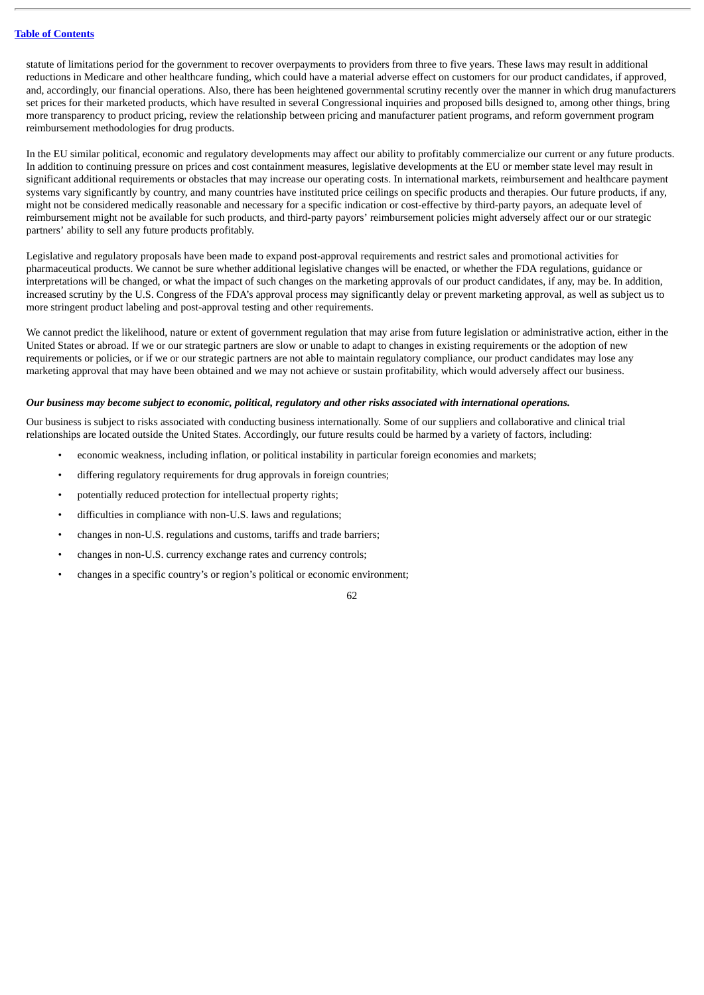statute of limitations period for the government to recover overpayments to providers from three to five years. These laws may result in additional reductions in Medicare and other healthcare funding, which could have a material adverse effect on customers for our product candidates, if approved, and, accordingly, our financial operations. Also, there has been heightened governmental scrutiny recently over the manner in which drug manufacturers set prices for their marketed products, which have resulted in several Congressional inquiries and proposed bills designed to, among other things, bring more transparency to product pricing, review the relationship between pricing and manufacturer patient programs, and reform government program reimbursement methodologies for drug products.

In the EU similar political, economic and regulatory developments may affect our ability to profitably commercialize our current or any future products. In addition to continuing pressure on prices and cost containment measures, legislative developments at the EU or member state level may result in significant additional requirements or obstacles that may increase our operating costs. In international markets, reimbursement and healthcare payment systems vary significantly by country, and many countries have instituted price ceilings on specific products and therapies. Our future products, if any, might not be considered medically reasonable and necessary for a specific indication or cost-effective by third-party payors, an adequate level of reimbursement might not be available for such products, and third-party payors' reimbursement policies might adversely affect our or our strategic partners' ability to sell any future products profitably.

Legislative and regulatory proposals have been made to expand post-approval requirements and restrict sales and promotional activities for pharmaceutical products. We cannot be sure whether additional legislative changes will be enacted, or whether the FDA regulations, guidance or interpretations will be changed, or what the impact of such changes on the marketing approvals of our product candidates, if any, may be. In addition, increased scrutiny by the U.S. Congress of the FDA's approval process may significantly delay or prevent marketing approval, as well as subject us to more stringent product labeling and post-approval testing and other requirements.

We cannot predict the likelihood, nature or extent of government regulation that may arise from future legislation or administrative action, either in the United States or abroad. If we or our strategic partners are slow or unable to adapt to changes in existing requirements or the adoption of new requirements or policies, or if we or our strategic partners are not able to maintain regulatory compliance, our product candidates may lose any marketing approval that may have been obtained and we may not achieve or sustain profitability, which would adversely affect our business.

### Our business may become subject to economic, political, regulatory and other risks associated with international operations.

Our business is subject to risks associated with conducting business internationally. Some of our suppliers and collaborative and clinical trial relationships are located outside the United States. Accordingly, our future results could be harmed by a variety of factors, including:

- economic weakness, including inflation, or political instability in particular foreign economies and markets;
- differing regulatory requirements for drug approvals in foreign countries;
- potentially reduced protection for intellectual property rights;
- difficulties in compliance with non-U.S. laws and regulations;
- changes in non-U.S. regulations and customs, tariffs and trade barriers;
- changes in non-U.S. currency exchange rates and currency controls;
- changes in a specific country's or region's political or economic environment;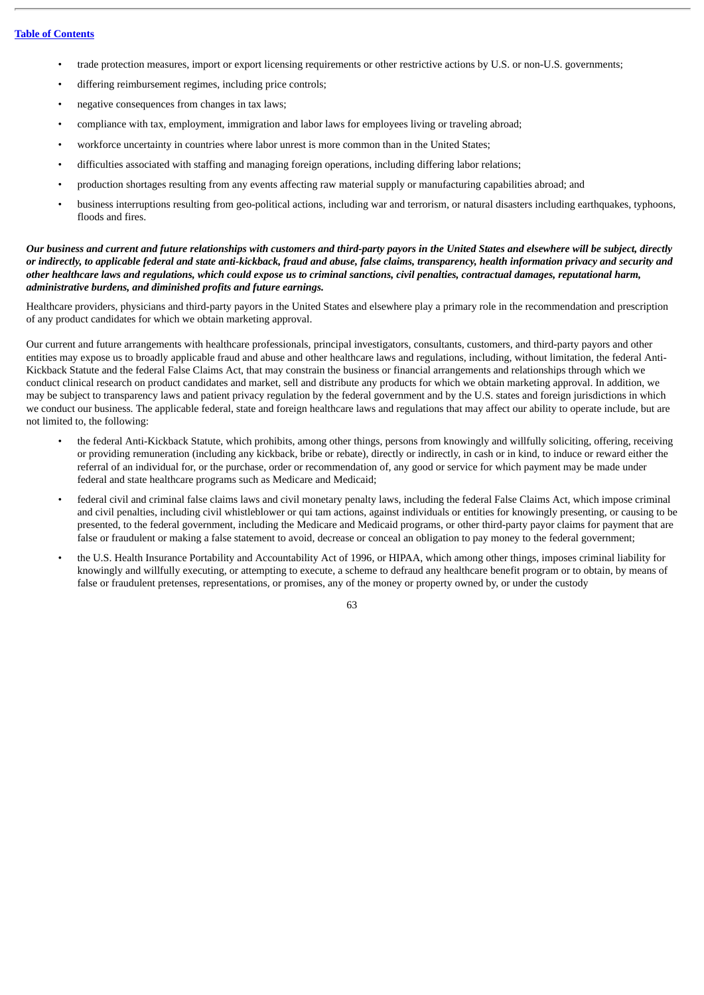- trade protection measures, import or export licensing requirements or other restrictive actions by U.S. or non-U.S. governments;
- differing reimbursement regimes, including price controls;
- negative consequences from changes in tax laws;
- compliance with tax, employment, immigration and labor laws for employees living or traveling abroad;
- workforce uncertainty in countries where labor unrest is more common than in the United States;
- difficulties associated with staffing and managing foreign operations, including differing labor relations;
- production shortages resulting from any events affecting raw material supply or manufacturing capabilities abroad; and
- business interruptions resulting from geo-political actions, including war and terrorism, or natural disasters including earthquakes, typhoons, floods and fires.

# Our business and current and future relationships with customers and third-party payors in the United States and elsewhere will be subject, directly or indirectly, to applicable federal and state anti-kickback, fraud and abuse, false claims, transparency, health information privacy and security and other healthcare laws and requlations, which could expose us to criminal sanctions, civil penalties, contractual damages, reputational harm, *administrative burdens, and diminished profits and future earnings.*

Healthcare providers, physicians and third-party payors in the United States and elsewhere play a primary role in the recommendation and prescription of any product candidates for which we obtain marketing approval.

Our current and future arrangements with healthcare professionals, principal investigators, consultants, customers, and third-party payors and other entities may expose us to broadly applicable fraud and abuse and other healthcare laws and regulations, including, without limitation, the federal Anti-Kickback Statute and the federal False Claims Act, that may constrain the business or financial arrangements and relationships through which we conduct clinical research on product candidates and market, sell and distribute any products for which we obtain marketing approval. In addition, we may be subject to transparency laws and patient privacy regulation by the federal government and by the U.S. states and foreign jurisdictions in which we conduct our business. The applicable federal, state and foreign healthcare laws and regulations that may affect our ability to operate include, but are not limited to, the following:

- the federal Anti-Kickback Statute, which prohibits, among other things, persons from knowingly and willfully soliciting, offering, receiving or providing remuneration (including any kickback, bribe or rebate), directly or indirectly, in cash or in kind, to induce or reward either the referral of an individual for, or the purchase, order or recommendation of, any good or service for which payment may be made under federal and state healthcare programs such as Medicare and Medicaid;
- federal civil and criminal false claims laws and civil monetary penalty laws, including the federal False Claims Act, which impose criminal and civil penalties, including civil whistleblower or qui tam actions, against individuals or entities for knowingly presenting, or causing to be presented, to the federal government, including the Medicare and Medicaid programs, or other third-party payor claims for payment that are false or fraudulent or making a false statement to avoid, decrease or conceal an obligation to pay money to the federal government;
- the U.S. Health Insurance Portability and Accountability Act of 1996, or HIPAA, which among other things, imposes criminal liability for knowingly and willfully executing, or attempting to execute, a scheme to defraud any healthcare benefit program or to obtain, by means of false or fraudulent pretenses, representations, or promises, any of the money or property owned by, or under the custody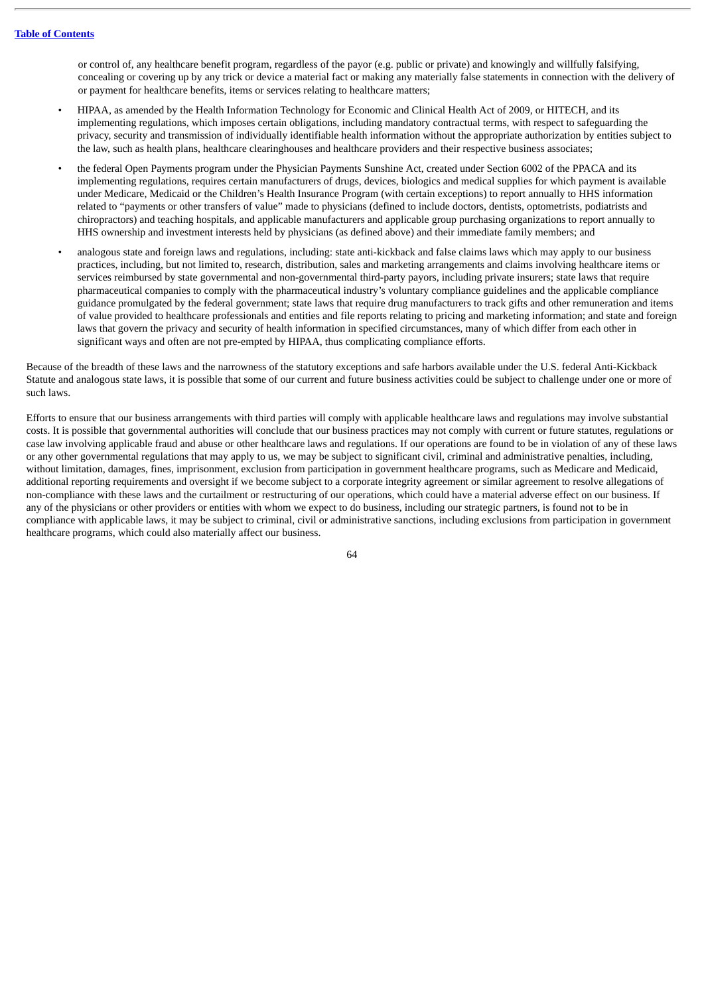or control of, any healthcare benefit program, regardless of the payor (e.g. public or private) and knowingly and willfully falsifying, concealing or covering up by any trick or device a material fact or making any materially false statements in connection with the delivery of or payment for healthcare benefits, items or services relating to healthcare matters;

- HIPAA, as amended by the Health Information Technology for Economic and Clinical Health Act of 2009, or HITECH, and its implementing regulations, which imposes certain obligations, including mandatory contractual terms, with respect to safeguarding the privacy, security and transmission of individually identifiable health information without the appropriate authorization by entities subject to the law, such as health plans, healthcare clearinghouses and healthcare providers and their respective business associates;
- the federal Open Payments program under the Physician Payments Sunshine Act, created under Section 6002 of the PPACA and its implementing regulations, requires certain manufacturers of drugs, devices, biologics and medical supplies for which payment is available under Medicare, Medicaid or the Children's Health Insurance Program (with certain exceptions) to report annually to HHS information related to "payments or other transfers of value" made to physicians (defined to include doctors, dentists, optometrists, podiatrists and chiropractors) and teaching hospitals, and applicable manufacturers and applicable group purchasing organizations to report annually to HHS ownership and investment interests held by physicians (as defined above) and their immediate family members; and
- analogous state and foreign laws and regulations, including: state anti-kickback and false claims laws which may apply to our business practices, including, but not limited to, research, distribution, sales and marketing arrangements and claims involving healthcare items or services reimbursed by state governmental and non-governmental third-party payors, including private insurers; state laws that require pharmaceutical companies to comply with the pharmaceutical industry's voluntary compliance guidelines and the applicable compliance guidance promulgated by the federal government; state laws that require drug manufacturers to track gifts and other remuneration and items of value provided to healthcare professionals and entities and file reports relating to pricing and marketing information; and state and foreign laws that govern the privacy and security of health information in specified circumstances, many of which differ from each other in significant ways and often are not pre-empted by HIPAA, thus complicating compliance efforts.

Because of the breadth of these laws and the narrowness of the statutory exceptions and safe harbors available under the U.S. federal Anti-Kickback Statute and analogous state laws, it is possible that some of our current and future business activities could be subject to challenge under one or more of such laws.

Efforts to ensure that our business arrangements with third parties will comply with applicable healthcare laws and regulations may involve substantial costs. It is possible that governmental authorities will conclude that our business practices may not comply with current or future statutes, regulations or case law involving applicable fraud and abuse or other healthcare laws and regulations. If our operations are found to be in violation of any of these laws or any other governmental regulations that may apply to us, we may be subject to significant civil, criminal and administrative penalties, including, without limitation, damages, fines, imprisonment, exclusion from participation in government healthcare programs, such as Medicare and Medicaid, additional reporting requirements and oversight if we become subject to a corporate integrity agreement or similar agreement to resolve allegations of non-compliance with these laws and the curtailment or restructuring of our operations, which could have a material adverse effect on our business. If any of the physicians or other providers or entities with whom we expect to do business, including our strategic partners, is found not to be in compliance with applicable laws, it may be subject to criminal, civil or administrative sanctions, including exclusions from participation in government healthcare programs, which could also materially affect our business.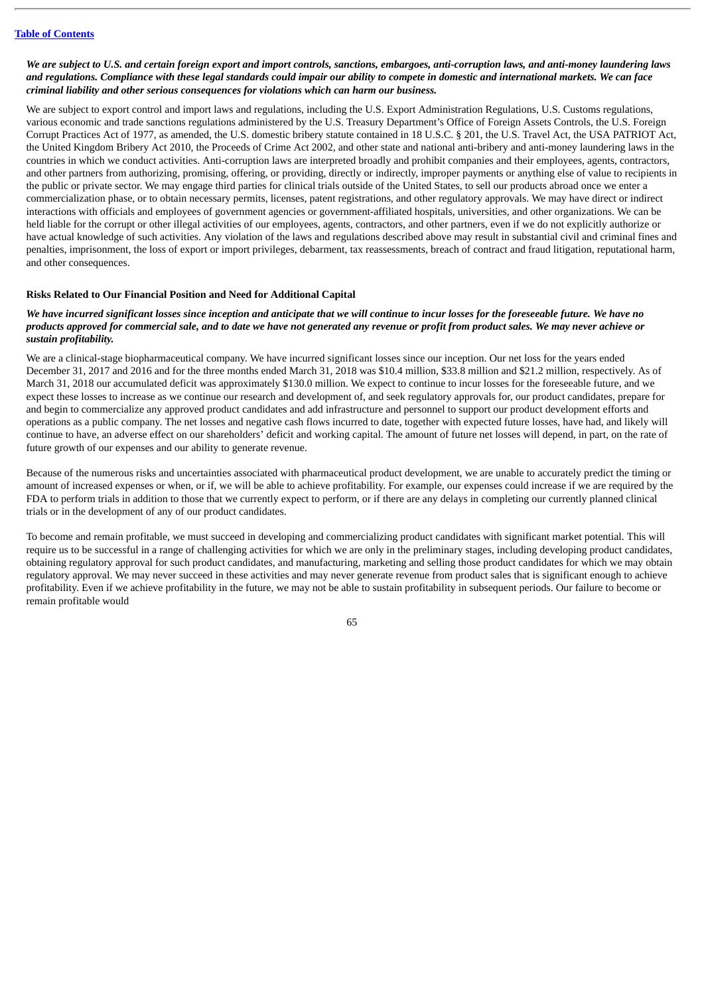## We are subject to U.S. and certain foreign export and import controls, sanctions, embargoes, anti-corruption laws, and anti-money laundering laws and reaulations. Compliance with these legal standards could impair our ability to compete in domestic and international markets. We can face *criminal liability and other serious consequences for violations which can harm our business.*

We are subject to export control and import laws and regulations, including the U.S. Export Administration Regulations, U.S. Customs regulations, various economic and trade sanctions regulations administered by the U.S. Treasury Department's Office of Foreign Assets Controls, the U.S. Foreign Corrupt Practices Act of 1977, as amended, the U.S. domestic bribery statute contained in 18 U.S.C. § 201, the U.S. Travel Act, the USA PATRIOT Act, the United Kingdom Bribery Act 2010, the Proceeds of Crime Act 2002, and other state and national anti-bribery and anti-money laundering laws in the countries in which we conduct activities. Anti-corruption laws are interpreted broadly and prohibit companies and their employees, agents, contractors, and other partners from authorizing, promising, offering, or providing, directly or indirectly, improper payments or anything else of value to recipients in the public or private sector. We may engage third parties for clinical trials outside of the United States, to sell our products abroad once we enter a commercialization phase, or to obtain necessary permits, licenses, patent registrations, and other regulatory approvals. We may have direct or indirect interactions with officials and employees of government agencies or government-affiliated hospitals, universities, and other organizations. We can be held liable for the corrupt or other illegal activities of our employees, agents, contractors, and other partners, even if we do not explicitly authorize or have actual knowledge of such activities. Any violation of the laws and regulations described above may result in substantial civil and criminal fines and penalties, imprisonment, the loss of export or import privileges, debarment, tax reassessments, breach of contract and fraud litigation, reputational harm, and other consequences.

## **Risks Related to Our Financial Position and Need for Additional Capital**

## We have incurred significant losses since inception and anticipate that we will continue to incur losses for the foreseeable future. We have no products approved for commercial sale, and to date we have not generated any revenue or profit from product sales. We may never achieve or *sustain profitability.*

We are a clinical-stage biopharmaceutical company. We have incurred significant losses since our inception. Our net loss for the years ended December 31, 2017 and 2016 and for the three months ended March 31, 2018 was \$10.4 million, \$33.8 million and \$21.2 million, respectively. As of March 31, 2018 our accumulated deficit was approximately \$130.0 million. We expect to continue to incur losses for the foreseeable future, and we expect these losses to increase as we continue our research and development of, and seek regulatory approvals for, our product candidates, prepare for and begin to commercialize any approved product candidates and add infrastructure and personnel to support our product development efforts and operations as a public company. The net losses and negative cash flows incurred to date, together with expected future losses, have had, and likely will continue to have, an adverse effect on our shareholders' deficit and working capital. The amount of future net losses will depend, in part, on the rate of future growth of our expenses and our ability to generate revenue.

Because of the numerous risks and uncertainties associated with pharmaceutical product development, we are unable to accurately predict the timing or amount of increased expenses or when, or if, we will be able to achieve profitability. For example, our expenses could increase if we are required by the FDA to perform trials in addition to those that we currently expect to perform, or if there are any delays in completing our currently planned clinical trials or in the development of any of our product candidates.

To become and remain profitable, we must succeed in developing and commercializing product candidates with significant market potential. This will require us to be successful in a range of challenging activities for which we are only in the preliminary stages, including developing product candidates, obtaining regulatory approval for such product candidates, and manufacturing, marketing and selling those product candidates for which we may obtain regulatory approval. We may never succeed in these activities and may never generate revenue from product sales that is significant enough to achieve profitability. Even if we achieve profitability in the future, we may not be able to sustain profitability in subsequent periods. Our failure to become or remain profitable would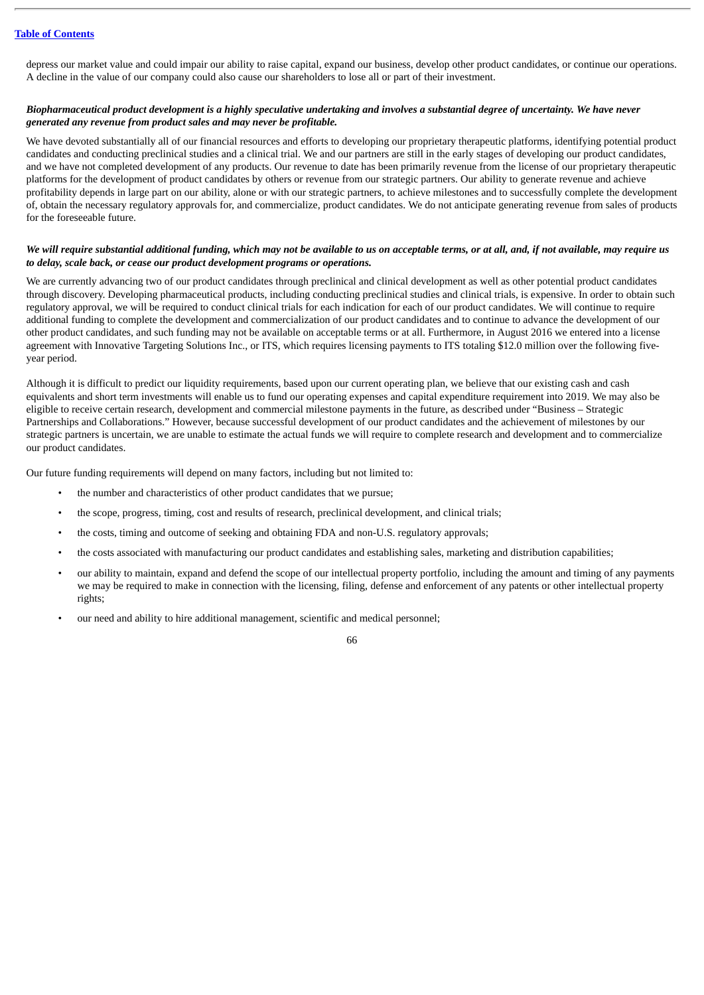depress our market value and could impair our ability to raise capital, expand our business, develop other product candidates, or continue our operations. A decline in the value of our company could also cause our shareholders to lose all or part of their investment.

# Biopharmaceutical product development is a highly speculative undertaking and involves a substantial degree of uncertainty. We have never *generated any revenue from product sales and may never be profitable.*

We have devoted substantially all of our financial resources and efforts to developing our proprietary therapeutic platforms, identifying potential product candidates and conducting preclinical studies and a clinical trial. We and our partners are still in the early stages of developing our product candidates, and we have not completed development of any products. Our revenue to date has been primarily revenue from the license of our proprietary therapeutic platforms for the development of product candidates by others or revenue from our strategic partners. Our ability to generate revenue and achieve profitability depends in large part on our ability, alone or with our strategic partners, to achieve milestones and to successfully complete the development of, obtain the necessary regulatory approvals for, and commercialize, product candidates. We do not anticipate generating revenue from sales of products for the foreseeable future.

## We will require substantial additional funding, which may not be available to us on acceptable terms, or at all, and, if not available, may require us *to delay, scale back, or cease our product development programs or operations.*

We are currently advancing two of our product candidates through preclinical and clinical development as well as other potential product candidates through discovery. Developing pharmaceutical products, including conducting preclinical studies and clinical trials, is expensive. In order to obtain such regulatory approval, we will be required to conduct clinical trials for each indication for each of our product candidates. We will continue to require additional funding to complete the development and commercialization of our product candidates and to continue to advance the development of our other product candidates, and such funding may not be available on acceptable terms or at all. Furthermore, in August 2016 we entered into a license agreement with Innovative Targeting Solutions Inc., or ITS, which requires licensing payments to ITS totaling \$12.0 million over the following fiveyear period.

Although it is difficult to predict our liquidity requirements, based upon our current operating plan, we believe that our existing cash and cash equivalents and short term investments will enable us to fund our operating expenses and capital expenditure requirement into 2019. We may also be eligible to receive certain research, development and commercial milestone payments in the future, as described under "Business – Strategic Partnerships and Collaborations." However, because successful development of our product candidates and the achievement of milestones by our strategic partners is uncertain, we are unable to estimate the actual funds we will require to complete research and development and to commercialize our product candidates.

Our future funding requirements will depend on many factors, including but not limited to:

- the number and characteristics of other product candidates that we pursue;
- the scope, progress, timing, cost and results of research, preclinical development, and clinical trials;
- the costs, timing and outcome of seeking and obtaining FDA and non-U.S. regulatory approvals;
- the costs associated with manufacturing our product candidates and establishing sales, marketing and distribution capabilities;
- our ability to maintain, expand and defend the scope of our intellectual property portfolio, including the amount and timing of any payments we may be required to make in connection with the licensing, filing, defense and enforcement of any patents or other intellectual property rights;
- our need and ability to hire additional management, scientific and medical personnel;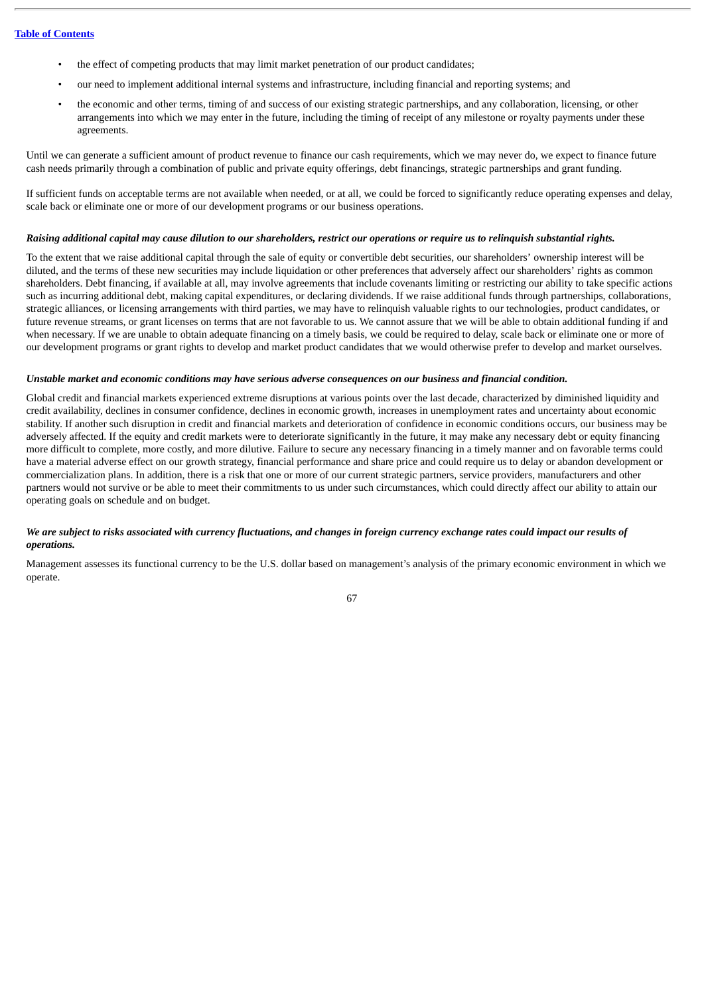- the effect of competing products that may limit market penetration of our product candidates;
- our need to implement additional internal systems and infrastructure, including financial and reporting systems; and
- the economic and other terms, timing of and success of our existing strategic partnerships, and any collaboration, licensing, or other arrangements into which we may enter in the future, including the timing of receipt of any milestone or royalty payments under these agreements.

Until we can generate a sufficient amount of product revenue to finance our cash requirements, which we may never do, we expect to finance future cash needs primarily through a combination of public and private equity offerings, debt financings, strategic partnerships and grant funding.

If sufficient funds on acceptable terms are not available when needed, or at all, we could be forced to significantly reduce operating expenses and delay, scale back or eliminate one or more of our development programs or our business operations.

## Raising additional capital may cause dilution to our shareholders, restrict our operations or require us to relinquish substantial rights.

To the extent that we raise additional capital through the sale of equity or convertible debt securities, our shareholders' ownership interest will be diluted, and the terms of these new securities may include liquidation or other preferences that adversely affect our shareholders' rights as common shareholders. Debt financing, if available at all, may involve agreements that include covenants limiting or restricting our ability to take specific actions such as incurring additional debt, making capital expenditures, or declaring dividends. If we raise additional funds through partnerships, collaborations, strategic alliances, or licensing arrangements with third parties, we may have to relinquish valuable rights to our technologies, product candidates, or future revenue streams, or grant licenses on terms that are not favorable to us. We cannot assure that we will be able to obtain additional funding if and when necessary. If we are unable to obtain adequate financing on a timely basis, we could be required to delay, scale back or eliminate one or more of our development programs or grant rights to develop and market product candidates that we would otherwise prefer to develop and market ourselves.

#### Unstable market and economic conditions may have serious adverse consequences on our business and financial condition.

Global credit and financial markets experienced extreme disruptions at various points over the last decade, characterized by diminished liquidity and credit availability, declines in consumer confidence, declines in economic growth, increases in unemployment rates and uncertainty about economic stability. If another such disruption in credit and financial markets and deterioration of confidence in economic conditions occurs, our business may be adversely affected. If the equity and credit markets were to deteriorate significantly in the future, it may make any necessary debt or equity financing more difficult to complete, more costly, and more dilutive. Failure to secure any necessary financing in a timely manner and on favorable terms could have a material adverse effect on our growth strategy, financial performance and share price and could require us to delay or abandon development or commercialization plans. In addition, there is a risk that one or more of our current strategic partners, service providers, manufacturers and other partners would not survive or be able to meet their commitments to us under such circumstances, which could directly affect our ability to attain our operating goals on schedule and on budget.

## We are subject to risks associated with currency fluctuations, and changes in foreign currency exchange rates could impact our results of *operations.*

Management assesses its functional currency to be the U.S. dollar based on management's analysis of the primary economic environment in which we operate.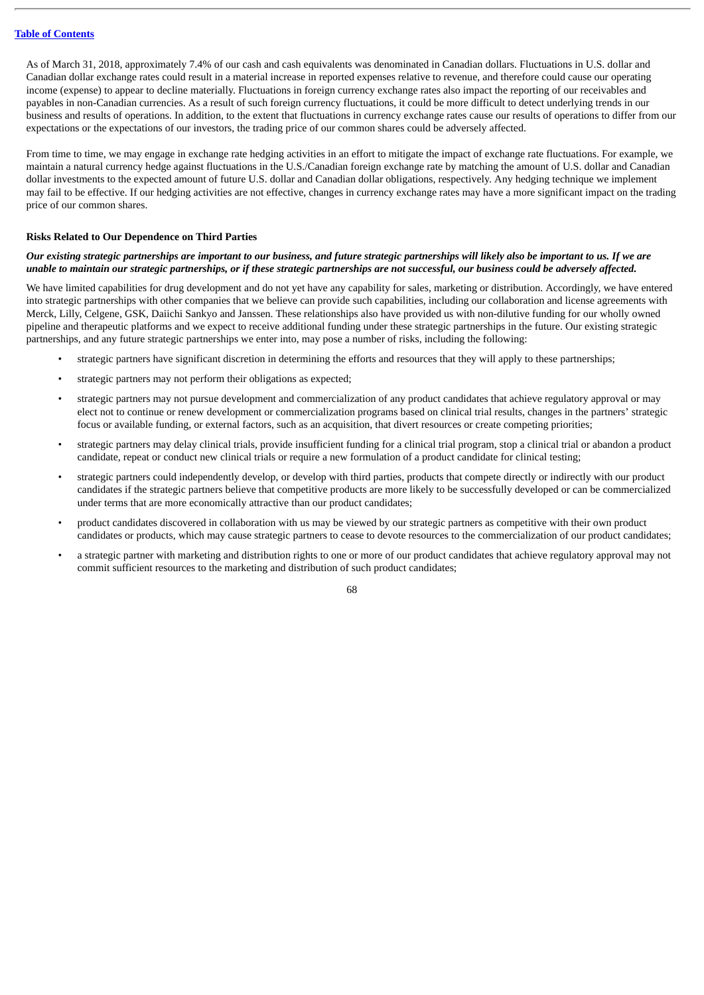As of March 31, 2018, approximately 7.4% of our cash and cash equivalents was denominated in Canadian dollars. Fluctuations in U.S. dollar and Canadian dollar exchange rates could result in a material increase in reported expenses relative to revenue, and therefore could cause our operating income (expense) to appear to decline materially. Fluctuations in foreign currency exchange rates also impact the reporting of our receivables and payables in non-Canadian currencies. As a result of such foreign currency fluctuations, it could be more difficult to detect underlying trends in our business and results of operations. In addition, to the extent that fluctuations in currency exchange rates cause our results of operations to differ from our expectations or the expectations of our investors, the trading price of our common shares could be adversely affected.

From time to time, we may engage in exchange rate hedging activities in an effort to mitigate the impact of exchange rate fluctuations. For example, we maintain a natural currency hedge against fluctuations in the U.S./Canadian foreign exchange rate by matching the amount of U.S. dollar and Canadian dollar investments to the expected amount of future U.S. dollar and Canadian dollar obligations, respectively. Any hedging technique we implement may fail to be effective. If our hedging activities are not effective, changes in currency exchange rates may have a more significant impact on the trading price of our common shares.

# **Risks Related to Our Dependence on Third Parties**

## Our existing strategic partnerships are important to our business, and future strategic partnerships will likely also be important to us. If we are unable to maintain our strategic partnerships, or if these strategic partnerships are not successful, our business could be adversely affected.

We have limited capabilities for drug development and do not yet have any capability for sales, marketing or distribution. Accordingly, we have entered into strategic partnerships with other companies that we believe can provide such capabilities, including our collaboration and license agreements with Merck, Lilly, Celgene, GSK, Daiichi Sankyo and Janssen. These relationships also have provided us with non-dilutive funding for our wholly owned pipeline and therapeutic platforms and we expect to receive additional funding under these strategic partnerships in the future. Our existing strategic partnerships, and any future strategic partnerships we enter into, may pose a number of risks, including the following:

- strategic partners have significant discretion in determining the efforts and resources that they will apply to these partnerships;
- strategic partners may not perform their obligations as expected;
- strategic partners may not pursue development and commercialization of any product candidates that achieve regulatory approval or may elect not to continue or renew development or commercialization programs based on clinical trial results, changes in the partners' strategic focus or available funding, or external factors, such as an acquisition, that divert resources or create competing priorities;
- strategic partners may delay clinical trials, provide insufficient funding for a clinical trial program, stop a clinical trial or abandon a product candidate, repeat or conduct new clinical trials or require a new formulation of a product candidate for clinical testing;
- strategic partners could independently develop, or develop with third parties, products that compete directly or indirectly with our product candidates if the strategic partners believe that competitive products are more likely to be successfully developed or can be commercialized under terms that are more economically attractive than our product candidates;
- product candidates discovered in collaboration with us may be viewed by our strategic partners as competitive with their own product candidates or products, which may cause strategic partners to cease to devote resources to the commercialization of our product candidates;
- a strategic partner with marketing and distribution rights to one or more of our product candidates that achieve regulatory approval may not commit sufficient resources to the marketing and distribution of such product candidates;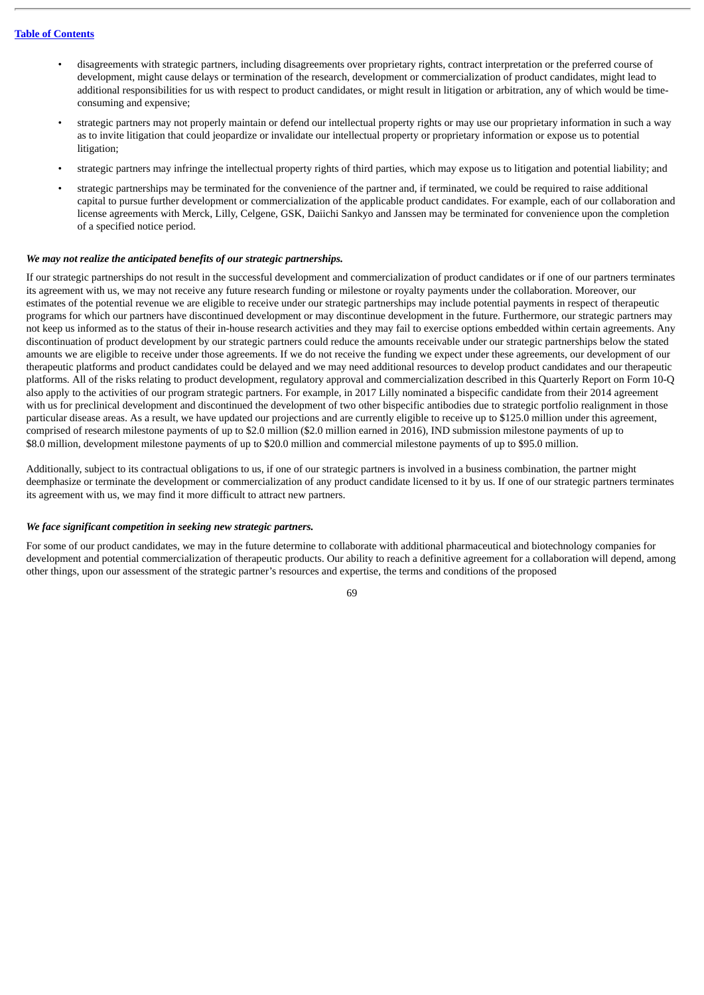- disagreements with strategic partners, including disagreements over proprietary rights, contract interpretation or the preferred course of development, might cause delays or termination of the research, development or commercialization of product candidates, might lead to additional responsibilities for us with respect to product candidates, or might result in litigation or arbitration, any of which would be timeconsuming and expensive;
- strategic partners may not properly maintain or defend our intellectual property rights or may use our proprietary information in such a way as to invite litigation that could jeopardize or invalidate our intellectual property or proprietary information or expose us to potential litigation;
- strategic partners may infringe the intellectual property rights of third parties, which may expose us to litigation and potential liability; and
- strategic partnerships may be terminated for the convenience of the partner and, if terminated, we could be required to raise additional capital to pursue further development or commercialization of the applicable product candidates. For example, each of our collaboration and license agreements with Merck, Lilly, Celgene, GSK, Daiichi Sankyo and Janssen may be terminated for convenience upon the completion of a specified notice period.

#### *We may not realize the anticipated benefits of our strategic partnerships.*

If our strategic partnerships do not result in the successful development and commercialization of product candidates or if one of our partners terminates its agreement with us, we may not receive any future research funding or milestone or royalty payments under the collaboration. Moreover, our estimates of the potential revenue we are eligible to receive under our strategic partnerships may include potential payments in respect of therapeutic programs for which our partners have discontinued development or may discontinue development in the future. Furthermore, our strategic partners may not keep us informed as to the status of their in-house research activities and they may fail to exercise options embedded within certain agreements. Any discontinuation of product development by our strategic partners could reduce the amounts receivable under our strategic partnerships below the stated amounts we are eligible to receive under those agreements. If we do not receive the funding we expect under these agreements, our development of our therapeutic platforms and product candidates could be delayed and we may need additional resources to develop product candidates and our therapeutic platforms. All of the risks relating to product development, regulatory approval and commercialization described in this Quarterly Report on Form 10-Q also apply to the activities of our program strategic partners. For example, in 2017 Lilly nominated a bispecific candidate from their 2014 agreement with us for preclinical development and discontinued the development of two other bispecific antibodies due to strategic portfolio realignment in those particular disease areas. As a result, we have updated our projections and are currently eligible to receive up to \$125.0 million under this agreement, comprised of research milestone payments of up to \$2.0 million (\$2.0 million earned in 2016), IND submission milestone payments of up to \$8.0 million, development milestone payments of up to \$20.0 million and commercial milestone payments of up to \$95.0 million.

Additionally, subject to its contractual obligations to us, if one of our strategic partners is involved in a business combination, the partner might deemphasize or terminate the development or commercialization of any product candidate licensed to it by us. If one of our strategic partners terminates its agreement with us, we may find it more difficult to attract new partners.

#### *We face significant competition in seeking new strategic partners.*

For some of our product candidates, we may in the future determine to collaborate with additional pharmaceutical and biotechnology companies for development and potential commercialization of therapeutic products. Our ability to reach a definitive agreement for a collaboration will depend, among other things, upon our assessment of the strategic partner's resources and expertise, the terms and conditions of the proposed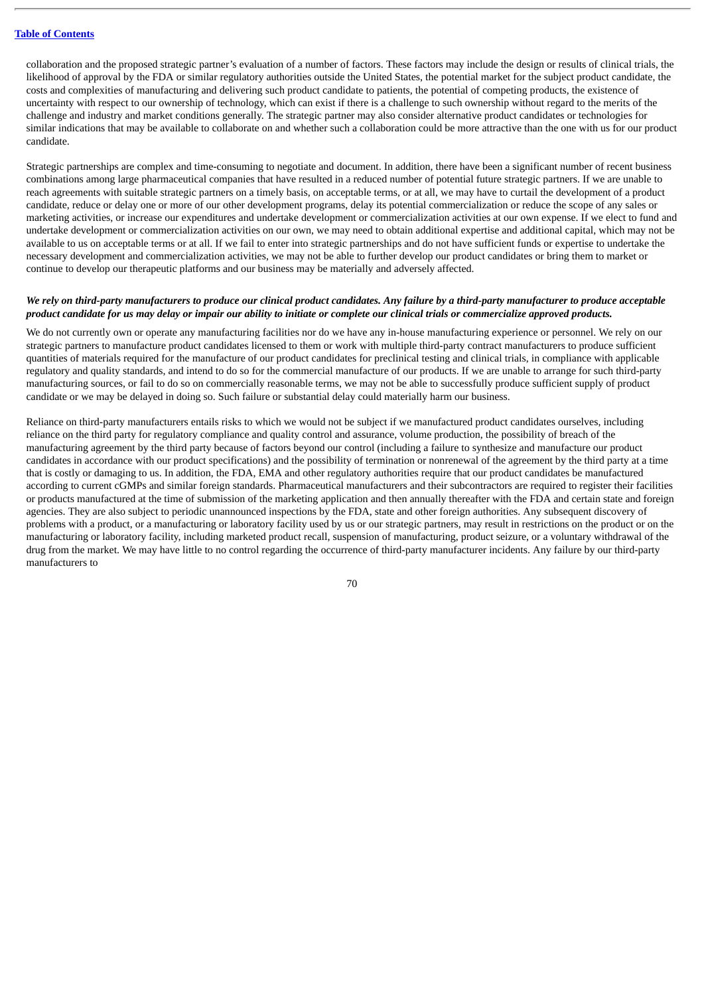collaboration and the proposed strategic partner's evaluation of a number of factors. These factors may include the design or results of clinical trials, the likelihood of approval by the FDA or similar regulatory authorities outside the United States, the potential market for the subject product candidate, the costs and complexities of manufacturing and delivering such product candidate to patients, the potential of competing products, the existence of uncertainty with respect to our ownership of technology, which can exist if there is a challenge to such ownership without regard to the merits of the challenge and industry and market conditions generally. The strategic partner may also consider alternative product candidates or technologies for similar indications that may be available to collaborate on and whether such a collaboration could be more attractive than the one with us for our product candidate.

Strategic partnerships are complex and time-consuming to negotiate and document. In addition, there have been a significant number of recent business combinations among large pharmaceutical companies that have resulted in a reduced number of potential future strategic partners. If we are unable to reach agreements with suitable strategic partners on a timely basis, on acceptable terms, or at all, we may have to curtail the development of a product candidate, reduce or delay one or more of our other development programs, delay its potential commercialization or reduce the scope of any sales or marketing activities, or increase our expenditures and undertake development or commercialization activities at our own expense. If we elect to fund and undertake development or commercialization activities on our own, we may need to obtain additional expertise and additional capital, which may not be available to us on acceptable terms or at all. If we fail to enter into strategic partnerships and do not have sufficient funds or expertise to undertake the necessary development and commercialization activities, we may not be able to further develop our product candidates or bring them to market or continue to develop our therapeutic platforms and our business may be materially and adversely affected.

#### We rely on third-party manufacturers to produce our clinical product candidates. Any failure by a third-party manufacturer to produce acceptable product candidate for us may delay or impair our ability to initiate or complete our clinical trials or commercialize approved products.

We do not currently own or operate any manufacturing facilities nor do we have any in-house manufacturing experience or personnel. We rely on our strategic partners to manufacture product candidates licensed to them or work with multiple third-party contract manufacturers to produce sufficient quantities of materials required for the manufacture of our product candidates for preclinical testing and clinical trials, in compliance with applicable regulatory and quality standards, and intend to do so for the commercial manufacture of our products. If we are unable to arrange for such third-party manufacturing sources, or fail to do so on commercially reasonable terms, we may not be able to successfully produce sufficient supply of product candidate or we may be delayed in doing so. Such failure or substantial delay could materially harm our business.

Reliance on third-party manufacturers entails risks to which we would not be subject if we manufactured product candidates ourselves, including reliance on the third party for regulatory compliance and quality control and assurance, volume production, the possibility of breach of the manufacturing agreement by the third party because of factors beyond our control (including a failure to synthesize and manufacture our product candidates in accordance with our product specifications) and the possibility of termination or nonrenewal of the agreement by the third party at a time that is costly or damaging to us. In addition, the FDA, EMA and other regulatory authorities require that our product candidates be manufactured according to current cGMPs and similar foreign standards. Pharmaceutical manufacturers and their subcontractors are required to register their facilities or products manufactured at the time of submission of the marketing application and then annually thereafter with the FDA and certain state and foreign agencies. They are also subject to periodic unannounced inspections by the FDA, state and other foreign authorities. Any subsequent discovery of problems with a product, or a manufacturing or laboratory facility used by us or our strategic partners, may result in restrictions on the product or on the manufacturing or laboratory facility, including marketed product recall, suspension of manufacturing, product seizure, or a voluntary withdrawal of the drug from the market. We may have little to no control regarding the occurrence of third-party manufacturer incidents. Any failure by our third-party manufacturers to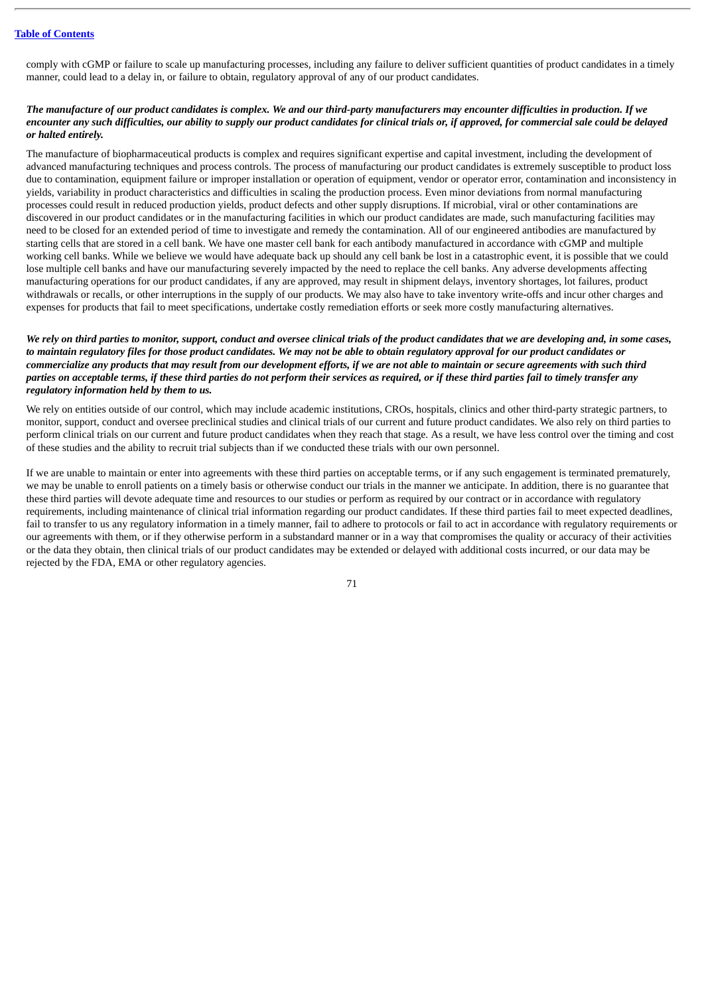comply with cGMP or failure to scale up manufacturing processes, including any failure to deliver sufficient quantities of product candidates in a timely manner, could lead to a delay in, or failure to obtain, regulatory approval of any of our product candidates.

# The manufacture of our product candidates is complex. We and our third-party manufacturers may encounter difficulties in production. If we encounter any such difficulties, our ability to supply our product candidates for clinical trials or, if approved, for commercial sale could be delayed *or halted entirely.*

The manufacture of biopharmaceutical products is complex and requires significant expertise and capital investment, including the development of advanced manufacturing techniques and process controls. The process of manufacturing our product candidates is extremely susceptible to product loss due to contamination, equipment failure or improper installation or operation of equipment, vendor or operator error, contamination and inconsistency in yields, variability in product characteristics and difficulties in scaling the production process. Even minor deviations from normal manufacturing processes could result in reduced production yields, product defects and other supply disruptions. If microbial, viral or other contaminations are discovered in our product candidates or in the manufacturing facilities in which our product candidates are made, such manufacturing facilities may need to be closed for an extended period of time to investigate and remedy the contamination. All of our engineered antibodies are manufactured by starting cells that are stored in a cell bank. We have one master cell bank for each antibody manufactured in accordance with cGMP and multiple working cell banks. While we believe we would have adequate back up should any cell bank be lost in a catastrophic event, it is possible that we could lose multiple cell banks and have our manufacturing severely impacted by the need to replace the cell banks. Any adverse developments affecting manufacturing operations for our product candidates, if any are approved, may result in shipment delays, inventory shortages, lot failures, product withdrawals or recalls, or other interruptions in the supply of our products. We may also have to take inventory write-offs and incur other charges and expenses for products that fail to meet specifications, undertake costly remediation efforts or seek more costly manufacturing alternatives.

# We rely on third parties to monitor, support, conduct and oversee clinical trials of the product candidates that we are developing and, in some cases, to maintain regulatory files for those product candidates. We may not be able to obtain regulatory approval for our product candidates or commercialize any products that may result from our development efforts, if we are not able to maintain or secure agreements with such third parties on acceptable terms, if these third parties do not perform their services as required, or if these third parties fail to timely transfer any *regulatory information held by them to us.*

We rely on entities outside of our control, which may include academic institutions, CROs, hospitals, clinics and other third-party strategic partners, to monitor, support, conduct and oversee preclinical studies and clinical trials of our current and future product candidates. We also rely on third parties to perform clinical trials on our current and future product candidates when they reach that stage. As a result, we have less control over the timing and cost of these studies and the ability to recruit trial subjects than if we conducted these trials with our own personnel.

If we are unable to maintain or enter into agreements with these third parties on acceptable terms, or if any such engagement is terminated prematurely, we may be unable to enroll patients on a timely basis or otherwise conduct our trials in the manner we anticipate. In addition, there is no guarantee that these third parties will devote adequate time and resources to our studies or perform as required by our contract or in accordance with regulatory requirements, including maintenance of clinical trial information regarding our product candidates. If these third parties fail to meet expected deadlines, fail to transfer to us any regulatory information in a timely manner, fail to adhere to protocols or fail to act in accordance with regulatory requirements or our agreements with them, or if they otherwise perform in a substandard manner or in a way that compromises the quality or accuracy of their activities or the data they obtain, then clinical trials of our product candidates may be extended or delayed with additional costs incurred, or our data may be rejected by the FDA, EMA or other regulatory agencies.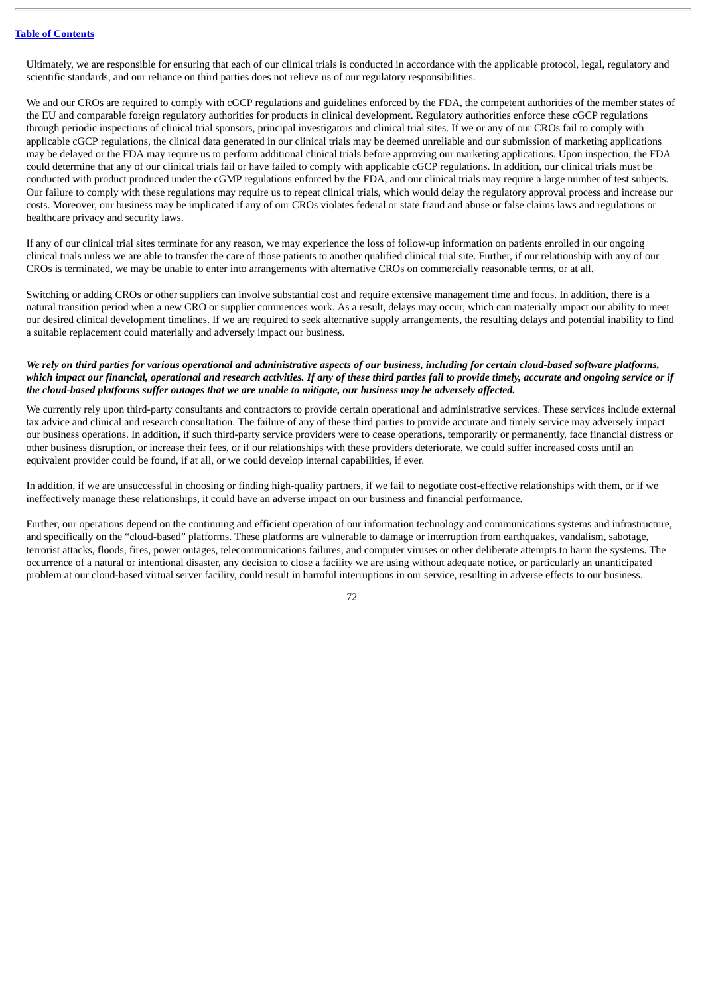Ultimately, we are responsible for ensuring that each of our clinical trials is conducted in accordance with the applicable protocol, legal, regulatory and scientific standards, and our reliance on third parties does not relieve us of our regulatory responsibilities.

We and our CROs are required to comply with cGCP regulations and guidelines enforced by the FDA, the competent authorities of the member states of the EU and comparable foreign regulatory authorities for products in clinical development. Regulatory authorities enforce these cGCP regulations through periodic inspections of clinical trial sponsors, principal investigators and clinical trial sites. If we or any of our CROs fail to comply with applicable cGCP regulations, the clinical data generated in our clinical trials may be deemed unreliable and our submission of marketing applications may be delayed or the FDA may require us to perform additional clinical trials before approving our marketing applications. Upon inspection, the FDA could determine that any of our clinical trials fail or have failed to comply with applicable cGCP regulations. In addition, our clinical trials must be conducted with product produced under the cGMP regulations enforced by the FDA, and our clinical trials may require a large number of test subjects. Our failure to comply with these regulations may require us to repeat clinical trials, which would delay the regulatory approval process and increase our costs. Moreover, our business may be implicated if any of our CROs violates federal or state fraud and abuse or false claims laws and regulations or healthcare privacy and security laws.

If any of our clinical trial sites terminate for any reason, we may experience the loss of follow-up information on patients enrolled in our ongoing clinical trials unless we are able to transfer the care of those patients to another qualified clinical trial site. Further, if our relationship with any of our CROs is terminated, we may be unable to enter into arrangements with alternative CROs on commercially reasonable terms, or at all.

Switching or adding CROs or other suppliers can involve substantial cost and require extensive management time and focus. In addition, there is a natural transition period when a new CRO or supplier commences work. As a result, delays may occur, which can materially impact our ability to meet our desired clinical development timelines. If we are required to seek alternative supply arrangements, the resulting delays and potential inability to find a suitable replacement could materially and adversely impact our business.

# We rely on third parties for various operational and administrative aspects of our business, including for certain cloud-based software platforms, which impact our financial, operational and research activities. If any of these third parties fail to provide timely, accurate and ongoing service or if the cloud-based platforms suffer outages that we are unable to mitigate, our business may be adversely affected.

We currently rely upon third-party consultants and contractors to provide certain operational and administrative services. These services include external tax advice and clinical and research consultation. The failure of any of these third parties to provide accurate and timely service may adversely impact our business operations. In addition, if such third-party service providers were to cease operations, temporarily or permanently, face financial distress or other business disruption, or increase their fees, or if our relationships with these providers deteriorate, we could suffer increased costs until an equivalent provider could be found, if at all, or we could develop internal capabilities, if ever.

In addition, if we are unsuccessful in choosing or finding high-quality partners, if we fail to negotiate cost-effective relationships with them, or if we ineffectively manage these relationships, it could have an adverse impact on our business and financial performance.

Further, our operations depend on the continuing and efficient operation of our information technology and communications systems and infrastructure, and specifically on the "cloud-based" platforms. These platforms are vulnerable to damage or interruption from earthquakes, vandalism, sabotage, terrorist attacks, floods, fires, power outages, telecommunications failures, and computer viruses or other deliberate attempts to harm the systems. The occurrence of a natural or intentional disaster, any decision to close a facility we are using without adequate notice, or particularly an unanticipated problem at our cloud-based virtual server facility, could result in harmful interruptions in our service, resulting in adverse effects to our business.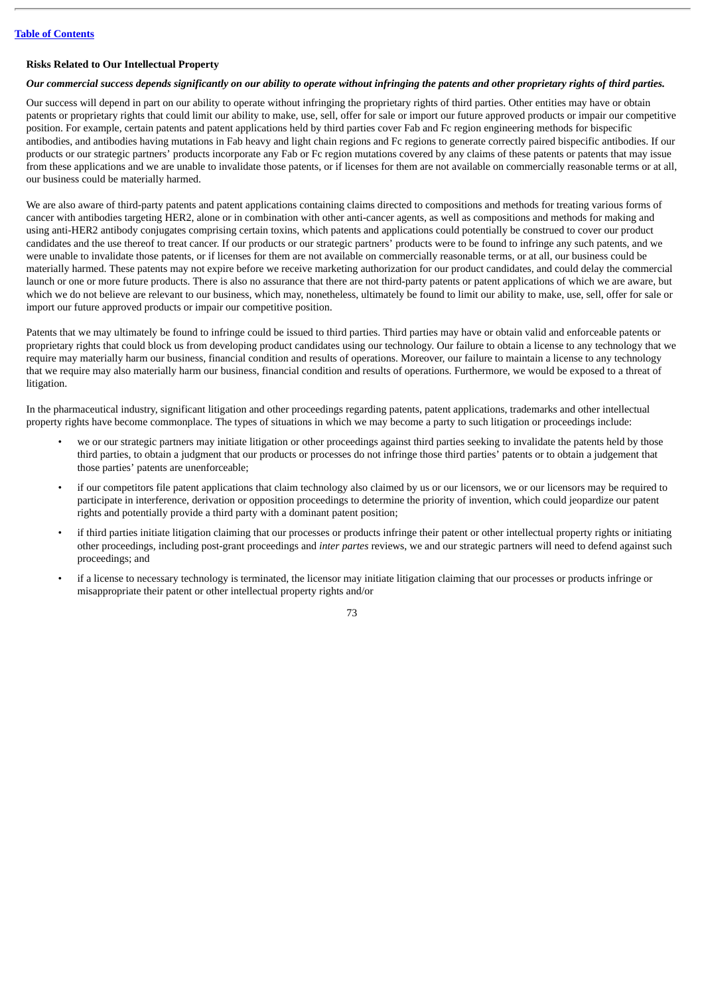#### **Risks Related to Our Intellectual Property**

# Our commercial success depends significantly on our ability to operate without infringing the patents and other proprietary rights of third parties.

Our success will depend in part on our ability to operate without infringing the proprietary rights of third parties. Other entities may have or obtain patents or proprietary rights that could limit our ability to make, use, sell, offer for sale or import our future approved products or impair our competitive position. For example, certain patents and patent applications held by third parties cover Fab and Fc region engineering methods for bispecific antibodies, and antibodies having mutations in Fab heavy and light chain regions and Fc regions to generate correctly paired bispecific antibodies. If our products or our strategic partners' products incorporate any Fab or Fc region mutations covered by any claims of these patents or patents that may issue from these applications and we are unable to invalidate those patents, or if licenses for them are not available on commercially reasonable terms or at all, our business could be materially harmed.

We are also aware of third-party patents and patent applications containing claims directed to compositions and methods for treating various forms of cancer with antibodies targeting HER2, alone or in combination with other anti-cancer agents, as well as compositions and methods for making and using anti-HER2 antibody conjugates comprising certain toxins, which patents and applications could potentially be construed to cover our product candidates and the use thereof to treat cancer. If our products or our strategic partners' products were to be found to infringe any such patents, and we were unable to invalidate those patents, or if licenses for them are not available on commercially reasonable terms, or at all, our business could be materially harmed. These patents may not expire before we receive marketing authorization for our product candidates, and could delay the commercial launch or one or more future products. There is also no assurance that there are not third-party patents or patent applications of which we are aware, but which we do not believe are relevant to our business, which may, nonetheless, ultimately be found to limit our ability to make, use, sell, offer for sale or import our future approved products or impair our competitive position.

Patents that we may ultimately be found to infringe could be issued to third parties. Third parties may have or obtain valid and enforceable patents or proprietary rights that could block us from developing product candidates using our technology. Our failure to obtain a license to any technology that we require may materially harm our business, financial condition and results of operations. Moreover, our failure to maintain a license to any technology that we require may also materially harm our business, financial condition and results of operations. Furthermore, we would be exposed to a threat of litigation.

In the pharmaceutical industry, significant litigation and other proceedings regarding patents, patent applications, trademarks and other intellectual property rights have become commonplace. The types of situations in which we may become a party to such litigation or proceedings include:

- we or our strategic partners may initiate litigation or other proceedings against third parties seeking to invalidate the patents held by those third parties, to obtain a judgment that our products or processes do not infringe those third parties' patents or to obtain a judgement that those parties' patents are unenforceable;
- if our competitors file patent applications that claim technology also claimed by us or our licensors, we or our licensors may be required to participate in interference, derivation or opposition proceedings to determine the priority of invention, which could jeopardize our patent rights and potentially provide a third party with a dominant patent position;
- if third parties initiate litigation claiming that our processes or products infringe their patent or other intellectual property rights or initiating other proceedings, including post-grant proceedings and *inter partes* reviews, we and our strategic partners will need to defend against such proceedings; and
- if a license to necessary technology is terminated, the licensor may initiate litigation claiming that our processes or products infringe or misappropriate their patent or other intellectual property rights and/or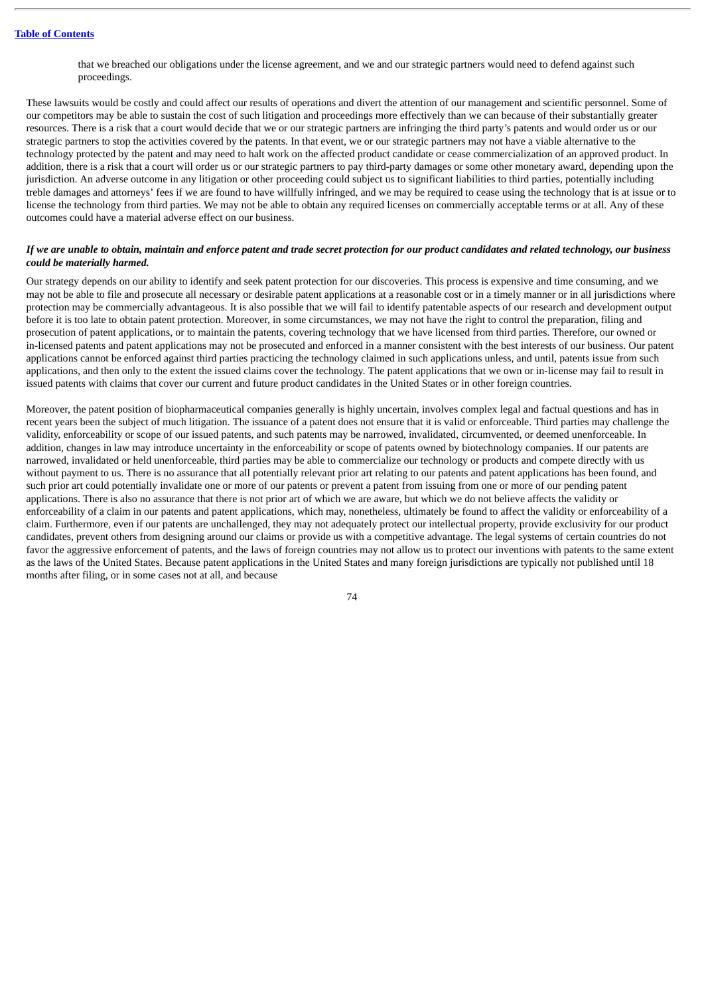that we breached our obligations under the license agreement, and we and our strategic partners would need to defend against such proceedings.

These lawsuits would be costly and could affect our results of operations and divert the attention of our management and scientific personnel. Some of our competitors may be able to sustain the cost of such litigation and proceedings more effectively than we can because of their substantially greater resources. There is a risk that a court would decide that we or our strategic partners are infringing the third party's patents and would order us or our strategic partners to stop the activities covered by the patents. In that event, we or our strategic partners may not have a viable alternative to the technology protected by the patent and may need to halt work on the affected product candidate or cease commercialization of an approved product. In addition, there is a risk that a court will order us or our strategic partners to pay third-party damages or some other monetary award, depending upon the jurisdiction. An adverse outcome in any litigation or other proceeding could subject us to significant liabilities to third parties, potentially including treble damages and attorneys' fees if we are found to have willfully infringed, and we may be required to cease using the technology that is at issue or to license the technology from third parties. We may not be able to obtain any required licenses on commercially acceptable terms or at all. Any of these outcomes could have a material adverse effect on our business.

# If we are unable to obtain, maintain and enforce patent and trade secret protection for our product candidates and related technology, our business *could be materially harmed.*

Our strategy depends on our ability to identify and seek patent protection for our discoveries. This process is expensive and time consuming, and we may not be able to file and prosecute all necessary or desirable patent applications at a reasonable cost or in a timely manner or in all jurisdictions where protection may be commercially advantageous. It is also possible that we will fail to identify patentable aspects of our research and development output before it is too late to obtain patent protection. Moreover, in some circumstances, we may not have the right to control the preparation, filing and prosecution of patent applications, or to maintain the patents, covering technology that we have licensed from third parties. Therefore, our owned or in-licensed patents and patent applications may not be prosecuted and enforced in a manner consistent with the best interests of our business. Our patent applications cannot be enforced against third parties practicing the technology claimed in such applications unless, and until, patents issue from such applications, and then only to the extent the issued claims cover the technology. The patent applications that we own or in-license may fail to result in issued patents with claims that cover our current and future product candidates in the United States or in other foreign countries.

Moreover, the patent position of biopharmaceutical companies generally is highly uncertain, involves complex legal and factual questions and has in recent years been the subject of much litigation. The issuance of a patent does not ensure that it is valid or enforceable. Third parties may challenge the validity, enforceability or scope of our issued patents, and such patents may be narrowed, invalidated, circumvented, or deemed unenforceable. In addition, changes in law may introduce uncertainty in the enforceability or scope of patents owned by biotechnology companies. If our patents are narrowed, invalidated or held unenforceable, third parties may be able to commercialize our technology or products and compete directly with us without payment to us. There is no assurance that all potentially relevant prior art relating to our patents and patent applications has been found, and such prior art could potentially invalidate one or more of our patents or prevent a patent from issuing from one or more of our pending patent applications. There is also no assurance that there is not prior art of which we are aware, but which we do not believe affects the validity or enforceability of a claim in our patents and patent applications, which may, nonetheless, ultimately be found to affect the validity or enforceability of a claim. Furthermore, even if our patents are unchallenged, they may not adequately protect our intellectual property, provide exclusivity for our product candidates, prevent others from designing around our claims or provide us with a competitive advantage. The legal systems of certain countries do not favor the aggressive enforcement of patents, and the laws of foreign countries may not allow us to protect our inventions with patents to the same extent as the laws of the United States. Because patent applications in the United States and many foreign jurisdictions are typically not published until 18 months after filing, or in some cases not at all, and because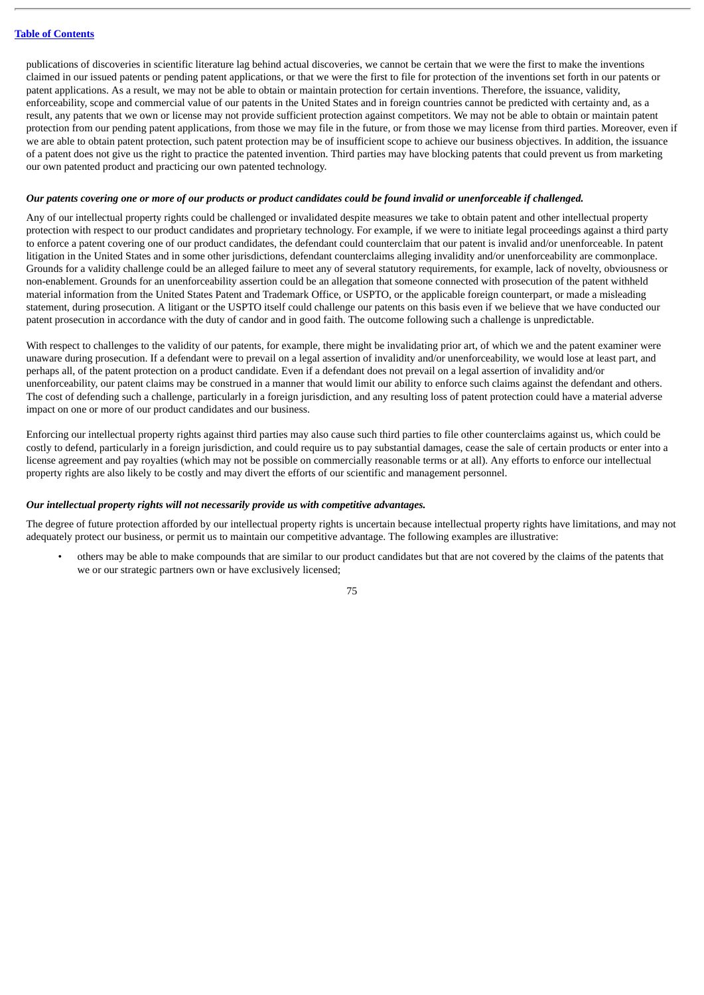publications of discoveries in scientific literature lag behind actual discoveries, we cannot be certain that we were the first to make the inventions claimed in our issued patents or pending patent applications, or that we were the first to file for protection of the inventions set forth in our patents or patent applications. As a result, we may not be able to obtain or maintain protection for certain inventions. Therefore, the issuance, validity, enforceability, scope and commercial value of our patents in the United States and in foreign countries cannot be predicted with certainty and, as a result, any patents that we own or license may not provide sufficient protection against competitors. We may not be able to obtain or maintain patent protection from our pending patent applications, from those we may file in the future, or from those we may license from third parties. Moreover, even if we are able to obtain patent protection, such patent protection may be of insufficient scope to achieve our business objectives. In addition, the issuance of a patent does not give us the right to practice the patented invention. Third parties may have blocking patents that could prevent us from marketing our own patented product and practicing our own patented technology.

#### Our patents covering one or more of our products or product candidates could be found invalid or unenforceable if challenged.

Any of our intellectual property rights could be challenged or invalidated despite measures we take to obtain patent and other intellectual property protection with respect to our product candidates and proprietary technology. For example, if we were to initiate legal proceedings against a third party to enforce a patent covering one of our product candidates, the defendant could counterclaim that our patent is invalid and/or unenforceable. In patent litigation in the United States and in some other jurisdictions, defendant counterclaims alleging invalidity and/or unenforceability are commonplace. Grounds for a validity challenge could be an alleged failure to meet any of several statutory requirements, for example, lack of novelty, obviousness or non-enablement. Grounds for an unenforceability assertion could be an allegation that someone connected with prosecution of the patent withheld material information from the United States Patent and Trademark Office, or USPTO, or the applicable foreign counterpart, or made a misleading statement, during prosecution. A litigant or the USPTO itself could challenge our patents on this basis even if we believe that we have conducted our patent prosecution in accordance with the duty of candor and in good faith. The outcome following such a challenge is unpredictable.

With respect to challenges to the validity of our patents, for example, there might be invalidating prior art, of which we and the patent examiner were unaware during prosecution. If a defendant were to prevail on a legal assertion of invalidity and/or unenforceability, we would lose at least part, and perhaps all, of the patent protection on a product candidate. Even if a defendant does not prevail on a legal assertion of invalidity and/or unenforceability, our patent claims may be construed in a manner that would limit our ability to enforce such claims against the defendant and others. The cost of defending such a challenge, particularly in a foreign jurisdiction, and any resulting loss of patent protection could have a material adverse impact on one or more of our product candidates and our business.

Enforcing our intellectual property rights against third parties may also cause such third parties to file other counterclaims against us, which could be costly to defend, particularly in a foreign jurisdiction, and could require us to pay substantial damages, cease the sale of certain products or enter into a license agreement and pay royalties (which may not be possible on commercially reasonable terms or at all). Any efforts to enforce our intellectual property rights are also likely to be costly and may divert the efforts of our scientific and management personnel.

#### *Our intellectual property rights will not necessarily provide us with competitive advantages.*

The degree of future protection afforded by our intellectual property rights is uncertain because intellectual property rights have limitations, and may not adequately protect our business, or permit us to maintain our competitive advantage. The following examples are illustrative:

• others may be able to make compounds that are similar to our product candidates but that are not covered by the claims of the patents that we or our strategic partners own or have exclusively licensed;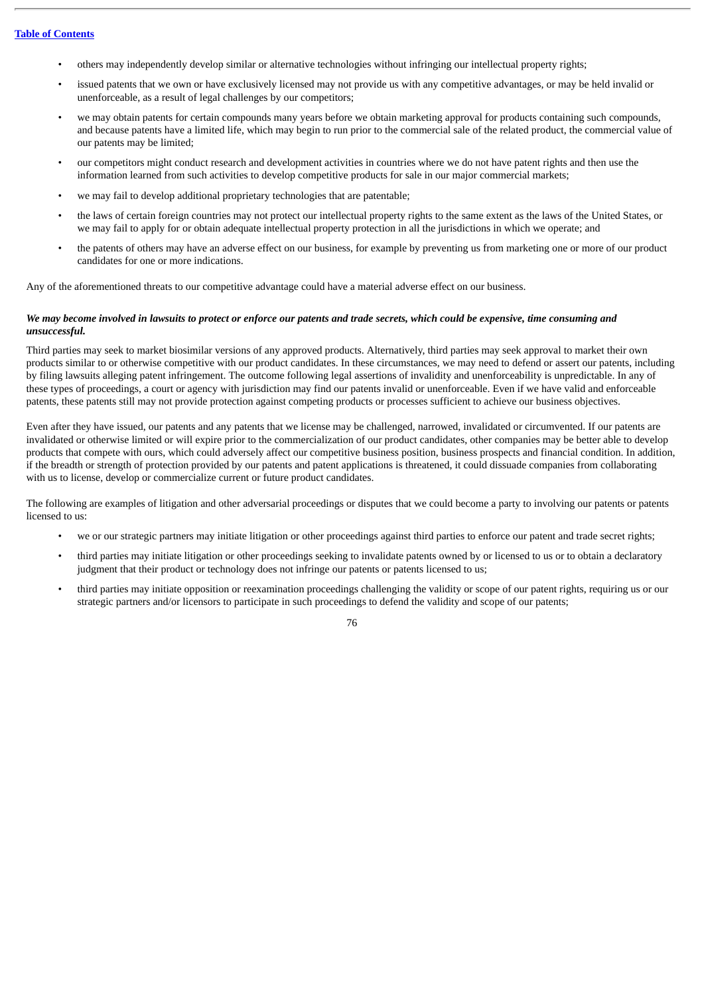- others may independently develop similar or alternative technologies without infringing our intellectual property rights;
- issued patents that we own or have exclusively licensed may not provide us with any competitive advantages, or may be held invalid or unenforceable, as a result of legal challenges by our competitors;
- we may obtain patents for certain compounds many years before we obtain marketing approval for products containing such compounds, and because patents have a limited life, which may begin to run prior to the commercial sale of the related product, the commercial value of our patents may be limited;
- our competitors might conduct research and development activities in countries where we do not have patent rights and then use the information learned from such activities to develop competitive products for sale in our major commercial markets;
- we may fail to develop additional proprietary technologies that are patentable;
- the laws of certain foreign countries may not protect our intellectual property rights to the same extent as the laws of the United States, or we may fail to apply for or obtain adequate intellectual property protection in all the jurisdictions in which we operate; and
- the patents of others may have an adverse effect on our business, for example by preventing us from marketing one or more of our product candidates for one or more indications.

Any of the aforementioned threats to our competitive advantage could have a material adverse effect on our business.

# We may become involved in lawsuits to protect or enforce our patents and trade secrets, which could be expensive, time consumina and *unsuccessful.*

Third parties may seek to market biosimilar versions of any approved products. Alternatively, third parties may seek approval to market their own products similar to or otherwise competitive with our product candidates. In these circumstances, we may need to defend or assert our patents, including by filing lawsuits alleging patent infringement. The outcome following legal assertions of invalidity and unenforceability is unpredictable. In any of these types of proceedings, a court or agency with jurisdiction may find our patents invalid or unenforceable. Even if we have valid and enforceable patents, these patents still may not provide protection against competing products or processes sufficient to achieve our business objectives.

Even after they have issued, our patents and any patents that we license may be challenged, narrowed, invalidated or circumvented. If our patents are invalidated or otherwise limited or will expire prior to the commercialization of our product candidates, other companies may be better able to develop products that compete with ours, which could adversely affect our competitive business position, business prospects and financial condition. In addition, if the breadth or strength of protection provided by our patents and patent applications is threatened, it could dissuade companies from collaborating with us to license, develop or commercialize current or future product candidates.

The following are examples of litigation and other adversarial proceedings or disputes that we could become a party to involving our patents or patents licensed to us:

- we or our strategic partners may initiate litigation or other proceedings against third parties to enforce our patent and trade secret rights;
- third parties may initiate litigation or other proceedings seeking to invalidate patents owned by or licensed to us or to obtain a declaratory judgment that their product or technology does not infringe our patents or patents licensed to us;
- third parties may initiate opposition or reexamination proceedings challenging the validity or scope of our patent rights, requiring us or our strategic partners and/or licensors to participate in such proceedings to defend the validity and scope of our patents;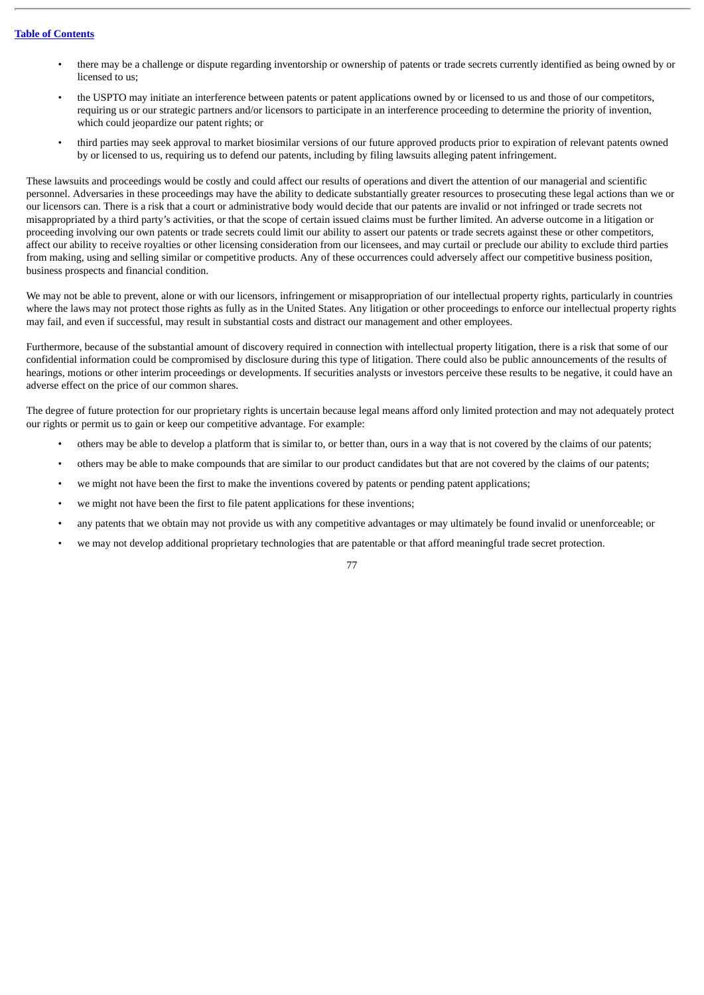- there may be a challenge or dispute regarding inventorship or ownership of patents or trade secrets currently identified as being owned by or licensed to us:
- the USPTO may initiate an interference between patents or patent applications owned by or licensed to us and those of our competitors, requiring us or our strategic partners and/or licensors to participate in an interference proceeding to determine the priority of invention, which could jeopardize our patent rights; or
- third parties may seek approval to market biosimilar versions of our future approved products prior to expiration of relevant patents owned by or licensed to us, requiring us to defend our patents, including by filing lawsuits alleging patent infringement.

These lawsuits and proceedings would be costly and could affect our results of operations and divert the attention of our managerial and scientific personnel. Adversaries in these proceedings may have the ability to dedicate substantially greater resources to prosecuting these legal actions than we or our licensors can. There is a risk that a court or administrative body would decide that our patents are invalid or not infringed or trade secrets not misappropriated by a third party's activities, or that the scope of certain issued claims must be further limited. An adverse outcome in a litigation or proceeding involving our own patents or trade secrets could limit our ability to assert our patents or trade secrets against these or other competitors, affect our ability to receive royalties or other licensing consideration from our licensees, and may curtail or preclude our ability to exclude third parties from making, using and selling similar or competitive products. Any of these occurrences could adversely affect our competitive business position, business prospects and financial condition.

We may not be able to prevent, alone or with our licensors, infringement or misappropriation of our intellectual property rights, particularly in countries where the laws may not protect those rights as fully as in the United States. Any litigation or other proceedings to enforce our intellectual property rights may fail, and even if successful, may result in substantial costs and distract our management and other employees.

Furthermore, because of the substantial amount of discovery required in connection with intellectual property litigation, there is a risk that some of our confidential information could be compromised by disclosure during this type of litigation. There could also be public announcements of the results of hearings, motions or other interim proceedings or developments. If securities analysts or investors perceive these results to be negative, it could have an adverse effect on the price of our common shares.

The degree of future protection for our proprietary rights is uncertain because legal means afford only limited protection and may not adequately protect our rights or permit us to gain or keep our competitive advantage. For example:

- others may be able to develop a platform that is similar to, or better than, ours in a way that is not covered by the claims of our patents;
- others may be able to make compounds that are similar to our product candidates but that are not covered by the claims of our patents;
- we might not have been the first to make the inventions covered by patents or pending patent applications;
- we might not have been the first to file patent applications for these inventions;
- any patents that we obtain may not provide us with any competitive advantages or may ultimately be found invalid or unenforceable; or
- we may not develop additional proprietary technologies that are patentable or that afford meaningful trade secret protection.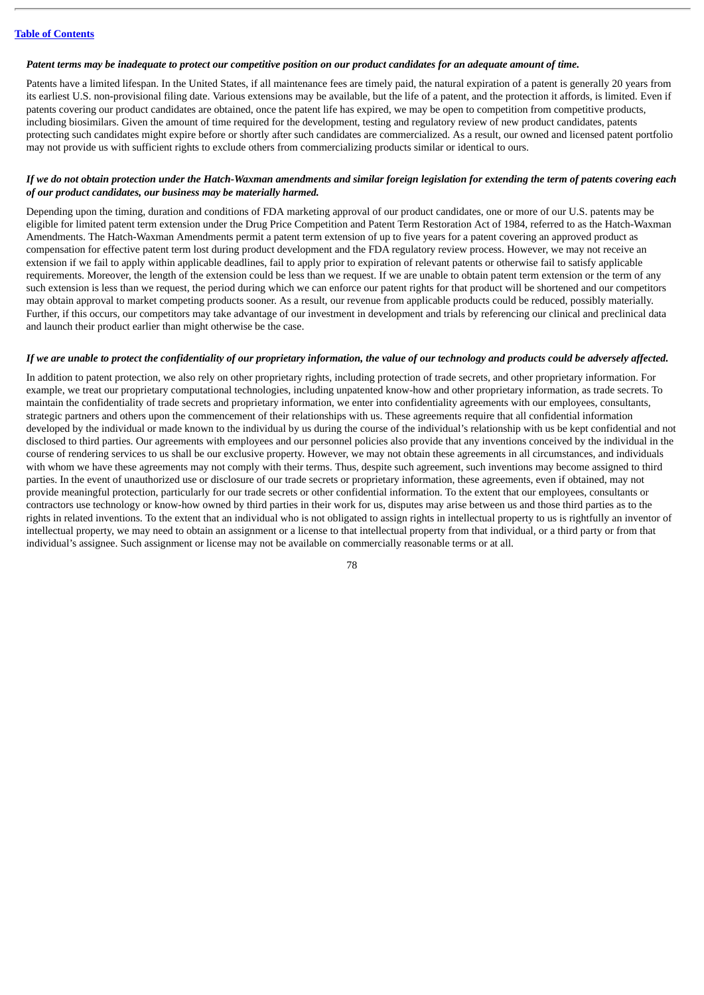#### Patent terms may be inadequate to protect our competitive position on our product candidates for an adequate amount of time.

Patents have a limited lifespan. In the United States, if all maintenance fees are timely paid, the natural expiration of a patent is generally 20 years from its earliest U.S. non-provisional filing date. Various extensions may be available, but the life of a patent, and the protection it affords, is limited. Even if patents covering our product candidates are obtained, once the patent life has expired, we may be open to competition from competitive products, including biosimilars. Given the amount of time required for the development, testing and regulatory review of new product candidates, patents protecting such candidates might expire before or shortly after such candidates are commercialized. As a result, our owned and licensed patent portfolio may not provide us with sufficient rights to exclude others from commercializing products similar or identical to ours.

## If we do not obtain protection under the Hatch-Waxman amendments and similar foreign legislation for extending the term of patents covering each *of our product candidates, our business may be materially harmed.*

Depending upon the timing, duration and conditions of FDA marketing approval of our product candidates, one or more of our U.S. patents may be eligible for limited patent term extension under the Drug Price Competition and Patent Term Restoration Act of 1984, referred to as the Hatch-Waxman Amendments. The Hatch-Waxman Amendments permit a patent term extension of up to five years for a patent covering an approved product as compensation for effective patent term lost during product development and the FDA regulatory review process. However, we may not receive an extension if we fail to apply within applicable deadlines, fail to apply prior to expiration of relevant patents or otherwise fail to satisfy applicable requirements. Moreover, the length of the extension could be less than we request. If we are unable to obtain patent term extension or the term of any such extension is less than we request, the period during which we can enforce our patent rights for that product will be shortened and our competitors may obtain approval to market competing products sooner. As a result, our revenue from applicable products could be reduced, possibly materially. Further, if this occurs, our competitors may take advantage of our investment in development and trials by referencing our clinical and preclinical data and launch their product earlier than might otherwise be the case.

#### If we are unable to protect the confidentiality of our proprietary information, the value of our technology and products could be adversely affected.

In addition to patent protection, we also rely on other proprietary rights, including protection of trade secrets, and other proprietary information. For example, we treat our proprietary computational technologies, including unpatented know-how and other proprietary information, as trade secrets. To maintain the confidentiality of trade secrets and proprietary information, we enter into confidentiality agreements with our employees, consultants, strategic partners and others upon the commencement of their relationships with us. These agreements require that all confidential information developed by the individual or made known to the individual by us during the course of the individual's relationship with us be kept confidential and not disclosed to third parties. Our agreements with employees and our personnel policies also provide that any inventions conceived by the individual in the course of rendering services to us shall be our exclusive property. However, we may not obtain these agreements in all circumstances, and individuals with whom we have these agreements may not comply with their terms. Thus, despite such agreement, such inventions may become assigned to third parties. In the event of unauthorized use or disclosure of our trade secrets or proprietary information, these agreements, even if obtained, may not provide meaningful protection, particularly for our trade secrets or other confidential information. To the extent that our employees, consultants or contractors use technology or know-how owned by third parties in their work for us, disputes may arise between us and those third parties as to the rights in related inventions. To the extent that an individual who is not obligated to assign rights in intellectual property to us is rightfully an inventor of intellectual property, we may need to obtain an assignment or a license to that intellectual property from that individual, or a third party or from that individual's assignee. Such assignment or license may not be available on commercially reasonable terms or at all.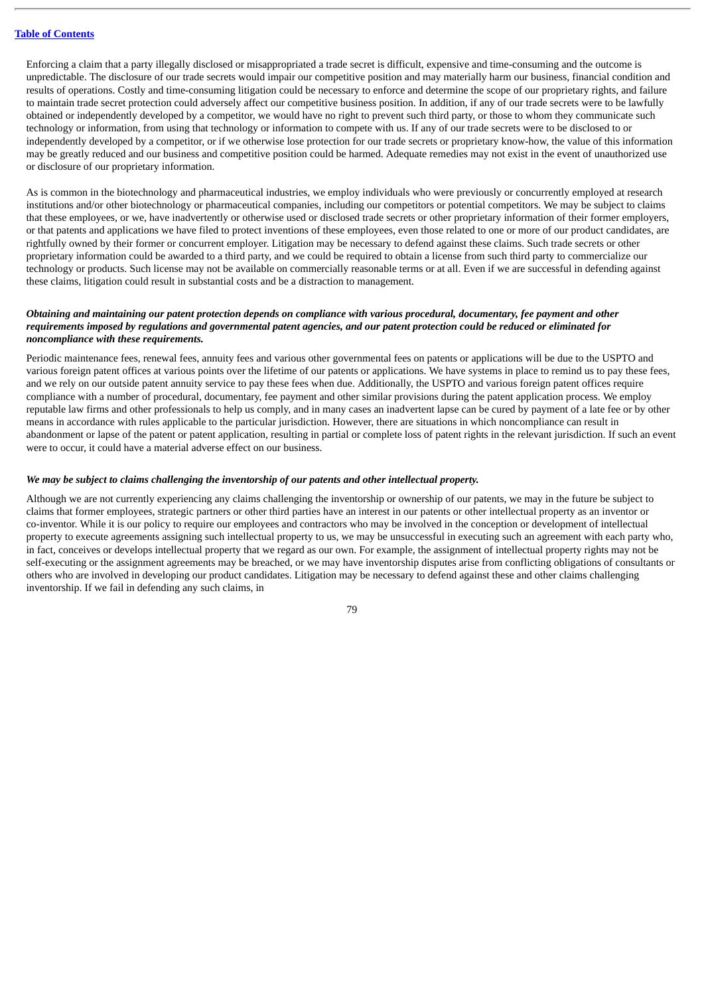Enforcing a claim that a party illegally disclosed or misappropriated a trade secret is difficult, expensive and time-consuming and the outcome is unpredictable. The disclosure of our trade secrets would impair our competitive position and may materially harm our business, financial condition and results of operations. Costly and time-consuming litigation could be necessary to enforce and determine the scope of our proprietary rights, and failure to maintain trade secret protection could adversely affect our competitive business position. In addition, if any of our trade secrets were to be lawfully obtained or independently developed by a competitor, we would have no right to prevent such third party, or those to whom they communicate such technology or information, from using that technology or information to compete with us. If any of our trade secrets were to be disclosed to or independently developed by a competitor, or if we otherwise lose protection for our trade secrets or proprietary know-how, the value of this information may be greatly reduced and our business and competitive position could be harmed. Adequate remedies may not exist in the event of unauthorized use or disclosure of our proprietary information.

As is common in the biotechnology and pharmaceutical industries, we employ individuals who were previously or concurrently employed at research institutions and/or other biotechnology or pharmaceutical companies, including our competitors or potential competitors. We may be subject to claims that these employees, or we, have inadvertently or otherwise used or disclosed trade secrets or other proprietary information of their former employers, or that patents and applications we have filed to protect inventions of these employees, even those related to one or more of our product candidates, are rightfully owned by their former or concurrent employer. Litigation may be necessary to defend against these claims. Such trade secrets or other proprietary information could be awarded to a third party, and we could be required to obtain a license from such third party to commercialize our technology or products. Such license may not be available on commercially reasonable terms or at all. Even if we are successful in defending against these claims, litigation could result in substantial costs and be a distraction to management.

## Obtaining and maintaining our patent protection depends on compliance with various procedural, documentary, fee payment and other requirements imposed by requlations and governmental patent gaencies, and our patent protection could be reduced or eliminated for *noncompliance with these requirements.*

Periodic maintenance fees, renewal fees, annuity fees and various other governmental fees on patents or applications will be due to the USPTO and various foreign patent offices at various points over the lifetime of our patents or applications. We have systems in place to remind us to pay these fees, and we rely on our outside patent annuity service to pay these fees when due. Additionally, the USPTO and various foreign patent offices require compliance with a number of procedural, documentary, fee payment and other similar provisions during the patent application process. We employ reputable law firms and other professionals to help us comply, and in many cases an inadvertent lapse can be cured by payment of a late fee or by other means in accordance with rules applicable to the particular jurisdiction. However, there are situations in which noncompliance can result in abandonment or lapse of the patent or patent application, resulting in partial or complete loss of patent rights in the relevant jurisdiction. If such an event were to occur, it could have a material adverse effect on our business.

### *We may be subject to claims challenging the inventorship of our patents and other intellectual property.*

Although we are not currently experiencing any claims challenging the inventorship or ownership of our patents, we may in the future be subject to claims that former employees, strategic partners or other third parties have an interest in our patents or other intellectual property as an inventor or co-inventor. While it is our policy to require our employees and contractors who may be involved in the conception or development of intellectual property to execute agreements assigning such intellectual property to us, we may be unsuccessful in executing such an agreement with each party who, in fact, conceives or develops intellectual property that we regard as our own. For example, the assignment of intellectual property rights may not be self-executing or the assignment agreements may be breached, or we may have inventorship disputes arise from conflicting obligations of consultants or others who are involved in developing our product candidates. Litigation may be necessary to defend against these and other claims challenging inventorship. If we fail in defending any such claims, in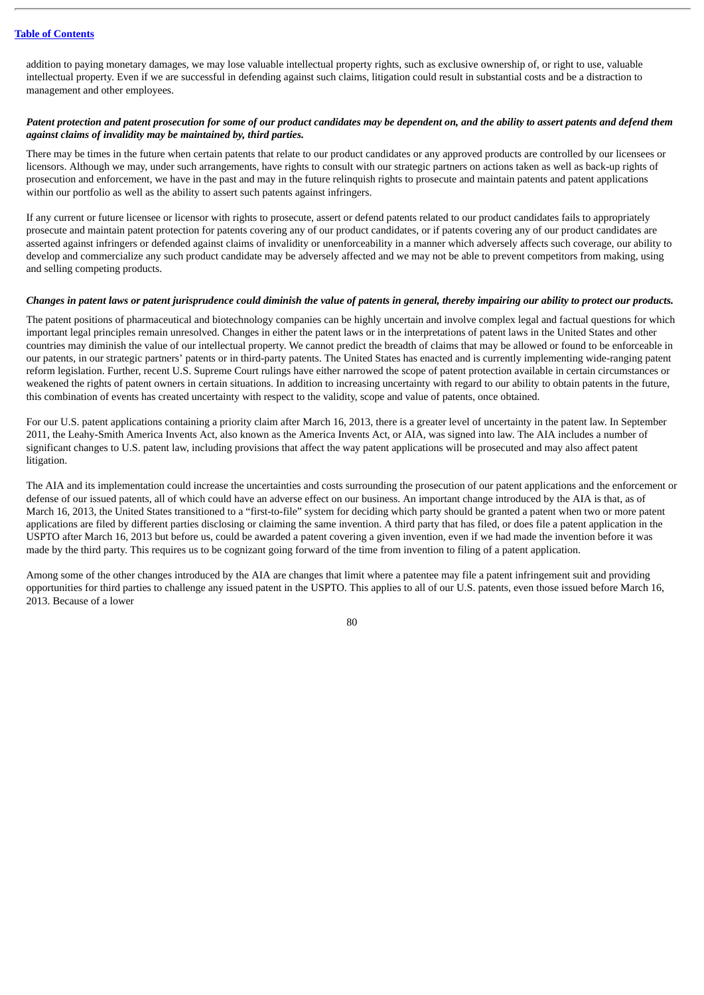addition to paying monetary damages, we may lose valuable intellectual property rights, such as exclusive ownership of, or right to use, valuable intellectual property. Even if we are successful in defending against such claims, litigation could result in substantial costs and be a distraction to management and other employees.

### Patent protection and patent prosecution for some of our product candidates may be dependent on, and the ability to assert patents and defend them *against claims of invalidity may be maintained by, third parties.*

There may be times in the future when certain patents that relate to our product candidates or any approved products are controlled by our licensees or licensors. Although we may, under such arrangements, have rights to consult with our strategic partners on actions taken as well as back-up rights of prosecution and enforcement, we have in the past and may in the future relinquish rights to prosecute and maintain patents and patent applications within our portfolio as well as the ability to assert such patents against infringers.

If any current or future licensee or licensor with rights to prosecute, assert or defend patents related to our product candidates fails to appropriately prosecute and maintain patent protection for patents covering any of our product candidates, or if patents covering any of our product candidates are asserted against infringers or defended against claims of invalidity or unenforceability in a manner which adversely affects such coverage, our ability to develop and commercialize any such product candidate may be adversely affected and we may not be able to prevent competitors from making, using and selling competing products.

#### Changes in patent laws or patent jurisprudence could diminish the value of patents in general, thereby impairing our ability to protect our products.

The patent positions of pharmaceutical and biotechnology companies can be highly uncertain and involve complex legal and factual questions for which important legal principles remain unresolved. Changes in either the patent laws or in the interpretations of patent laws in the United States and other countries may diminish the value of our intellectual property. We cannot predict the breadth of claims that may be allowed or found to be enforceable in our patents, in our strategic partners' patents or in third-party patents. The United States has enacted and is currently implementing wide-ranging patent reform legislation. Further, recent U.S. Supreme Court rulings have either narrowed the scope of patent protection available in certain circumstances or weakened the rights of patent owners in certain situations. In addition to increasing uncertainty with regard to our ability to obtain patents in the future, this combination of events has created uncertainty with respect to the validity, scope and value of patents, once obtained.

For our U.S. patent applications containing a priority claim after March 16, 2013, there is a greater level of uncertainty in the patent law. In September 2011, the Leahy-Smith America Invents Act, also known as the America Invents Act, or AIA, was signed into law. The AIA includes a number of significant changes to U.S. patent law, including provisions that affect the way patent applications will be prosecuted and may also affect patent litigation.

The AIA and its implementation could increase the uncertainties and costs surrounding the prosecution of our patent applications and the enforcement or defense of our issued patents, all of which could have an adverse effect on our business. An important change introduced by the AIA is that, as of March 16, 2013, the United States transitioned to a "first-to-file" system for deciding which party should be granted a patent when two or more patent applications are filed by different parties disclosing or claiming the same invention. A third party that has filed, or does file a patent application in the USPTO after March 16, 2013 but before us, could be awarded a patent covering a given invention, even if we had made the invention before it was made by the third party. This requires us to be cognizant going forward of the time from invention to filing of a patent application.

Among some of the other changes introduced by the AIA are changes that limit where a patentee may file a patent infringement suit and providing opportunities for third parties to challenge any issued patent in the USPTO. This applies to all of our U.S. patents, even those issued before March 16, 2013. Because of a lower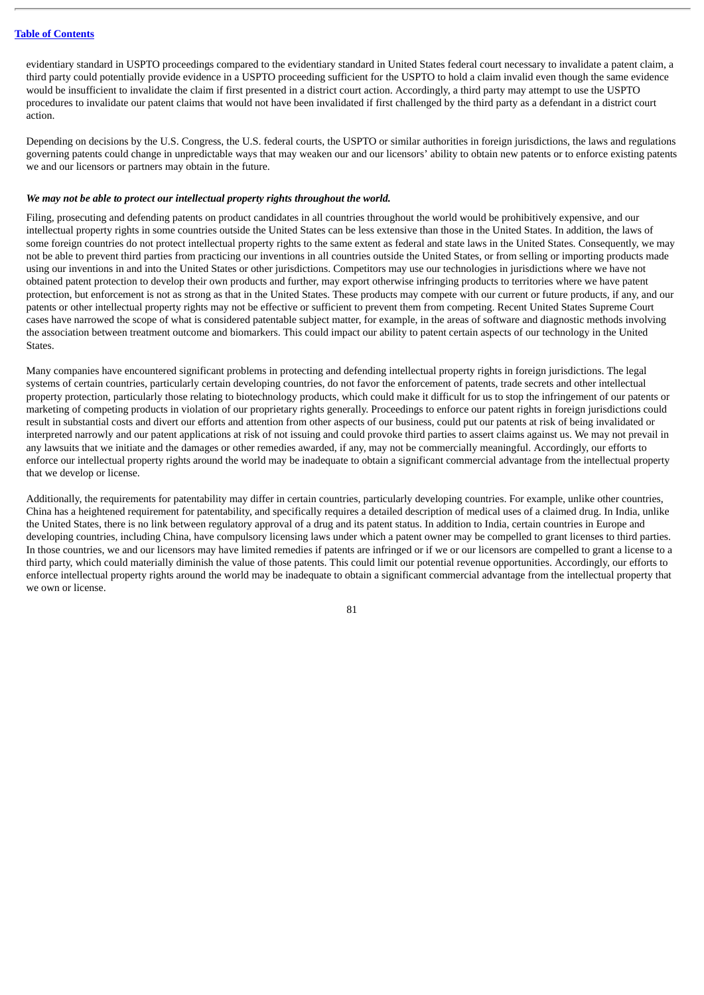evidentiary standard in USPTO proceedings compared to the evidentiary standard in United States federal court necessary to invalidate a patent claim, a third party could potentially provide evidence in a USPTO proceeding sufficient for the USPTO to hold a claim invalid even though the same evidence would be insufficient to invalidate the claim if first presented in a district court action. Accordingly, a third party may attempt to use the USPTO procedures to invalidate our patent claims that would not have been invalidated if first challenged by the third party as a defendant in a district court action.

Depending on decisions by the U.S. Congress, the U.S. federal courts, the USPTO or similar authorities in foreign jurisdictions, the laws and regulations governing patents could change in unpredictable ways that may weaken our and our licensors' ability to obtain new patents or to enforce existing patents we and our licensors or partners may obtain in the future.

## *We may not be able to protect our intellectual property rights throughout the world.*

Filing, prosecuting and defending patents on product candidates in all countries throughout the world would be prohibitively expensive, and our intellectual property rights in some countries outside the United States can be less extensive than those in the United States. In addition, the laws of some foreign countries do not protect intellectual property rights to the same extent as federal and state laws in the United States. Consequently, we may not be able to prevent third parties from practicing our inventions in all countries outside the United States, or from selling or importing products made using our inventions in and into the United States or other jurisdictions. Competitors may use our technologies in jurisdictions where we have not obtained patent protection to develop their own products and further, may export otherwise infringing products to territories where we have patent protection, but enforcement is not as strong as that in the United States. These products may compete with our current or future products, if any, and our patents or other intellectual property rights may not be effective or sufficient to prevent them from competing. Recent United States Supreme Court cases have narrowed the scope of what is considered patentable subject matter, for example, in the areas of software and diagnostic methods involving the association between treatment outcome and biomarkers. This could impact our ability to patent certain aspects of our technology in the United States.

Many companies have encountered significant problems in protecting and defending intellectual property rights in foreign jurisdictions. The legal systems of certain countries, particularly certain developing countries, do not favor the enforcement of patents, trade secrets and other intellectual property protection, particularly those relating to biotechnology products, which could make it difficult for us to stop the infringement of our patents or marketing of competing products in violation of our proprietary rights generally. Proceedings to enforce our patent rights in foreign jurisdictions could result in substantial costs and divert our efforts and attention from other aspects of our business, could put our patents at risk of being invalidated or interpreted narrowly and our patent applications at risk of not issuing and could provoke third parties to assert claims against us. We may not prevail in any lawsuits that we initiate and the damages or other remedies awarded, if any, may not be commercially meaningful. Accordingly, our efforts to enforce our intellectual property rights around the world may be inadequate to obtain a significant commercial advantage from the intellectual property that we develop or license.

Additionally, the requirements for patentability may differ in certain countries, particularly developing countries. For example, unlike other countries, China has a heightened requirement for patentability, and specifically requires a detailed description of medical uses of a claimed drug. In India, unlike the United States, there is no link between regulatory approval of a drug and its patent status. In addition to India, certain countries in Europe and developing countries, including China, have compulsory licensing laws under which a patent owner may be compelled to grant licenses to third parties. In those countries, we and our licensors may have limited remedies if patents are infringed or if we or our licensors are compelled to grant a license to a third party, which could materially diminish the value of those patents. This could limit our potential revenue opportunities. Accordingly, our efforts to enforce intellectual property rights around the world may be inadequate to obtain a significant commercial advantage from the intellectual property that we own or license.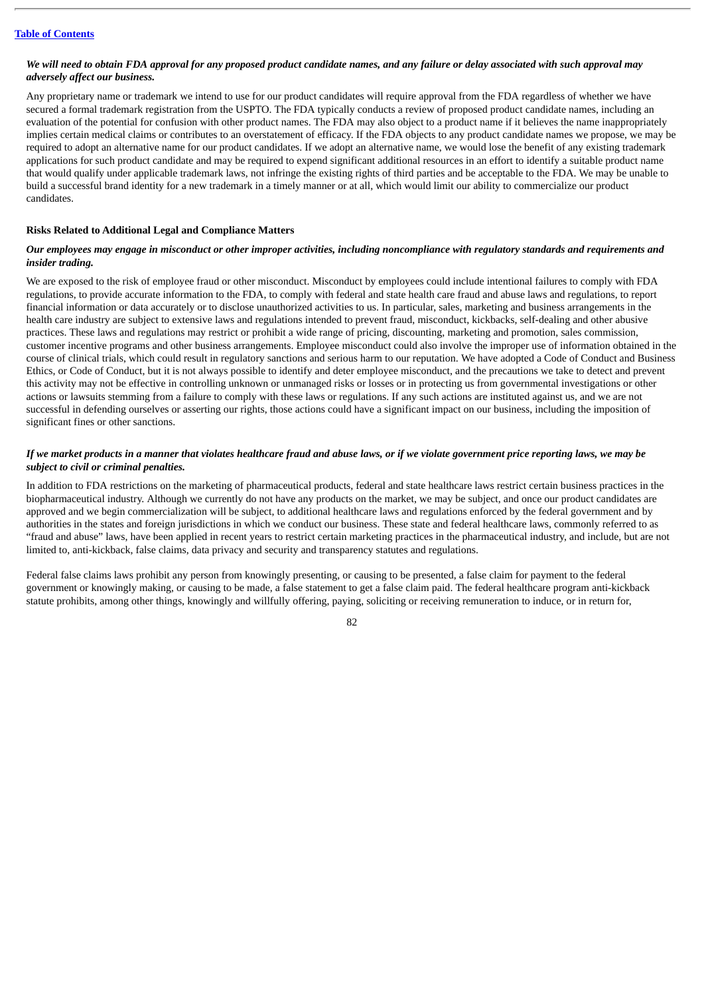## We will need to obtain FDA approval for any proposed product candidate names, and any failure or delay associated with such approval may *adversely affect our business.*

Any proprietary name or trademark we intend to use for our product candidates will require approval from the FDA regardless of whether we have secured a formal trademark registration from the USPTO. The FDA typically conducts a review of proposed product candidate names, including an evaluation of the potential for confusion with other product names. The FDA may also object to a product name if it believes the name inappropriately implies certain medical claims or contributes to an overstatement of efficacy. If the FDA objects to any product candidate names we propose, we may be required to adopt an alternative name for our product candidates. If we adopt an alternative name, we would lose the benefit of any existing trademark applications for such product candidate and may be required to expend significant additional resources in an effort to identify a suitable product name that would qualify under applicable trademark laws, not infringe the existing rights of third parties and be acceptable to the FDA. We may be unable to build a successful brand identity for a new trademark in a timely manner or at all, which would limit our ability to commercialize our product candidates.

# **Risks Related to Additional Legal and Compliance Matters**

# Our employees may engage in misconduct or other improper activities, including noncompliance with regulatory standards and requirements and *insider trading.*

We are exposed to the risk of employee fraud or other misconduct. Misconduct by employees could include intentional failures to comply with FDA regulations, to provide accurate information to the FDA, to comply with federal and state health care fraud and abuse laws and regulations, to report financial information or data accurately or to disclose unauthorized activities to us. In particular, sales, marketing and business arrangements in the health care industry are subject to extensive laws and regulations intended to prevent fraud, misconduct, kickbacks, self-dealing and other abusive practices. These laws and regulations may restrict or prohibit a wide range of pricing, discounting, marketing and promotion, sales commission, customer incentive programs and other business arrangements. Employee misconduct could also involve the improper use of information obtained in the course of clinical trials, which could result in regulatory sanctions and serious harm to our reputation. We have adopted a Code of Conduct and Business Ethics, or Code of Conduct, but it is not always possible to identify and deter employee misconduct, and the precautions we take to detect and prevent this activity may not be effective in controlling unknown or unmanaged risks or losses or in protecting us from governmental investigations or other actions or lawsuits stemming from a failure to comply with these laws or regulations. If any such actions are instituted against us, and we are not successful in defending ourselves or asserting our rights, those actions could have a significant impact on our business, including the imposition of significant fines or other sanctions.

# If we market products in a manner that violates healthcare fraud and abuse laws, or if we violate government price reporting laws, we may be *subject to civil or criminal penalties.*

In addition to FDA restrictions on the marketing of pharmaceutical products, federal and state healthcare laws restrict certain business practices in the biopharmaceutical industry. Although we currently do not have any products on the market, we may be subject, and once our product candidates are approved and we begin commercialization will be subject, to additional healthcare laws and regulations enforced by the federal government and by authorities in the states and foreign jurisdictions in which we conduct our business. These state and federal healthcare laws, commonly referred to as "fraud and abuse" laws, have been applied in recent years to restrict certain marketing practices in the pharmaceutical industry, and include, but are not limited to, anti-kickback, false claims, data privacy and security and transparency statutes and regulations.

Federal false claims laws prohibit any person from knowingly presenting, or causing to be presented, a false claim for payment to the federal government or knowingly making, or causing to be made, a false statement to get a false claim paid. The federal healthcare program anti-kickback statute prohibits, among other things, knowingly and willfully offering, paying, soliciting or receiving remuneration to induce, or in return for,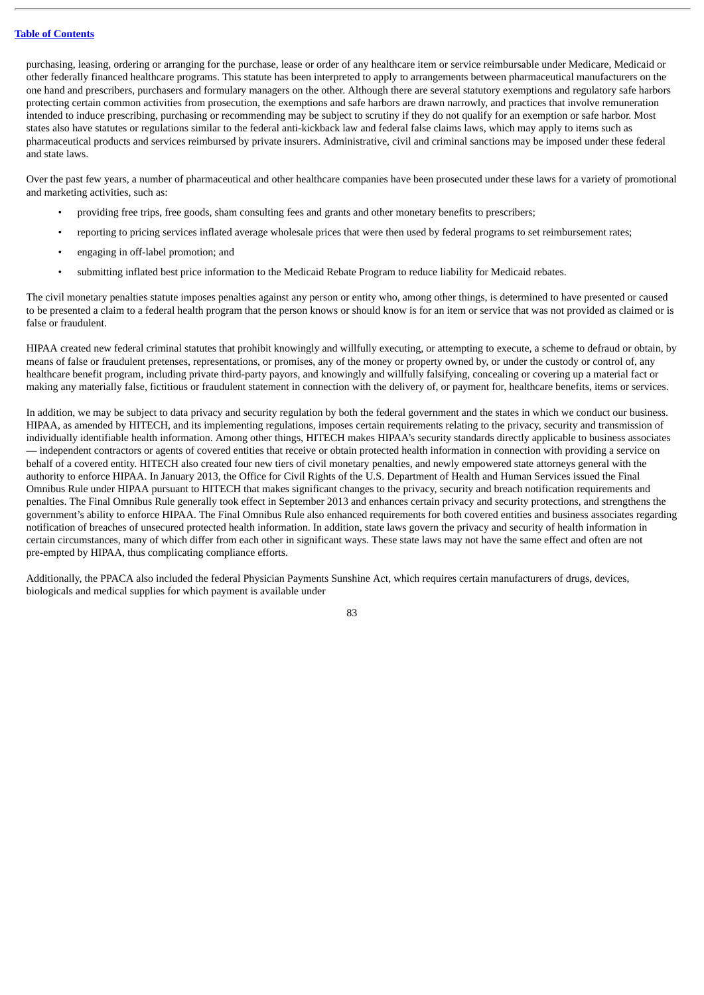purchasing, leasing, ordering or arranging for the purchase, lease or order of any healthcare item or service reimbursable under Medicare, Medicaid or other federally financed healthcare programs. This statute has been interpreted to apply to arrangements between pharmaceutical manufacturers on the one hand and prescribers, purchasers and formulary managers on the other. Although there are several statutory exemptions and regulatory safe harbors protecting certain common activities from prosecution, the exemptions and safe harbors are drawn narrowly, and practices that involve remuneration intended to induce prescribing, purchasing or recommending may be subject to scrutiny if they do not qualify for an exemption or safe harbor. Most states also have statutes or regulations similar to the federal anti-kickback law and federal false claims laws, which may apply to items such as pharmaceutical products and services reimbursed by private insurers. Administrative, civil and criminal sanctions may be imposed under these federal and state laws.

Over the past few years, a number of pharmaceutical and other healthcare companies have been prosecuted under these laws for a variety of promotional and marketing activities, such as:

- providing free trips, free goods, sham consulting fees and grants and other monetary benefits to prescribers;
- reporting to pricing services inflated average wholesale prices that were then used by federal programs to set reimbursement rates;
- engaging in off-label promotion; and
- submitting inflated best price information to the Medicaid Rebate Program to reduce liability for Medicaid rebates.

The civil monetary penalties statute imposes penalties against any person or entity who, among other things, is determined to have presented or caused to be presented a claim to a federal health program that the person knows or should know is for an item or service that was not provided as claimed or is false or fraudulent.

HIPAA created new federal criminal statutes that prohibit knowingly and willfully executing, or attempting to execute, a scheme to defraud or obtain, by means of false or fraudulent pretenses, representations, or promises, any of the money or property owned by, or under the custody or control of, any healthcare benefit program, including private third-party payors, and knowingly and willfully falsifying, concealing or covering up a material fact or making any materially false, fictitious or fraudulent statement in connection with the delivery of, or payment for, healthcare benefits, items or services.

In addition, we may be subject to data privacy and security regulation by both the federal government and the states in which we conduct our business. HIPAA, as amended by HITECH, and its implementing regulations, imposes certain requirements relating to the privacy, security and transmission of individually identifiable health information. Among other things, HITECH makes HIPAA's security standards directly applicable to business associates — independent contractors or agents of covered entities that receive or obtain protected health information in connection with providing a service on behalf of a covered entity. HITECH also created four new tiers of civil monetary penalties, and newly empowered state attorneys general with the authority to enforce HIPAA. In January 2013, the Office for Civil Rights of the U.S. Department of Health and Human Services issued the Final Omnibus Rule under HIPAA pursuant to HITECH that makes significant changes to the privacy, security and breach notification requirements and penalties. The Final Omnibus Rule generally took effect in September 2013 and enhances certain privacy and security protections, and strengthens the government's ability to enforce HIPAA. The Final Omnibus Rule also enhanced requirements for both covered entities and business associates regarding notification of breaches of unsecured protected health information. In addition, state laws govern the privacy and security of health information in certain circumstances, many of which differ from each other in significant ways. These state laws may not have the same effect and often are not pre-empted by HIPAA, thus complicating compliance efforts.

Additionally, the PPACA also included the federal Physician Payments Sunshine Act, which requires certain manufacturers of drugs, devices, biologicals and medical supplies for which payment is available under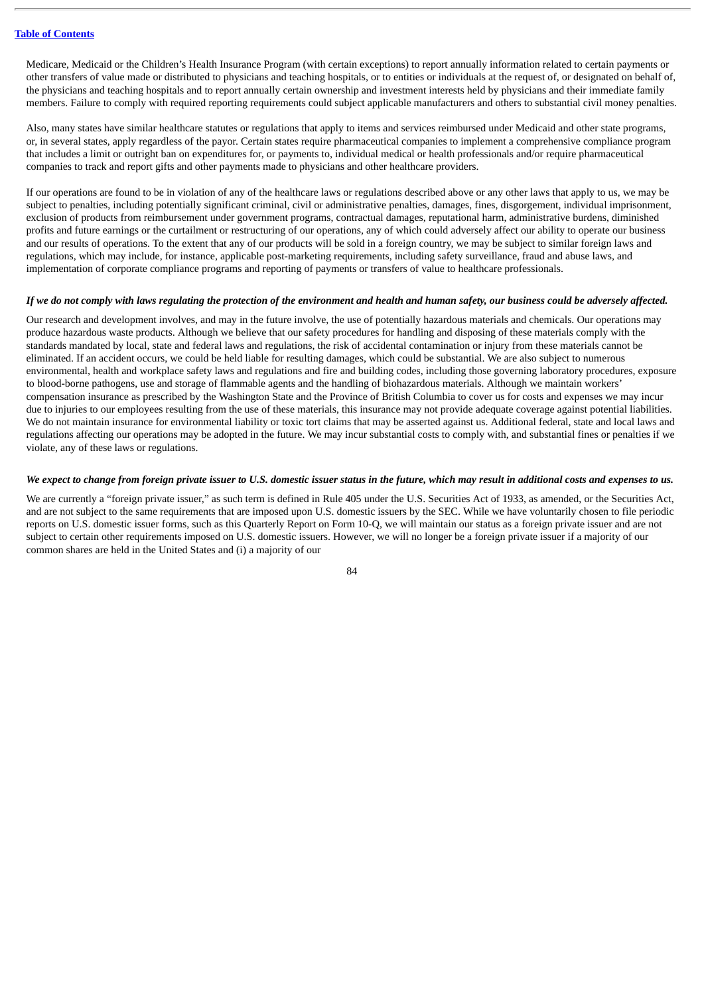Medicare, Medicaid or the Children's Health Insurance Program (with certain exceptions) to report annually information related to certain payments or other transfers of value made or distributed to physicians and teaching hospitals, or to entities or individuals at the request of, or designated on behalf of, the physicians and teaching hospitals and to report annually certain ownership and investment interests held by physicians and their immediate family members. Failure to comply with required reporting requirements could subject applicable manufacturers and others to substantial civil money penalties.

Also, many states have similar healthcare statutes or regulations that apply to items and services reimbursed under Medicaid and other state programs, or, in several states, apply regardless of the payor. Certain states require pharmaceutical companies to implement a comprehensive compliance program that includes a limit or outright ban on expenditures for, or payments to, individual medical or health professionals and/or require pharmaceutical companies to track and report gifts and other payments made to physicians and other healthcare providers.

If our operations are found to be in violation of any of the healthcare laws or regulations described above or any other laws that apply to us, we may be subject to penalties, including potentially significant criminal, civil or administrative penalties, damages, fines, disgorgement, individual imprisonment, exclusion of products from reimbursement under government programs, contractual damages, reputational harm, administrative burdens, diminished profits and future earnings or the curtailment or restructuring of our operations, any of which could adversely affect our ability to operate our business and our results of operations. To the extent that any of our products will be sold in a foreign country, we may be subject to similar foreign laws and regulations, which may include, for instance, applicable post-marketing requirements, including safety surveillance, fraud and abuse laws, and implementation of corporate compliance programs and reporting of payments or transfers of value to healthcare professionals.

#### If we do not comply with laws regulating the protection of the environment and health and human safety, our business could be adversely affected.

Our research and development involves, and may in the future involve, the use of potentially hazardous materials and chemicals. Our operations may produce hazardous waste products. Although we believe that our safety procedures for handling and disposing of these materials comply with the standards mandated by local, state and federal laws and regulations, the risk of accidental contamination or injury from these materials cannot be eliminated. If an accident occurs, we could be held liable for resulting damages, which could be substantial. We are also subject to numerous environmental, health and workplace safety laws and regulations and fire and building codes, including those governing laboratory procedures, exposure to blood-borne pathogens, use and storage of flammable agents and the handling of biohazardous materials. Although we maintain workers' compensation insurance as prescribed by the Washington State and the Province of British Columbia to cover us for costs and expenses we may incur due to injuries to our employees resulting from the use of these materials, this insurance may not provide adequate coverage against potential liabilities. We do not maintain insurance for environmental liability or toxic tort claims that may be asserted against us. Additional federal, state and local laws and regulations affecting our operations may be adopted in the future. We may incur substantial costs to comply with, and substantial fines or penalties if we violate, any of these laws or regulations.

#### We expect to change from foreign private issuer to U.S. domestic issuer status in the future, which may result in additional costs and expenses to us.

We are currently a "foreign private issuer," as such term is defined in Rule 405 under the U.S. Securities Act of 1933, as amended, or the Securities Act, and are not subject to the same requirements that are imposed upon U.S. domestic issuers by the SEC. While we have voluntarily chosen to file periodic reports on U.S. domestic issuer forms, such as this Quarterly Report on Form 10-Q, we will maintain our status as a foreign private issuer and are not subject to certain other requirements imposed on U.S. domestic issuers. However, we will no longer be a foreign private issuer if a majority of our common shares are held in the United States and (i) a majority of our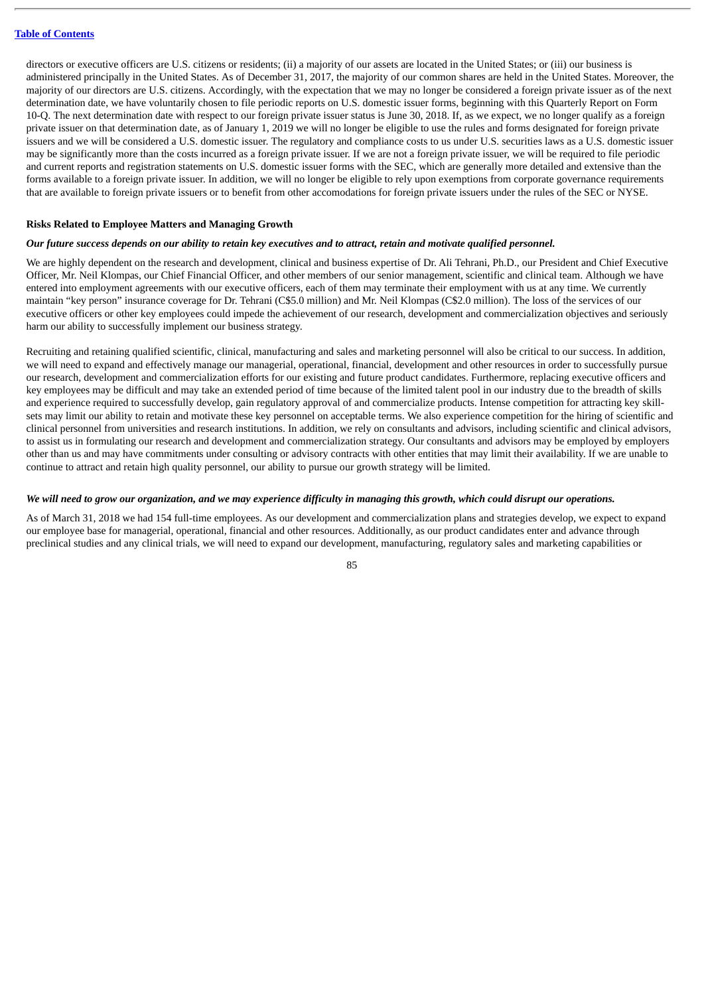directors or executive officers are U.S. citizens or residents; (ii) a majority of our assets are located in the United States; or (iii) our business is administered principally in the United States. As of December 31, 2017, the majority of our common shares are held in the United States. Moreover, the majority of our directors are U.S. citizens. Accordingly, with the expectation that we may no longer be considered a foreign private issuer as of the next determination date, we have voluntarily chosen to file periodic reports on U.S. domestic issuer forms, beginning with this Quarterly Report on Form 10-Q. The next determination date with respect to our foreign private issuer status is June 30, 2018. If, as we expect, we no longer qualify as a foreign private issuer on that determination date, as of January 1, 2019 we will no longer be eligible to use the rules and forms designated for foreign private issuers and we will be considered a U.S. domestic issuer. The regulatory and compliance costs to us under U.S. securities laws as a U.S. domestic issuer may be significantly more than the costs incurred as a foreign private issuer. If we are not a foreign private issuer, we will be required to file periodic and current reports and registration statements on U.S. domestic issuer forms with the SEC, which are generally more detailed and extensive than the forms available to a foreign private issuer. In addition, we will no longer be eligible to rely upon exemptions from corporate governance requirements that are available to foreign private issuers or to benefit from other accomodations for foreign private issuers under the rules of the SEC or NYSE.

## **Risks Related to Employee Matters and Managing Growth**

#### Our future success depends on our ability to retain key executives and to attract, retain and motivate qualified personnel.

We are highly dependent on the research and development, clinical and business expertise of Dr. Ali Tehrani, Ph.D., our President and Chief Executive Officer, Mr. Neil Klompas, our Chief Financial Officer, and other members of our senior management, scientific and clinical team. Although we have entered into employment agreements with our executive officers, each of them may terminate their employment with us at any time. We currently maintain "key person" insurance coverage for Dr. Tehrani (C\$5.0 million) and Mr. Neil Klompas (C\$2.0 million). The loss of the services of our executive officers or other key employees could impede the achievement of our research, development and commercialization objectives and seriously harm our ability to successfully implement our business strategy.

Recruiting and retaining qualified scientific, clinical, manufacturing and sales and marketing personnel will also be critical to our success. In addition, we will need to expand and effectively manage our managerial, operational, financial, development and other resources in order to successfully pursue our research, development and commercialization efforts for our existing and future product candidates. Furthermore, replacing executive officers and key employees may be difficult and may take an extended period of time because of the limited talent pool in our industry due to the breadth of skills and experience required to successfully develop, gain regulatory approval of and commercialize products. Intense competition for attracting key skillsets may limit our ability to retain and motivate these key personnel on acceptable terms. We also experience competition for the hiring of scientific and clinical personnel from universities and research institutions. In addition, we rely on consultants and advisors, including scientific and clinical advisors, to assist us in formulating our research and development and commercialization strategy. Our consultants and advisors may be employed by employers other than us and may have commitments under consulting or advisory contracts with other entities that may limit their availability. If we are unable to continue to attract and retain high quality personnel, our ability to pursue our growth strategy will be limited.

#### We will need to grow our organization, and we may experience difficulty in managing this growth, which could disrupt our operations.

As of March 31, 2018 we had 154 full-time employees. As our development and commercialization plans and strategies develop, we expect to expand our employee base for managerial, operational, financial and other resources. Additionally, as our product candidates enter and advance through preclinical studies and any clinical trials, we will need to expand our development, manufacturing, regulatory sales and marketing capabilities or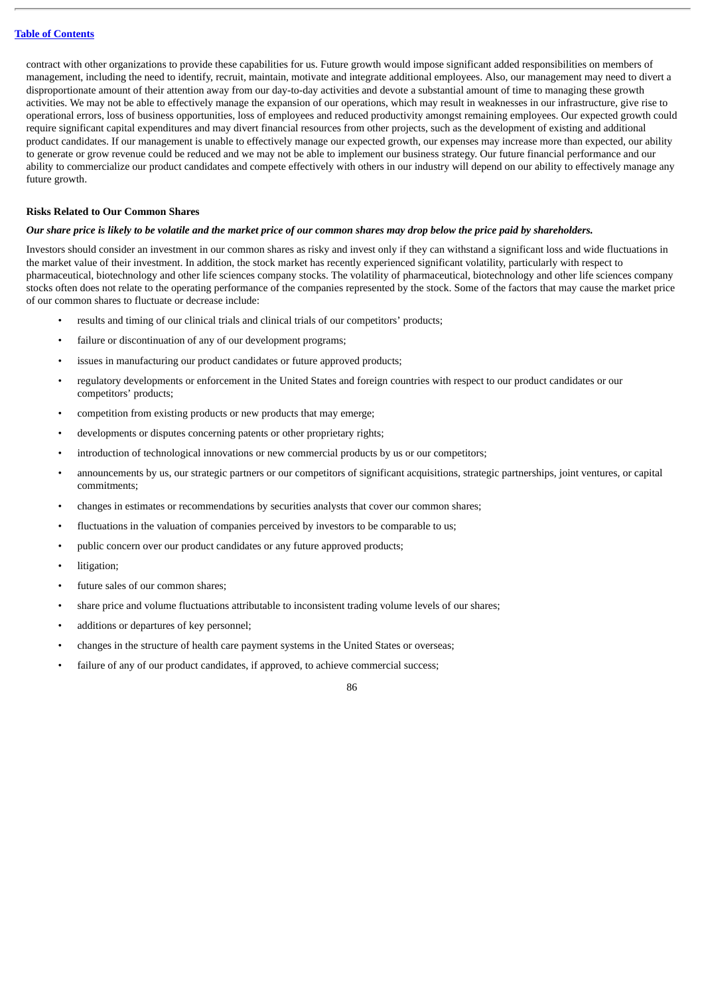contract with other organizations to provide these capabilities for us. Future growth would impose significant added responsibilities on members of management, including the need to identify, recruit, maintain, motivate and integrate additional employees. Also, our management may need to divert a disproportionate amount of their attention away from our day-to-day activities and devote a substantial amount of time to managing these growth activities. We may not be able to effectively manage the expansion of our operations, which may result in weaknesses in our infrastructure, give rise to operational errors, loss of business opportunities, loss of employees and reduced productivity amongst remaining employees. Our expected growth could require significant capital expenditures and may divert financial resources from other projects, such as the development of existing and additional product candidates. If our management is unable to effectively manage our expected growth, our expenses may increase more than expected, our ability to generate or grow revenue could be reduced and we may not be able to implement our business strategy. Our future financial performance and our ability to commercialize our product candidates and compete effectively with others in our industry will depend on our ability to effectively manage any future growth.

## **Risks Related to Our Common Shares**

#### Our share price is likely to be volatile and the market price of our common shares may drop below the price paid by shareholders.

Investors should consider an investment in our common shares as risky and invest only if they can withstand a significant loss and wide fluctuations in the market value of their investment. In addition, the stock market has recently experienced significant volatility, particularly with respect to pharmaceutical, biotechnology and other life sciences company stocks. The volatility of pharmaceutical, biotechnology and other life sciences company stocks often does not relate to the operating performance of the companies represented by the stock. Some of the factors that may cause the market price of our common shares to fluctuate or decrease include:

- results and timing of our clinical trials and clinical trials of our competitors' products;
- failure or discontinuation of any of our development programs;
- issues in manufacturing our product candidates or future approved products;
- regulatory developments or enforcement in the United States and foreign countries with respect to our product candidates or our competitors' products;
- competition from existing products or new products that may emerge;
- developments or disputes concerning patents or other proprietary rights;
- introduction of technological innovations or new commercial products by us or our competitors;
- announcements by us, our strategic partners or our competitors of significant acquisitions, strategic partnerships, joint ventures, or capital commitments;
- changes in estimates or recommendations by securities analysts that cover our common shares;
- fluctuations in the valuation of companies perceived by investors to be comparable to us;
- public concern over our product candidates or any future approved products;
- litigation;
- future sales of our common shares;
- share price and volume fluctuations attributable to inconsistent trading volume levels of our shares;
- additions or departures of key personnel;
- changes in the structure of health care payment systems in the United States or overseas;
- failure of any of our product candidates, if approved, to achieve commercial success;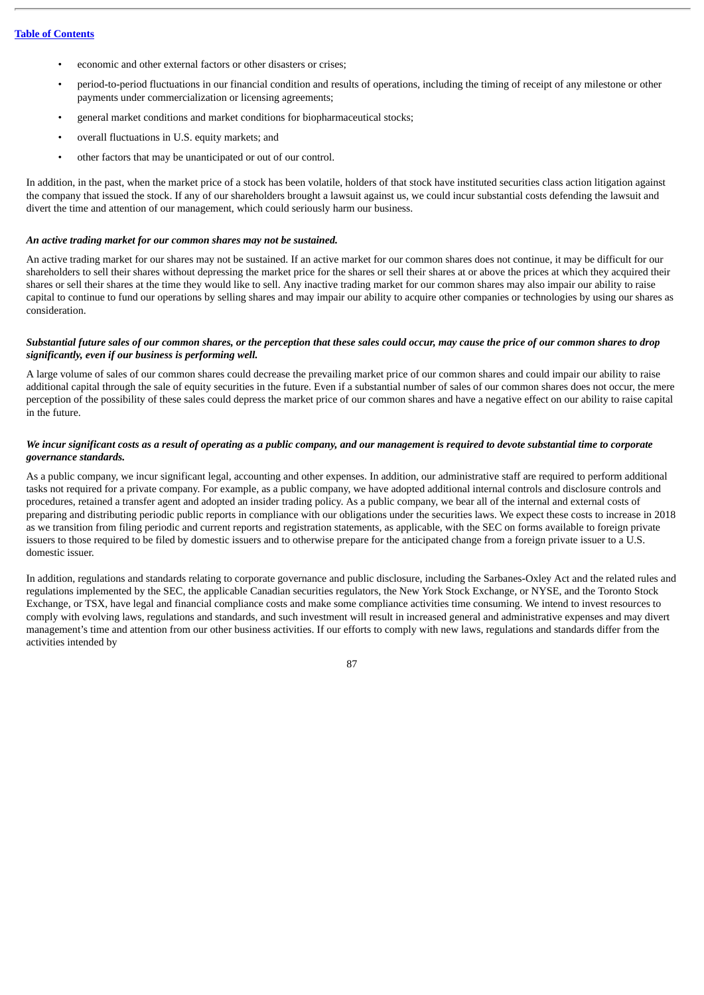- economic and other external factors or other disasters or crises;
- period-to-period fluctuations in our financial condition and results of operations, including the timing of receipt of any milestone or other payments under commercialization or licensing agreements;
- general market conditions and market conditions for biopharmaceutical stocks;
- overall fluctuations in U.S. equity markets; and
- other factors that may be unanticipated or out of our control.

In addition, in the past, when the market price of a stock has been volatile, holders of that stock have instituted securities class action litigation against the company that issued the stock. If any of our shareholders brought a lawsuit against us, we could incur substantial costs defending the lawsuit and divert the time and attention of our management, which could seriously harm our business.

#### *An active trading market for our common shares may not be sustained.*

An active trading market for our shares may not be sustained. If an active market for our common shares does not continue, it may be difficult for our shareholders to sell their shares without depressing the market price for the shares or sell their shares at or above the prices at which they acquired their shares or sell their shares at the time they would like to sell. Any inactive trading market for our common shares may also impair our ability to raise capital to continue to fund our operations by selling shares and may impair our ability to acquire other companies or technologies by using our shares as consideration.

# Substantial future sales of our common shares, or the perception that these sales could occur, may cause the price of our common shares to drop *significantly, even if our business is performing well.*

A large volume of sales of our common shares could decrease the prevailing market price of our common shares and could impair our ability to raise additional capital through the sale of equity securities in the future. Even if a substantial number of sales of our common shares does not occur, the mere perception of the possibility of these sales could depress the market price of our common shares and have a negative effect on our ability to raise capital in the future.

# We incur significant costs as a result of operating as a public company, and our management is required to devote substantial time to corporate *governance standards.*

As a public company, we incur significant legal, accounting and other expenses. In addition, our administrative staff are required to perform additional tasks not required for a private company. For example, as a public company, we have adopted additional internal controls and disclosure controls and procedures, retained a transfer agent and adopted an insider trading policy. As a public company, we bear all of the internal and external costs of preparing and distributing periodic public reports in compliance with our obligations under the securities laws. We expect these costs to increase in 2018 as we transition from filing periodic and current reports and registration statements, as applicable, with the SEC on forms available to foreign private issuers to those required to be filed by domestic issuers and to otherwise prepare for the anticipated change from a foreign private issuer to a U.S. domestic issuer.

In addition, regulations and standards relating to corporate governance and public disclosure, including the Sarbanes-Oxley Act and the related rules and regulations implemented by the SEC, the applicable Canadian securities regulators, the New York Stock Exchange, or NYSE, and the Toronto Stock Exchange, or TSX, have legal and financial compliance costs and make some compliance activities time consuming. We intend to invest resources to comply with evolving laws, regulations and standards, and such investment will result in increased general and administrative expenses and may divert management's time and attention from our other business activities. If our efforts to comply with new laws, regulations and standards differ from the activities intended by

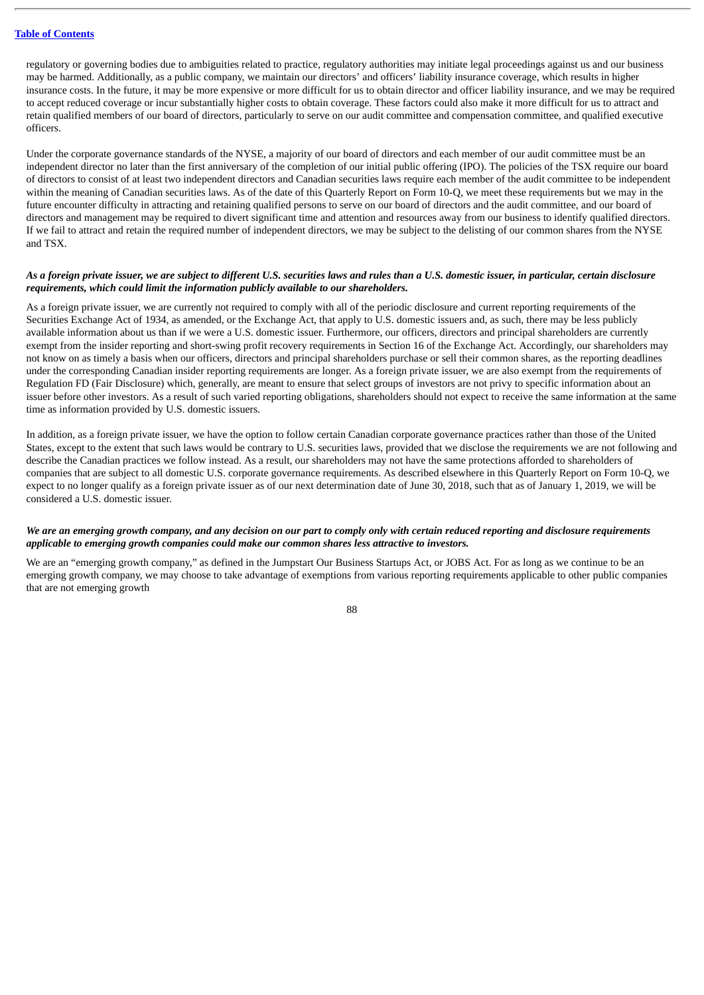regulatory or governing bodies due to ambiguities related to practice, regulatory authorities may initiate legal proceedings against us and our business may be harmed. Additionally, as a public company, we maintain our directors' and officers' liability insurance coverage, which results in higher insurance costs. In the future, it may be more expensive or more difficult for us to obtain director and officer liability insurance, and we may be required to accept reduced coverage or incur substantially higher costs to obtain coverage. These factors could also make it more difficult for us to attract and retain qualified members of our board of directors, particularly to serve on our audit committee and compensation committee, and qualified executive officers.

Under the corporate governance standards of the NYSE, a majority of our board of directors and each member of our audit committee must be an independent director no later than the first anniversary of the completion of our initial public offering (IPO). The policies of the TSX require our board of directors to consist of at least two independent directors and Canadian securities laws require each member of the audit committee to be independent within the meaning of Canadian securities laws. As of the date of this Quarterly Report on Form 10-Q, we meet these requirements but we may in the future encounter difficulty in attracting and retaining qualified persons to serve on our board of directors and the audit committee, and our board of directors and management may be required to divert significant time and attention and resources away from our business to identify qualified directors. If we fail to attract and retain the required number of independent directors, we may be subject to the delisting of our common shares from the NYSE and TSX.

## As a foreign private issuer, we are subject to different U.S. securities laws and rules than a U.S. domestic issuer, in particular, certain disclosure *requirements, which could limit the information publicly available to our shareholders.*

As a foreign private issuer, we are currently not required to comply with all of the periodic disclosure and current reporting requirements of the Securities Exchange Act of 1934, as amended, or the Exchange Act, that apply to U.S. domestic issuers and, as such, there may be less publicly available information about us than if we were a U.S. domestic issuer. Furthermore, our officers, directors and principal shareholders are currently exempt from the insider reporting and short-swing profit recovery requirements in Section 16 of the Exchange Act. Accordingly, our shareholders may not know on as timely a basis when our officers, directors and principal shareholders purchase or sell their common shares, as the reporting deadlines under the corresponding Canadian insider reporting requirements are longer. As a foreign private issuer, we are also exempt from the requirements of Regulation FD (Fair Disclosure) which, generally, are meant to ensure that select groups of investors are not privy to specific information about an issuer before other investors. As a result of such varied reporting obligations, shareholders should not expect to receive the same information at the same time as information provided by U.S. domestic issuers.

In addition, as a foreign private issuer, we have the option to follow certain Canadian corporate governance practices rather than those of the United States, except to the extent that such laws would be contrary to U.S. securities laws, provided that we disclose the requirements we are not following and describe the Canadian practices we follow instead. As a result, our shareholders may not have the same protections afforded to shareholders of companies that are subject to all domestic U.S. corporate governance requirements. As described elsewhere in this Quarterly Report on Form 10-Q, we expect to no longer qualify as a foreign private issuer as of our next determination date of June 30, 2018, such that as of January 1, 2019, we will be considered a U.S. domestic issuer.

## We are an emerging growth company, and any decision on our part to comply only with certain reduced reporting and disclosure requirements *applicable to emerging growth companies could make our common shares less attractive to investors.*

We are an "emerging growth company," as defined in the Jumpstart Our Business Startups Act, or JOBS Act. For as long as we continue to be an emerging growth company, we may choose to take advantage of exemptions from various reporting requirements applicable to other public companies that are not emerging growth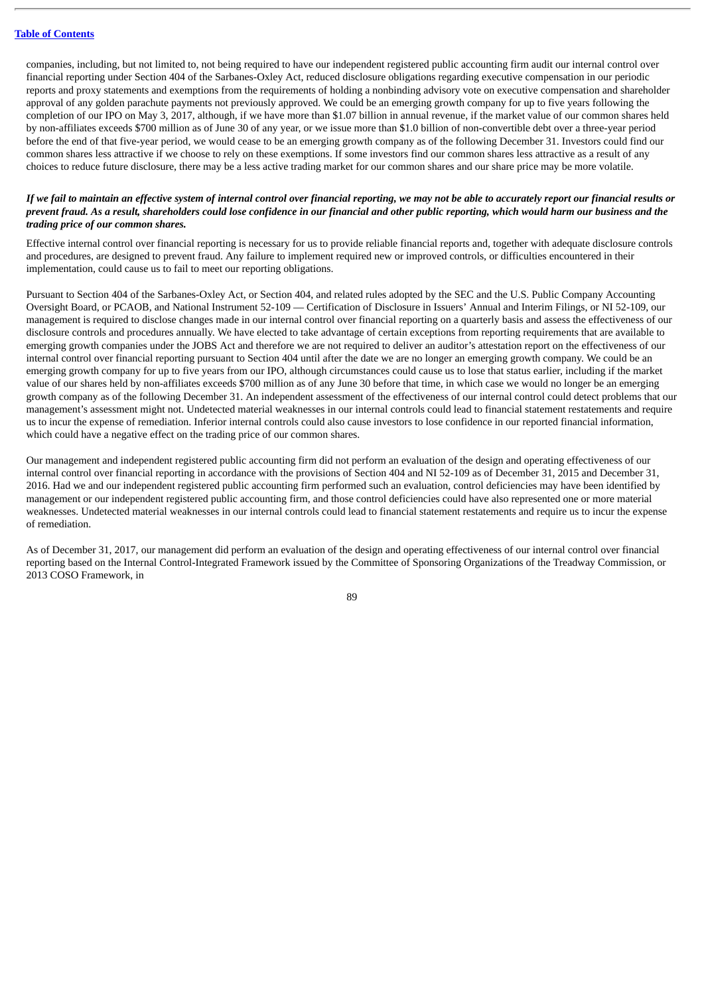companies, including, but not limited to, not being required to have our independent registered public accounting firm audit our internal control over financial reporting under Section 404 of the Sarbanes-Oxley Act, reduced disclosure obligations regarding executive compensation in our periodic reports and proxy statements and exemptions from the requirements of holding a nonbinding advisory vote on executive compensation and shareholder approval of any golden parachute payments not previously approved. We could be an emerging growth company for up to five years following the completion of our IPO on May 3, 2017, although, if we have more than \$1.07 billion in annual revenue, if the market value of our common shares held by non-affiliates exceeds \$700 million as of June 30 of any year, or we issue more than \$1.0 billion of non-convertible debt over a three-year period before the end of that five-year period, we would cease to be an emerging growth company as of the following December 31. Investors could find our common shares less attractive if we choose to rely on these exemptions. If some investors find our common shares less attractive as a result of any choices to reduce future disclosure, there may be a less active trading market for our common shares and our share price may be more volatile.

# If we fail to maintain an effective system of internal control over financial reporting, we may not be able to accurately report our financial results or prevent fraud. As a result, shareholders could lose confidence in our financial and other public reporting, which would harm our business and the *trading price of our common shares.*

Effective internal control over financial reporting is necessary for us to provide reliable financial reports and, together with adequate disclosure controls and procedures, are designed to prevent fraud. Any failure to implement required new or improved controls, or difficulties encountered in their implementation, could cause us to fail to meet our reporting obligations.

Pursuant to Section 404 of the Sarbanes-Oxley Act, or Section 404, and related rules adopted by the SEC and the U.S. Public Company Accounting Oversight Board, or PCAOB, and National Instrument 52-109 — Certification of Disclosure in Issuers' Annual and Interim Filings, or NI 52-109, our management is required to disclose changes made in our internal control over financial reporting on a quarterly basis and assess the effectiveness of our disclosure controls and procedures annually. We have elected to take advantage of certain exceptions from reporting requirements that are available to emerging growth companies under the JOBS Act and therefore we are not required to deliver an auditor's attestation report on the effectiveness of our internal control over financial reporting pursuant to Section 404 until after the date we are no longer an emerging growth company. We could be an emerging growth company for up to five years from our IPO, although circumstances could cause us to lose that status earlier, including if the market value of our shares held by non-affiliates exceeds \$700 million as of any June 30 before that time, in which case we would no longer be an emerging growth company as of the following December 31. An independent assessment of the effectiveness of our internal control could detect problems that our management's assessment might not. Undetected material weaknesses in our internal controls could lead to financial statement restatements and require us to incur the expense of remediation. Inferior internal controls could also cause investors to lose confidence in our reported financial information, which could have a negative effect on the trading price of our common shares.

Our management and independent registered public accounting firm did not perform an evaluation of the design and operating effectiveness of our internal control over financial reporting in accordance with the provisions of Section 404 and NI 52-109 as of December 31, 2015 and December 31, 2016. Had we and our independent registered public accounting firm performed such an evaluation, control deficiencies may have been identified by management or our independent registered public accounting firm, and those control deficiencies could have also represented one or more material weaknesses. Undetected material weaknesses in our internal controls could lead to financial statement restatements and require us to incur the expense of remediation.

As of December 31, 2017, our management did perform an evaluation of the design and operating effectiveness of our internal control over financial reporting based on the Internal Control-Integrated Framework issued by the Committee of Sponsoring Organizations of the Treadway Commission, or 2013 COSO Framework, in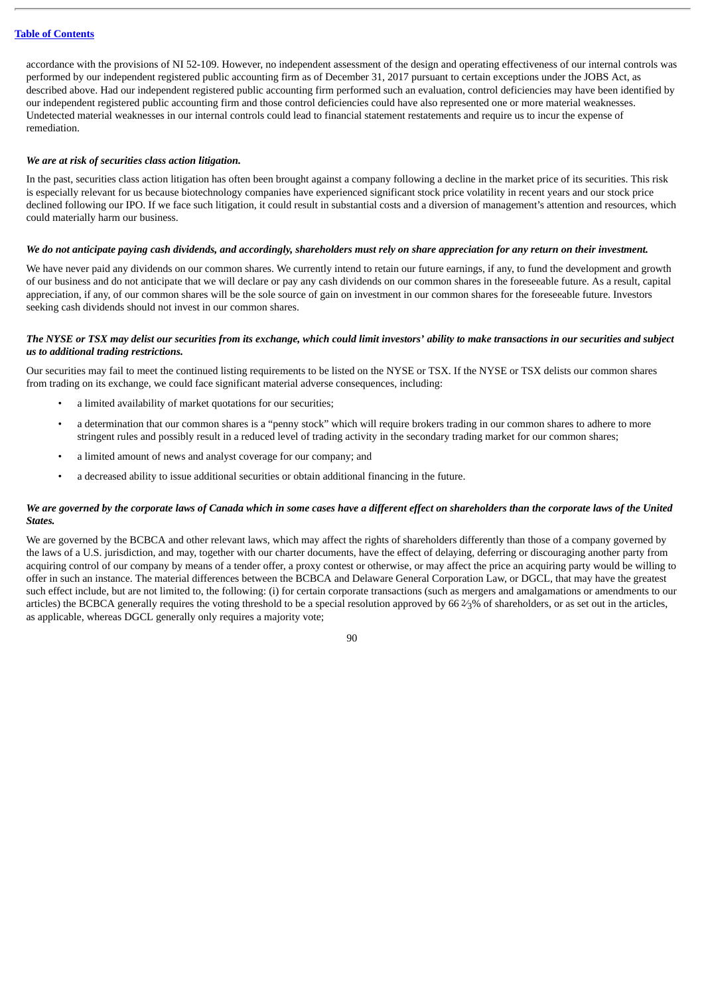accordance with the provisions of NI 52-109. However, no independent assessment of the design and operating effectiveness of our internal controls was performed by our independent registered public accounting firm as of December 31, 2017 pursuant to certain exceptions under the JOBS Act, as described above. Had our independent registered public accounting firm performed such an evaluation, control deficiencies may have been identified by our independent registered public accounting firm and those control deficiencies could have also represented one or more material weaknesses. Undetected material weaknesses in our internal controls could lead to financial statement restatements and require us to incur the expense of remediation.

### *We are at risk of securities class action litigation.*

In the past, securities class action litigation has often been brought against a company following a decline in the market price of its securities. This risk is especially relevant for us because biotechnology companies have experienced significant stock price volatility in recent years and our stock price declined following our IPO. If we face such litigation, it could result in substantial costs and a diversion of management's attention and resources, which could materially harm our business.

#### We do not anticipate paying cash dividends, and accordingly, shareholders must rely on share appreciation for any return on their investment.

We have never paid any dividends on our common shares. We currently intend to retain our future earnings, if any, to fund the development and growth of our business and do not anticipate that we will declare or pay any cash dividends on our common shares in the foreseeable future. As a result, capital appreciation, if any, of our common shares will be the sole source of gain on investment in our common shares for the foreseeable future. Investors seeking cash dividends should not invest in our common shares.

# The NYSE or TSX may delist our securities from its exchange, which could limit investors' ability to make transactions in our securities and subject *us to additional trading restrictions.*

Our securities may fail to meet the continued listing requirements to be listed on the NYSE or TSX. If the NYSE or TSX delists our common shares from trading on its exchange, we could face significant material adverse consequences, including:

- a limited availability of market quotations for our securities;
- a determination that our common shares is a "penny stock" which will require brokers trading in our common shares to adhere to more stringent rules and possibly result in a reduced level of trading activity in the secondary trading market for our common shares;
- a limited amount of news and analyst coverage for our company; and
- a decreased ability to issue additional securities or obtain additional financing in the future.

## We are governed by the corporate laws of Canada which in some cases have a different effect on shareholders than the corporate laws of the United *States.*

We are governed by the BCBCA and other relevant laws, which may affect the rights of shareholders differently than those of a company governed by the laws of a U.S. jurisdiction, and may, together with our charter documents, have the effect of delaying, deferring or discouraging another party from acquiring control of our company by means of a tender offer, a proxy contest or otherwise, or may affect the price an acquiring party would be willing to offer in such an instance. The material differences between the BCBCA and Delaware General Corporation Law, or DGCL, that may have the greatest such effect include, but are not limited to, the following: (i) for certain corporate transactions (such as mergers and amalgamations or amendments to our articles) the BCBCA generally requires the voting threshold to be a special resolution approved by  $66\frac{24\%}{100}$  of shareholders, or as set out in the articles. as applicable, whereas DGCL generally only requires a majority vote;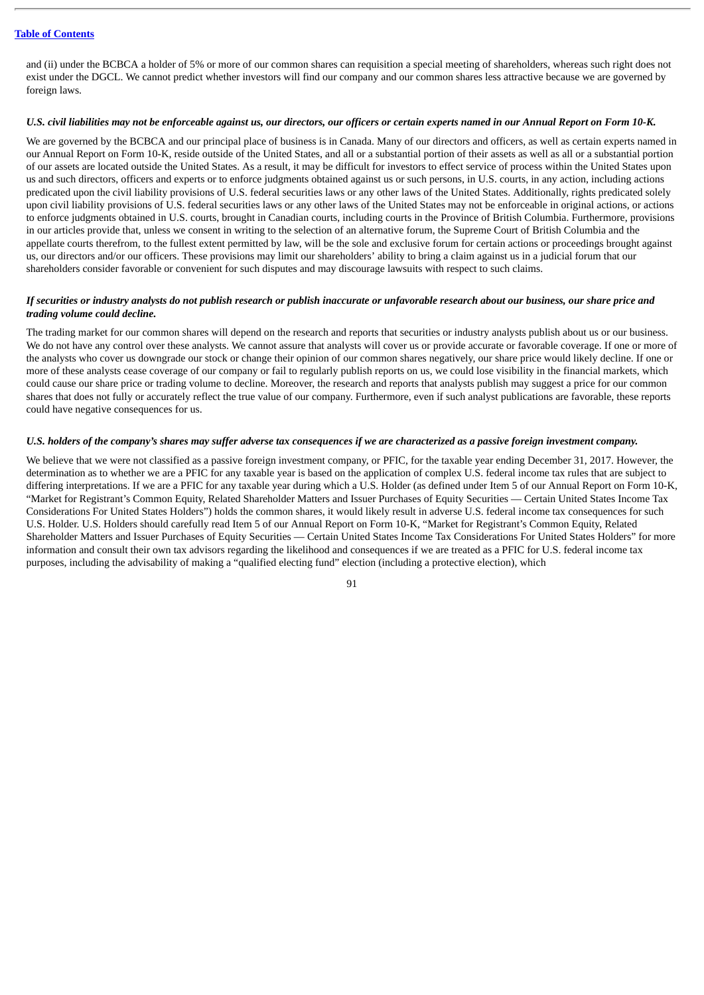and (ii) under the BCBCA a holder of 5% or more of our common shares can requisition a special meeting of shareholders, whereas such right does not exist under the DGCL. We cannot predict whether investors will find our company and our common shares less attractive because we are governed by foreign laws.

#### U.S. civil liabilities may not be enforceable against us, our directors, our officers or certain experts named in our Annual Report on Form 10-K.

We are governed by the BCBCA and our principal place of business is in Canada. Many of our directors and officers, as well as certain experts named in our Annual Report on Form 10-K, reside outside of the United States, and all or a substantial portion of their assets as well as all or a substantial portion of our assets are located outside the United States. As a result, it may be difficult for investors to effect service of process within the United States upon us and such directors, officers and experts or to enforce judgments obtained against us or such persons, in U.S. courts, in any action, including actions predicated upon the civil liability provisions of U.S. federal securities laws or any other laws of the United States. Additionally, rights predicated solely upon civil liability provisions of U.S. federal securities laws or any other laws of the United States may not be enforceable in original actions, or actions to enforce judgments obtained in U.S. courts, brought in Canadian courts, including courts in the Province of British Columbia. Furthermore, provisions in our articles provide that, unless we consent in writing to the selection of an alternative forum, the Supreme Court of British Columbia and the appellate courts therefrom, to the fullest extent permitted by law, will be the sole and exclusive forum for certain actions or proceedings brought against us, our directors and/or our officers. These provisions may limit our shareholders' ability to bring a claim against us in a judicial forum that our shareholders consider favorable or convenient for such disputes and may discourage lawsuits with respect to such claims.

#### If securities or industry analysts do not publish research or publish inaccurate or unfavorable research about our business, our share price and *trading volume could decline.*

The trading market for our common shares will depend on the research and reports that securities or industry analysts publish about us or our business. We do not have any control over these analysts. We cannot assure that analysts will cover us or provide accurate or favorable coverage. If one or more of the analysts who cover us downgrade our stock or change their opinion of our common shares negatively, our share price would likely decline. If one or more of these analysts cease coverage of our company or fail to regularly publish reports on us, we could lose visibility in the financial markets, which could cause our share price or trading volume to decline. Moreover, the research and reports that analysts publish may suggest a price for our common shares that does not fully or accurately reflect the true value of our company. Furthermore, even if such analyst publications are favorable, these reports could have negative consequences for us.

#### U.S. holders of the company's shares may suffer adverse tax consequences if we are characterized as a passive foreign investment company.

We believe that we were not classified as a passive foreign investment company, or PFIC, for the taxable year ending December 31, 2017. However, the determination as to whether we are a PFIC for any taxable year is based on the application of complex U.S. federal income tax rules that are subject to differing interpretations. If we are a PFIC for any taxable year during which a U.S. Holder (as defined under Item 5 of our Annual Report on Form 10-K, "Market for Registrant's Common Equity, Related Shareholder Matters and Issuer Purchases of Equity Securities — Certain United States Income Tax Considerations For United States Holders") holds the common shares, it would likely result in adverse U.S. federal income tax consequences for such U.S. Holder. U.S. Holders should carefully read Item 5 of our Annual Report on Form 10-K, "Market for Registrant's Common Equity, Related Shareholder Matters and Issuer Purchases of Equity Securities — Certain United States Income Tax Considerations For United States Holders" for more information and consult their own tax advisors regarding the likelihood and consequences if we are treated as a PFIC for U.S. federal income tax purposes, including the advisability of making a "qualified electing fund" election (including a protective election), which

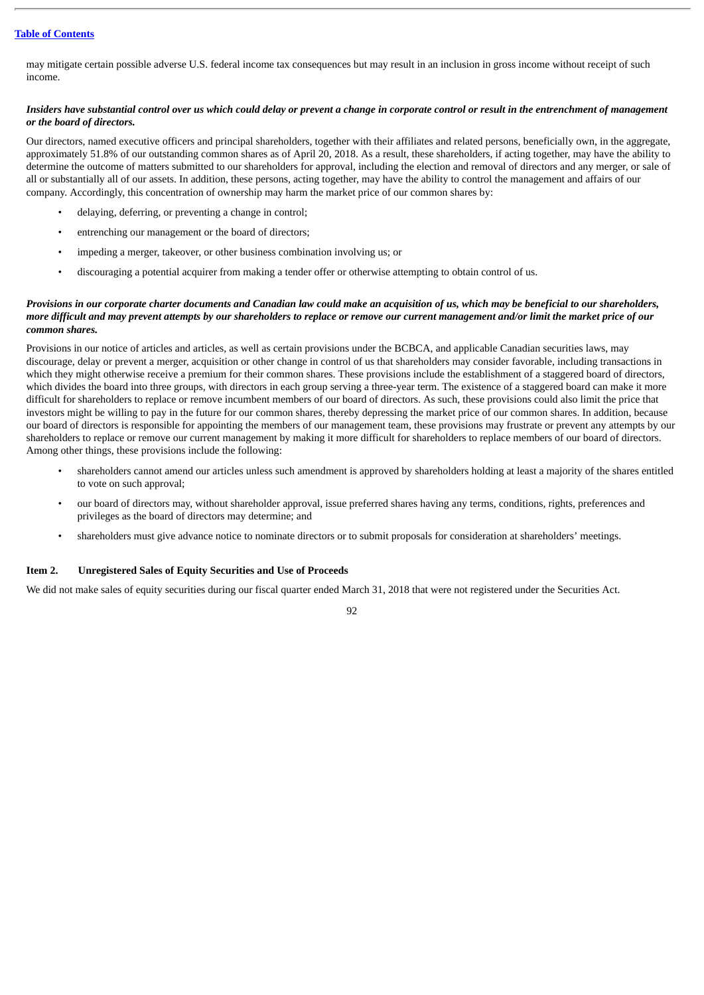may mitigate certain possible adverse U.S. federal income tax consequences but may result in an inclusion in gross income without receipt of such income.

# Insiders have substantial control over us which could delay or prevent a change in corporate control or result in the entrenchment of management *or the board of directors.*

Our directors, named executive officers and principal shareholders, together with their affiliates and related persons, beneficially own, in the aggregate, approximately 51.8% of our outstanding common shares as of April 20, 2018. As a result, these shareholders, if acting together, may have the ability to determine the outcome of matters submitted to our shareholders for approval, including the election and removal of directors and any merger, or sale of all or substantially all of our assets. In addition, these persons, acting together, may have the ability to control the management and affairs of our company. Accordingly, this concentration of ownership may harm the market price of our common shares by:

- delaying, deferring, or preventing a change in control;
- entrenching our management or the board of directors;
- impeding a merger, takeover, or other business combination involving us; or
- discouraging a potential acquirer from making a tender offer or otherwise attempting to obtain control of us.

# Provisions in our corporate charter documents and Canadian law could make an acquisition of us, which may be beneficial to our shareholders, more difficult and may prevent attempts by our shareholders to replace or remove our current management and/or limit the market price of our *common shares.*

Provisions in our notice of articles and articles, as well as certain provisions under the BCBCA, and applicable Canadian securities laws, may discourage, delay or prevent a merger, acquisition or other change in control of us that shareholders may consider favorable, including transactions in which they might otherwise receive a premium for their common shares. These provisions include the establishment of a staggered board of directors, which divides the board into three groups, with directors in each group serving a three-year term. The existence of a staggered board can make it more difficult for shareholders to replace or remove incumbent members of our board of directors. As such, these provisions could also limit the price that investors might be willing to pay in the future for our common shares, thereby depressing the market price of our common shares. In addition, because our board of directors is responsible for appointing the members of our management team, these provisions may frustrate or prevent any attempts by our shareholders to replace or remove our current management by making it more difficult for shareholders to replace members of our board of directors. Among other things, these provisions include the following:

- shareholders cannot amend our articles unless such amendment is approved by shareholders holding at least a majority of the shares entitled to vote on such approval;
- our board of directors may, without shareholder approval, issue preferred shares having any terms, conditions, rights, preferences and privileges as the board of directors may determine; and
- shareholders must give advance notice to nominate directors or to submit proposals for consideration at shareholders' meetings.

#### **Item 2. Unregistered Sales of Equity Securities and Use of Proceeds**

We did not make sales of equity securities during our fiscal quarter ended March 31, 2018 that were not registered under the Securities Act.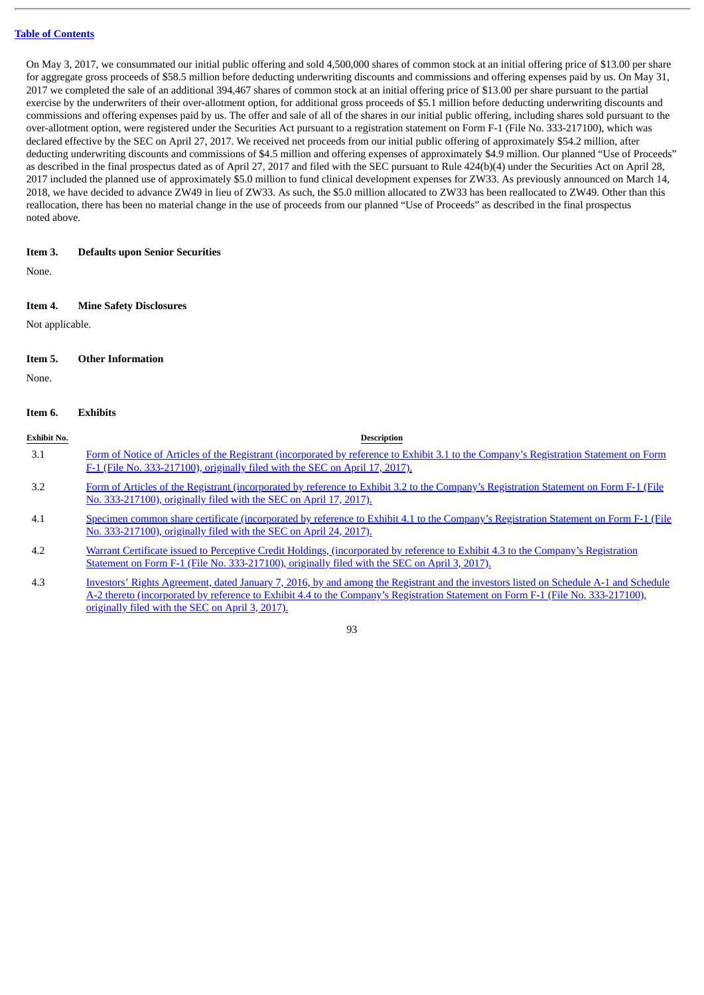On May 3, 2017, we consummated our initial public offering and sold 4,500,000 shares of common stock at an initial offering price of \$13.00 per share for aggregate gross proceeds of \$58.5 million before deducting underwriting discounts and commissions and offering expenses paid by us. On May 31, 2017 we completed the sale of an additional 394,467 shares of common stock at an initial offering price of \$13.00 per share pursuant to the partial exercise by the underwriters of their over-allotment option, for additional gross proceeds of \$5.1 million before deducting underwriting discounts and commissions and offering expenses paid by us. The offer and sale of all of the shares in our initial public offering, including shares sold pursuant to the over-allotment option, were registered under the Securities Act pursuant to a registration statement on Form F-1 (File No. 333-217100), which was declared effective by the SEC on April 27, 2017. We received net proceeds from our initial public offering of approximately \$54.2 million, after deducting underwriting discounts and commissions of \$4.5 million and offering expenses of approximately \$4.9 million. Our planned "Use of Proceeds" as described in the final prospectus dated as of April 27, 2017 and filed with the SEC pursuant to Rule 424(b)(4) under the Securities Act on April 28, 2017 included the planned use of approximately \$5.0 million to fund clinical development expenses for ZW33. As previously announced on March 14, 2018, we have decided to advance ZW49 in lieu of ZW33. As such, the \$5.0 million allocated to ZW33 has been reallocated to ZW49. Other than this reallocation, there has been no material change in the use of proceeds from our planned "Use of Proceeds" as described in the final prospectus noted above.

## **Item 3. Defaults upon Senior Securities**

originally filed with the SEC on April 3, 2017).

None.

## **Item 4. Mine Safety Disclosures**

Not applicable.

# **Item 5. Other Information**

None.

## **Item 6. Exhibits**

| Exhibit No. | <b>Description</b>                                                                                                                                                                                                                                                        |
|-------------|---------------------------------------------------------------------------------------------------------------------------------------------------------------------------------------------------------------------------------------------------------------------------|
| 3.1         | Form of Notice of Articles of the Registrant (incorporated by reference to Exhibit 3.1 to the Company's Registration Statement on Form<br>F-1 (File No. 333-217100), originally filed with the SEC on April 17, 2017).                                                    |
| 3.2         | Form of Articles of the Registrant (incorporated by reference to Exhibit 3.2 to the Company's Registration Statement on Form F-1 (File<br>No. 333-217100), originally filed with the SEC on April 17, 2017).                                                              |
| 4.1         | Specimen common share certificate (incorporated by reference to Exhibit 4.1 to the Company's Registration Statement on Form F-1 (File<br>No. 333-217100), originally filed with the SEC on April 24, 2017).                                                               |
| 4.2         | Warrant Certificate issued to Perceptive Credit Holdings, (incorporated by reference to Exhibit 4.3 to the Company's Registration<br>Statement on Form F-1 (File No. 333-217100), originally filed with the SEC on April 3, 2017).                                        |
| 4.3         | Investors' Rights Agreement, dated January 7, 2016, by and among the Registrant and the investors listed on Schedule A-1 and Schedule<br>A-2 thereto (incorporated by reference to Exhibit 4.4 to the Company's Registration Statement on Form F-1 (File No. 333-217100), |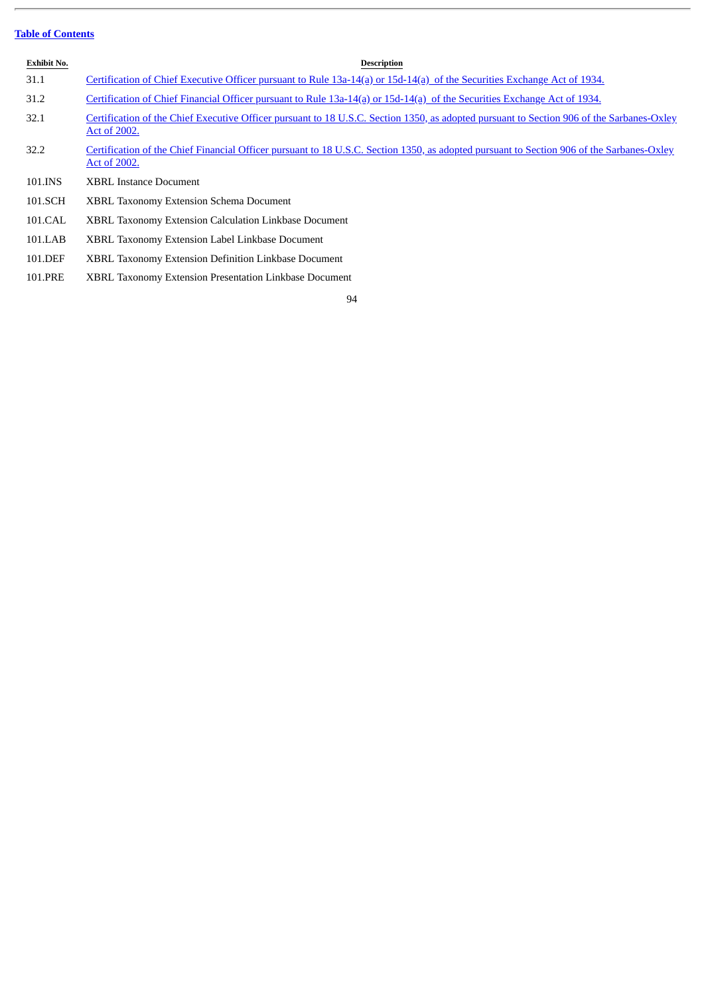Ē.

| Exhibit No. | <b>Description</b>                                                                                                                                        |
|-------------|-----------------------------------------------------------------------------------------------------------------------------------------------------------|
| 31.1        | Certification of Chief Executive Officer pursuant to Rule 13a-14(a) or 15d-14(a) of the Securities Exchange Act of 1934.                                  |
| 31.2        | Certification of Chief Financial Officer pursuant to Rule 13a-14(a) or 15d-14(a) of the Securities Exchange Act of 1934.                                  |
| 32.1        | Certification of the Chief Executive Officer pursuant to 18 U.S.C. Section 1350, as adopted pursuant to Section 906 of the Sarbanes-Oxley<br>Act of 2002. |
| 32.2        | Certification of the Chief Financial Officer pursuant to 18 U.S.C. Section 1350, as adopted pursuant to Section 906 of the Sarbanes-Oxley<br>Act of 2002. |
| 101.INS     | <b>XBRL Instance Document</b>                                                                                                                             |
| 101.SCH     | <b>XBRL Taxonomy Extension Schema Document</b>                                                                                                            |
| 101.CAL     | XBRL Taxonomy Extension Calculation Linkbase Document                                                                                                     |
| 101.LAB     | XBRL Taxonomy Extension Label Linkbase Document                                                                                                           |
| 101.DEF     | XBRL Taxonomy Extension Definition Linkbase Document                                                                                                      |
| 101.PRE     | XBRL Taxonomy Extension Presentation Linkbase Document                                                                                                    |
|             | 94                                                                                                                                                        |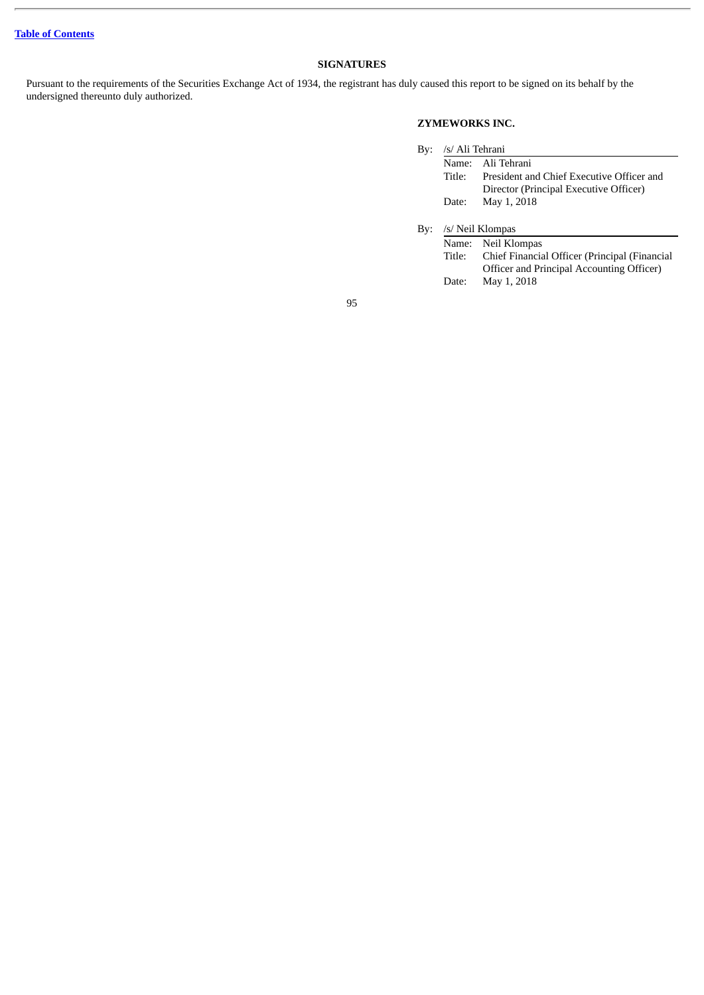# **SIGNATURES**

Pursuant to the requirements of the Securities Exchange Act of 1934, the registrant has duly caused this report to be signed on its behalf by the undersigned thereunto duly authorized.

# **ZYMEWORKS INC.**

# By: /s/ Ali Tehrani

|        | Name: Ali Tehrani                         |
|--------|-------------------------------------------|
| Title: | President and Chief Executive Officer and |
|        | Director (Principal Executive Officer)    |
| Date:  | May 1, 2018                               |

By: /s/ Neil Klompas

|        | Name: Neil Klompas                            |
|--------|-----------------------------------------------|
| Title: | Chief Financial Officer (Principal (Financial |
|        | Officer and Principal Accounting Officer)     |
| Date:  | May 1, 2018                                   |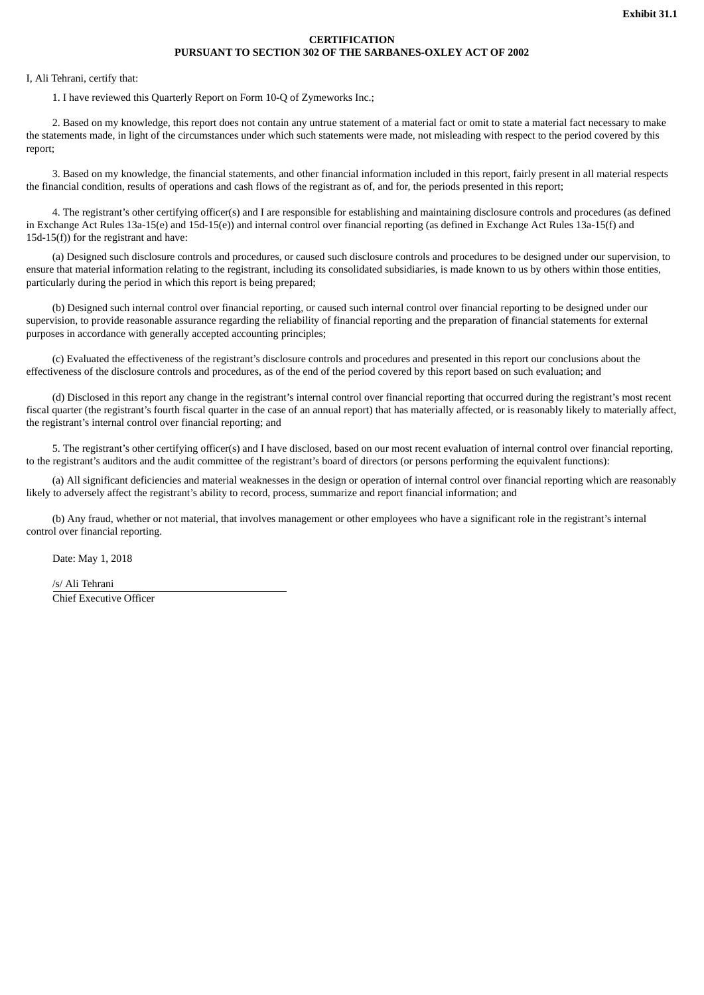# **CERTIFICATION PURSUANT TO SECTION 302 OF THE SARBANES-OXLEY ACT OF 2002**

# <span id="page-101-0"></span>I, Ali Tehrani, certify that:

# 1. I have reviewed this Quarterly Report on Form 10-Q of Zymeworks Inc.;

2. Based on my knowledge, this report does not contain any untrue statement of a material fact or omit to state a material fact necessary to make the statements made, in light of the circumstances under which such statements were made, not misleading with respect to the period covered by this report;

3. Based on my knowledge, the financial statements, and other financial information included in this report, fairly present in all material respects the financial condition, results of operations and cash flows of the registrant as of, and for, the periods presented in this report;

4. The registrant's other certifying officer(s) and I are responsible for establishing and maintaining disclosure controls and procedures (as defined in Exchange Act Rules 13a-15(e) and 15d-15(e)) and internal control over financial reporting (as defined in Exchange Act Rules 13a-15(f) and 15d-15(f)) for the registrant and have:

(a) Designed such disclosure controls and procedures, or caused such disclosure controls and procedures to be designed under our supervision, to ensure that material information relating to the registrant, including its consolidated subsidiaries, is made known to us by others within those entities, particularly during the period in which this report is being prepared;

(b) Designed such internal control over financial reporting, or caused such internal control over financial reporting to be designed under our supervision, to provide reasonable assurance regarding the reliability of financial reporting and the preparation of financial statements for external purposes in accordance with generally accepted accounting principles;

(c) Evaluated the effectiveness of the registrant's disclosure controls and procedures and presented in this report our conclusions about the effectiveness of the disclosure controls and procedures, as of the end of the period covered by this report based on such evaluation; and

(d) Disclosed in this report any change in the registrant's internal control over financial reporting that occurred during the registrant's most recent fiscal quarter (the registrant's fourth fiscal quarter in the case of an annual report) that has materially affected, or is reasonably likely to materially affect, the registrant's internal control over financial reporting; and

5. The registrant's other certifying officer(s) and I have disclosed, based on our most recent evaluation of internal control over financial reporting, to the registrant's auditors and the audit committee of the registrant's board of directors (or persons performing the equivalent functions):

(a) All significant deficiencies and material weaknesses in the design or operation of internal control over financial reporting which are reasonably likely to adversely affect the registrant's ability to record, process, summarize and report financial information; and

(b) Any fraud, whether or not material, that involves management or other employees who have a significant role in the registrant's internal control over financial reporting.

Date: May 1, 2018

/s/ Ali Tehrani Chief Executive Officer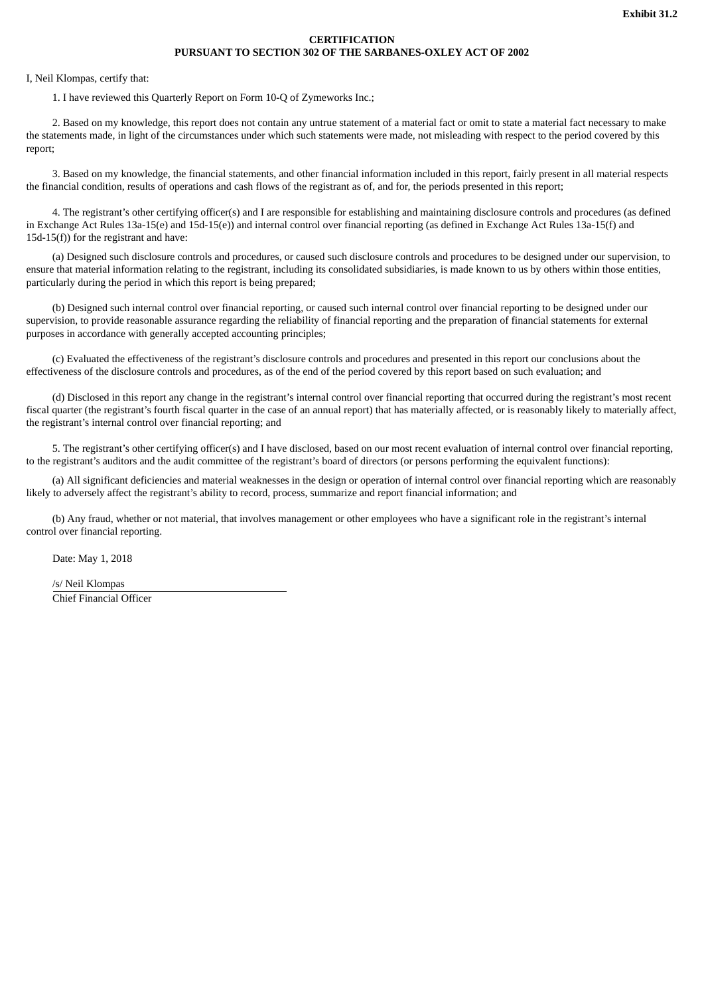# **CERTIFICATION PURSUANT TO SECTION 302 OF THE SARBANES-OXLEY ACT OF 2002**

## <span id="page-102-0"></span>I, Neil Klompas, certify that:

# 1. I have reviewed this Quarterly Report on Form 10-Q of Zymeworks Inc.;

2. Based on my knowledge, this report does not contain any untrue statement of a material fact or omit to state a material fact necessary to make the statements made, in light of the circumstances under which such statements were made, not misleading with respect to the period covered by this report;

3. Based on my knowledge, the financial statements, and other financial information included in this report, fairly present in all material respects the financial condition, results of operations and cash flows of the registrant as of, and for, the periods presented in this report;

4. The registrant's other certifying officer(s) and I are responsible for establishing and maintaining disclosure controls and procedures (as defined in Exchange Act Rules 13a-15(e) and 15d-15(e)) and internal control over financial reporting (as defined in Exchange Act Rules 13a-15(f) and 15d-15(f)) for the registrant and have:

(a) Designed such disclosure controls and procedures, or caused such disclosure controls and procedures to be designed under our supervision, to ensure that material information relating to the registrant, including its consolidated subsidiaries, is made known to us by others within those entities, particularly during the period in which this report is being prepared;

(b) Designed such internal control over financial reporting, or caused such internal control over financial reporting to be designed under our supervision, to provide reasonable assurance regarding the reliability of financial reporting and the preparation of financial statements for external purposes in accordance with generally accepted accounting principles;

(c) Evaluated the effectiveness of the registrant's disclosure controls and procedures and presented in this report our conclusions about the effectiveness of the disclosure controls and procedures, as of the end of the period covered by this report based on such evaluation; and

(d) Disclosed in this report any change in the registrant's internal control over financial reporting that occurred during the registrant's most recent fiscal quarter (the registrant's fourth fiscal quarter in the case of an annual report) that has materially affected, or is reasonably likely to materially affect, the registrant's internal control over financial reporting; and

5. The registrant's other certifying officer(s) and I have disclosed, based on our most recent evaluation of internal control over financial reporting, to the registrant's auditors and the audit committee of the registrant's board of directors (or persons performing the equivalent functions):

(a) All significant deficiencies and material weaknesses in the design or operation of internal control over financial reporting which are reasonably likely to adversely affect the registrant's ability to record, process, summarize and report financial information; and

(b) Any fraud, whether or not material, that involves management or other employees who have a significant role in the registrant's internal control over financial reporting.

Date: May 1, 2018

/s/ Neil Klompas Chief Financial Officer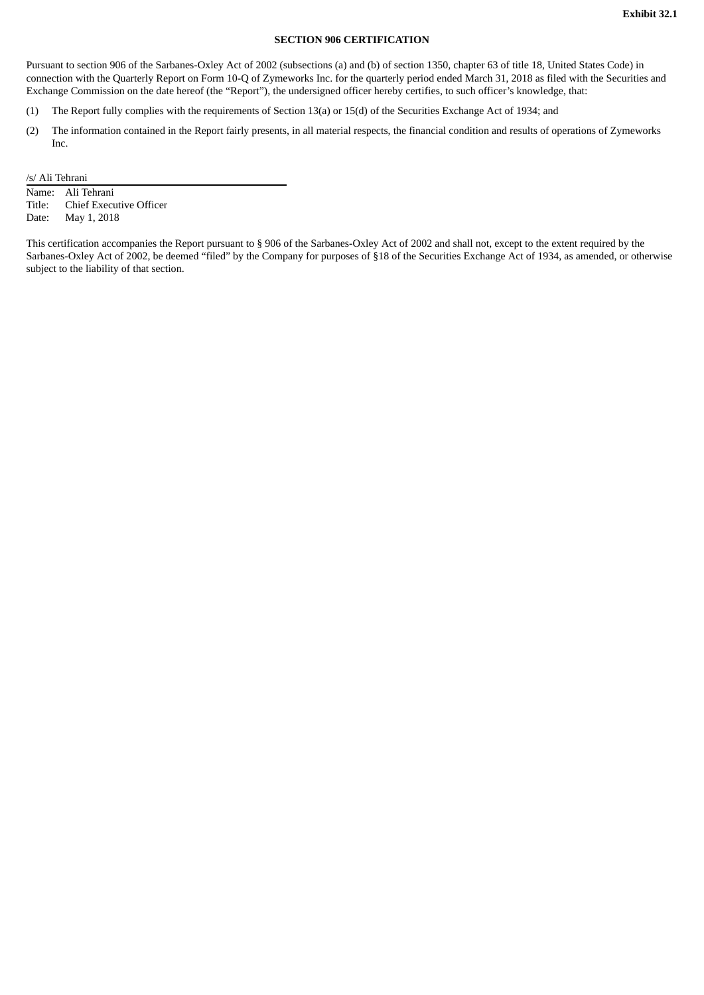# **SECTION 906 CERTIFICATION**

<span id="page-103-0"></span>Pursuant to section 906 of the Sarbanes-Oxley Act of 2002 (subsections (a) and (b) of section 1350, chapter 63 of title 18, United States Code) in connection with the Quarterly Report on Form 10-Q of Zymeworks Inc. for the quarterly period ended March 31, 2018 as filed with the Securities and Exchange Commission on the date hereof (the "Report"), the undersigned officer hereby certifies, to such officer's knowledge, that:

- (1) The Report fully complies with the requirements of Section 13(a) or 15(d) of the Securities Exchange Act of 1934; and
- (2) The information contained in the Report fairly presents, in all material respects, the financial condition and results of operations of Zymeworks Inc.

/s/ Ali Tehrani

Name: Ali Tehrani Title: Chief Executive Officer Date: May 1, 2018

This certification accompanies the Report pursuant to § 906 of the Sarbanes-Oxley Act of 2002 and shall not, except to the extent required by the Sarbanes-Oxley Act of 2002, be deemed "filed" by the Company for purposes of §18 of the Securities Exchange Act of 1934, as amended, or otherwise subject to the liability of that section.